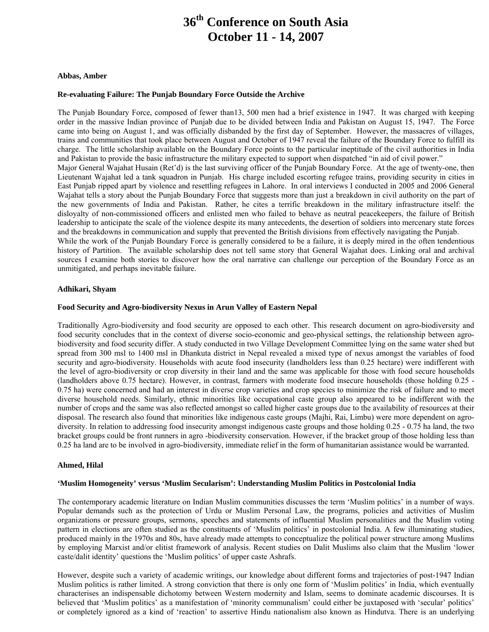# **36th Conference on South Asia October 11 - 14, 2007**

#### **Abbas, Amber**

## **Re-evaluating Failure: The Punjab Boundary Force Outside the Archive**

The Punjab Boundary Force, composed of fewer than13, 500 men had a brief existence in 1947. It was charged with keeping order in the massive Indian province of Punjab due to be divided between India and Pakistan on August 15, 1947. The Force came into being on August 1, and was officially disbanded by the first day of September. However, the massacres of villages, trains and communities that took place between August and October of 1947 reveal the failure of the Boundary Force to fulfill its charge. The little scholarship available on the Boundary Force points to the particular ineptitude of the civil authorities in India and Pakistan to provide the basic infrastructure the military expected to support when dispatched "in aid of civil power." Major General Wajahat Husain (Ret'd) is the last surviving officer of the Punjab Boundary Force. At the age of twenty-one, then Lieutenant Wajahat led a tank squadron in Punjab. His charge included escorting refugee trains, providing security in cities in East Punjab ripped apart by violence and resettling refugees in Lahore. In oral interviews I conducted in 2005 and 2006 General Wajahat tells a story about the Punjab Boundary Force that suggests more than just a breakdown in civil authority on the part of the new governments of India and Pakistan. Rather, he cites a terrific breakdown in the military infrastructure itself: the disloyalty of non-commissioned officers and enlisted men who failed to behave as neutral peacekeepers, the failure of British leadership to anticipate the scale of the violence despite its many antecedents, the desertion of soldiers into mercenary state forces and the breakdowns in communication and supply that prevented the British divisions from effectively navigating the Punjab. While the work of the Punjab Boundary Force is generally considered to be a failure, it is deeply mired in the often tendentious history of Partition. The available scholarship does not tell same story that General Wajahat does. Linking oral and archival sources I examine both stories to discover how the oral narrative can challenge our perception of the Boundary Force as an

#### **Adhikari, Shyam**

unmitigated, and perhaps inevitable failure.

#### **Food Security and Agro-biodiversity Nexus in Arun Valley of Eastern Nepal**

Traditionally Agro-biodiversity and food security are opposed to each other. This research document on agro-biodiversity and food security concludes that in the context of diverse socio-economic and geo-physical settings, the relationship between agrobiodiversity and food security differ. A study conducted in two Village Development Committee lying on the same water shed but spread from 300 msl to 1400 msl in Dhankuta district in Nepal revealed a mixed type of nexus amongst the variables of food security and agro-biodiversity. Households with acute food insecurity (landholders less than 0.25 hectare) were indifferent with the level of agro-biodiversity or crop diversity in their land and the same was applicable for those with food secure households (landholders above 0.75 hectare). However, in contrast, farmers with moderate food insecure households (those holding 0.25 - 0.75 ha) were concerned and had an interest in diverse crop varieties and crop species to minimize the risk of failure and to meet diverse household needs. Similarly, ethnic minorities like occupational caste group also appeared to be indifferent with the number of crops and the same was also reflected amongst so called higher caste groups due to the availability of resources at their disposal. The research also found that minorities like indigenous caste groups (Majhi, Rai, Limbu) were more dependent on agrodiversity. In relation to addressing food insecurity amongst indigenous caste groups and those holding 0.25 - 0.75 ha land, the two bracket groups could be front runners in agro -biodiversity conservation. However, if the bracket group of those holding less than 0.25 ha land are to be involved in agro-biodiversity, immediate relief in the form of humanitarian assistance would be warranted.

#### **Ahmed, Hilal**

#### **'Muslim Homogeneity' versus 'Muslim Secularism': Understanding Muslim Politics in Postcolonial India**

The contemporary academic literature on Indian Muslim communities discusses the term 'Muslim politics' in a number of ways. Popular demands such as the protection of Urdu or Muslim Personal Law, the programs, policies and activities of Muslim organizations or pressure groups, sermons, speeches and statements of influential Muslim personalities and the Muslim voting pattern in elections are often studied as the constituents of 'Muslim politics' in postcolonial India. A few illuminating studies, produced mainly in the 1970s and 80s, have already made attempts to conceptualize the political power structure among Muslims by employing Marxist and/or elitist framework of analysis. Recent studies on Dalit Muslims also claim that the Muslim 'lower caste/dalit identity' questions the 'Muslim politics' of upper caste Ashrafs.

However, despite such a variety of academic writings, our knowledge about different forms and trajectories of post-1947 Indian Muslim politics is rather limited. A strong conviction that there is only one form of 'Muslim politics' in India, which eventually characterises an indispensable dichotomy between Western modernity and Islam, seems to dominate academic discourses. It is believed that 'Muslim politics' as a manifestation of 'minority communalism' could either be juxtaposed with 'secular' politics' or completely ignored as a kind of 'reaction' to assertive Hindu nationalism also known as Hindutva. There is an underlying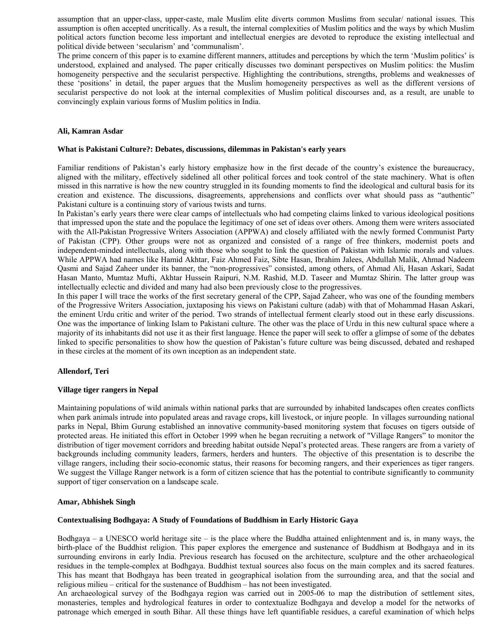assumption that an upper-class, upper-caste, male Muslim elite diverts common Muslims from secular/ national issues. This assumption is often accepted uncritically. As a result, the internal complexities of Muslim politics and the ways by which Muslim political actors function become less important and intellectual energies are devoted to reproduce the existing intellectual and political divide between 'secularism' and 'communalism'.

The prime concern of this paper is to examine different manners, attitudes and perceptions by which the term 'Muslim politics' is understood, explained and analysed. The paper critically discusses two dominant perspectives on Muslim politics: the Muslim homogeneity perspective and the secularist perspective. Highlighting the contributions, strengths, problems and weaknesses of these 'positions' in detail, the paper argues that the Muslim homogeneity perspectives as well as the different versions of secularist perspective do not look at the internal complexities of Muslim political discourses and, as a result, are unable to convincingly explain various forms of Muslim politics in India.

## **Ali, Kamran Asdar**

## **What is Pakistani Culture?: Debates, discussions, dilemmas in Pakistan's early years**

Familiar renditions of Pakistan's early history emphasize how in the first decade of the country's existence the bureaucracy, aligned with the military, effectively sidelined all other political forces and took control of the state machinery. What is often missed in this narrative is how the new country struggled in its founding moments to find the ideological and cultural basis for its creation and existence. The discussions, disagreements, apprehensions and conflicts over what should pass as "authentic" Pakistani culture is a continuing story of various twists and turns.

In Pakistan's early years there were clear camps of intellectuals who had competing claims linked to various ideological positions that impressed upon the state and the populace the legitimacy of one set of ideas over others. Among them were writers associated with the All-Pakistan Progressive Writers Association (APPWA) and closely affiliated with the newly formed Communist Party of Pakistan (CPP). Other groups were not as organized and consisted of a range of free thinkers, modernist poets and independent-minded intellectuals, along with those who sought to link the question of Pakistan with Islamic morals and values. While APPWA had names like Hamid Akhtar, Faiz Ahmed Faiz, Sibte Hasan, Ibrahim Jalees, Abdullah Malik, Ahmad Nadeem Qasmi and Sajad Zaheer under its banner, the "non-progressives" consisted, among others, of Ahmad Ali, Hasan Askari, Sadat Hasan Manto, Mumtaz Mufti, Akhtar Hussein Raipuri, N.M. Rashid, M.D. Taseer and Mumtaz Shirin. The latter group was intellectually eclectic and divided and many had also been previously close to the progressives.

In this paper I will trace the works of the first secretary general of the CPP, Sajad Zaheer, who was one of the founding members of the Progressive Writers Association, juxtaposing his views on Pakistani culture (adab) with that of Mohammad Hasan Askari, the eminent Urdu critic and writer of the period. Two strands of intellectual ferment clearly stood out in these early discussions. One was the importance of linking Islam to Pakistani culture. The other was the place of Urdu in this new cultural space where a majority of its inhabitants did not use it as their first language. Hence the paper will seek to offer a glimpse of some of the debates linked to specific personalities to show how the question of Pakistan's future culture was being discussed, debated and reshaped in these circles at the moment of its own inception as an independent state.

# **Allendorf, Teri**

## **Village tiger rangers in Nepal**

Maintaining populations of wild animals within national parks that are surrounded by inhabited landscapes often creates conflicts when park animals intrude into populated areas and ravage crops, kill livestock, or injure people. In villages surrounding national parks in Nepal, Bhim Gurung established an innovative community-based monitoring system that focuses on tigers outside of protected areas. He initiated this effort in October 1999 when he began recruiting a network of "Village Rangers" to monitor the distribution of tiger movement corridors and breeding habitat outside Nepal's protected areas. These rangers are from a variety of backgrounds including community leaders, farmers, herders and hunters. The objective of this presentation is to describe the village rangers, including their socio-economic status, their reasons for becoming rangers, and their experiences as tiger rangers. We suggest the Village Ranger network is a form of citizen science that has the potential to contribute significantly to community support of tiger conservation on a landscape scale.

## **Amar, Abhishek Singh**

## **Contextualising Bodhgaya: A Study of Foundations of Buddhism in Early Historic Gaya**

Bodhgaya – a UNESCO world heritage site – is the place where the Buddha attained enlightenment and is, in many ways, the birth-place of the Buddhist religion. This paper explores the emergence and sustenance of Buddhism at Bodhgaya and in its surrounding environs in early India. Previous research has focused on the architecture, sculpture and the other archaeological residues in the temple-complex at Bodhgaya. Buddhist textual sources also focus on the main complex and its sacred features. This has meant that Bodhgaya has been treated in geographical isolation from the surrounding area, and that the social and religious milieu – critical for the sustenance of Buddhism – has not been investigated.

An archaeological survey of the Bodhgaya region was carried out in 2005-06 to map the distribution of settlement sites, monasteries, temples and hydrological features in order to contextualize Bodhgaya and develop a model for the networks of patronage which emerged in south Bihar. All these things have left quantifiable residues, a careful examination of which helps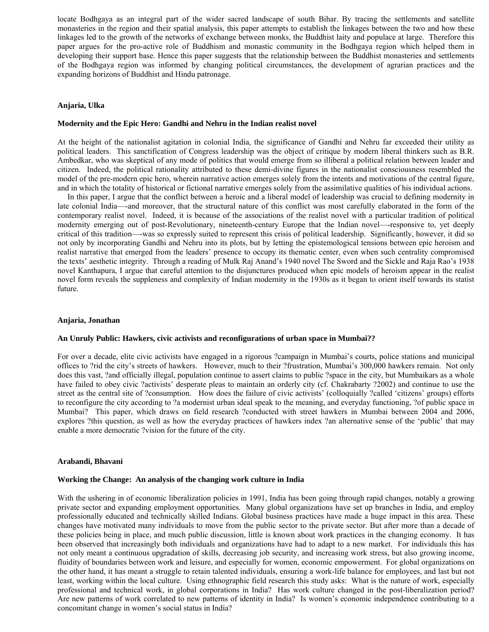locate Bodhgaya as an integral part of the wider sacred landscape of south Bihar. By tracing the settlements and satellite monasteries in the region and their spatial analysis, this paper attempts to establish the linkages between the two and how these linkages led to the growth of the networks of exchange between monks, the Buddhist laity and populace at large. Therefore this paper argues for the pro-active role of Buddhism and monastic community in the Bodhgaya region which helped them in developing their support base. Hence this paper suggests that the relationship between the Buddhist monasteries and settlements of the Bodhgaya region was informed by changing political circumstances, the development of agrarian practices and the expanding horizons of Buddhist and Hindu patronage.

#### **Anjaria, Ulka**

#### **Modernity and the Epic Hero: Gandhi and Nehru in the Indian realist novel**

At the height of the nationalist agitation in colonial India, the significance of Gandhi and Nehru far exceeded their utility as political leaders. This sanctification of Congress leadership was the object of critique by modern liberal thinkers such as B.R. Ambedkar, who was skeptical of any mode of politics that would emerge from so illiberal a political relation between leader and citizen. Indeed, the political rationality attributed to these demi-divine figures in the nationalist consciousness resembled the model of the pre-modern epic hero, wherein narrative action emerges solely from the intents and motivations of the central figure, and in which the totality of historical or fictional narrative emerges solely from the assimilative qualities of his individual actions.

 In this paper, I argue that the conflict between a heroic and a liberal model of leadership was crucial to defining modernity in late colonial India—-and moreover, that the structural nature of this conflict was most carefully elaborated in the form of the contemporary realist novel. Indeed, it is because of the associations of the realist novel with a particular tradition of political modernity emerging out of post-Revolutionary, nineteenth-century Europe that the Indian novel—-responsive to, yet deeply critical of this tradition—-was so expressly suited to represent this crisis of political leadership. Significantly, however, it did so not only by incorporating Gandhi and Nehru into its plots, but by letting the epistemological tensions between epic heroism and realist narrative that emerged from the leaders' presence to occupy its thematic center, even when such centrality compromised the texts' aesthetic integrity. Through a reading of Mulk Raj Anand's 1940 novel The Sword and the Sickle and Raja Rao's 1938 novel Kanthapura, I argue that careful attention to the disjunctures produced when epic models of heroism appear in the realist novel form reveals the suppleness and complexity of Indian modernity in the 1930s as it began to orient itself towards its statist future.

#### **Anjaria, Jonathan**

#### **An Unruly Public: Hawkers, civic activists and reconfigurations of urban space in Mumbai??**

For over a decade, elite civic activists have engaged in a rigorous ?campaign in Mumbai's courts, police stations and municipal offices to ?rid the city's streets of hawkers. However, much to their ?frustration, Mumbai's 300,000 hawkers remain. Not only does this vast, ?and officially illegal, population continue to assert claims to public ?space in the city, but Mumbaikars as a whole have failed to obey civic ?activists' desperate pleas to maintain an orderly city (cf. Chakrabarty ?2002) and continue to use the street as the central site of ?consumption. How does the failure of civic activists' (colloquially ?called 'citizens' groups) efforts to reconfigure the city according to ?a modernist urban ideal speak to the meaning, and everyday functioning, ?of public space in Mumbai? This paper, which draws on field research ?conducted with street hawkers in Mumbai between 2004 and 2006, explores ?this question, as well as how the everyday practices of hawkers index ?an alternative sense of the 'public' that may enable a more democratic ?vision for the future of the city.

#### **Arabandi, Bhavani**

#### **Working the Change: An analysis of the changing work culture in India**

With the ushering in of economic liberalization policies in 1991, India has been going through rapid changes, notably a growing private sector and expanding employment opportunities. Many global organizations have set up branches in India, and employ professionally educated and technically skilled Indians. Global business practices have made a huge impact in this area. These changes have motivated many individuals to move from the public sector to the private sector. But after more than a decade of these policies being in place, and much public discussion, little is known about work practices in the changing economy. It has been observed that increasingly both individuals and organizations have had to adapt to a new market. For individuals this has not only meant a continuous upgradation of skills, decreasing job security, and increasing work stress, but also growing income, fluidity of boundaries between work and leisure, and especially for women, economic empowerment. For global organizations on the other hand, it has meant a struggle to retain talented individuals, ensuring a work-life balance for employees, and last but not least, working within the local culture. Using ethnographic field research this study asks: What is the nature of work, especially professional and technical work, in global corporations in India? Has work culture changed in the post-liberalization period? Are new patterns of work correlated to new patterns of identity in India? Is women's economic independence contributing to a concomitant change in women's social status in India?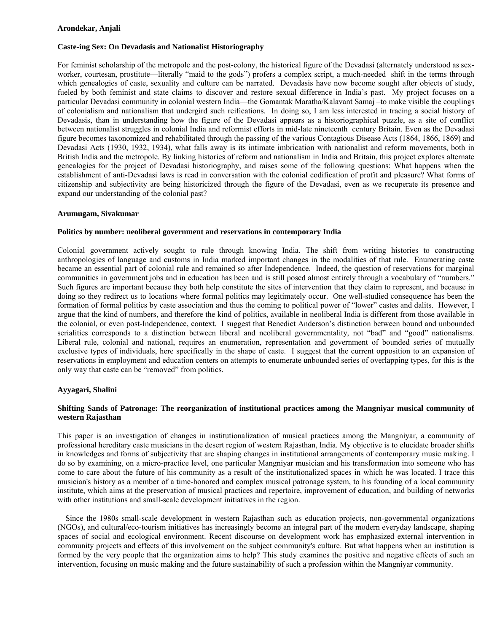## **Arondekar, Anjali**

# **Caste-ing Sex: On Devadasis and Nationalist Historiography**

For feminist scholarship of the metropole and the post-colony, the historical figure of the Devadasi (alternately understood as sexworker, courtesan, prostitute—literally "maid to the gods") profers a complex script, a much-needed shift in the terms through which genealogies of caste, sexuality and culture can be narrated. Devadasis have now become sought after objects of study, fueled by both feminist and state claims to discover and restore sexual difference in India's past. My project focuses on a particular Devadasi community in colonial western India—the Gomantak Maratha/Kalavant Samaj –to make visible the couplings of colonialism and nationalism that undergird such reifications. In doing so, I am less interested in tracing a social history of Devadasis, than in understanding how the figure of the Devadasi appears as a historiographical puzzle, as a site of conflict between nationalist struggles in colonial India and reformist efforts in mid-late nineteenth century Britain. Even as the Devadasi figure becomes taxonomized and rehabilitated through the passing of the various Contagious Disease Acts (1864, 1866, 1869) and Devadasi Acts (1930, 1932, 1934), what falls away is its intimate imbrication with nationalist and reform movements, both in British India and the metropole. By linking histories of reform and nationalism in India and Britain, this project explores alternate genealogies for the project of Devadasi historiography, and raises some of the following questions: What happens when the establishment of anti-Devadasi laws is read in conversation with the colonial codification of profit and pleasure? What forms of citizenship and subjectivity are being historicized through the figure of the Devadasi, even as we recuperate its presence and expand our understanding of the colonial past?

## **Arumugam, Sivakumar**

## **Politics by number: neoliberal government and reservations in contemporary India**

Colonial government actively sought to rule through knowing India. The shift from writing histories to constructing anthropologies of language and customs in India marked important changes in the modalities of that rule. Enumerating caste became an essential part of colonial rule and remained so after Independence. Indeed, the question of reservations for marginal communities in government jobs and in education has been and is still posed almost entirely through a vocabulary of "numbers." Such figures are important because they both help constitute the sites of intervention that they claim to represent, and because in doing so they redirect us to locations where formal politics may legitimately occur. One well-studied consequence has been the formation of formal politics by caste association and thus the coming to political power of "lower" castes and dalits. However, I argue that the kind of numbers, and therefore the kind of politics, available in neoliberal India is different from those available in the colonial, or even post-Independence, context. I suggest that Benedict Anderson's distinction between bound and unbounded serialities corresponds to a distinction between liberal and neoliberal governmentality, not "bad" and "good" nationalisms. Liberal rule, colonial and national, requires an enumeration, representation and government of bounded series of mutually exclusive types of individuals, here specifically in the shape of caste. I suggest that the current opposition to an expansion of reservations in employment and education centers on attempts to enumerate unbounded series of overlapping types, for this is the only way that caste can be "removed" from politics.

# **Ayyagari, Shalini**

# **Shifting Sands of Patronage: The reorganization of institutional practices among the Mangniyar musical community of western Rajasthan**

This paper is an investigation of changes in institutionalization of musical practices among the Mangniyar, a community of professional hereditary caste musicians in the desert region of western Rajasthan, India. My objective is to elucidate broader shifts in knowledges and forms of subjectivity that are shaping changes in institutional arrangements of contemporary music making. I do so by examining, on a micro-practice level, one particular Mangniyar musician and his transformation into someone who has come to care about the future of his community as a result of the institutionalized spaces in which he was located. I trace this musician's history as a member of a time-honored and complex musical patronage system, to his founding of a local community institute, which aims at the preservation of musical practices and repertoire, improvement of education, and building of networks with other institutions and small-scale development initiatives in the region.

 Since the 1980s small-scale development in western Rajasthan such as education projects, non-governmental organizations (NGOs), and cultural/eco-tourism initiatives has increasingly become an integral part of the modern everyday landscape, shaping spaces of social and ecological environment. Recent discourse on development work has emphasized external intervention in community projects and effects of this involvement on the subject community's culture. But what happens when an institution is formed by the very people that the organization aims to help? This study examines the positive and negative effects of such an intervention, focusing on music making and the future sustainability of such a profession within the Mangniyar community.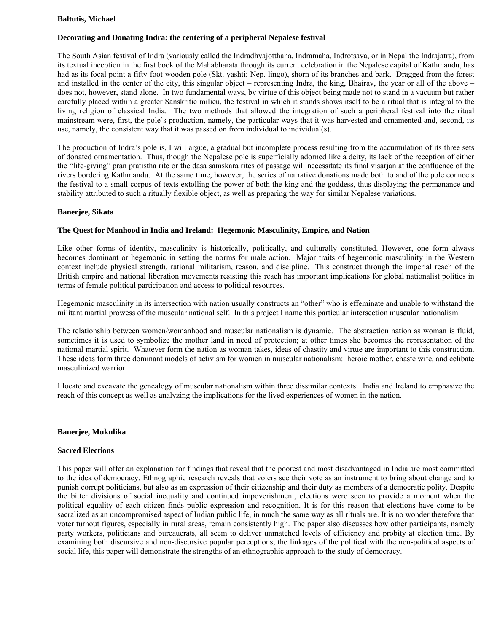## **Baltutis, Michael**

# **Decorating and Donating Indra: the centering of a peripheral Nepalese festival**

The South Asian festival of Indra (variously called the Indradhvajotthana, Indramaha, Indrotsava, or in Nepal the Indrajatra), from its textual inception in the first book of the Mahabharata through its current celebration in the Nepalese capital of Kathmandu, has had as its focal point a fifty-foot wooden pole (Skt. yashti; Nep. lingo), shorn of its branches and bark. Dragged from the forest and installed in the center of the city, this singular object – representing Indra, the king, Bhairav, the year or all of the above – does not, however, stand alone. In two fundamental ways, by virtue of this object being made not to stand in a vacuum but rather carefully placed within a greater Sanskritic milieu, the festival in which it stands shows itself to be a ritual that is integral to the living religion of classical India. The two methods that allowed the integration of such a peripheral festival into the ritual mainstream were, first, the pole's production, namely, the particular ways that it was harvested and ornamented and, second, its use, namely, the consistent way that it was passed on from individual to individual(s).

The production of Indra's pole is, I will argue, a gradual but incomplete process resulting from the accumulation of its three sets of donated ornamentation. Thus, though the Nepalese pole is superficially adorned like a deity, its lack of the reception of either the "life-giving" pran pratistha rite or the dasa samskara rites of passage will necessitate its final visarjan at the confluence of the rivers bordering Kathmandu. At the same time, however, the series of narrative donations made both to and of the pole connects the festival to a small corpus of texts extolling the power of both the king and the goddess, thus displaying the permanance and stability attributed to such a ritually flexible object, as well as preparing the way for similar Nepalese variations.

## **Banerjee, Sikata**

## **The Quest for Manhood in India and Ireland: Hegemonic Masculinity, Empire, and Nation**

Like other forms of identity, masculinity is historically, politically, and culturally constituted. However, one form always becomes dominant or hegemonic in setting the norms for male action. Major traits of hegemonic masculinity in the Western context include physical strength, rational militarism, reason, and discipline. This construct through the imperial reach of the British empire and national liberation movements resisting this reach has important implications for global nationalist politics in terms of female political participation and access to political resources.

Hegemonic masculinity in its intersection with nation usually constructs an "other" who is effeminate and unable to withstand the militant martial prowess of the muscular national self. In this project I name this particular intersection muscular nationalism.

The relationship between women/womanhood and muscular nationalism is dynamic. The abstraction nation as woman is fluid, sometimes it is used to symbolize the mother land in need of protection; at other times she becomes the representation of the national martial spirit. Whatever form the nation as woman takes, ideas of chastity and virtue are important to this construction. These ideas form three dominant models of activism for women in muscular nationalism: heroic mother, chaste wife, and celibate masculinized warrior.

I locate and excavate the genealogy of muscular nationalism within three dissimilar contexts: India and Ireland to emphasize the reach of this concept as well as analyzing the implications for the lived experiences of women in the nation.

## **Banerjee, Mukulika**

## **Sacred Elections**

This paper will offer an explanation for findings that reveal that the poorest and most disadvantaged in India are most committed to the idea of democracy. Ethnographic research reveals that voters see their vote as an instrument to bring about change and to punish corrupt politicians, but also as an expression of their citizenship and their duty as members of a democratic polity. Despite the bitter divisions of social inequality and continued impoverishment, elections were seen to provide a moment when the political equality of each citizen finds public expression and recognition. It is for this reason that elections have come to be sacralized as an uncompromised aspect of Indian public life, in much the same way as all rituals are. It is no wonder therefore that voter turnout figures, especially in rural areas, remain consistently high. The paper also discusses how other participants, namely party workers, politicians and bureaucrats, all seem to deliver unmatched levels of efficiency and probity at election time. By examining both discursive and non-discursive popular perceptions, the linkages of the political with the non-political aspects of social life, this paper will demonstrate the strengths of an ethnographic approach to the study of democracy.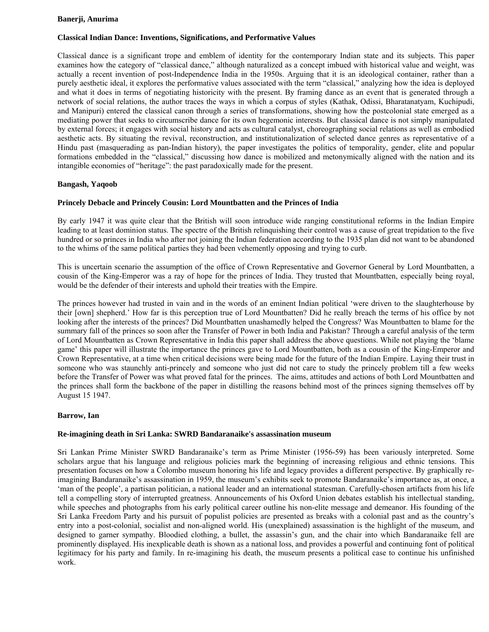## **Banerji, Anurima**

# **Classical Indian Dance: Inventions, Significations, and Performative Values**

Classical dance is a significant trope and emblem of identity for the contemporary Indian state and its subjects. This paper examines how the category of "classical dance," although naturalized as a concept imbued with historical value and weight, was actually a recent invention of post-Independence India in the 1950s. Arguing that it is an ideological container, rather than a purely aesthetic ideal, it explores the performative values associated with the term "classical," analyzing how the idea is deployed and what it does in terms of negotiating historicity with the present. By framing dance as an event that is generated through a network of social relations, the author traces the ways in which a corpus of styles (Kathak, Odissi, Bharatanatyam, Kuchipudi, and Manipuri) entered the classical canon through a series of transformations, showing how the postcolonial state emerged as a mediating power that seeks to circumscribe dance for its own hegemonic interests. But classical dance is not simply manipulated by external forces; it engages with social history and acts as cultural catalyst, choreographing social relations as well as embodied aesthetic acts. By situating the revival, reconstruction, and institutionalization of selected dance genres as representative of a Hindu past (masquerading as pan-Indian history), the paper investigates the politics of temporality, gender, elite and popular formations embedded in the "classical," discussing how dance is mobilized and metonymically aligned with the nation and its intangible economies of "heritage": the past paradoxically made for the present.

# **Bangash, Yaqoob**

# **Princely Debacle and Princely Cousin: Lord Mountbatten and the Princes of India**

By early 1947 it was quite clear that the British will soon introduce wide ranging constitutional reforms in the Indian Empire leading to at least dominion status. The spectre of the British relinquishing their control was a cause of great trepidation to the five hundred or so princes in India who after not joining the Indian federation according to the 1935 plan did not want to be abandoned to the whims of the same political parties they had been vehemently opposing and trying to curb.

This is uncertain scenario the assumption of the office of Crown Representative and Governor General by Lord Mountbatten, a cousin of the King-Emperor was a ray of hope for the princes of India. They trusted that Mountbatten, especially being royal, would be the defender of their interests and uphold their treaties with the Empire.

The princes however had trusted in vain and in the words of an eminent Indian political 'were driven to the slaughterhouse by their [own] shepherd.' How far is this perception true of Lord Mountbatten? Did he really breach the terms of his office by not looking after the interests of the princes? Did Mountbatten unashamedly helped the Congress? Was Mountbatten to blame for the summary fall of the princes so soon after the Transfer of Power in both India and Pakistan? Through a careful analysis of the term of Lord Mountbatten as Crown Representative in India this paper shall address the above questions. While not playing the 'blame game' this paper will illustrate the importance the princes gave to Lord Mountbatten, both as a cousin of the King-Emperor and Crown Representative, at a time when critical decisions were being made for the future of the Indian Empire. Laying their trust in someone who was staunchly anti-princely and someone who just did not care to study the princely problem till a few weeks before the Transfer of Power was what proved fatal for the princes. The aims, attitudes and actions of both Lord Mountbatten and the princes shall form the backbone of the paper in distilling the reasons behind most of the princes signing themselves off by August 15 1947.

# **Barrow, Ian**

# **Re-imagining death in Sri Lanka: SWRD Bandaranaike's assassination museum**

Sri Lankan Prime Minister SWRD Bandaranaike's term as Prime Minister (1956-59) has been variously interpreted. Some scholars argue that his language and religious policies mark the beginning of increasing religious and ethnic tensions. This presentation focuses on how a Colombo museum honoring his life and legacy provides a different perspective. By graphically reimagining Bandaranaike's assassination in 1959, the museum's exhibits seek to promote Bandaranaike's importance as, at once, a 'man of the people', a partisan politician, a national leader and an international statesman. Carefully-chosen artifacts from his life tell a compelling story of interrupted greatness. Announcements of his Oxford Union debates establish his intellectual standing, while speeches and photographs from his early political career outline his non-elite message and demeanor. His founding of the Sri Lanka Freedom Party and his pursuit of populist policies are presented as breaks with a colonial past and as the country's entry into a post-colonial, socialist and non-aligned world. His (unexplained) assassination is the highlight of the museum, and designed to garner sympathy. Bloodied clothing, a bullet, the assassin's gun, and the chair into which Bandaranaike fell are prominently displayed. His inexplicable death is shown as a national loss, and provides a powerful and continuing font of political legitimacy for his party and family. In re-imagining his death, the museum presents a political case to continue his unfinished work.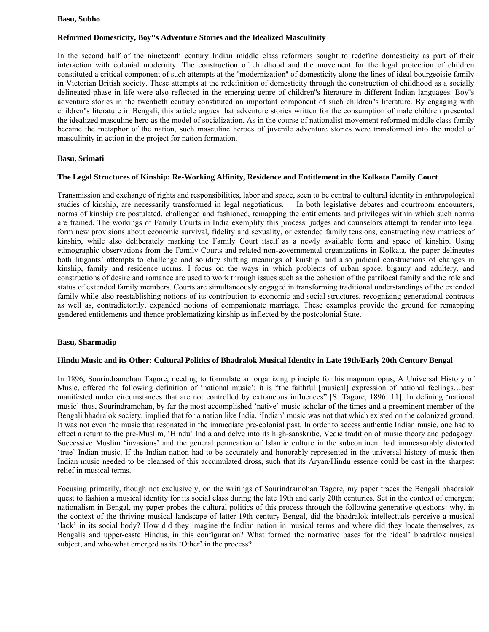#### **Basu, Subho**

## **Reformed Domesticity, Boy''s Adventure Stories and the Idealized Masculinity**

In the second half of the nineteenth century Indian middle class reformers sought to redefine domesticity as part of their interaction with colonial modernity. The construction of childhood and the movement for the legal protection of children constituted a critical component of such attempts at the ''modernization'' of domesticity along the lines of ideal bourgeoisie family in Victorian British society. These attempts at the redefinition of domesticity through the construction of childhood as a socially delineated phase in life were also reflected in the emerging genre of children''s literature in different Indian languages. Boy''s adventure stories in the twentieth century constituted an important component of such children''s literature. By engaging with children''s literature in Bengali, this article argues that adventure stories written for the consumption of male children presented the idealized masculine hero as the model of socialization. As in the course of nationalist movement reformed middle class family became the metaphor of the nation, such masculine heroes of juvenile adventure stories were transformed into the model of masculinity in action in the project for nation formation.

## **Basu, Srimati**

## **The Legal Structures of Kinship: Re-Working Affinity, Residence and Entitlement in the Kolkata Family Court**

Transmission and exchange of rights and responsibilities, labor and space, seen to be central to cultural identity in anthropological studies of kinship, are necessarily transformed in legal negotiations. In both legislative debates and courtroom encounters, norms of kinship are postulated, challenged and fashioned, remapping the entitlements and privileges within which such norms are framed. The workings of Family Courts in India exemplify this process: judges and counselors attempt to render into legal form new provisions about economic survival, fidelity and sexuality, or extended family tensions, constructing new matrices of kinship, while also deliberately marking the Family Court itself as a newly available form and space of kinship. Using ethnographic observations from the Family Courts and related non-governmental organizations in Kolkata, the paper delineates both litigants' attempts to challenge and solidify shifting meanings of kinship, and also judicial constructions of changes in kinship, family and residence norms. I focus on the ways in which problems of urban space, bigamy and adultery, and constructions of desire and romance are used to work through issues such as the cohesion of the patrilocal family and the role and status of extended family members. Courts are simultaneously engaged in transforming traditional understandings of the extended family while also reestablishing notions of its contribution to economic and social structures, recognizing generational contracts as well as, contradictorily, expanded notions of companionate marriage. These examples provide the ground for remapping gendered entitlements and thence problematizing kinship as inflected by the postcolonial State.

## **Basu, Sharmadip**

## **Hindu Music and its Other: Cultural Politics of Bhadralok Musical Identity in Late 19th/Early 20th Century Bengal**

In 1896, Sourindramohan Tagore, needing to formulate an organizing principle for his magnum opus, A Universal History of Music, offered the following definition of 'national music': it is "the faithful [musical] expression of national feelings…best manifested under circumstances that are not controlled by extraneous influences" [S. Tagore, 1896: 11]. In defining 'national music' thus, Sourindramohan, by far the most accomplished 'native' music-scholar of the times and a preeminent member of the Bengali bhadralok society, implied that for a nation like India, 'Indian' music was not that which existed on the colonized ground. It was not even the music that resonated in the immediate pre-colonial past. In order to access authentic Indian music, one had to effect a return to the pre-Muslim, 'Hindu' India and delve into its high-sanskritic, Vedic tradition of music theory and pedagogy. Successive Muslim 'invasions' and the general permeation of Islamic culture in the subcontinent had immeasurably distorted 'true' Indian music. If the Indian nation had to be accurately and honorably represented in the universal history of music then Indian music needed to be cleansed of this accumulated dross, such that its Aryan/Hindu essence could be cast in the sharpest relief in musical terms.

Focusing primarily, though not exclusively, on the writings of Sourindramohan Tagore, my paper traces the Bengali bhadralok quest to fashion a musical identity for its social class during the late 19th and early 20th centuries. Set in the context of emergent nationalism in Bengal, my paper probes the cultural politics of this process through the following generative questions: why, in the context of the thriving musical landscape of latter-19th century Bengal, did the bhadralok intellectuals perceive a musical 'lack' in its social body? How did they imagine the Indian nation in musical terms and where did they locate themselves, as Bengalis and upper-caste Hindus, in this configuration? What formed the normative bases for the 'ideal' bhadralok musical subject, and who/what emerged as its 'Other' in the process?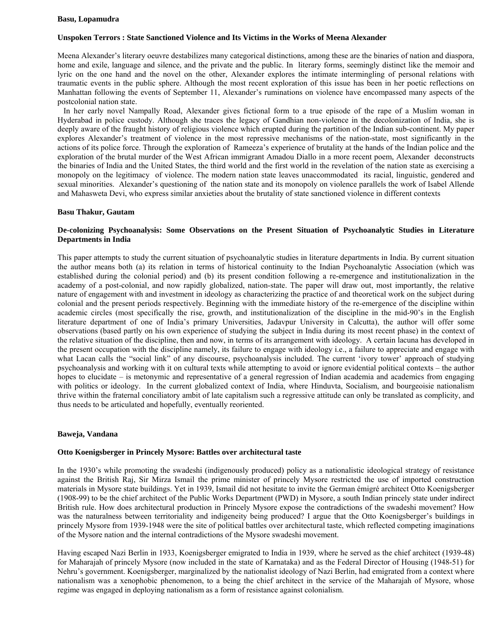#### **Basu, Lopamudra**

## **Unspoken Terrors : State Sanctioned Violence and Its Victims in the Works of Meena Alexander**

Meena Alexander's literary oeuvre destabilizes many categorical distinctions, among these are the binaries of nation and diaspora, home and exile, language and silence, and the private and the public. In literary forms, seemingly distinct like the memoir and lyric on the one hand and the novel on the other, Alexander explores the intimate intermingling of personal relations with traumatic events in the public sphere. Although the most recent exploration of this issue has been in her poetic reflections on Manhattan following the events of September 11, Alexander's ruminations on violence have encompassed many aspects of the postcolonial nation state.

 In her early novel Nampally Road, Alexander gives fictional form to a true episode of the rape of a Muslim woman in Hyderabad in police custody. Although she traces the legacy of Gandhian non-violence in the decolonization of India, she is deeply aware of the fraught history of religious violence which erupted during the partition of the Indian sub-continent. My paper explores Alexander's treatment of violence in the most repressive mechanisms of the nation-state, most significantly in the actions of its police force. Through the exploration of Rameeza's experience of brutality at the hands of the Indian police and the exploration of the brutal murder of the West African immigrant Amadou Diallo in a more recent poem, Alexander deconstructs the binaries of India and the United States, the third world and the first world in the revelation of the nation state as exercising a monopoly on the legitimacy of violence. The modern nation state leaves unaccommodated its racial, linguistic, gendered and sexual minorities. Alexander's questioning of the nation state and its monopoly on violence parallels the work of Isabel Allende and Mahasweta Devi, who express similar anxieties about the brutality of state sanctioned violence in different contexts

## **Basu Thakur, Gautam**

## **De-colonizing Psychoanalysis: Some Observations on the Present Situation of Psychoanalytic Studies in Literature Departments in India**

This paper attempts to study the current situation of psychoanalytic studies in literature departments in India. By current situation the author means both (a) its relation in terms of historical continuity to the Indian Psychoanalytic Association (which was established during the colonial period) and (b) its present condition following a re-emergence and institutionalization in the academy of a post-colonial, and now rapidly globalized, nation-state. The paper will draw out, most importantly, the relative nature of engagement with and investment in ideology as characterizing the practice of and theoretical work on the subject during colonial and the present periods respectively. Beginning with the immediate history of the re-emergence of the discipline within academic circles (most specifically the rise, growth, and institutionalization of the discipline in the mid-90's in the English literature department of one of India's primary Universities, Jadavpur University in Calcutta), the author will offer some observations (based partly on his own experience of studying the subject in India during its most recent phase) in the context of the relative situation of the discipline, then and now, in terms of its arrangement with ideology. A certain lacuna has developed in the present occupation with the discipline namely, its failure to engage with ideology i.e., a failure to appreciate and engage with what Lacan calls the "social link" of any discourse, psychoanalysis included. The current 'ivory tower' approach of studying psychoanalysis and working with it on cultural texts while attempting to avoid or ignore evidential political contexts – the author hopes to elucidate – is metonymic and representative of a general regression of Indian academia and academics from engaging with politics or ideology. In the current globalized context of India, where Hinduvta, Socialism, and bourgeoisie nationalism thrive within the fraternal conciliatory ambit of late capitalism such a regressive attitude can only be translated as complicity, and thus needs to be articulated and hopefully, eventually reoriented.

## **Baweja, Vandana**

## **Otto Koenigsberger in Princely Mysore: Battles over architectural taste**

In the 1930's while promoting the swadeshi (indigenously produced) policy as a nationalistic ideological strategy of resistance against the British Raj, Sir Mirza Ismail the prime minister of princely Mysore restricted the use of imported construction materials in Mysore state buildings. Yet in 1939, Ismail did not hesitate to invite the German émigré architect Otto Koenigsberger (1908-99) to be the chief architect of the Public Works Department (PWD) in Mysore, a south Indian princely state under indirect British rule. How does architectural production in Princely Mysore expose the contradictions of the swadeshi movement? How was the naturalness between territoriality and indigeneity being produced? I argue that the Otto Koenigsberger's buildings in princely Mysore from 1939-1948 were the site of political battles over architectural taste, which reflected competing imaginations of the Mysore nation and the internal contradictions of the Mysore swadeshi movement.

Having escaped Nazi Berlin in 1933, Koenigsberger emigrated to India in 1939, where he served as the chief architect (1939-48) for Maharajah of princely Mysore (now included in the state of Karnataka) and as the Federal Director of Housing (1948-51) for Nehru's government. Koenigsberger, marginalized by the nationalist ideology of Nazi Berlin, had emigrated from a context where nationalism was a xenophobic phenomenon, to a being the chief architect in the service of the Maharajah of Mysore, whose regime was engaged in deploying nationalism as a form of resistance against colonialism.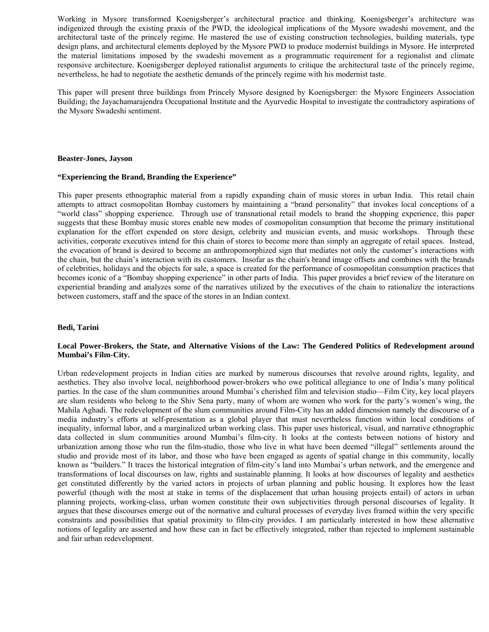Working in Mysore transformed Koenigsberger's architectural practice and thinking. Koenigsberger's architecture was indigenized through the existing praxis of the PWD, the ideological implications of the Mysore swadeshi movement, and the architectural taste of the princely regime. He mastered the use of existing construction technologies, building materials, type design plans, and architectural elements deployed by the Mysore PWD to produce modernist buildings in Mysore. He interpreted the material limitations imposed by the swadeshi movement as a programmatic requirement for a regionalist and climate responsive architecture. Koenigsberger deployed rationalist arguments to critique the architectural taste of the princely regime, nevertheless, he had to negotiate the aesthetic demands of the princely regime with his modernist taste.

This paper will present three buildings from Princely Mysore designed by Koenigsberger: the Mysore Engineers Association Building; the Jayachamarajendra Occupational Institute and the Ayurvedic Hospital to investigate the contradictory aspirations of the Mysore Swadeshi sentiment.

#### **Beaster-Jones, Jayson**

#### **"Experiencing the Brand, Branding the Experience"**

This paper presents ethnographic material from a rapidly expanding chain of music stores in urban India. This retail chain attempts to attract cosmopolitan Bombay customers by maintaining a "brand personality" that invokes local conceptions of a "world class" shopping experience. Through use of transnational retail models to brand the shopping experience, this paper suggests that these Bombay music stores enable new modes of cosmopolitan consumption that become the primary institutional explanation for the effort expended on store design, celebrity and musician events, and music workshops. Through these activities, corporate executives intend for this chain of stores to become more than simply an aggregate of retail spaces. Instead, the evocation of brand is desired to become an anthropomorphized sign that mediates not only the customer's interactions with the chain, but the chain's interaction with its customers. Insofar as the chain's brand image offsets and combines with the brands of celebrities, holidays and the objects for sale, a space is created for the performance of cosmopolitan consumption practices that becomes iconic of a "Bombay shopping experience" in other parts of India. This paper provides a brief review of the literature on experiential branding and analyzes some of the narratives utilized by the executives of the chain to rationalize the interactions between customers, staff and the space of the stores in an Indian context.

#### **Bedi, Tarini**

## **Local Power-Brokers, the State, and Alternative Visions of the Law: The Gendered Politics of Redevelopment around Mumbai's Film-City.**

Urban redevelopment projects in Indian cities are marked by numerous discourses that revolve around rights, legality, and aesthetics. They also involve local, neighborhood power-brokers who owe political allegiance to one of India's many political parties. In the case of the slum communities around Mumbai's cherished film and television studio—Film City, key local players are slum residents who belong to the Shiv Sena party, many of whom are women who work for the party's women's wing, the Mahila Aghadi. The redevelopment of the slum communities around Film-City has an added dimension namely the discourse of a media industry's efforts at self-presentation as a global player that must nevertheless function within local conditions of inequality, informal labor, and a marginalized urban working class. This paper uses historical, visual, and narrative ethnographic data collected in slum communities around Mumbai's film-city. It looks at the contests between notions of history and urbanization among those who run the film-studio, those who live in what have been deemed "illegal" settlements around the studio and provide most of its labor, and those who have been engaged as agents of spatial change in this community, locally known as "builders." It traces the historical integration of film-city's land into Mumbai's urban network, and the emergence and transformations of local discourses on law, rights and sustainable planning. It looks at how discourses of legality and aesthetics get constituted differently by the varied actors in projects of urban planning and public housing. It explores how the least powerful (though with the most at stake in terms of the displacement that urban housing projects entail) of actors in urban planning projects, working-class, urban women constitute their own subjectivities through personal discourses of legality. It argues that these discourses emerge out of the normative and cultural processes of everyday lives framed within the very specific constraints and possibilities that spatial proximity to film-city provides. I am particularly interested in how these alternative notions of legality are asserted and how these can in fact be effectively integrated, rather than rejected to implement sustainable and fair urban redevelopment.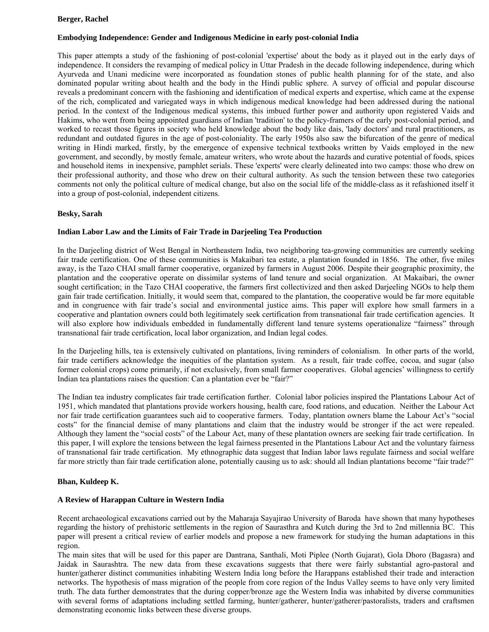# **Berger, Rachel**

# **Embodying Independence: Gender and Indigenous Medicine in early post-colonial India**

This paper attempts a study of the fashioning of post-colonial 'expertise' about the body as it played out in the early days of independence. It considers the revamping of medical policy in Uttar Pradesh in the decade following independence, during which Ayurveda and Unani medicine were incorporated as foundation stones of public health planning for of the state, and also dominated popular writing about health and the body in the Hindi public sphere. A survey of official and popular discourse reveals a predominant concern with the fashioning and identification of medical experts and expertise, which came at the expense of the rich, complicated and variegated ways in which indigenous medical knowledge had been addressed during the national period. In the context of the Indigenous medical systems, this imbued further power and authority upon registered Vaids and Hakims, who went from being appointed guardians of Indian 'tradition' to the policy-framers of the early post-colonial period, and worked to recast those figures in society who held knowledge about the body like dais, 'lady doctors' and rural practitioners, as redundant and outdated figures in the age of post-coloniality. The early 1950s also saw the bifurcation of the genre of medical writing in Hindi marked, firstly, by the emergence of expensive technical textbooks written by Vaids employed in the new government, and secondly, by mostly female, amateur writers, who wrote about the hazards and curative potential of foods, spices and household items in inexpensive, pamphlet serials. These 'experts' were clearly delineated into two camps: those who drew on their professional authority, and those who drew on their cultural authority. As such the tension between these two categories comments not only the political culture of medical change, but also on the social life of the middle-class as it refashioned itself it into a group of post-colonial, independent citizens.

## **Besky, Sarah**

## **Indian Labor Law and the Limits of Fair Trade in Darjeeling Tea Production**

In the Darjeeling district of West Bengal in Northeastern India, two neighboring tea-growing communities are currently seeking fair trade certification. One of these communities is Makaibari tea estate, a plantation founded in 1856. The other, five miles away, is the Tazo CHAI small farmer cooperative, organized by farmers in August 2006. Despite their geographic proximity, the plantation and the cooperative operate on dissimilar systems of land tenure and social organization. At Makaibari, the owner sought certification; in the Tazo CHAI cooperative, the farmers first collectivized and then asked Darjeeling NGOs to help them gain fair trade certification. Initially, it would seem that, compared to the plantation, the cooperative would be far more equitable and in congruence with fair trade's social and environmental justice aims. This paper will explore how small farmers in a cooperative and plantation owners could both legitimately seek certification from transnational fair trade certification agencies. It will also explore how individuals embedded in fundamentally different land tenure systems operationalize "fairness" through transnational fair trade certification, local labor organization, and Indian legal codes.

In the Darjeeling hills, tea is extensively cultivated on plantations, living reminders of colonialism. In other parts of the world, fair trade certifiers acknowledge the inequities of the plantation system. As a result, fair trade coffee, cocoa, and sugar (also former colonial crops) come primarily, if not exclusively, from small farmer cooperatives. Global agencies' willingness to certify Indian tea plantations raises the question: Can a plantation ever be "fair?"

The Indian tea industry complicates fair trade certification further. Colonial labor policies inspired the Plantations Labour Act of 1951, which mandated that plantations provide workers housing, health care, food rations, and education. Neither the Labour Act nor fair trade certification guarantees such aid to cooperative farmers. Today, plantation owners blame the Labour Act's "social costs" for the financial demise of many plantations and claim that the industry would be stronger if the act were repealed. Although they lament the "social costs" of the Labour Act, many of these plantation owners are seeking fair trade certification. In this paper, I will explore the tensions between the legal fairness presented in the Plantations Labour Act and the voluntary fairness of transnational fair trade certification. My ethnographic data suggest that Indian labor laws regulate fairness and social welfare far more strictly than fair trade certification alone, potentially causing us to ask: should all Indian plantations become "fair trade?"

## **Bhan, Kuldeep K.**

## **A Review of Harappan Culture in Western India**

Recent archaeological excavations carried out by the Maharaja Sayajirao University of Baroda have shown that many hypotheses regarding the history of prehistoric settlements in the region of Saurasthra and Kutch during the 3rd to 2nd millennia BC. This paper will present a critical review of earlier models and propose a new framework for studying the human adaptations in this region.

The main sites that will be used for this paper are Dantrana, Santhali, Moti Piplee (North Gujarat), Gola Dhoro (Bagasra) and Jaidak in Saurashtra. The new data from these excavations suggests that there were fairly substantial agro-pastoral and hunter/gatherer distinct communities inhabiting Western India long before the Harappans established their trade and interaction networks. The hypothesis of mass migration of the people from core region of the Indus Valley seems to have only very limited truth. The data further demonstrates that the during copper/bronze age the Western India was inhabited by diverse communities with several forms of adaptations including settled farming, hunter/gatherer, hunter/gatherer/pastoralists, traders and craftsmen demonstrating economic links between these diverse groups.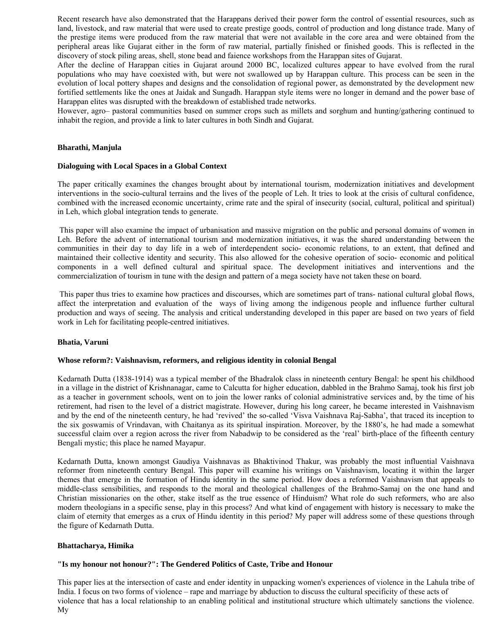Recent research have also demonstrated that the Harappans derived their power form the control of essential resources, such as land, livestock, and raw material that were used to create prestige goods, control of production and long distance trade. Many of the prestige items were produced from the raw material that were not available in the core area and were obtained from the peripheral areas like Gujarat either in the form of raw material, partially finished or finished goods. This is reflected in the discovery of stock piling areas, shell, stone bead and faience workshops from the Harappan sites of Gujarat.

After the decline of Harappan cities in Gujarat around 2000 BC, localized cultures appear to have evolved from the rural populations who may have coexisted with, but were not swallowed up by Harappan culture. This process can be seen in the evolution of local pottery shapes and designs and the consolidation of regional power, as demonstrated by the development new fortified settlements like the ones at Jaidak and Sungadh. Harappan style items were no longer in demand and the power base of Harappan elites was disrupted with the breakdown of established trade networks.

However, agro– pastoral communities based on summer crops such as millets and sorghum and hunting/gathering continued to inhabit the region, and provide a link to later cultures in both Sindh and Gujarat.

## **Bharathi, Manjula**

#### **Dialoguing with Local Spaces in a Global Context**

The paper critically examines the changes brought about by international tourism, modernization initiatives and development interventions in the socio-cultural terrains and the lives of the people of Leh. It tries to look at the crisis of cultural confidence, combined with the increased economic uncertainty, crime rate and the spiral of insecurity (social, cultural, political and spiritual) in Leh, which global integration tends to generate.

 This paper will also examine the impact of urbanisation and massive migration on the public and personal domains of women in Leh. Before the advent of international tourism and modernization initiatives, it was the shared understanding between the communities in their day to day life in a web of interdependent socio- economic relations, to an extent, that defined and maintained their collective identity and security. This also allowed for the cohesive operation of socio- economic and political components in a well defined cultural and spiritual space. The development initiatives and interventions and the commercialization of tourism in tune with the design and pattern of a mega society have not taken these on board.

 This paper thus tries to examine how practices and discourses, which are sometimes part of trans- national cultural global flows, affect the interpretation and evaluation of the ways of living among the indigenous people and influence further cultural production and ways of seeing. The analysis and critical understanding developed in this paper are based on two years of field work in Leh for facilitating people-centred initiatives.

## **Bhatia, Varuni**

#### **Whose reform?: Vaishnavism, reformers, and religious identity in colonial Bengal**

Kedarnath Dutta (1838-1914) was a typical member of the Bhadralok class in nineteenth century Bengal: he spent his childhood in a village in the district of Krishnanagar, came to Calcutta for higher education, dabbled in the Brahmo Samaj, took his first job as a teacher in government schools, went on to join the lower ranks of colonial administrative services and, by the time of his retirement, had risen to the level of a district magistrate. However, during his long career, he became interested in Vaishnavism and by the end of the nineteenth century, he had 'revived' the so-called 'Visva Vaishnava Raj-Sabha', that traced its inception to the six goswamis of Vrindavan, with Chaitanya as its spiritual inspiration. Moreover, by the 1880's, he had made a somewhat successful claim over a region across the river from Nabadwip to be considered as the 'real' birth-place of the fifteenth century Bengali mystic; this place he named Mayapur.

Kedarnath Dutta, known amongst Gaudiya Vaishnavas as Bhaktivinod Thakur, was probably the most influential Vaishnava reformer from nineteenth century Bengal. This paper will examine his writings on Vaishnavism, locating it within the larger themes that emerge in the formation of Hindu identity in the same period. How does a reformed Vaishnavism that appeals to middle-class sensibilities, and responds to the moral and theological challenges of the Brahmo-Samaj on the one hand and Christian missionaries on the other, stake itself as the true essence of Hinduism? What role do such reformers, who are also modern theologians in a specific sense, play in this process? And what kind of engagement with history is necessary to make the claim of eternity that emerges as a crux of Hindu identity in this period? My paper will address some of these questions through the figure of Kedarnath Dutta.

#### **Bhattacharya, Himika**

## **"Is my honour not honour?": The Gendered Politics of Caste, Tribe and Honour**

This paper lies at the intersection of caste and ender identity in unpacking women's experiences of violence in the Lahula tribe of India. I focus on two forms of violence – rape and marriage by abduction to discuss the cultural specificity of these acts of violence that has a local relationship to an enabling political and institutional structure which ultimately sanctions the violence. My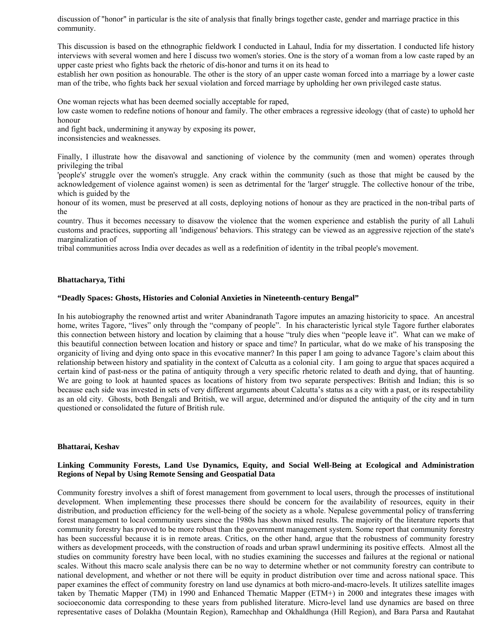discussion of "honor" in particular is the site of analysis that finally brings together caste, gender and marriage practice in this community.

This discussion is based on the ethnographic fieldwork I conducted in Lahaul, India for my dissertation. I conducted life history interviews with several women and here I discuss two women's stories. One is the story of a woman from a low caste raped by an upper caste priest who fights back the rhetoric of dis-honor and turns it on its head to

establish her own position as honourable. The other is the story of an upper caste woman forced into a marriage by a lower caste man of the tribe, who fights back her sexual violation and forced marriage by upholding her own privileged caste status.

One woman rejects what has been deemed socially acceptable for raped,

low caste women to redefine notions of honour and family. The other embraces a regressive ideology (that of caste) to uphold her honour

and fight back, undermining it anyway by exposing its power,

inconsistencies and weaknesses.

Finally, I illustrate how the disavowal and sanctioning of violence by the community (men and women) operates through privileging the tribal

'people's' struggle over the women's struggle. Any crack within the community (such as those that might be caused by the acknowledgement of violence against women) is seen as detrimental for the 'larger' struggle. The collective honour of the tribe, which is guided by the

honour of its women, must be preserved at all costs, deploying notions of honour as they are practiced in the non-tribal parts of the

country. Thus it becomes necessary to disavow the violence that the women experience and establish the purity of all Lahuli customs and practices, supporting all 'indigenous' behaviors. This strategy can be viewed as an aggressive rejection of the state's marginalization of

tribal communities across India over decades as well as a redefinition of identity in the tribal people's movement.

#### **Bhattacharya, Tithi**

#### **"Deadly Spaces: Ghosts, Histories and Colonial Anxieties in Nineteenth-century Bengal"**

In his autobiography the renowned artist and writer Abanindranath Tagore imputes an amazing historicity to space. An ancestral home, writes Tagore, "lives" only through the "company of people". In his characteristic lyrical style Tagore further elaborates this connection between history and location by claiming that a house "truly dies when "people leave it". What can we make of this beautiful connection between location and history or space and time? In particular, what do we make of his transposing the organicity of living and dying onto space in this evocative manner? In this paper I am going to advance Tagore's claim about this relationship between history and spatiality in the context of Calcutta as a colonial city. I am going to argue that spaces acquired a certain kind of past-ness or the patina of antiquity through a very specific rhetoric related to death and dying, that of haunting. We are going to look at haunted spaces as locations of history from two separate perspectives: British and Indian; this is so because each side was invested in sets of very different arguments about Calcutta's status as a city with a past, or its respectability as an old city. Ghosts, both Bengali and British, we will argue, determined and/or disputed the antiquity of the city and in turn questioned or consolidated the future of British rule.

#### **Bhattarai, Keshav**

## **Linking Community Forests, Land Use Dynamics, Equity, and Social Well-Being at Ecological and Administration Regions of Nepal by Using Remote Sensing and Geospatial Data**

Community forestry involves a shift of forest management from government to local users, through the processes of institutional development. When implementing these processes there should be concern for the availability of resources, equity in their distribution, and production efficiency for the well-being of the society as a whole. Nepalese governmental policy of transferring forest management to local community users since the 1980s has shown mixed results. The majority of the literature reports that community forestry has proved to be more robust than the government management system. Some report that community forestry has been successful because it is in remote areas. Critics, on the other hand, argue that the robustness of community forestry withers as development proceeds, with the construction of roads and urban sprawl undermining its positive effects. Almost all the studies on community forestry have been local, with no studies examining the successes and failures at the regional or national scales. Without this macro scale analysis there can be no way to determine whether or not community forestry can contribute to national development, and whether or not there will be equity in product distribution over time and across national space. This paper examines the effect of community forestry on land use dynamics at both micro-and-macro-levels. It utilizes satellite images taken by Thematic Mapper (TM) in 1990 and Enhanced Thematic Mapper (ETM+) in 2000 and integrates these images with socioeconomic data corresponding to these years from published literature. Micro-level land use dynamics are based on three representative cases of Dolakha (Mountain Region), Ramechhap and Okhaldhunga (Hill Region), and Bara Parsa and Rautahat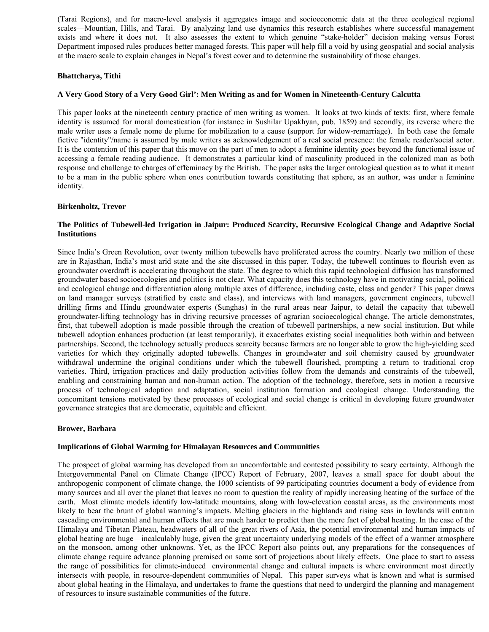(Tarai Regions), and for macro-level analysis it aggregates image and socioeconomic data at the three ecological regional scales—Mountian, Hills, and Tarai. By analyzing land use dynamics this research establishes where successful management exists and where it does not. It also assesses the extent to which genuine "stake-holder" decision making versus Forest Department imposed rules produces better managed forests. This paper will help fill a void by using geospatial and social analysis at the macro scale to explain changes in Nepal's forest cover and to determine the sustainability of those changes.

## **Bhattcharya, Tithi**

## **A Very Good Story of a Very Good Girl': Men Writing as and for Women in Nineteenth-Century Calcutta**

This paper looks at the nineteenth century practice of men writing as women. It looks at two kinds of texts: first, where female identity is assumed for moral domestication (for instance in Sushilar Upakhyan, pub. 1859) and secondly, its reverse where the male writer uses a female nome de plume for mobilization to a cause (support for widow-remarriage). In both case the female fictive "identity"/name is assumed by male writers as acknowledgement of a real social presence: the female reader/social actor. It is the contention of this paper that this move on the part of men to adopt a feminine identity goes beyond the functional issue of accessing a female reading audience. It demonstrates a particular kind of masculinity produced in the colonized man as both response and challenge to charges of effeminacy by the British. The paper asks the larger ontological question as to what it meant to be a man in the public sphere when ones contribution towards constituting that sphere, as an author, was under a feminine identity.

## **Birkenholtz, Trevor**

## **The Politics of Tubewell-led Irrigation in Jaipur: Produced Scarcity, Recursive Ecological Change and Adaptive Social Institutions**

Since India's Green Revolution, over twenty million tubewells have proliferated across the country. Nearly two million of these are in Rajasthan, India's most arid state and the site discussed in this paper. Today, the tubewell continues to flourish even as groundwater overdraft is accelerating throughout the state. The degree to which this rapid technological diffusion has transformed groundwater based socioecologies and politics is not clear. What capacity does this technology have in motivating social, political and ecological change and differentiation along multiple axes of difference, including caste, class and gender? This paper draws on land manager surveys (stratified by caste and class), and interviews with land managers, government engineers, tubewell drilling firms and Hindu groundwater experts (Sunghas) in the rural areas near Jaipur, to detail the capacity that tubewell groundwater-lifting technology has in driving recursive processes of agrarian socioecological change. The article demonstrates, first, that tubewell adoption is made possible through the creation of tubewell partnerships, a new social institution. But while tubewell adoption enhances production (at least temporarily), it exacerbates existing social inequalities both within and between partnerships. Second, the technology actually produces scarcity because farmers are no longer able to grow the high-yielding seed varieties for which they originally adopted tubewells. Changes in groundwater and soil chemistry caused by groundwater withdrawal undermine the original conditions under which the tubewell flourished, prompting a return to traditional crop varieties. Third, irrigation practices and daily production activities follow from the demands and constraints of the tubewell, enabling and constraining human and non-human action. The adoption of the technology, therefore, sets in motion a recursive process of technological adoption and adaptation, social institution formation and ecological change. Understanding the concomitant tensions motivated by these processes of ecological and social change is critical in developing future groundwater governance strategies that are democratic, equitable and efficient.

## **Brower, Barbara**

## **Implications of Global Warming for Himalayan Resources and Communities**

The prospect of global warming has developed from an uncomfortable and contested possibility to scary certainty. Although the Intergovernmental Panel on Climate Change (IPCC) Report of February, 2007, leaves a small space for doubt about the anthropogenic component of climate change, the 1000 scientists of 99 participating countries document a body of evidence from many sources and all over the planet that leaves no room to question the reality of rapidly increasing heating of the surface of the earth. Most climate models identify low-latitude mountains, along with low-elevation coastal areas, as the environments most likely to bear the brunt of global warming's impacts. Melting glaciers in the highlands and rising seas in lowlands will entrain cascading environmental and human effects that are much harder to predict than the mere fact of global heating. In the case of the Himalaya and Tibetan Plateau, headwaters of all of the great rivers of Asia, the potential environmental and human impacts of global heating are huge—incalculably huge, given the great uncertainty underlying models of the effect of a warmer atmosphere on the monsoon, among other unknowns. Yet, as the IPCC Report also points out, any preparations for the consequences of climate change require advance planning premised on some sort of projections about likely effects. One place to start to assess the range of possibilities for climate-induced environmental change and cultural impacts is where environment most directly intersects with people, in resource-dependent communities of Nepal. This paper surveys what is known and what is surmised about global heating in the Himalaya, and undertakes to frame the questions that need to undergird the planning and management of resources to insure sustainable communities of the future.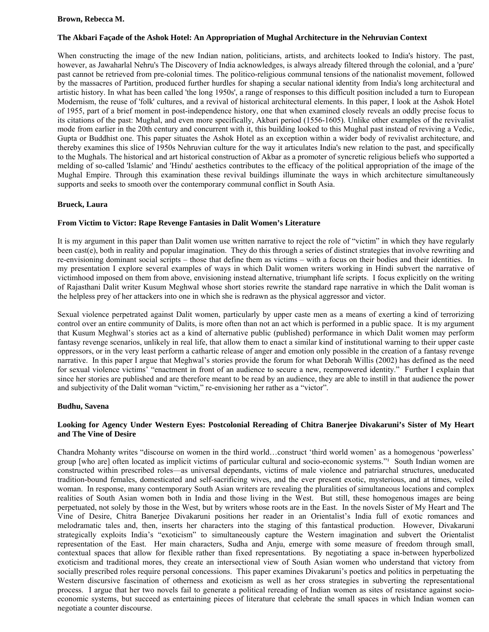## **Brown, Rebecca M.**

# **The Akbari Façade of the Ashok Hotel: An Appropriation of Mughal Architecture in the Nehruvian Context**

When constructing the image of the new Indian nation, politicians, artists, and architects looked to India's history. The past, however, as Jawaharlal Nehru's The Discovery of India acknowledges, is always already filtered through the colonial, and a 'pure' past cannot be retrieved from pre-colonial times. The politico-religious communal tensions of the nationalist movement, followed by the massacres of Partition, produced further hurdles for shaping a secular national identity from India's long architectural and artistic history. In what has been called 'the long 1950s', a range of responses to this difficult position included a turn to European Modernism, the reuse of 'folk' cultures, and a revival of historical architectural elements. In this paper, I look at the Ashok Hotel of 1955, part of a brief moment in post-independence history, one that when examined closely reveals an oddly precise focus to its citations of the past: Mughal, and even more specifically, Akbari period (1556-1605). Unlike other examples of the revivalist mode from earlier in the 20th century and concurrent with it, this building looked to this Mughal past instead of reviving a Vedic, Gupta or Buddhist one. This paper situates the Ashok Hotel as an exception within a wider body of revivalist architecture, and thereby examines this slice of 1950s Nehruvian culture for the way it articulates India's new relation to the past, and specifically to the Mughals. The historical and art historical construction of Akbar as a promoter of syncretic religious beliefs who supported a melding of so-called 'Islamic' and 'Hindu' aesthetics contributes to the efficacy of the political appropriation of the image of the Mughal Empire. Through this examination these revival buildings illuminate the ways in which architecture simultaneously supports and seeks to smooth over the contemporary communal conflict in South Asia.

## **Brueck, Laura**

## **From Victim to Victor: Rape Revenge Fantasies in Dalit Women's Literature**

It is my argument in this paper than Dalit women use written narrative to reject the role of "victim" in which they have regularly been cast(e), both in reality and popular imagination. They do this through a series of distinct strategies that involve rewriting and re-envisioning dominant social scripts – those that define them as victims – with a focus on their bodies and their identities. In my presentation I explore several examples of ways in which Dalit women writers working in Hindi subvert the narrative of victimhood imposed on them from above, envisioning instead alternative, triumphant life scripts. I focus explicitly on the writing of Rajasthani Dalit writer Kusum Meghwal whose short stories rewrite the standard rape narrative in which the Dalit woman is the helpless prey of her attackers into one in which she is redrawn as the physical aggressor and victor.

Sexual violence perpetrated against Dalit women, particularly by upper caste men as a means of exerting a kind of terrorizing control over an entire community of Dalits, is more often than not an act which is performed in a public space. It is my argument that Kusum Meghwal's stories act as a kind of alternative public (published) performance in which Dalit women may perform fantasy revenge scenarios, unlikely in real life, that allow them to enact a similar kind of institutional warning to their upper caste oppressors, or in the very least perform a cathartic release of anger and emotion only possible in the creation of a fantasy revenge narrative. In this paper I argue that Meghwal's stories provide the forum for what Deborah Willis (2002) has defined as the need for sexual violence victims' "enactment in front of an audience to secure a new, reempowered identity." Further I explain that since her stories are published and are therefore meant to be read by an audience, they are able to instill in that audience the power and subjectivity of the Dalit woman "victim," re-envisioning her rather as a "victor".

## **Budhu, Savena**

# **Looking for Agency Under Western Eyes: Postcolonial Rereading of Chitra Banerjee Divakaruni's Sister of My Heart and The Vine of Desire**

Chandra Mohanty writes "discourse on women in the third world…construct 'third world women' as a homogenous 'powerless' group [who are] often located as implicit victims of particular cultural and socio-economic systems."<sup>1</sup> South Indian women are constructed within prescribed roles—as universal dependants, victims of male violence and patriarchal structures, uneducated tradition-bound females, domesticated and self-sacrificing wives, and the ever present exotic, mysterious, and at times, veiled woman. In response, many contemporary South Asian writers are revealing the pluralities of simultaneous locations and complex realities of South Asian women both in India and those living in the West. But still, these homogenous images are being perpetuated, not solely by those in the West, but by writers whose roots are in the East. In the novels Sister of My Heart and The Vine of Desire, Chitra Banerjee Divakaruni positions her reader in an Orientalist's India full of exotic romances and melodramatic tales and, then, inserts her characters into the staging of this fantastical production. However, Divakaruni strategically exploits India's "exoticism" to simultaneously capture the Western imagination and subvert the Orientalist representation of the East. Her main characters, Sudha and Anju, emerge with some measure of freedom through small, contextual spaces that allow for flexible rather than fixed representations. By negotiating a space in-between hyperbolized exoticism and traditional mores, they create an intersectional view of South Asian women who understand that victory from socially prescribed roles require personal concessions. This paper examines Divakaruni's poetics and politics in perpetuating the Western discursive fascination of otherness and exoticism as well as her cross strategies in subverting the representational process. I argue that her two novels fail to generate a political rereading of Indian women as sites of resistance against socioeconomic systems, but succeed as entertaining pieces of literature that celebrate the small spaces in which Indian women can negotiate a counter discourse.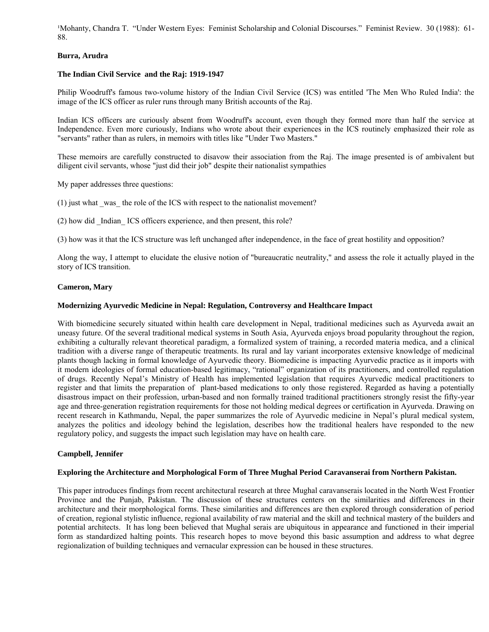<sup>1</sup>Mohanty, Chandra T. "Under Western Eyes: Feminist Scholarship and Colonial Discourses." Feminist Review. 30 (1988): 61-88.

## **Burra, Arudra**

## **The Indian Civil Service and the Raj: 1919-1947**

Philip Woodruff's famous two-volume history of the Indian Civil Service (ICS) was entitled 'The Men Who Ruled India': the image of the ICS officer as ruler runs through many British accounts of the Raj.

Indian ICS officers are curiously absent from Woodruff's account, even though they formed more than half the service at Independence. Even more curiously, Indians who wrote about their experiences in the ICS routinely emphasized their role as "servants" rather than as rulers, in memoirs with titles like "Under Two Masters."

These memoirs are carefully constructed to disavow their association from the Raj. The image presented is of ambivalent but diligent civil servants, whose "just did their job" despite their nationalist sympathies

My paper addresses three questions:

(1) just what \_was\_ the role of the ICS with respect to the nationalist movement?

(2) how did \_Indian\_ ICS officers experience, and then present, this role?

(3) how was it that the ICS structure was left unchanged after independence, in the face of great hostility and opposition?

Along the way, I attempt to elucidate the elusive notion of "bureaucratic neutrality," and assess the role it actually played in the story of ICS transition.

## **Cameron, Mary**

## **Modernizing Ayurvedic Medicine in Nepal: Regulation, Controversy and Healthcare Impact**

With biomedicine securely situated within health care development in Nepal, traditional medicines such as Ayurveda await an uneasy future. Of the several traditional medical systems in South Asia, Ayurveda enjoys broad popularity throughout the region, exhibiting a culturally relevant theoretical paradigm, a formalized system of training, a recorded materia medica, and a clinical tradition with a diverse range of therapeutic treatments. Its rural and lay variant incorporates extensive knowledge of medicinal plants though lacking in formal knowledge of Ayurvedic theory. Biomedicine is impacting Ayurvedic practice as it imports with it modern ideologies of formal education-based legitimacy, "rational" organization of its practitioners, and controlled regulation of drugs. Recently Nepal's Ministry of Health has implemented legislation that requires Ayurvedic medical practitioners to register and that limits the preparation of plant-based medications to only those registered. Regarded as having a potentially disastrous impact on their profession, urban-based and non formally trained traditional practitioners strongly resist the fifty-year age and three-generation registration requirements for those not holding medical degrees or certification in Ayurveda. Drawing on recent research in Kathmandu, Nepal, the paper summarizes the role of Ayurvedic medicine in Nepal's plural medical system, analyzes the politics and ideology behind the legislation, describes how the traditional healers have responded to the new regulatory policy, and suggests the impact such legislation may have on health care.

# **Campbell, Jennifer**

## **Exploring the Architecture and Morphological Form of Three Mughal Period Caravanserai from Northern Pakistan.**

This paper introduces findings from recent architectural research at three Mughal caravanserais located in the North West Frontier Province and the Punjab, Pakistan. The discussion of these structures centers on the similarities and differences in their architecture and their morphological forms. These similarities and differences are then explored through consideration of period of creation, regional stylistic influence, regional availability of raw material and the skill and technical mastery of the builders and potential architects. It has long been believed that Mughal serais are ubiquitous in appearance and functioned in their imperial form as standardized halting points. This research hopes to move beyond this basic assumption and address to what degree regionalization of building techniques and vernacular expression can be housed in these structures.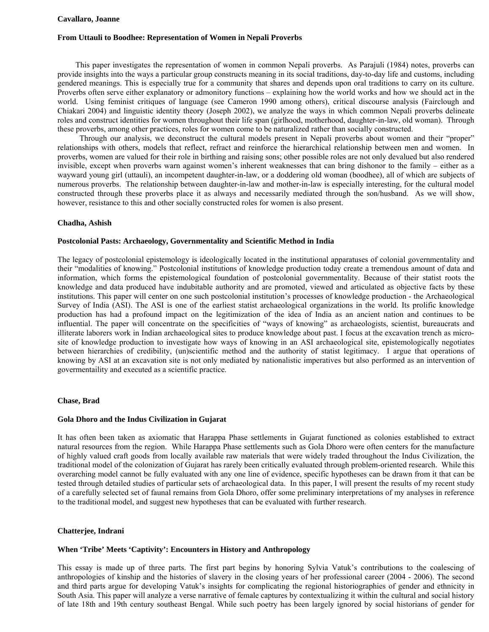### **Cavallaro, Joanne**

#### **From Uttauli to Boodhee: Representation of Women in Nepali Proverbs**

 This paper investigates the representation of women in common Nepali proverbs. As Parajuli (1984) notes, proverbs can provide insights into the ways a particular group constructs meaning in its social traditions, day-to-day life and customs, including gendered meanings. This is especially true for a community that shares and depends upon oral traditions to carry on its culture. Proverbs often serve either explanatory or admonitory functions – explaining how the world works and how we should act in the world. Using feminist critiques of language (see Cameron 1990 among others), critical discourse analysis (Fairclough and Chiakari 2004) and linguistic identity theory (Joseph 2002), we analyze the ways in which common Nepali proverbs delineate roles and construct identities for women throughout their life span (girlhood, motherhood, daughter-in-law, old woman). Through these proverbs, among other practices, roles for women come to be naturalized rather than socially constructed.

 Through our analysis, we deconstruct the cultural models present in Nepali proverbs about women and their "proper" relationships with others, models that reflect, refract and reinforce the hierarchical relationship between men and women. In proverbs, women are valued for their role in birthing and raising sons; other possible roles are not only devalued but also rendered invisible, except when proverbs warn against women's inherent weaknesses that can bring dishonor to the family – either as a wayward young girl (uttauli), an incompetent daughter-in-law, or a doddering old woman (boodhee), all of which are subjects of numerous proverbs. The relationship between daughter-in-law and mother-in-law is especially interesting, for the cultural model constructed through these proverbs place it as always and necessarily mediated through the son/husband. As we will show, however, resistance to this and other socially constructed roles for women is also present.

#### **Chadha, Ashish**

## **Postcolonial Pasts: Archaeology, Governmentality and Scientific Method in India**

The legacy of postcolonial epistemology is ideologically located in the institutional apparatuses of colonial governmentality and their "modalities of knowing." Postcolonial institutions of knowledge production today create a tremendous amount of data and information, which forms the epistemological foundation of postcolonial governmentality. Because of their statist roots the knowledge and data produced have indubitable authority and are promoted, viewed and articulated as objective facts by these institutions. This paper will center on one such postcolonial institution's processes of knowledge production - the Archaeological Survey of India (ASI). The ASI is one of the earliest statist archaeological organizations in the world. Its prolific knowledge production has had a profound impact on the legitimization of the idea of India as an ancient nation and continues to be influential. The paper will concentrate on the specificities of "ways of knowing" as archaeologists, scientist, bureaucrats and illiterate laborers work in Indian archaeological sites to produce knowledge about past. I focus at the excavation trench as microsite of knowledge production to investigate how ways of knowing in an ASI archaeological site, epistemologically negotiates between hierarchies of credibility, (un)scientific method and the authority of statist legitimacy. I argue that operations of knowing by ASI at an excavation site is not only mediated by nationalistic imperatives but also performed as an intervention of govermentaility and executed as a scientific practice.

## **Chase, Brad**

#### **Gola Dhoro and the Indus Civilization in Gujarat**

It has often been taken as axiomatic that Harappa Phase settlements in Gujarat functioned as colonies established to extract natural resources from the region. While Harappa Phase settlements such as Gola Dhoro were often centers for the manufacture of highly valued craft goods from locally available raw materials that were widely traded throughout the Indus Civilization, the traditional model of the colonization of Gujarat has rarely been critically evaluated through problem-oriented research. While this overarching model cannot be fully evaluated with any one line of evidence, specific hypotheses can be drawn from it that can be tested through detailed studies of particular sets of archaeological data. In this paper, I will present the results of my recent study of a carefully selected set of faunal remains from Gola Dhoro, offer some preliminary interpretations of my analyses in reference to the traditional model, and suggest new hypotheses that can be evaluated with further research.

# **Chatterjee, Indrani**

#### **When 'Tribe' Meets 'Captivity': Encounters in History and Anthropology**

This essay is made up of three parts. The first part begins by honoring Sylvia Vatuk's contributions to the coalescing of anthropologies of kinship and the histories of slavery in the closing years of her professional career (2004 - 2006). The second and third parts argue for developing Vatuk's insights for complicating the regional historiographies of gender and ethnicity in South Asia. This paper will analyze a verse narrative of female captures by contextualizing it within the cultural and social history of late 18th and 19th century southeast Bengal. While such poetry has been largely ignored by social historians of gender for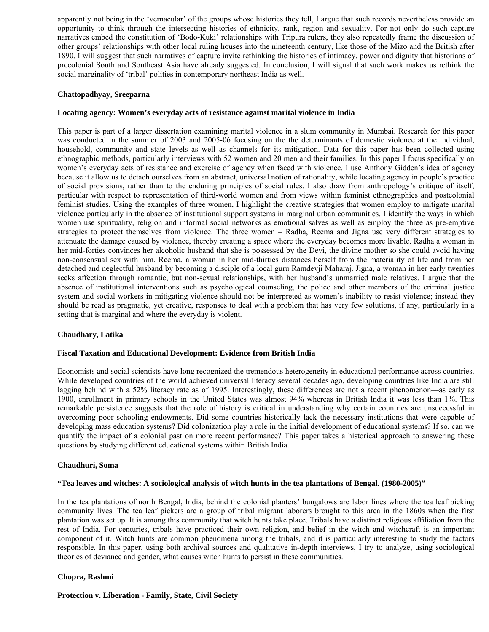apparently not being in the 'vernacular' of the groups whose histories they tell, I argue that such records nevertheless provide an opportunity to think through the intersecting histories of ethnicity, rank, region and sexuality. For not only do such capture narratives embed the constitution of 'Bodo-Kuki' relationships with Tripura rulers, they also repeatedly frame the discussion of other groups' relationships with other local ruling houses into the nineteenth century, like those of the Mizo and the British after 1890. I will suggest that such narratives of capture invite rethinking the histories of intimacy, power and dignity that historians of precolonial South and Southeast Asia have already suggested. In conclusion, I will signal that such work makes us rethink the social marginality of 'tribal' polities in contemporary northeast India as well.

## **Chattopadhyay, Sreeparna**

## **Locating agency: Women's everyday acts of resistance against marital violence in India**

This paper is part of a larger dissertation examining marital violence in a slum community in Mumbai. Research for this paper was conducted in the summer of 2003 and 2005-06 focusing on the the determinants of domestic violence at the individual, household, community and state levels as well as channels for its mitigation. Data for this paper has been collected using ethnographic methods, particularly interviews with 52 women and 20 men and their families. In this paper I focus specifically on women's everyday acts of resistance and exercise of agency when faced with violence. I use Anthony Gidden's idea of agency because it allow us to detach ourselves from an abstract, universal notion of rationality, while locating agency in people's practice of social provisions, rather than to the enduring principles of social rules. I also draw from anthropology's critique of itself, particular with respect to representation of third-world women and from views within feminist ethnographies and postcolonial feminist studies. Using the examples of three women, I highlight the creative strategies that women employ to mitigate marital violence particularly in the absence of institutional support systems in marginal urban communities. I identify the ways in which women use spirituality, religion and informal social networks as emotional salves as well as employ the three as pre-emptive strategies to protect themselves from violence. The three women – Radha, Reema and Jigna use very different strategies to attenuate the damage caused by violence, thereby creating a space where the everyday becomes more livable. Radha a woman in her mid-forties convinces her alcoholic husband that she is possessed by the Devi, the divine mother so she could avoid having non-consensual sex with him. Reema, a woman in her mid-thirties distances herself from the materiality of life and from her detached and neglectful husband by becoming a disciple of a local guru Ramdevji Maharaj. Jigna, a woman in her early twenties seeks affection through romantic, but non-sexual relationships, with her husband's unmarried male relatives. I argue that the absence of institutional interventions such as psychological counseling, the police and other members of the criminal justice system and social workers in mitigating violence should not be interpreted as women's inability to resist violence; instead they should be read as pragmatic, yet creative, responses to deal with a problem that has very few solutions, if any, particularly in a setting that is marginal and where the everyday is violent.

## **Chaudhary, Latika**

## **Fiscal Taxation and Educational Development: Evidence from British India**

Economists and social scientists have long recognized the tremendous heterogeneity in educational performance across countries. While developed countries of the world achieved universal literacy several decades ago, developing countries like India are still lagging behind with a 52% literacy rate as of 1995. Interestingly, these differences are not a recent phenomenon—as early as 1900, enrollment in primary schools in the United States was almost 94% whereas in British India it was less than 1%. This remarkable persistence suggests that the role of history is critical in understanding why certain countries are unsuccessful in overcoming poor schooling endowments. Did some countries historically lack the necessary institutions that were capable of developing mass education systems? Did colonization play a role in the initial development of educational systems? If so, can we quantify the impact of a colonial past on more recent performance? This paper takes a historical approach to answering these questions by studying different educational systems within British India.

## **Chaudhuri, Soma**

## **"Tea leaves and witches: A sociological analysis of witch hunts in the tea plantations of Bengal. (1980-2005)"**

In the tea plantations of north Bengal, India, behind the colonial planters' bungalows are labor lines where the tea leaf picking community lives. The tea leaf pickers are a group of tribal migrant laborers brought to this area in the 1860s when the first plantation was set up. It is among this community that witch hunts take place. Tribals have a distinct religious affiliation from the rest of India. For centuries, tribals have practiced their own religion, and belief in the witch and witchcraft is an important component of it. Witch hunts are common phenomena among the tribals, and it is particularly interesting to study the factors responsible. In this paper, using both archival sources and qualitative in-depth interviews, I try to analyze, using sociological theories of deviance and gender, what causes witch hunts to persist in these communities.

## **Chopra, Rashmi**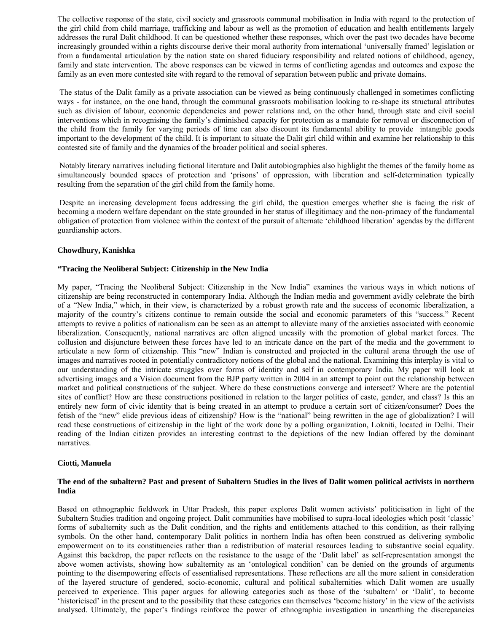The collective response of the state, civil society and grassroots communal mobilisation in India with regard to the protection of the girl child from child marriage, trafficking and labour as well as the promotion of education and health entitlements largely addresses the rural Dalit childhood. It can be questioned whether these responses, which over the past two decades have become increasingly grounded within a rights discourse derive their moral authority from international 'universally framed' legislation or from a fundamental articulation by the nation state on shared fiduciary responsibility and related notions of childhood, agency, family and state intervention. The above responses can be viewed in terms of conflicting agendas and outcomes and expose the family as an even more contested site with regard to the removal of separation between public and private domains.

 The status of the Dalit family as a private association can be viewed as being continuously challenged in sometimes conflicting ways - for instance, on the one hand, through the communal grassroots mobilisation looking to re-shape its structural attributes such as division of labour, economic dependencies and power relations and, on the other hand, through state and civil social interventions which in recognising the family's diminished capacity for protection as a mandate for removal or disconnection of the child from the family for varying periods of time can also discount its fundamental ability to provide intangible goods important to the development of the child. It is important to situate the Dalit girl child within and examine her relationship to this contested site of family and the dynamics of the broader political and social spheres.

 Notably literary narratives including fictional literature and Dalit autobiographies also highlight the themes of the family home as simultaneously bounded spaces of protection and 'prisons' of oppression, with liberation and self-determination typically resulting from the separation of the girl child from the family home.

 Despite an increasing development focus addressing the girl child, the question emerges whether she is facing the risk of becoming a modern welfare dependant on the state grounded in her status of illegitimacy and the non-primacy of the fundamental obligation of protection from violence within the context of the pursuit of alternate 'childhood liberation' agendas by the different guardianship actors.

## **Chowdhury, Kanishka**

## **"Tracing the Neoliberal Subject: Citizenship in the New India**

My paper, "Tracing the Neoliberal Subject: Citizenship in the New India" examines the various ways in which notions of citizenship are being reconstructed in contemporary India. Although the Indian media and government avidly celebrate the birth of a "New India," which, in their view, is characterized by a robust growth rate and the success of economic liberalization, a majority of the country's citizens continue to remain outside the social and economic parameters of this "success." Recent attempts to revive a politics of nationalism can be seen as an attempt to alleviate many of the anxieties associated with economic liberalization. Consequently, national narratives are often aligned uneasily with the promotion of global market forces. The collusion and disjuncture between these forces have led to an intricate dance on the part of the media and the government to articulate a new form of citizenship. This "new" Indian is constructed and projected in the cultural arena through the use of images and narratives rooted in potentially contradictory notions of the global and the national. Examining this interplay is vital to our understanding of the intricate struggles over forms of identity and self in contemporary India. My paper will look at advertising images and a Vision document from the BJP party written in 2004 in an attempt to point out the relationship between market and political constructions of the subject. Where do these constructions converge and intersect? Where are the potential sites of conflict? How are these constructions positioned in relation to the larger politics of caste, gender, and class? Is this an entirely new form of civic identity that is being created in an attempt to produce a certain sort of citizen/consumer? Does the fetish of the "new" elide previous ideas of citizenship? How is the "national" being rewritten in the age of globalization? I will read these constructions of citizenship in the light of the work done by a polling organization, Lokniti, located in Delhi. Their reading of the Indian citizen provides an interesting contrast to the depictions of the new Indian offered by the dominant narratives.

## **Ciotti, Manuela**

## **The end of the subaltern? Past and present of Subaltern Studies in the lives of Dalit women political activists in northern India**

Based on ethnographic fieldwork in Uttar Pradesh, this paper explores Dalit women activists' politicisation in light of the Subaltern Studies tradition and ongoing project. Dalit communities have mobilised to supra-local ideologies which posit 'classic' forms of subalternity such as the Dalit condition, and the rights and entitlements attached to this condition, as their rallying symbols. On the other hand, contemporary Dalit politics in northern India has often been construed as delivering symbolic empowerment on to its constituencies rather than a redistribution of material resources leading to substantive social equality. Against this backdrop, the paper reflects on the resistance to the usage of the 'Dalit label' as self-representation amongst the above women activists, showing how subalternity as an 'ontological condition' can be denied on the grounds of arguments pointing to the disempowering effects of essentialised representations. These reflections are all the more salient in consideration of the layered structure of gendered, socio-economic, cultural and political subalternities which Dalit women are usually perceived to experience. This paper argues for allowing categories such as those of the 'subaltern' or 'Dalit', to become 'historicised' in the present and to the possibility that these categories can themselves 'become history' in the view of the activists analysed. Ultimately, the paper's findings reinforce the power of ethnographic investigation in unearthing the discrepancies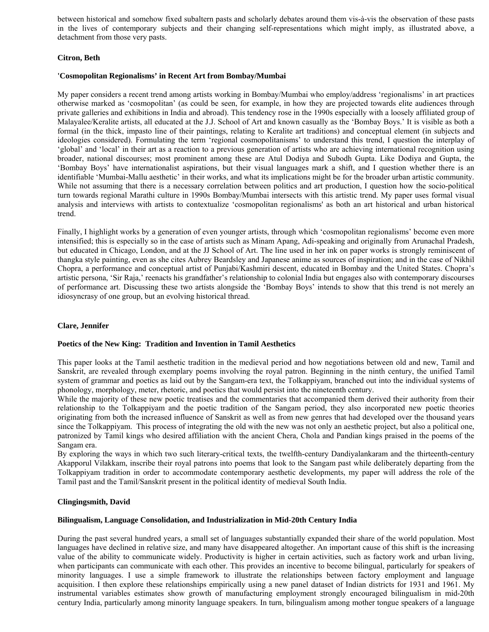between historical and somehow fixed subaltern pasts and scholarly debates around them vis-à-vis the observation of these pasts in the lives of contemporary subjects and their changing self-representations which might imply, as illustrated above, a detachment from those very pasts.

# **Citron, Beth**

## **'Cosmopolitan Regionalisms' in Recent Art from Bombay/Mumbai**

My paper considers a recent trend among artists working in Bombay/Mumbai who employ/address 'regionalisms' in art practices otherwise marked as 'cosmopolitan' (as could be seen, for example, in how they are projected towards elite audiences through private galleries and exhibitions in India and abroad). This tendency rose in the 1990s especially with a loosely affiliated group of Malayalee/Keralite artists, all educated at the J.J. School of Art and known casually as the 'Bombay Boys.' It is visible as both a formal (in the thick, impasto line of their paintings, relating to Keralite art traditions) and conceptual element (in subjects and ideologies considered). Formulating the term 'regional cosmopolitanisms' to understand this trend, I question the interplay of 'global' and 'local' in their art as a reaction to a previous generation of artists who are achieving international recognition using broader, national discourses; most prominent among these are Atul Dodiya and Subodh Gupta. Like Dodiya and Gupta, the 'Bombay Boys' have internationalist aspirations, but their visual languages mark a shift, and I question whether there is an identifiable 'Mumbai-Mallu aesthetic' in their works, and what its implications might be for the broader urban artistic community. While not assuming that there is a necessary correlation between politics and art production, I question how the socio-political turn towards regional Marathi culture in 1990s Bombay/Mumbai intersects with this artistic trend. My paper uses formal visual analysis and interviews with artists to contextualize 'cosmopolitan regionalisms' as both an art historical and urban historical trend.

Finally, I highlight works by a generation of even younger artists, through which 'cosmopolitan regionalisms' become even more intensified; this is especially so in the case of artists such as Minam Apang, Adi-speaking and originally from Arunachal Pradesh, but educated in Chicago, London, and at the JJ School of Art. The line used in her ink on paper works is strongly reminiscent of thangka style painting, even as she cites Aubrey Beardsley and Japanese anime as sources of inspiration; and in the case of Nikhil Chopra, a performance and conceptual artist of Punjabi/Kashmiri descent, educated in Bombay and the United States. Chopra's artistic persona, 'Sir Raja,' reenacts his grandfather's relationship to colonial India but engages also with contemporary discourses of performance art. Discussing these two artists alongside the 'Bombay Boys' intends to show that this trend is not merely an idiosyncrasy of one group, but an evolving historical thread.

# **Clare, Jennifer**

## **Poetics of the New King: Tradition and Invention in Tamil Aesthetics**

This paper looks at the Tamil aesthetic tradition in the medieval period and how negotiations between old and new, Tamil and Sanskrit, are revealed through exemplary poems involving the royal patron. Beginning in the ninth century, the unified Tamil system of grammar and poetics as laid out by the Sangam-era text, the Tolkappiyam, branched out into the individual systems of phonology, morphology, meter, rhetoric, and poetics that would persist into the nineteenth century.

While the majority of these new poetic treatises and the commentaries that accompanied them derived their authority from their relationship to the Tolkappiyam and the poetic tradition of the Sangam period, they also incorporated new poetic theories originating from both the increased influence of Sanskrit as well as from new genres that had developed over the thousand years since the Tolkappiyam. This process of integrating the old with the new was not only an aesthetic project, but also a political one, patronized by Tamil kings who desired affiliation with the ancient Chera, Chola and Pandian kings praised in the poems of the Sangam era.

By exploring the ways in which two such literary-critical texts, the twelfth-century Dandiyalankaram and the thirteenth-century Akapporul Vilakkam, inscribe their royal patrons into poems that look to the Sangam past while deliberately departing from the Tolkappiyam tradition in order to accommodate contemporary aesthetic developments, my paper will address the role of the Tamil past and the Tamil/Sanskrit present in the political identity of medieval South India.

## **Clingingsmith, David**

## **Bilingualism, Language Consolidation, and Industrialization in Mid-20th Century India**

During the past several hundred years, a small set of languages substantially expanded their share of the world population. Most languages have declined in relative size, and many have disappeared altogether. An important cause of this shift is the increasing value of the ability to communicate widely. Productivity is higher in certain activities, such as factory work and urban living, when participants can communicate with each other. This provides an incentive to become bilingual, particularly for speakers of minority languages. I use a simple framework to illustrate the relationships between factory employment and language acquisition. I then explore these relationships empirically using a new panel dataset of Indian districts for 1931 and 1961. My instrumental variables estimates show growth of manufacturing employment strongly encouraged bilingualism in mid-20th century India, particularly among minority language speakers. In turn, bilingualism among mother tongue speakers of a language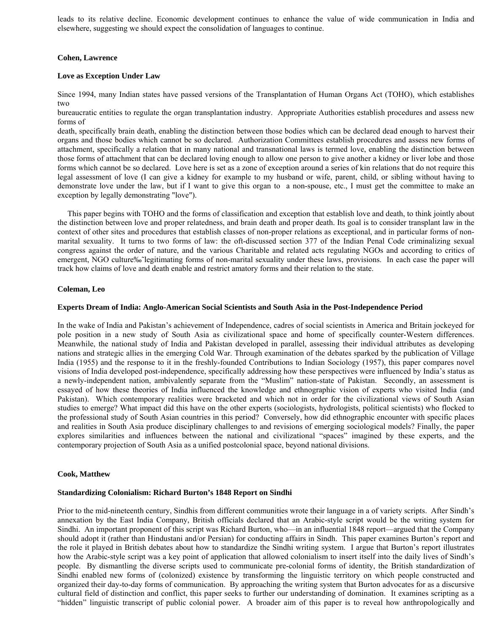leads to its relative decline. Economic development continues to enhance the value of wide communication in India and elsewhere, suggesting we should expect the consolidation of languages to continue.

## **Cohen, Lawrence**

## **Love as Exception Under Law**

Since 1994, many Indian states have passed versions of the Transplantation of Human Organs Act (TOHO), which establishes two

bureaucratic entities to regulate the organ transplantation industry. Appropriate Authorities establish procedures and assess new forms of

death, specifically brain death, enabling the distinction between those bodies which can be declared dead enough to harvest their organs and those bodies which cannot be so declared. Authorization Committees establish procedures and assess new forms of attachment, specifically a relation that in many national and transnational laws is termed love, enabling the distinction between those forms of attachment that can be declared loving enough to allow one person to give another a kidney or liver lobe and those forms which cannot be so declared. Love here is set as a zone of exception around a series of kin relations that do not require this legal assessment of love (I can give a kidney for example to my husband or wife, parent, child, or sibling without having to demonstrate love under the law, but if I want to give this organ to a non-spouse, etc., I must get the committee to make an exception by legally demonstrating "love").

 This paper begins with TOHO and the forms of classification and exception that establish love and death, to think jointly about the distinction between love and proper relatedness, and brain death and proper death. Its goal is to consider transplant law in the context of other sites and procedures that establish classes of non-proper relations as exceptional, and in particular forms of nonmarital sexuality. It turns to two forms of law: the oft-discussed section 377 of the Indian Penal Code criminalizing sexual congress against the order of nature, and the various Charitable and related acts regulating NGOs and according to critics of emergent, NGO culture‰~legitimating forms of non-marital sexuality under these laws, provisions. In each case the paper will track how claims of love and death enable and restrict amatory forms and their relation to the state.

## **Coleman, Leo**

## **Experts Dream of India: Anglo-American Social Scientists and South Asia in the Post-Independence Period**

In the wake of India and Pakistan's achievement of Independence, cadres of social scientists in America and Britain jockeyed for pole position in a new study of South Asia as civilizational space and home of specifically counter-Western differences. Meanwhile, the national study of India and Pakistan developed in parallel, assessing their individual attributes as developing nations and strategic allies in the emerging Cold War. Through examination of the debates sparked by the publication of Village India (1955) and the response to it in the freshly-founded Contributions to Indian Sociology (1957), this paper compares novel visions of India developed post-independence, specifically addressing how these perspectives were influenced by India's status as a newly-independent nation, ambivalently separate from the "Muslim" nation-state of Pakistan. Secondly, an assessment is essayed of how these theories of India influenced the knowledge and ethnographic vision of experts who visited India (and Pakistan). Which contemporary realities were bracketed and which not in order for the civilizational views of South Asian studies to emerge? What impact did this have on the other experts (sociologists, hydrologists, political scientists) who flocked to the professional study of South Asian countries in this period? Conversely, how did ethnographic encounter with specific places and realities in South Asia produce disciplinary challenges to and revisions of emerging sociological models? Finally, the paper explores similarities and influences between the national and civilizational "spaces" imagined by these experts, and the contemporary projection of South Asia as a unified postcolonial space, beyond national divisions.

## **Cook, Matthew**

## **Standardizing Colonialism: Richard Burton's 1848 Report on Sindhi**

Prior to the mid-nineteenth century, Sindhis from different communities wrote their language in a of variety scripts. After Sindh's annexation by the East India Company, British officials declared that an Arabic-style script would be the writing system for Sindhi. An important proponent of this script was Richard Burton, who—in an influential 1848 report—argued that the Company should adopt it (rather than Hindustani and/or Persian) for conducting affairs in Sindh. This paper examines Burton's report and the role it played in British debates about how to standardize the Sindhi writing system. I argue that Burton's report illustrates how the Arabic-style script was a key point of application that allowed colonialism to insert itself into the daily lives of Sindh's people. By dismantling the diverse scripts used to communicate pre-colonial forms of identity, the British standardization of Sindhi enabled new forms of (colonized) existence by transforming the linguistic territory on which people constructed and organized their day-to-day forms of communication. By approaching the writing system that Burton advocates for as a discursive cultural field of distinction and conflict, this paper seeks to further our understanding of domination. It examines scripting as a "hidden" linguistic transcript of public colonial power. A broader aim of this paper is to reveal how anthropologically and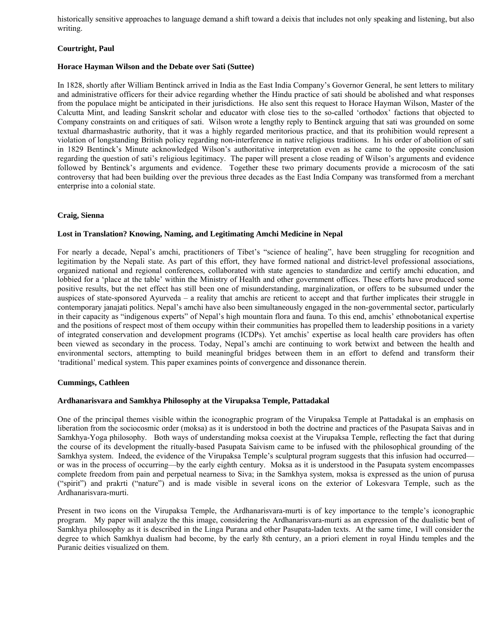historically sensitive approaches to language demand a shift toward a deixis that includes not only speaking and listening, but also writing.

# **Courtright, Paul**

## **Horace Hayman Wilson and the Debate over Sati (Suttee)**

In 1828, shortly after William Bentinck arrived in India as the East India Company's Governor General, he sent letters to military and administrative officers for their advice regarding whether the Hindu practice of sati should be abolished and what responses from the populace might be anticipated in their jurisdictions. He also sent this request to Horace Hayman Wilson, Master of the Calcutta Mint, and leading Sanskrit scholar and educator with close ties to the so-called 'orthodox' factions that objected to Company constraints on and critiques of sati. Wilson wrote a lengthy reply to Bentinck arguing that sati was grounded on some textual dharmashastric authority, that it was a highly regarded meritorious practice, and that its prohibition would represent a violation of longstanding British policy regarding non-interference in native religious traditions. In his order of abolition of sati in 1829 Bentinck's Minute acknowledged Wilson's authoritative interpretation even as he came to the opposite conclusion regarding the question of sati's religious legitimacy. The paper will present a close reading of Wilson's arguments and evidence followed by Bentinck's arguments and evidence. Together these two primary documents provide a microcosm of the sati controversy that had been building over the previous three decades as the East India Company was transformed from a merchant enterprise into a colonial state.

# **Craig, Sienna**

## **Lost in Translation? Knowing, Naming, and Legitimating Amchi Medicine in Nepal**

For nearly a decade, Nepal's amchi, practitioners of Tibet's "science of healing", have been struggling for recognition and legitimation by the Nepali state. As part of this effort, they have formed national and district-level professional associations, organized national and regional conferences, collaborated with state agencies to standardize and certify amchi education, and lobbied for a 'place at the table' within the Ministry of Health and other government offices. These efforts have produced some positive results, but the net effect has still been one of misunderstanding, marginalization, or offers to be subsumed under the auspices of state-sponsored Ayurveda – a reality that amchis are reticent to accept and that further implicates their struggle in contemporary janajati politics. Nepal's amchi have also been simultaneously engaged in the non-governmental sector, particularly in their capacity as "indigenous experts" of Nepal's high mountain flora and fauna. To this end, amchis' ethnobotanical expertise and the positions of respect most of them occupy within their communities has propelled them to leadership positions in a variety of integrated conservation and development programs (ICDPs). Yet amchis' expertise as local health care providers has often been viewed as secondary in the process. Today, Nepal's amchi are continuing to work betwixt and between the health and environmental sectors, attempting to build meaningful bridges between them in an effort to defend and transform their 'traditional' medical system. This paper examines points of convergence and dissonance therein.

## **Cummings, Cathleen**

## **Ardhanarisvara and Samkhya Philosophy at the Virupaksa Temple, Pattadakal**

One of the principal themes visible within the iconographic program of the Virupaksa Temple at Pattadakal is an emphasis on liberation from the sociocosmic order (moksa) as it is understood in both the doctrine and practices of the Pasupata Saivas and in Samkhya-Yoga philosophy. Both ways of understanding moksa coexist at the Virupaksa Temple, reflecting the fact that during the course of its development the ritually-based Pasupata Saivism came to be infused with the philosophical grounding of the Samkhya system. Indeed, the evidence of the Virupaksa Temple's sculptural program suggests that this infusion had occurred or was in the process of occurring—by the early eighth century. Moksa as it is understood in the Pasupata system encompasses complete freedom from pain and perpetual nearness to Siva; in the Samkhya system, moksa is expressed as the union of purusa ("spirit") and prakrti ("nature") and is made visible in several icons on the exterior of Lokesvara Temple, such as the Ardhanarisvara-murti.

Present in two icons on the Virupaksa Temple, the Ardhanarisvara-murti is of key importance to the temple's iconographic program. My paper will analyze the this image, considering the Ardhanarisvara-murti as an expression of the dualistic bent of Samkhya philosophy as it is described in the Linga Purana and other Pasupata-laden texts. At the same time, I will consider the degree to which Samkhya dualism had become, by the early 8th century, an a priori element in royal Hindu temples and the Puranic deities visualized on them.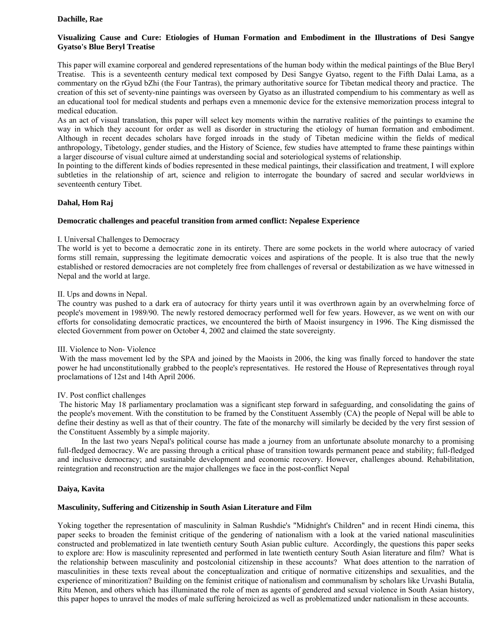## **Dachille, Rae**

## **Visualizing Cause and Cure: Etiologies of Human Formation and Embodiment in the Illustrations of Desi Sangye Gyatso's Blue Beryl Treatise**

This paper will examine corporeal and gendered representations of the human body within the medical paintings of the Blue Beryl Treatise. This is a seventeenth century medical text composed by Desi Sangye Gyatso, regent to the Fifth Dalai Lama, as a commentary on the rGyud bZhi (the Four Tantras), the primary authoritative source for Tibetan medical theory and practice. The creation of this set of seventy-nine paintings was overseen by Gyatso as an illustrated compendium to his commentary as well as an educational tool for medical students and perhaps even a mnemonic device for the extensive memorization process integral to medical education.

As an act of visual translation, this paper will select key moments within the narrative realities of the paintings to examine the way in which they account for order as well as disorder in structuring the etiology of human formation and embodiment. Although in recent decades scholars have forged inroads in the study of Tibetan medicine within the fields of medical anthropology, Tibetology, gender studies, and the History of Science, few studies have attempted to frame these paintings within a larger discourse of visual culture aimed at understanding social and soteriological systems of relationship.

In pointing to the different kinds of bodies represented in these medical paintings, their classification and treatment, I will explore subtleties in the relationship of art, science and religion to interrogate the boundary of sacred and secular worldviews in seventeenth century Tibet.

## **Dahal, Hom Raj**

## **Democratic challenges and peaceful transition from armed conflict: Nepalese Experience**

## I. Universal Challenges to Democracy

The world is yet to become a democratic zone in its entirety. There are some pockets in the world where autocracy of varied forms still remain, suppressing the legitimate democratic voices and aspirations of the people. It is also true that the newly established or restored democracies are not completely free from challenges of reversal or destabilization as we have witnessed in Nepal and the world at large.

## II. Ups and downs in Nepal.

The country was pushed to a dark era of autocracy for thirty years until it was overthrown again by an overwhelming force of people's movement in 1989/90. The newly restored democracy performed well for few years. However, as we went on with our efforts for consolidating democratic practices, we encountered the birth of Maoist insurgency in 1996. The King dismissed the elected Government from power on October 4, 2002 and claimed the state sovereignty.

## III. Violence to Non- Violence

With the mass movement led by the SPA and joined by the Maoists in 2006, the king was finally forced to handover the state power he had unconstitutionally grabbed to the people's representatives. He restored the House of Representatives through royal proclamations of 12st and 14th April 2006.

## IV. Post conflict challenges

 The historic May 18 parliamentary proclamation was a significant step forward in safeguarding, and consolidating the gains of the people's movement. With the constitution to be framed by the Constituent Assembly (CA) the people of Nepal will be able to define their destiny as well as that of their country. The fate of the monarchy will similarly be decided by the very first session of the Constituent Assembly by a simple majority.

 In the last two years Nepal's political course has made a journey from an unfortunate absolute monarchy to a promising full-fledged democracy. We are passing through a critical phase of transition towards permanent peace and stability; full-fledged and inclusive democracy; and sustainable development and economic recovery. However, challenges abound. Rehabilitation, reintegration and reconstruction are the major challenges we face in the post-conflict Nepal

## **Daiya, Kavita**

## **Masculinity, Suffering and Citizenship in South Asian Literature and Film**

Yoking together the representation of masculinity in Salman Rushdie's "Midnight's Children" and in recent Hindi cinema, this paper seeks to broaden the feminist critique of the gendering of nationalism with a look at the varied national masculinities constructed and problematized in late twentieth century South Asian public culture. Accordingly, the questions this paper seeks to explore are: How is masculinity represented and performed in late twentieth century South Asian literature and film? What is the relationship between masculinity and postcolonial citizenship in these accounts? What does attention to the narration of masculinities in these texts reveal about the conceptualization and critique of normative citizenships and sexualities, and the experience of minoritization? Building on the feminist critique of nationalism and communalism by scholars like Urvashi Butalia, Ritu Menon, and others which has illuminated the role of men as agents of gendered and sexual violence in South Asian history, this paper hopes to unravel the modes of male suffering heroicized as well as problematized under nationalism in these accounts.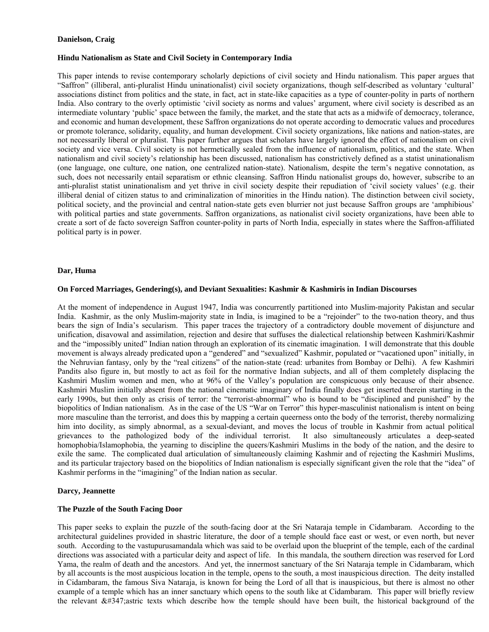## **Danielson, Craig**

## **Hindu Nationalism as State and Civil Society in Contemporary India**

This paper intends to revise contemporary scholarly depictions of civil society and Hindu nationalism. This paper argues that "Saffron" (illiberal, anti-pluralist Hindu uninationalist) civil society organizations, though self-described as voluntary 'cultural' associations distinct from politics and the state, in fact, act in state-like capacities as a type of counter-polity in parts of northern India. Also contrary to the overly optimistic 'civil society as norms and values' argument, where civil society is described as an intermediate voluntary 'public' space between the family, the market, and the state that acts as a midwife of democracy, tolerance, and economic and human development, these Saffron organizations do not operate according to democratic values and procedures or promote tolerance, solidarity, equality, and human development. Civil society organizations, like nations and nation-states, are not necessarily liberal or pluralist. This paper further argues that scholars have largely ignored the effect of nationalism on civil society and vice versa. Civil society is not hermetically sealed from the influence of nationalism, politics, and the state. When nationalism and civil society's relationship has been discussed, nationalism has constrictively defined as a statist uninationalism (one language, one culture, one nation, one centralized nation-state). Nationalism, despite the term's negative connotation, as such, does not necessarily entail separatism or ethnic cleansing. Saffron Hindu nationalist groups do, however, subscribe to an anti-pluralist statist uninationalism and yet thrive in civil society despite their repudiation of 'civil society values' (e.g. their illiberal denial of citizen status to and criminalization of minorities in the Hindu nation). The distinction between civil society, political society, and the provincial and central nation-state gets even blurrier not just because Saffron groups are 'amphibious' with political parties and state governments. Saffron organizations, as nationalist civil society organizations, have been able to create a sort of de facto sovereign Saffron counter-polity in parts of North India, especially in states where the Saffron-affiliated political party is in power.

#### **Dar, Huma**

#### **On Forced Marriages, Gendering(s), and Deviant Sexualities: Kashmir & Kashmiris in Indian Discourses**

At the moment of independence in August 1947, India was concurrently partitioned into Muslim-majority Pakistan and secular India. Kashmir, as the only Muslim-majority state in India, is imagined to be a "rejoinder" to the two-nation theory, and thus bears the sign of India's secularism. This paper traces the trajectory of a contradictory double movement of disjuncture and unification, disavowal and assimilation, rejection and desire that suffuses the dialectical relationship between Kashmiri/Kashmir and the "impossibly united" Indian nation through an exploration of its cinematic imagination. I will demonstrate that this double movement is always already predicated upon a "gendered" and "sexualized" Kashmir, populated or "vacationed upon" initially, in the Nehruvian fantasy, only by the "real citizens" of the nation-state (read: urbanites from Bombay or Delhi). A few Kashmiri Pandits also figure in, but mostly to act as foil for the normative Indian subjects, and all of them completely displacing the Kashmiri Muslim women and men, who at 96% of the Valley's population are conspicuous only because of their absence. Kashmiri Muslim initially absent from the national cinematic imaginary of India finally does get inserted therein starting in the early 1990s, but then only as crisis of terror: the "terrorist-abnormal" who is bound to be "disciplined and punished" by the biopolitics of Indian nationalism. As in the case of the US "War on Terror" this hyper-masculinist nationalism is intent on being more masculine than the terrorist, and does this by mapping a certain queerness onto the body of the terrorist, thereby normalizing him into docility, as simply abnormal, as a sexual-deviant, and moves the locus of trouble in Kashmir from actual political grievances to the pathologized body of the individual terrorist. It also simultaneously articulates a deep-seated homophobia/Islamophobia, the yearning to discipline the queers/Kashmiri Muslims in the body of the nation, and the desire to exile the same. The complicated dual articulation of simultaneously claiming Kashmir and of rejecting the Kashmiri Muslims, and its particular trajectory based on the biopolitics of Indian nationalism is especially significant given the role that the "idea" of Kashmir performs in the "imagining" of the Indian nation as secular.

## **Darcy, Jeannette**

#### **The Puzzle of the South Facing Door**

This paper seeks to explain the puzzle of the south-facing door at the Sri Nataraja temple in Cidambaram. According to the architectural guidelines provided in shastric literature, the door of a temple should face east or west, or even north, but never south. According to the vastupurusamandala which was said to be overlaid upon the blueprint of the temple, each of the cardinal directions was associated with a particular deity and aspect of life. In this mandala, the southern direction was reserved for Lord Yama, the realm of death and the ancestors. And yet, the innermost sanctuary of the Sri Nataraja temple in Cidambaram, which by all accounts is the most auspicious location in the temple, opens to the south, a most inauspicious direction. The deity installed in Cidambaram, the famous Siva Nataraja, is known for being the Lord of all that is inauspicious, but there is almost no other example of a temple which has an inner sanctuary which opens to the south like at Cidambaram. This paper will briefly review the relevant  $\&\#347$ ; astric texts which describe how the temple should have been built, the historical background of the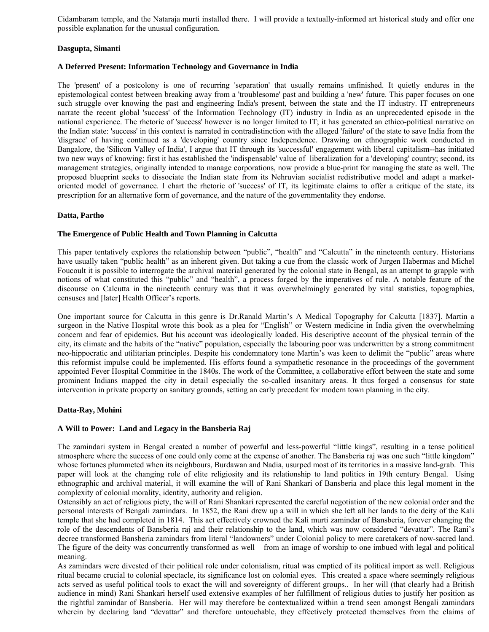Cidambaram temple, and the Nataraja murti installed there. I will provide a textually-informed art historical study and offer one possible explanation for the unusual configuration.

# **Dasgupta, Simanti**

## **A Deferred Present: Information Technology and Governance in India**

The 'present' of a postcolony is one of recurring 'separation' that usually remains unfinished. It quietly endures in the epistemological contest between breaking away from a 'troublesome' past and building a 'new' future. This paper focuses on one such struggle over knowing the past and engineering India's present, between the state and the IT industry. IT entrepreneurs narrate the recent global 'success' of the Information Technology (IT) industry in India as an unprecedented episode in the national experience. The rhetoric of 'success' however is no longer limited to IT; it has generated an ethico-political narrative on the Indian state: 'success' in this context is narrated in contradistinction with the alleged 'failure' of the state to save India from the 'disgrace' of having continued as a 'developing' country since Independence. Drawing on ethnographic work conducted in Bangalore, the 'Silicon Valley of India', I argue that IT through its 'successful' engagement with liberal capitalism--has initiated two new ways of knowing: first it has established the 'indispensable' value of liberalization for a 'developing' country; second, its management strategies, originally intended to manage corporations, now provide a blue-print for managing the state as well. The proposed blueprint seeks to dissociate the Indian state from its Nehruvian socialist redistributive model and adapt a marketoriented model of governance. I chart the rhetoric of 'success' of IT, its legitimate claims to offer a critique of the state, its prescription for an alternative form of governance, and the nature of the governmentality they endorse.

## **Datta, Partho**

## **The Emergence of Public Health and Town Planning in Calcutta**

This paper tentatively explores the relationship between "public", "health" and "Calcutta" in the nineteenth century. Historians have usually taken "public health" as an inherent given. But taking a cue from the classic work of Jurgen Habermas and Michel Foucoult it is possible to interrogate the archival material generated by the colonial state in Bengal, as an attempt to grapple with notions of what constituted this "public" and "health", a process forged by the imperatives of rule. A notable feature of the discourse on Calcutta in the nineteenth century was that it was overwhelmingly generated by vital statistics, topographies, censuses and [later] Health Officer's reports.

One important source for Calcutta in this genre is Dr.Ranald Martin's A Medical Topography for Calcutta [1837]. Martin a surgeon in the Native Hospital wrote this book as a plea for "English" or Western medicine in India given the overwhelming concern and fear of epidemics. But his account was ideologically loaded. His descriptive account of the physical terrain of the city, its climate and the habits of the "native" population, especially the labouring poor was underwritten by a strong commitment neo-hippocratic and utilitarian principles. Despite his condemnatory tone Martin's was keen to delimit the "public" areas where this reformist impulse could be implemented. His efforts found a sympathetic resonance in the proceedings of the government appointed Fever Hospital Committee in the 1840s. The work of the Committee, a collaborative effort between the state and some prominent Indians mapped the city in detail especially the so-called insanitary areas. It thus forged a consensus for state intervention in private property on sanitary grounds, setting an early precedent for modern town planning in the city.

## **Datta-Ray, Mohini**

## **A Will to Power: Land and Legacy in the Bansberia Raj**

The zamindari system in Bengal created a number of powerful and less-powerful "little kings", resulting in a tense political atmosphere where the success of one could only come at the expense of another. The Bansberia raj was one such "little kingdom" whose fortunes plummeted when its neighbours, Burdawan and Nadia, usurped most of its territories in a massive land-grab. This paper will look at the changing role of elite religiosity and its relationship to land politics in 19th century Bengal. Using ethnographic and archival material, it will examine the will of Rani Shankari of Bansberia and place this legal moment in the complexity of colonial morality, identity, authority and religion.

Ostensibly an act of religious piety, the will of Rani Shankari represented the careful negotiation of the new colonial order and the personal interests of Bengali zamindars. In 1852, the Rani drew up a will in which she left all her lands to the deity of the Kali temple that she had completed in 1814. This act effectively crowned the Kali murti zamindar of Bansberia, forever changing the role of the descendents of Bansberia raj and their relationship to the land, which was now considered "devattar". The Rani's decree transformed Bansberia zamindars from literal "landowners" under Colonial policy to mere caretakers of now-sacred land. The figure of the deity was concurrently transformed as well – from an image of worship to one imbued with legal and political meaning.

As zamindars were divested of their political role under colonialism, ritual was emptied of its political import as well. Religious ritual became crucial to colonial spectacle, its significance lost on colonial eyes. This created a space where seemingly religious acts served as useful political tools to exact the will and sovereignty of different groups.. In her will (that clearly had a British audience in mind) Rani Shankari herself used extensive examples of her fulfillment of religious duties to justify her position as the rightful zamindar of Bansberia. Her will may therefore be contextualized within a trend seen amongst Bengali zamindars wherein by declaring land "devattar" and therefore untouchable, they effectively protected themselves from the claims of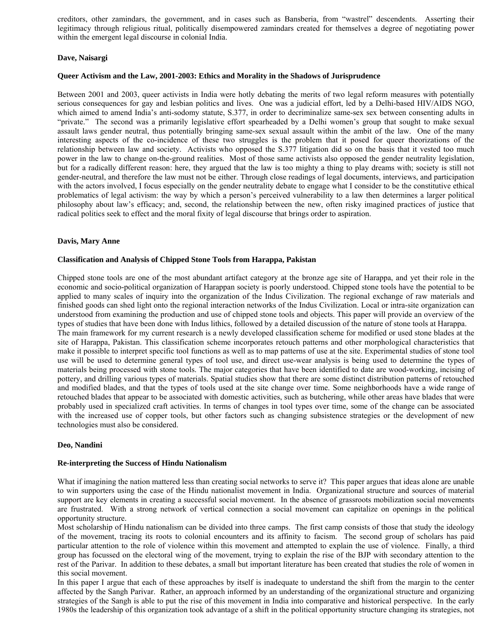creditors, other zamindars, the government, and in cases such as Bansberia, from "wastrel" descendents. Asserting their legitimacy through religious ritual, politically disempowered zamindars created for themselves a degree of negotiating power within the emergent legal discourse in colonial India.

## **Dave, Naisargi**

## **Queer Activism and the Law, 2001-2003: Ethics and Morality in the Shadows of Jurisprudence**

Between 2001 and 2003, queer activists in India were hotly debating the merits of two legal reform measures with potentially serious consequences for gay and lesbian politics and lives. One was a judicial effort, led by a Delhi-based HIV/AIDS NGO, which aimed to amend India's anti-sodomy statute, S.377, in order to decriminalize same-sex sex between consenting adults in "private." The second was a primarily legislative effort spearheaded by a Delhi women's group that sought to make sexual assault laws gender neutral, thus potentially bringing same-sex sexual assault within the ambit of the law. One of the many interesting aspects of the co-incidence of these two struggles is the problem that it posed for queer theorizations of the relationship between law and society. Activists who opposed the S.377 litigation did so on the basis that it vested too much power in the law to change on-the-ground realities. Most of those same activists also opposed the gender neutrality legislation, but for a radically different reason: here, they argued that the law is too mighty a thing to play dreams with; society is still not gender-neutral, and therefore the law must not be either. Through close readings of legal documents, interviews, and participation with the actors involved, I focus especially on the gender neutrality debate to engage what I consider to be the constitutive ethical problematics of legal activism: the way by which a person's perceived vulnerability to a law then determines a larger political philosophy about law's efficacy; and, second, the relationship between the new, often risky imagined practices of justice that radical politics seek to effect and the moral fixity of legal discourse that brings order to aspiration.

## **Davis, Mary Anne**

## **Classification and Analysis of Chipped Stone Tools from Harappa, Pakistan**

Chipped stone tools are one of the most abundant artifact category at the bronze age site of Harappa, and yet their role in the economic and socio-political organization of Harappan society is poorly understood. Chipped stone tools have the potential to be applied to many scales of inquiry into the organization of the Indus Civilization. The regional exchange of raw materials and finished goods can shed light onto the regional interaction networks of the Indus Civilization. Local or intra-site organization can understood from examining the production and use of chipped stone tools and objects. This paper will provide an overview of the types of studies that have been done with Indus lithics, followed by a detailed discussion of the nature of stone tools at Harappa. The main framework for my current research is a newly developed classification scheme for modified or used stone blades at the site of Harappa, Pakistan. This classification scheme incorporates retouch patterns and other morphological characteristics that make it possible to interpret specific tool functions as well as to map patterns of use at the site. Experimental studies of stone tool use will be used to determine general types of tool use, and direct use-wear analysis is being used to determine the types of materials being processed with stone tools. The major categories that have been identified to date are wood-working, incising of pottery, and drilling various types of materials. Spatial studies show that there are some distinct distribution patterns of retouched and modified blades, and that the types of tools used at the site change over time. Some neighborhoods have a wide range of retouched blades that appear to be associated with domestic activities, such as butchering, while other areas have blades that were probably used in specialized craft activities. In terms of changes in tool types over time, some of the change can be associated with the increased use of copper tools, but other factors such as changing subsistence strategies or the development of new technologies must also be considered.

## **Deo, Nandini**

## **Re-interpreting the Success of Hindu Nationalism**

What if imagining the nation mattered less than creating social networks to serve it? This paper argues that ideas alone are unable to win supporters using the case of the Hindu nationalist movement in India. Organizational structure and sources of material support are key elements in creating a successful social movement. In the absence of grassroots mobilization social movements are frustrated. With a strong network of vertical connection a social movement can capitalize on openings in the political opportunity structure.

Most scholarship of Hindu nationalism can be divided into three camps. The first camp consists of those that study the ideology of the movement, tracing its roots to colonial encounters and its affinity to facism. The second group of scholars has paid particular attention to the role of violence within this movement and attempted to explain the use of violence. Finally, a third group has focussed on the electoral wing of the movement, trying to explain the rise of the BJP with secondary attention to the rest of the Parivar. In addition to these debates, a small but important literature has been created that studies the role of women in this social movement.

In this paper I argue that each of these approaches by itself is inadequate to understand the shift from the margin to the center affected by the Sangh Parivar. Rather, an approach informed by an understanding of the organizational structure and organizing strategies of the Sangh is able to put the rise of this movement in India into comparative and historical perspective. In the early 1980s the leadership of this organization took advantage of a shift in the political opportunity structure changing its strategies, not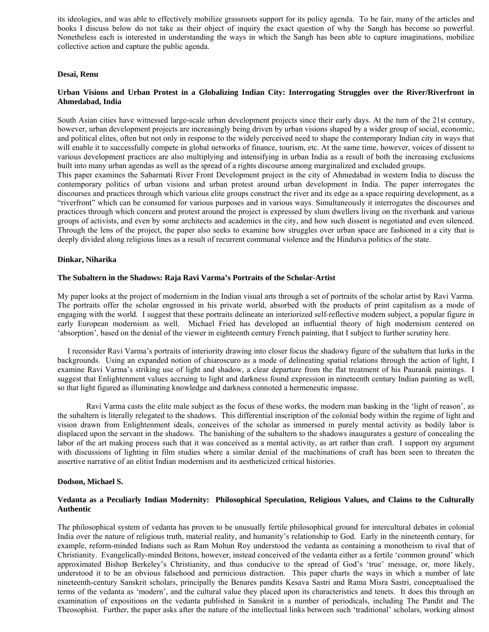its ideologies, and was able to effectively mobilize grassroots support for its policy agenda. To be fair, many of the articles and books I discuss below do not take as their object of inquiry the exact question of why the Sangh has become so powerful. Nonetheless each is interested in understanding the ways in which the Sangh has been able to capture imaginations, mobilize collective action and capture the public agenda.

## **Desai, Renu**

## **Urban Visions and Urban Protest in a Globalizing Indian City: Interrogating Struggles over the River/Riverfront in Ahmedabad, India**

South Asian cities have witnessed large-scale urban development projects since their early days. At the turn of the 21st century, however, urban development projects are increasingly being driven by urban visions shaped by a wider group of social, economic, and political elites, often but not only in response to the widely perceived need to shape the contemporary Indian city in ways that will enable it to successfully compete in global networks of finance, tourism, etc. At the same time, however, voices of dissent to various development practices are also multiplying and intensifying in urban India as a result of both the increasing exclusions built into many urban agendas as well as the spread of a rights discourse among marginalized and excluded groups.

This paper examines the Sabarmati River Front Development project in the city of Ahmedabad in western India to discuss the contemporary politics of urban visions and urban protest around urban development in India. The paper interrogates the discourses and practices through which various elite groups construct the river and its edge as a space requiring development, as a "riverfront" which can be consumed for various purposes and in various ways. Simultaneously it interrogates the discourses and practices through which concern and protest around the project is expressed by slum dwellers living on the riverbank and various groups of activists, and even by some architects and academics in the city, and how such dissent is negotiated and even silenced. Through the lens of the project, the paper also seeks to examine how struggles over urban space are fashioned in a city that is deeply divided along religious lines as a result of recurrent communal violence and the Hindutva politics of the state.

## **Dinkar, Niharika**

#### **The Subaltern in the Shadows: Raja Ravi Varma's Portraits of the Scholar-Artist**

My paper looks at the project of modernism in the Indian visual arts through a set of portraits of the scholar artist by Ravi Varma. The portraits offer the scholar engrossed in his private world, absorbed with the products of print capitalism as a mode of engaging with the world. I suggest that these portraits delineate an interiorized self-reflective modern subject, a popular figure in early European modernism as well. Michael Fried has developed an influential theory of high modernism centered on 'absorption', based on the denial of the viewer in eighteenth century French painting, that I subject to further scrutiny here.

 I reconsider Ravi Varma's portraits of interiority drawing into closer focus the shadowy figure of the subaltern that lurks in the backgrounds. Using an expanded notion of chiaroscuro as a mode of delineating spatial relations through the action of light, I examine Ravi Varma's striking use of light and shadow, a clear departure from the flat treatment of his Pauranik paintings. I suggest that Enlightenment values accruing to light and darkness found expression in nineteenth century Indian painting as well, so that light figured as illuminating knowledge and darkness connoted a hermeneutic impasse.

 Ravi Varma casts the elite male subject as the focus of these works, the modern man basking in the 'light of reason', as the subaltern is literally relegated to the shadows. This differential inscription of the colonial body within the regime of light and vision drawn from Enlightenment ideals, conceives of the scholar as immersed in purely mental activity as bodily labor is displaced upon the servant in the shadows. The banishing of the subaltern to the shadows inaugurates a gesture of concealing the labor of the art making process such that it was conceived as a mental activity, as art rather than craft. I support my argument with discussions of lighting in film studies where a similar denial of the machinations of craft has been seen to threaten the assertive narrative of an elitist Indian modernism and its aestheticized critical histories.

#### **Dodson, Michael S.**

## **Vedanta as a Peculiarly Indian Modernity: Philosophical Speculation, Religious Values, and Claims to the Culturally Authentic**

The philosophical system of vedanta has proven to be unusually fertile philosophical ground for intercultural debates in colonial India over the nature of religious truth, material reality, and humanity's relationship to God. Early in the nineteenth century, for example, reform-minded Indians such as Ram Mohun Roy understood the vedanta as containing a monotheism to rival that of Christianity. Evangelically-minded Britons, however, instead conceived of the vedanta either as a fertile 'common ground' which approximated Bishop Berkeley's Christianity, and thus conducive to the spread of God's 'true' message, or, more likely, understood it to be an obvious falsehood and pernicious distraction. This paper charts the ways in which a number of late nineteenth-century Sanskrit scholars, principally the Benares pandits Kesava Sastri and Rama Misra Sastri, conceptualised the terms of the vedanta as 'modern', and the cultural value they placed upon its characteristics and tenets. It does this through an examination of expositions on the vedanta published in Sanskrit in a number of periodicals, including The Pandit and The Theosophist. Further, the paper asks after the nature of the intellectual links between such 'traditional' scholars, working almost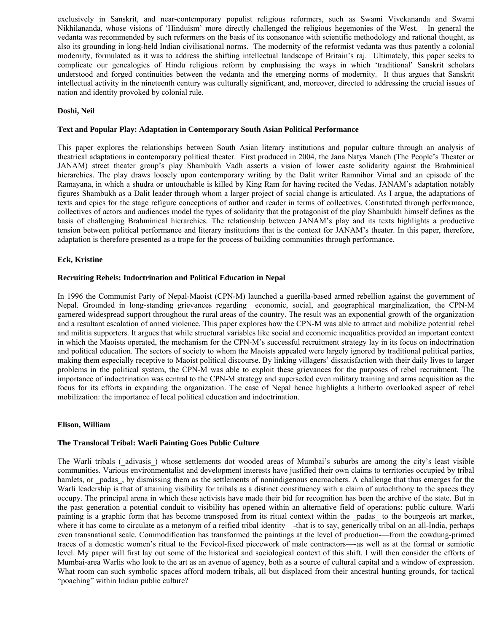exclusively in Sanskrit, and near-contemporary populist religious reformers, such as Swami Vivekananda and Swami Nikhilananda, whose visions of 'Hinduism' more directly challenged the religious hegemonies of the West. In general the vedanta was recommended by such reformers on the basis of its consonance with scientific methodology and rational thought, as also its grounding in long-held Indian civilisational norms. The modernity of the reformist vedanta was thus patently a colonial modernity, formulated as it was to address the shifting intellectual landscape of Britain's raj. Ultimately, this paper seeks to complicate our genealogies of Hindu religious reform by emphasising the ways in which 'traditional' Sanskrit scholars understood and forged continuities between the vedanta and the emerging norms of modernity. It thus argues that Sanskrit intellectual activity in the nineteenth century was culturally significant, and, moreover, directed to addressing the crucial issues of nation and identity provoked by colonial rule.

# **Doshi, Neil**

## **Text and Popular Play: Adaptation in Contemporary South Asian Political Performance**

This paper explores the relationships between South Asian literary institutions and popular culture through an analysis of theatrical adaptations in contemporary political theater. First produced in 2004, the Jana Natya Manch (The People's Theater or JANAM) street theater group's play Shambukh Vadh asserts a vision of lower caste solidarity against the Brahminical hierarchies. The play draws loosely upon contemporary writing by the Dalit writer Ramnihor Vimal and an episode of the Ramayana, in which a shudra or untouchable is killed by King Ram for having recited the Vedas. JANAM's adaptation notably figures Shambukh as a Dalit leader through whom a larger project of social change is articulated. As I argue, the adaptations of texts and epics for the stage refigure conceptions of author and reader in terms of collectives. Constituted through performance, collectives of actors and audiences model the types of solidarity that the protagonist of the play Shambukh himself defines as the basis of challenging Brahminical hierarchies. The relationship between JANAM's play and its texts highlights a productive tension between political performance and literary institutions that is the context for JANAM's theater. In this paper, therefore, adaptation is therefore presented as a trope for the process of building communities through performance.

## **Eck, Kristine**

## **Recruiting Rebels: Indoctrination and Political Education in Nepal**

In 1996 the Communist Party of Nepal-Maoist (CPN-M) launched a guerilla-based armed rebellion against the government of Nepal. Grounded in long-standing grievances regarding economic, social, and geographical marginalization, the CPN-M garnered widespread support throughout the rural areas of the country. The result was an exponential growth of the organization and a resultant escalation of armed violence. This paper explores how the CPN-M was able to attract and mobilize potential rebel and militia supporters. It argues that while structural variables like social and economic inequalities provided an important context in which the Maoists operated, the mechanism for the CPN-M's successful recruitment strategy lay in its focus on indoctrination and political education. The sectors of society to whom the Maoists appealed were largely ignored by traditional political parties, making them especially receptive to Maoist political discourse. By linking villagers' dissatisfaction with their daily lives to larger problems in the political system, the CPN-M was able to exploit these grievances for the purposes of rebel recruitment. The importance of indoctrination was central to the CPN-M strategy and superseded even military training and arms acquisition as the focus for its efforts in expanding the organization. The case of Nepal hence highlights a hitherto overlooked aspect of rebel mobilization: the importance of local political education and indoctrination.

## **Elison, William**

## **The Translocal Tribal: Warli Painting Goes Public Culture**

The Warli tribals (adivasis) whose settlements dot wooded areas of Mumbai's suburbs are among the city's least visible communities. Various environmentalist and development interests have justified their own claims to territories occupied by tribal hamlets, or padas, by dismissing them as the settlements of nonindigenous encroachers. A challenge that thus emerges for the Warli leadership is that of attaining visibility for tribals as a distinct constituency with a claim of autochthony to the spaces they occupy. The principal arena in which these activists have made their bid for recognition has been the archive of the state. But in the past generation a potential conduit to visibility has opened within an alternative field of operations: public culture. Warli painting is a graphic form that has become transposed from its ritual context within the padas to the bourgeois art market, where it has come to circulate as a metonym of a reified tribal identity—that is to say, generically tribal on an all-India, perhaps even transnational scale. Commodification has transformed the paintings at the level of production-—from the cowdung-primed traces of a domestic women's ritual to the Fevicol-fixed piecework of male contractors—-as well as at the formal or semiotic level. My paper will first lay out some of the historical and sociological context of this shift. I will then consider the efforts of Mumbai-area Warlis who look to the art as an avenue of agency, both as a source of cultural capital and a window of expression. What room can such symbolic spaces afford modern tribals, all but displaced from their ancestral hunting grounds, for tactical "poaching" within Indian public culture?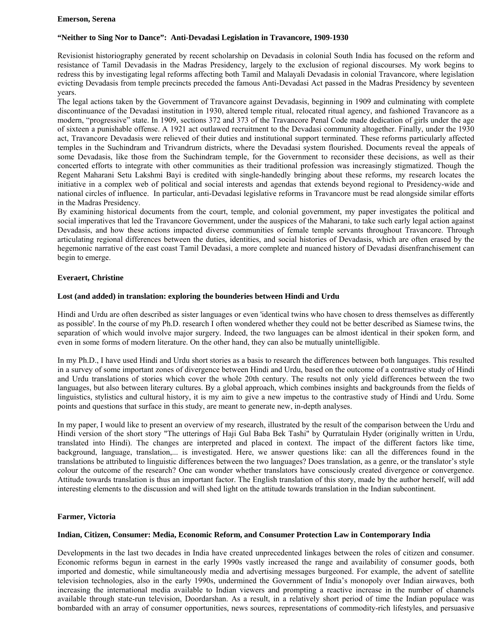#### **Emerson, Serena**

## **"Neither to Sing Nor to Dance": Anti-Devadasi Legislation in Travancore, 1909-1930**

Revisionist historiography generated by recent scholarship on Devadasis in colonial South India has focused on the reform and resistance of Tamil Devadasis in the Madras Presidency, largely to the exclusion of regional discourses. My work begins to redress this by investigating legal reforms affecting both Tamil and Malayali Devadasis in colonial Travancore, where legislation evicting Devadasis from temple precincts preceded the famous Anti-Devadasi Act passed in the Madras Presidency by seventeen years.

The legal actions taken by the Government of Travancore against Devadasis, beginning in 1909 and culminating with complete discontinuance of the Devadasi institution in 1930, altered temple ritual, relocated ritual agency, and fashioned Travancore as a modern, "progressive" state. In 1909, sections 372 and 373 of the Travancore Penal Code made dedication of girls under the age of sixteen a punishable offense. A 1921 act outlawed recruitment to the Devadasi community altogether. Finally, under the 1930 act, Travancore Devadasis were relieved of their duties and institutional support terminated. These reforms particularly affected temples in the Suchindram and Trivandrum districts, where the Devadasi system flourished. Documents reveal the appeals of some Devadasis, like those from the Suchindram temple, for the Government to reconsider these decisions, as well as their concerted efforts to integrate with other communities as their traditional profession was increasingly stigmatized. Though the Regent Maharani Setu Lakshmi Bayi is credited with single-handedly bringing about these reforms, my research locates the initiative in a complex web of political and social interests and agendas that extends beyond regional to Presidency-wide and national circles of influence. In particular, anti-Devadasi legislative reforms in Travancore must be read alongside similar efforts in the Madras Presidency.

By examining historical documents from the court, temple, and colonial government, my paper investigates the political and social imperatives that led the Travancore Government, under the auspices of the Maharani, to take such early legal action against Devadasis, and how these actions impacted diverse communities of female temple servants throughout Travancore. Through articulating regional differences between the duties, identities, and social histories of Devadasis, which are often erased by the hegemonic narrative of the east coast Tamil Devadasi, a more complete and nuanced history of Devadasi disenfranchisement can begin to emerge.

## **Everaert, Christine**

## **Lost (and added) in translation: exploring the bounderies between Hindi and Urdu**

Hindi and Urdu are often described as sister languages or even 'identical twins who have chosen to dress themselves as differently as possible'. In the course of my Ph.D. research I often wondered whether they could not be better described as Siamese twins, the separation of which would involve major surgery. Indeed, the two languages can be almost identical in their spoken form, and even in some forms of modern literature. On the other hand, they can also be mutually unintelligible.

In my Ph.D., I have used Hindi and Urdu short stories as a basis to research the differences between both languages. This resulted in a survey of some important zones of divergence between Hindi and Urdu, based on the outcome of a contrastive study of Hindi and Urdu translations of stories which cover the whole 20th century. The results not only yield differences between the two languages, but also between literary cultures. By a global approach, which combines insights and backgrounds from the fields of linguistics, stylistics and cultural history, it is my aim to give a new impetus to the contrastive study of Hindi and Urdu. Some points and questions that surface in this study, are meant to generate new, in-depth analyses.

In my paper, I would like to present an overview of my research, illustrated by the result of the comparison between the Urdu and Hindi version of the short story "The utterings of Haji Gul Baba Bek Tashi" by Qurratulain Hyder (originally written in Urdu, translated into Hindi). The changes are interpreted and placed in context. The impact of the different factors like time, background, language, translation,... is investigated. Here, we answer questions like: can all the differences found in the translations be attributed to linguistic differences between the two languages? Does translation, as a genre, or the translator's style colour the outcome of the research? One can wonder whether translators have consciously created divergence or convergence. Attitude towards translation is thus an important factor. The English translation of this story, made by the author herself, will add interesting elements to the discussion and will shed light on the attitude towards translation in the Indian subcontinent.

## **Farmer, Victoria**

## **Indian, Citizen, Consumer: Media, Economic Reform, and Consumer Protection Law in Contemporary India**

Developments in the last two decades in India have created unprecedented linkages between the roles of citizen and consumer. Economic reforms begun in earnest in the early 1990s vastly increased the range and availability of consumer goods, both imported and domestic, while simultaneously media and advertising messages burgeoned. For example, the advent of satellite television technologies, also in the early 1990s, undermined the Government of India's monopoly over Indian airwaves, both increasing the international media available to Indian viewers and prompting a reactive increase in the number of channels available through state-run television, Doordarshan. As a result, in a relatively short period of time the Indian populace was bombarded with an array of consumer opportunities, news sources, representations of commodity-rich lifestyles, and persuasive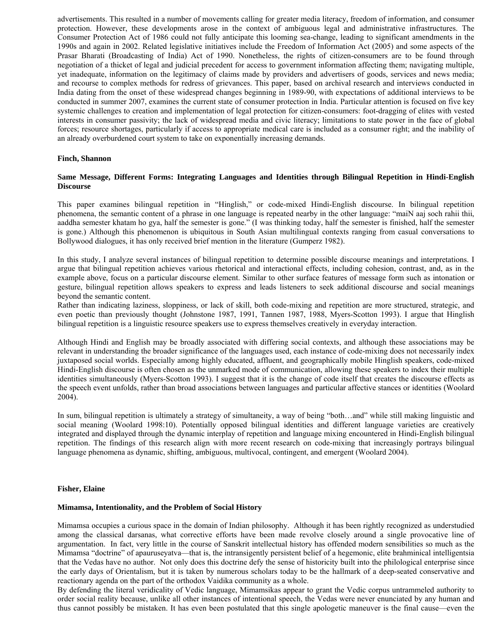advertisements. This resulted in a number of movements calling for greater media literacy, freedom of information, and consumer protection. However, these developments arose in the context of ambiguous legal and administrative infrastructures. The Consumer Protection Act of 1986 could not fully anticipate this looming sea-change, leading to significant amendments in the 1990s and again in 2002. Related legislative initiatives include the Freedom of Information Act (2005) and some aspects of the Prasar Bharati (Broadcasting of India) Act of 1990. Nonetheless, the rights of citizen-consumers are to be found through negotiation of a thicket of legal and judicial precedent for access to government information affecting them; navigating multiple, yet inadequate, information on the legitimacy of claims made by providers and advertisers of goods, services and news media; and recourse to complex methods for redress of grievances. This paper, based on archival research and interviews conducted in India dating from the onset of these widespread changes beginning in 1989-90, with expectations of additional interviews to be conducted in summer 2007, examines the current state of consumer protection in India. Particular attention is focused on five key systemic challenges to creation and implementation of legal protection for citizen-consumers: foot-dragging of elites with vested interests in consumer passivity; the lack of widespread media and civic literacy; limitations to state power in the face of global forces; resource shortages, particularly if access to appropriate medical care is included as a consumer right; and the inability of an already overburdened court system to take on exponentially increasing demands.

## **Finch, Shannon**

## **Same Message, Different Forms: Integrating Languages and Identities through Bilingual Repetition in Hindi-English Discourse**

This paper examines bilingual repetition in "Hinglish," or code-mixed Hindi-English discourse. In bilingual repetition phenomena, the semantic content of a phrase in one language is repeated nearby in the other language: "maiN aaj soch rahii thii, aaddha semester khatam ho gya, half the semester is gone." (I was thinking today, half the semester is finished, half the semester is gone.) Although this phenomenon is ubiquitous in South Asian multilingual contexts ranging from casual conversations to Bollywood dialogues, it has only received brief mention in the literature (Gumperz 1982).

In this study, I analyze several instances of bilingual repetition to determine possible discourse meanings and interpretations. I argue that bilingual repetition achieves various rhetorical and interactional effects, including cohesion, contrast, and, as in the example above, focus on a particular discourse element. Similar to other surface features of message form such as intonation or gesture, bilingual repetition allows speakers to express and leads listeners to seek additional discourse and social meanings beyond the semantic content.

Rather than indicating laziness, sloppiness, or lack of skill, both code-mixing and repetition are more structured, strategic, and even poetic than previously thought (Johnstone 1987, 1991, Tannen 1987, 1988, Myers-Scotton 1993). I argue that Hinglish bilingual repetition is a linguistic resource speakers use to express themselves creatively in everyday interaction.

Although Hindi and English may be broadly associated with differing social contexts, and although these associations may be relevant in understanding the broader significance of the languages used, each instance of code-mixing does not necessarily index juxtaposed social worlds. Especially among highly educated, affluent, and geographically mobile Hinglish speakers, code-mixed Hindi-English discourse is often chosen as the unmarked mode of communication, allowing these speakers to index their multiple identities simultaneously (Myers-Scotton 1993). I suggest that it is the change of code itself that creates the discourse effects as the speech event unfolds, rather than broad associations between languages and particular affective stances or identities (Woolard 2004).

In sum, bilingual repetition is ultimately a strategy of simultaneity, a way of being "both…and" while still making linguistic and social meaning (Woolard 1998:10). Potentially opposed bilingual identities and different language varieties are creatively integrated and displayed through the dynamic interplay of repetition and language mixing encountered in Hindi-English bilingual repetition. The findings of this research align with more recent research on code-mixing that increasingly portrays bilingual language phenomena as dynamic, shifting, ambiguous, multivocal, contingent, and emergent (Woolard 2004).

## **Fisher, Elaine**

## **Mimamsa, Intentionality, and the Problem of Social History**

Mimamsa occupies a curious space in the domain of Indian philosophy. Although it has been rightly recognized as understudied among the classical darsanas, what corrective efforts have been made revolve closely around a single provocative line of argumentation. In fact, very little in the course of Sanskrit intellectual history has offended modern sensibilities so much as the Mimamsa "doctrine" of apauruseyatva—that is, the intransigently persistent belief of a hegemonic, elite brahminical intelligentsia that the Vedas have no author. Not only does this doctrine defy the sense of historicity built into the philological enterprise since the early days of Orientalism, but it is taken by numerous scholars today to be the hallmark of a deep-seated conservative and reactionary agenda on the part of the orthodox Vaidika community as a whole.

By defending the literal veridicality of Vedic language, Mimamsikas appear to grant the Vedic corpus untrammeled authority to order social reality because, unlike all other instances of intentional speech, the Vedas were never enunciated by any human and thus cannot possibly be mistaken. It has even been postulated that this single apologetic maneuver is the final cause—even the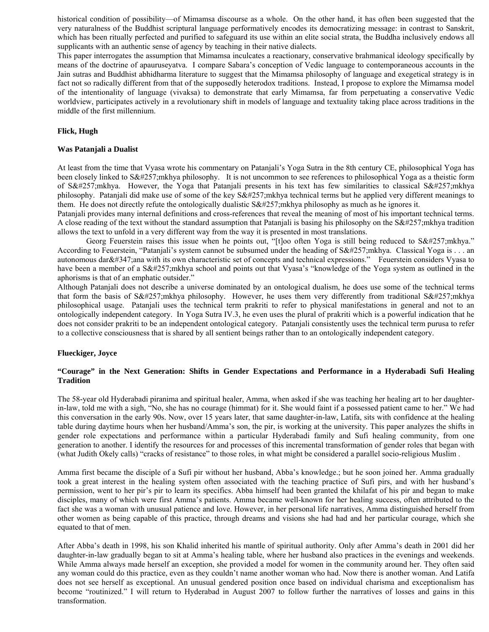historical condition of possibility—of Mimamsa discourse as a whole. On the other hand, it has often been suggested that the very naturalness of the Buddhist scriptural language performatively encodes its democratizing message: in contrast to Sanskrit, which has been ritually perfected and purified to safeguard its use within an elite social strata, the Buddha inclusively endows all supplicants with an authentic sense of agency by teaching in their native dialects.

This paper interrogates the assumption that Mimamsa inculcates a reactionary, conservative brahmanical ideology specifically by means of the doctrine of apauruseyatva. I compare Sabara's conception of Vedic language to contemporaneous accounts in the Jain sutras and Buddhist abhidharma literature to suggest that the Mimamsa philosophy of language and exegetical strategy is in fact not so radically different from that of the supposedly heterodox traditions. Instead, I propose to explore the Mimamsa model of the intentionality of language (vivaksa) to demonstrate that early Mimamsa, far from perpetuating a conservative Vedic worldview, participates actively in a revolutionary shift in models of language and textuality taking place across traditions in the middle of the first millennium.

## **Flick, Hugh**

## **Was Patanjali a Dualist**

At least from the time that Vyasa wrote his commentary on Patanjali's Yoga Sutra in the 8th century CE, philosophical Yoga has been closely linked to  $S\&\#257$ ; mkhya philosophy. It is not uncommon to see references to philosophical Yoga as a theistic form of Sāmkhya. However, the Yoga that Patanjali presents in his text has few similarities to classical Sāmkhya philosophy. Patanjali did make use of some of the key  $S\&\#257$ ; mkhya technical terms but he applied very different meanings to them. He does not directly refute the ontologically dualistic  $S\&\#257$ ; mkhya philosophy as much as he ignores it.

Patanjali provides many internal definitions and cross-references that reveal the meaning of most of his important technical terms. A close reading of the text without the standard assumption that Patanjali is basing his philosophy on the  $S\&\#257$ ; mkhya tradition allows the text to unfold in a very different way from the way it is presented in most translations.

Georg Feuerstein raises this issue when he points out, "[t]oo often Yoga is still being reduced to Sāmkhya." According to Feuerstein, "Patanjali's system cannot be subsumed under the heading of  $S\&\#257$ ; mkhya. Classical Yoga is ... an autonomous dar $&\#347$ ; ana with its own characteristic set of concepts and technical expressions." Feuerstein considers Vyasa to have been a member of a  $Sā$ ; mkhya school and points out that Vyasa's "knowledge of the Yoga system as outlined in the aphorisms is that of an emphatic outsider."

Although Patanjali does not describe a universe dominated by an ontological dualism, he does use some of the technical terms that form the basis of  $Sā$ ;mkhya philosophy. However, he uses them very differently from traditional  $Sā$ ;mkhya philosophical usage. Patanjali uses the technical term prakriti to refer to physical manifestations in general and not to an ontologically independent category. In Yoga Sutra IV.3, he even uses the plural of prakriti which is a powerful indication that he does not consider prakriti to be an independent ontological category. Patanjali consistently uses the technical term purusa to refer to a collective consciousness that is shared by all sentient beings rather than to an ontologically independent category.

## **Flueckiger, Joyce**

# **"Courage" in the Next Generation: Shifts in Gender Expectations and Performance in a Hyderabadi Sufi Healing Tradition**

The 58-year old Hyderabadi piranima and spiritual healer, Amma, when asked if she was teaching her healing art to her daughterin-law, told me with a sigh, "No, she has no courage (himmat) for it. She would faint if a possessed patient came to her." We had this conversation in the early 90s. Now, over 15 years later, that same daughter-in-law, Latifa, sits with confidence at the healing table during daytime hours when her husband/Amma's son, the pir, is working at the university. This paper analyzes the shifts in gender role expectations and performance within a particular Hyderabadi family and Sufi healing community, from one generation to another. I identify the resources for and processes of this incremental transformation of gender roles that began with (what Judith Okely calls) "cracks of resistance" to those roles, in what might be considered a parallel socio-religious Muslim .

Amma first became the disciple of a Sufi pir without her husband, Abba's knowledge.; but he soon joined her. Amma gradually took a great interest in the healing system often associated with the teaching practice of Sufi pirs, and with her husband's permission, went to her pir's pir to learn its specifics. Abba himself had been granted the khilafat of his pir and began to make disciples, many of which were first Amma's patients. Amma became well-known for her healing success, often attributed to the fact she was a woman with unusual patience and love. However, in her personal life narratives, Amma distinguished herself from other women as being capable of this practice, through dreams and visions she had had and her particular courage, which she equated to that of men.

After Abba's death in 1998, his son Khalid inherited his mantle of spiritual authority. Only after Amma's death in 2001 did her daughter-in-law gradually began to sit at Amma's healing table, where her husband also practices in the evenings and weekends. While Amma always made herself an exception, she provided a model for women in the community around her. They often said any woman could do this practice, even as they couldn't name another woman who had. Now there is another woman. And Latifa does not see herself as exceptional. An unusual gendered position once based on individual charisma and exceptionalism has become "routinized." I will return to Hyderabad in August 2007 to follow further the narratives of losses and gains in this transformation.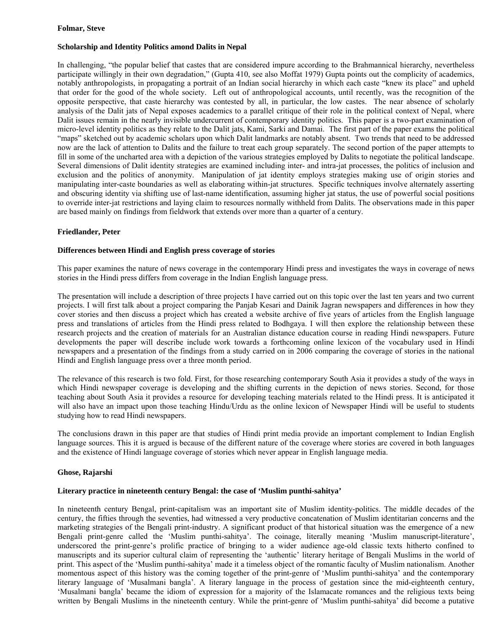## **Folmar, Steve**

# **Scholarship and Identity Politics amond Dalits in Nepal**

In challenging, "the popular belief that castes that are considered impure according to the Brahmannical hierarchy, nevertheless participate willingly in their own degradation," (Gupta 410, see also Moffat 1979) Gupta points out the complicity of academics, notably anthropologists, in propagating a portrait of an Indian social hierarchy in which each caste "knew its place" and upheld that order for the good of the whole society. Left out of anthropological accounts, until recently, was the recognition of the opposite perspective, that caste hierarchy was contested by all, in particular, the low castes. The near absence of scholarly analysis of the Dalit jats of Nepal exposes academics to a parallel critique of their role in the political context of Nepal, where Dalit issues remain in the nearly invisible undercurrent of contemporary identity politics. This paper is a two-part examination of micro-level identity politics as they relate to the Dalit jats, Kami, Sarki and Damai. The first part of the paper exams the political "maps" sketched out by academic scholars upon which Dalit landmarks are notably absent. Two trends that need to be addressed now are the lack of attention to Dalits and the failure to treat each group separately. The second portion of the paper attempts to fill in some of the uncharted area with a depiction of the various strategies employed by Dalits to negotiate the political landscape. Several dimensions of Dalit identity strategies are examined including inter- and intra-jat processes, the politics of inclusion and exclusion and the politics of anonymity. Manipulation of jat identity employs strategies making use of origin stories and manipulating inter-caste boundaries as well as elaborating within-jat structures. Specific techniques involve alternately asserting and obscuring identity via shifting use of last-name identification, assuming higher jat status, the use of powerful social positions to override inter-jat restrictions and laying claim to resources normally withheld from Dalits. The observations made in this paper are based mainly on findings from fieldwork that extends over more than a quarter of a century.

## **Friedlander, Peter**

## **Differences between Hindi and English press coverage of stories**

This paper examines the nature of news coverage in the contemporary Hindi press and investigates the ways in coverage of news stories in the Hindi press differs from coverage in the Indian English language press.

The presentation will include a description of three projects I have carried out on this topic over the last ten years and two current projects. I will first talk about a project comparing the Panjab Kesari and Dainik Jagran newspapers and differences in how they cover stories and then discuss a project which has created a website archive of five years of articles from the English language press and translations of articles from the Hindi press related to Bodhgaya. I will then explore the relationship between these research projects and the creation of materials for an Australian distance education course in reading Hindi newspapers. Future developments the paper will describe include work towards a forthcoming online lexicon of the vocabulary used in Hindi newspapers and a presentation of the findings from a study carried on in 2006 comparing the coverage of stories in the national Hindi and English language press over a three month period.

The relevance of this research is two fold. First, for those researching contemporary South Asia it provides a study of the ways in which Hindi newspaper coverage is developing and the shifting currents in the depiction of news stories. Second, for those teaching about South Asia it provides a resource for developing teaching materials related to the Hindi press. It is anticipated it will also have an impact upon those teaching Hindu/Urdu as the online lexicon of Newspaper Hindi will be useful to students studying how to read Hindi newspapers.

The conclusions drawn in this paper are that studies of Hindi print media provide an important complement to Indian English language sources. This it is argued is because of the different nature of the coverage where stories are covered in both languages and the existence of Hindi language coverage of stories which never appear in English language media.

## **Ghose, Rajarshi**

## **Literary practice in nineteenth century Bengal: the case of 'Muslim punthi-sahitya'**

In nineteenth century Bengal, print-capitalism was an important site of Muslim identity-politics. The middle decades of the century, the fifties through the seventies, had witnessed a very productive concatenation of Muslim identitarian concerns and the marketing strategies of the Bengali print-industry. A significant product of that historical situation was the emergence of a new Bengali print-genre called the 'Muslim punthi-sahitya'. The coinage, literally meaning 'Muslim manuscript-literature', underscored the print-genre's prolific practice of bringing to a wider audience age-old classic texts hitherto confined to manuscripts and its superior cultural claim of representing the 'authentic' literary heritage of Bengali Muslims in the world of print. This aspect of the 'Muslim punthi-sahitya' made it a timeless object of the romantic faculty of Muslim nationalism. Another momentous aspect of this history was the coming together of the print-genre of 'Muslim punthi-sahitya' and the contemporary literary language of 'Musalmani bangla'. A literary language in the process of gestation since the mid-eighteenth century, 'Musalmani bangla' became the idiom of expression for a majority of the Islamacate romances and the religious texts being written by Bengali Muslims in the nineteenth century. While the print-genre of 'Muslim punthi-sahitya' did become a putative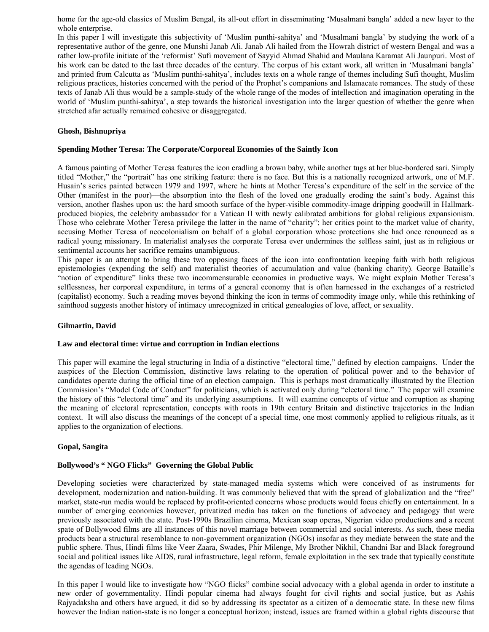home for the age-old classics of Muslim Bengal, its all-out effort in disseminating 'Musalmani bangla' added a new layer to the whole enterprise.

In this paper I will investigate this subjectivity of 'Muslim punthi-sahitya' and 'Musalmani bangla' by studying the work of a representative author of the genre, one Munshi Janab Ali. Janab Ali hailed from the Howrah district of western Bengal and was a rather low-profile initiate of the 'reformist' Sufi movement of Sayyid Ahmad Shahid and Maulana Karamat Ali Jaunpuri. Most of his work can be dated to the last three decades of the century. The corpus of his extant work, all written in 'Musalmani bangla' and printed from Calcutta as 'Muslim punthi-sahitya', includes texts on a whole range of themes including Sufi thought, Muslim religious practices, histories concerned with the period of the Prophet's companions and Islamacate romances. The study of these texts of Janab Ali thus would be a sample-study of the whole range of the modes of intellection and imagination operating in the world of 'Muslim punthi-sahitya', a step towards the historical investigation into the larger question of whether the genre when stretched afar actually remained cohesive or disaggregated.

## **Ghosh, Bishnupriya**

## **Spending Mother Teresa: The Corporate/Corporeal Economies of the Saintly Icon**

A famous painting of Mother Teresa features the icon cradling a brown baby, while another tugs at her blue-bordered sari. Simply titled "Mother," the "portrait" has one striking feature: there is no face. But this is a nationally recognized artwork, one of M.F. Husain's series painted between 1979 and 1997, where he hints at Mother Teresa's expenditure of the self in the service of the Other (manifest in the poor)—the absorption into the flesh of the loved one gradually eroding the saint's body. Against this version, another flashes upon us: the hard smooth surface of the hyper-visible commodity-image dripping goodwill in Hallmarkproduced biopics, the celebrity ambassador for a Vatican II with newly calibrated ambitions for global religious expansionism. Those who celebrate Mother Teresa privilege the latter in the name of "charity"; her critics point to the market value of charity, accusing Mother Teresa of neocolonialism on behalf of a global corporation whose protections she had once renounced as a radical young missionary. In materialist analyses the corporate Teresa ever undermines the selfless saint, just as in religious or sentimental accounts her sacrifice remains unambiguous.

This paper is an attempt to bring these two opposing faces of the icon into confrontation keeping faith with both religious epistemologies (expending the self) and materialist theories of accumulation and value (banking charity). George Bataille's "notion of expenditure" links these two incommensurable economies in productive ways. We might explain Mother Teresa's selflessness, her corporeal expenditure, in terms of a general economy that is often harnessed in the exchanges of a restricted (capitalist) economy. Such a reading moves beyond thinking the icon in terms of commodity image only, while this rethinking of sainthood suggests another history of intimacy unrecognized in critical genealogies of love, affect, or sexuality.

## **Gilmartin, David**

## **Law and electoral time: virtue and corruption in Indian elections**

This paper will examine the legal structuring in India of a distinctive "electoral time," defined by election campaigns. Under the auspices of the Election Commission, distinctive laws relating to the operation of political power and to the behavior of candidates operate during the official time of an election campaign. This is perhaps most dramatically illustrated by the Election Commission's "Model Code of Conduct" for politicians, which is activated only during "electoral time." The paper will examine the history of this "electoral time" and its underlying assumptions. It will examine concepts of virtue and corruption as shaping the meaning of electoral representation, concepts with roots in 19th century Britain and distinctive trajectories in the Indian context. It will also discuss the meanings of the concept of a special time, one most commonly applied to religious rituals, as it applies to the organization of elections.

## **Gopal, Sangita**

# **Bollywood's " NGO Flicks" Governing the Global Public**

Developing societies were characterized by state-managed media systems which were conceived of as instruments for development, modernization and nation-building. It was commonly believed that with the spread of globalization and the "free" market, state-run media would be replaced by profit-oriented concerns whose products would focus chiefly on entertainment. In a number of emerging economies however, privatized media has taken on the functions of advocacy and pedagogy that were previously associated with the state. Post-1990s Brazilian cinema, Mexican soap operas, Nigerian video productions and a recent spate of Bollywood films are all instances of this novel marriage between commercial and social interests. As such, these media products bear a structural resemblance to non-government organization (NGOs) insofar as they mediate between the state and the public sphere. Thus, Hindi films like Veer Zaara, Swades, Phir Milenge, My Brother Nikhil, Chandni Bar and Black foreground social and political issues like AIDS, rural infrastructure, legal reform, female exploitation in the sex trade that typically constitute the agendas of leading NGOs.

In this paper I would like to investigate how "NGO flicks" combine social advocacy with a global agenda in order to institute a new order of governmentality. Hindi popular cinema had always fought for civil rights and social justice, but as Ashis Rajyadaksha and others have argued, it did so by addressing its spectator as a citizen of a democratic state. In these new films however the Indian nation-state is no longer a conceptual horizon; instead, issues are framed within a global rights discourse that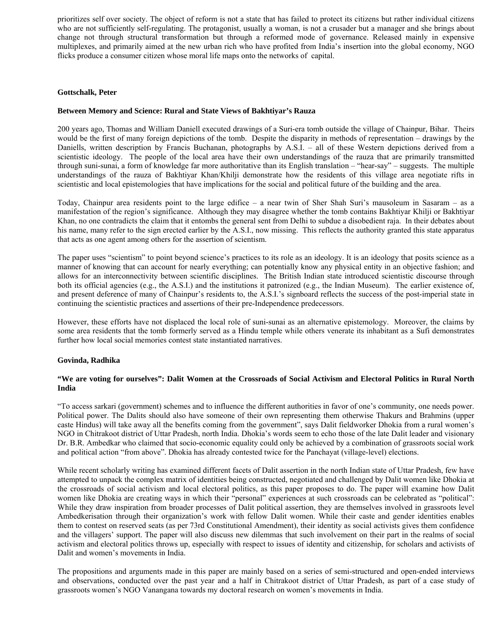prioritizes self over society. The object of reform is not a state that has failed to protect its citizens but rather individual citizens who are not sufficiently self-regulating. The protagonist, usually a woman, is not a crusader but a manager and she brings about change not through structural transformation but through a reformed mode of governance. Released mainly in expensive multiplexes, and primarily aimed at the new urban rich who have profited from India's insertion into the global economy, NGO flicks produce a consumer citizen whose moral life maps onto the networks of capital.

# **Gottschalk, Peter**

## **Between Memory and Science: Rural and State Views of Bakhtiyar's Rauza**

200 years ago, Thomas and William Daniell executed drawings of a Suri-era tomb outside the village of Chainpur, Bihar. Theirs would be the first of many foreign depictions of the tomb. Despite the disparity in methods of representation – drawings by the Daniells, written description by Francis Buchanan, photographs by A.S.I. – all of these Western depictions derived from a scientistic ideology. The people of the local area have their own understandings of the rauza that are primarily transmitted through suni-sunai, a form of knowledge far more authoritative than its English translation – "hear-say" – suggests. The multiple understandings of the rauza of Bakhtiyar Khan/Khilji demonstrate how the residents of this village area negotiate rifts in scientistic and local epistemologies that have implications for the social and political future of the building and the area.

Today, Chainpur area residents point to the large edifice – a near twin of Sher Shah Suri's mausoleum in Sasaram – as a manifestation of the region's significance. Although they may disagree whether the tomb contains Bakhtiyar Khilji or Bakhtiyar Khan, no one contradicts the claim that it entombs the general sent from Delhi to subdue a disobedient raja. In their debates about his name, many refer to the sign erected earlier by the A.S.I., now missing. This reflects the authority granted this state apparatus that acts as one agent among others for the assertion of scientism.

The paper uses "scientism" to point beyond science's practices to its role as an ideology. It is an ideology that posits science as a manner of knowing that can account for nearly everything; can potentially know any physical entity in an objective fashion; and allows for an interconnectivity between scientific disciplines. The British Indian state introduced scientistic discourse through both its official agencies (e.g., the A.S.I.) and the institutions it patronized (e.g., the Indian Museum). The earlier existence of, and present deference of many of Chainpur's residents to, the A.S.I.'s signboard reflects the success of the post-imperial state in continuing the scientistic practices and assertions of their pre-Independence predecessors.

However, these efforts have not displaced the local role of suni-sunai as an alternative epistemology. Moreover, the claims by some area residents that the tomb formerly served as a Hindu temple while others venerate its inhabitant as a Sufi demonstrates further how local social memories contest state instantiated narratives.

## **Govinda, Radhika**

# **"We are voting for ourselves": Dalit Women at the Crossroads of Social Activism and Electoral Politics in Rural North India**

"To access sarkari (government) schemes and to influence the different authorities in favor of one's community, one needs power. Political power. The Dalits should also have someone of their own representing them otherwise Thakurs and Brahmins (upper caste Hindus) will take away all the benefits coming from the government", says Dalit fieldworker Dhokia from a rural women's NGO in Chitrakoot district of Uttar Pradesh, north India. Dhokia's words seem to echo those of the late Dalit leader and visionary Dr. B.R. Ambedkar who claimed that socio-economic equality could only be achieved by a combination of grassroots social work and political action "from above". Dhokia has already contested twice for the Panchayat (village-level) elections.

While recent scholarly writing has examined different facets of Dalit assertion in the north Indian state of Uttar Pradesh, few have attempted to unpack the complex matrix of identities being constructed, negotiated and challenged by Dalit women like Dhokia at the crossroads of social activism and local electoral politics, as this paper proposes to do. The paper will examine how Dalit women like Dhokia are creating ways in which their "personal" experiences at such crossroads can be celebrated as "political": While they draw inspiration from broader processes of Dalit political assertion, they are themselves involved in grassroots level Ambedkerisation through their organization's work with fellow Dalit women. While their caste and gender identities enables them to contest on reserved seats (as per 73rd Constitutional Amendment), their identity as social activists gives them confidence and the villagers' support. The paper will also discuss new dilemmas that such involvement on their part in the realms of social activism and electoral politics throws up, especially with respect to issues of identity and citizenship, for scholars and activists of Dalit and women's movements in India.

The propositions and arguments made in this paper are mainly based on a series of semi-structured and open-ended interviews and observations, conducted over the past year and a half in Chitrakoot district of Uttar Pradesh, as part of a case study of grassroots women's NGO Vanangana towards my doctoral research on women's movements in India.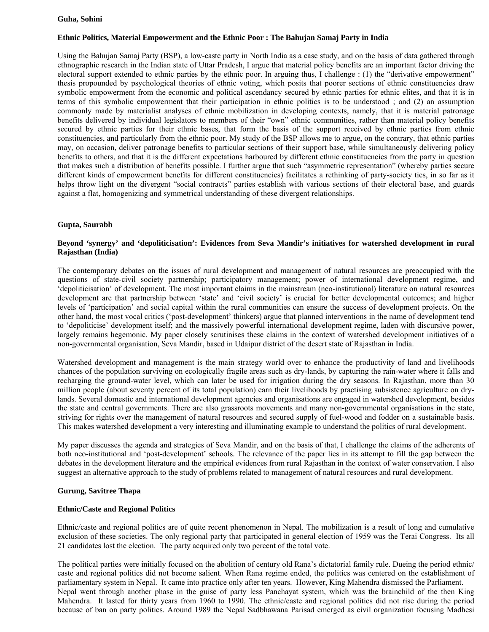## **Guha, Sohini**

# **Ethnic Politics, Material Empowerment and the Ethnic Poor : The Bahujan Samaj Party in India**

Using the Bahujan Samaj Party (BSP), a low-caste party in North India as a case study, and on the basis of data gathered through ethnographic research in the Indian state of Uttar Pradesh, I argue that material policy benefits are an important factor driving the electoral support extended to ethnic parties by the ethnic poor. In arguing thus, I challenge : (1) the "derivative empowerment" thesis propounded by psychological theories of ethnic voting, which posits that poorer sections of ethnic constituencies draw symbolic empowerment from the economic and political ascendancy secured by ethnic parties for ethnic elites, and that it is in terms of this symbolic empowerment that their participation in ethnic politics is to be understood ; and (2) an assumption commonly made by materialist analyses of ethnic mobilization in developing contexts, namely, that it is material patronage benefits delivered by individual legislators to members of their "own" ethnic communities, rather than material policy benefits secured by ethnic parties for their ethnic bases, that form the basis of the support received by ethnic parties from ethnic constituencies, and particularly from the ethnic poor. My study of the BSP allows me to argue, on the contrary, that ethnic parties may, on occasion, deliver patronage benefits to particular sections of their support base, while simultaneously delivering policy benefits to others, and that it is the different expectations harboured by different ethnic constituencies from the party in question that makes such a distribution of benefits possible. I further argue that such "asymmetric representation" (whereby parties secure different kinds of empowerment benefits for different constituencies) facilitates a rethinking of party-society ties, in so far as it helps throw light on the divergent "social contracts" parties establish with various sections of their electoral base, and guards against a flat, homogenizing and symmetrical understanding of these divergent relationships.

## **Gupta, Saurabh**

## **Beyond 'synergy' and 'depoliticisation': Evidences from Seva Mandir's initiatives for watershed development in rural Rajasthan (India)**

The contemporary debates on the issues of rural development and management of natural resources are preoccupied with the questions of state-civil society partnership; participatory management; power of international development regime, and 'depoliticisation' of development. The most important claims in the mainstream (neo-institutional) literature on natural resources development are that partnership between 'state' and 'civil society' is crucial for better developmental outcomes; and higher levels of 'participation' and social capital within the rural communities can ensure the success of development projects. On the other hand, the most vocal critics ('post-development' thinkers) argue that planned interventions in the name of development tend to 'depoliticise' development itself; and the massively powerful international development regime, laden with discursive power, largely remains hegemonic. My paper closely scrutinises these claims in the context of watershed development initiatives of a non-governmental organisation, Seva Mandir, based in Udaipur district of the desert state of Rajasthan in India.

Watershed development and management is the main strategy world over to enhance the productivity of land and livelihoods chances of the population surviving on ecologically fragile areas such as dry-lands, by capturing the rain-water where it falls and recharging the ground-water level, which can later be used for irrigation during the dry seasons. In Rajasthan, more than 30 million people (about seventy percent of its total population) earn their livelihoods by practising subsistence agriculture on drylands. Several domestic and international development agencies and organisations are engaged in watershed development, besides the state and central governments. There are also grassroots movements and many non-governmental organisations in the state, striving for rights over the management of natural resources and secured supply of fuel-wood and fodder on a sustainable basis. This makes watershed development a very interesting and illuminating example to understand the politics of rural development.

My paper discusses the agenda and strategies of Seva Mandir, and on the basis of that, I challenge the claims of the adherents of both neo-institutional and 'post-development' schools. The relevance of the paper lies in its attempt to fill the gap between the debates in the development literature and the empirical evidences from rural Rajasthan in the context of water conservation. I also suggest an alternative approach to the study of problems related to management of natural resources and rural development.

## **Gurung, Savitree Thapa**

## **Ethnic/Caste and Regional Politics**

Ethnic/caste and regional politics are of quite recent phenomenon in Nepal. The mobilization is a result of long and cumulative exclusion of these societies. The only regional party that participated in general election of 1959 was the Terai Congress. Its all 21 candidates lost the election. The party acquired only two percent of the total vote.

The political parties were initially focused on the abolition of century old Rana's dictatorial family rule. Dueing the period ethnic/ caste and regional politics did not become salient. When Rana regime ended, the politics was centered on the establishment of parliamentary system in Nepal. It came into practice only after ten years. However, King Mahendra dismissed the Parliament. Nepal went through another phase in the guise of party less Panchayat system, which was the brainchild of the then King Mahendra. It lasted for thirty years from 1960 to 1990. The ethnic/caste and regional politics did not rise during the period because of ban on party politics. Around 1989 the Nepal Sadbhawana Parisad emerged as civil organization focusing Madhesi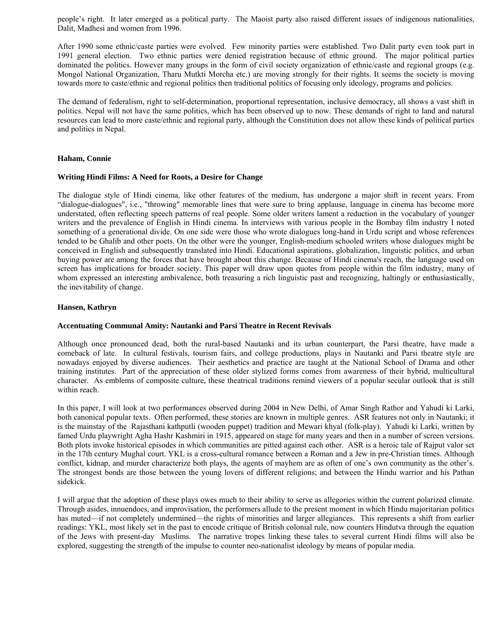people's right. It later emerged as a political party. The Maoist party also raised different issues of indigenous nationalities, Dalit, Madhesi and women from 1996.

After 1990 some ethnic/caste parties were evolved. Few minority parties were established. Two Dalit party even took part in 1991 general election. Two ethnic parties were denied registration because of ethnic ground. The major political parties dominated the politics. However many groups in the form of civil society organization of ethnic/caste and regional groups (e.g. Mongol National Organization, Tharu Mutkti Morcha etc.) are moving strongly for their rights. It seems the society is moving towards more to caste/ethnic and regional politics then traditional politics of focusing only ideology, programs and policies.

The demand of federalism, right to self-determination, proportional representation, inclusive democracy, all shows a vast shift in politics. Nepal will not have the same politics, which has been observed up to now. These demands of right to land and natural resources can lead to more caste/ethnic and regional party, although the Constitution does not allow these kinds of political parties and politics in Nepal.

## **Haham, Connie**

## **Writing Hindi Films: A Need for Roots, a Desire for Change**

The dialogue style of Hindi cinema, like other features of the medium, has undergone a major shift in recent years. From "dialogue-dialogues", i.e., "throwing" memorable lines that were sure to bring applause, language in cinema has become more understated, often reflecting speech patterns of real people. Some older writers lament a reduction in the vocabulary of younger writers and the prevalence of English in Hindi cinema. In interviews with various people in the Bombay film industry I noted something of a generational divide. On one side were those who wrote dialogues long-hand in Urdu script and whose references tended to be Ghalib and other poets. On the other were the younger, English-medium schooled writers whose dialogues might be conceived in English and subsequently translated into Hindi. Educational aspirations, globalization, linguistic politics, and urban buying power are among the forces that have brought about this change. Because of Hindi cinema's reach, the language used on screen has implications for broader society. This paper will draw upon quotes from people within the film industry, many of whom expressed an interesting ambivalence, both treasuring a rich linguistic past and recognizing, haltingly or enthusiastically, the inevitability of change.

## **Hansen, Kathryn**

## **Accentuating Communal Amity: Nautanki and Parsi Theatre in Recent Revivals**

Although once pronounced dead, both the rural-based Nautanki and its urban counterpart, the Parsi theatre, have made a comeback of late. In cultural festivals, tourism fairs, and college productions, plays in Nautanki and Parsi theatre style are nowadays enjoyed by diverse audiences. Their aesthetics and practice are taught at the National School of Drama and other training institutes. Part of the appreciation of these older stylized forms comes from awareness of their hybrid, multicultural character. As emblems of composite culture, these theatrical traditions remind viewers of a popular secular outlook that is still within reach.

In this paper, I will look at two performances observed during 2004 in New Delhi, of Amar Singh Rathor and Yahudi ki Larki, both canonical popular texts. Often performed, these stories are known in multiple genres. ASR features not only in Nautanki; it is the mainstay of the Rajasthani kathputli (wooden puppet) tradition and Mewari khyal (folk-play). Yahudi ki Larki, written by famed Urdu playwright Agha Hashr Kashmiri in 1915, appeared on stage for many years and then in a number of screen versions. Both plots invoke historical episodes in which communities are pitted against each other. ASR is a heroic tale of Rajput valor set in the 17th century Mughal court. YKL is a cross-cultural romance between a Roman and a Jew in pre-Christian times. Although conflict, kidnap, and murder characterize both plays, the agents of mayhem are as often of one's own community as the other's. The strongest bonds are those between the young lovers of different religions; and between the Hindu warrior and his Pathan sidekick.

I will argue that the adoption of these plays owes much to their ability to serve as allegories within the current polarized climate. Through asides, innuendoes, and improvisation, the performers allude to the present moment in which Hindu majoritarian politics has muted—if not completely undermined—the rights of minorities and larger allegiances. This represents a shift from earlier readings: YKL, most likely set in the past to encode critique of British colonial rule, now counters Hindutva through the equation of the Jews with present-day Muslims. The narrative tropes linking these tales to several current Hindi films will also be explored, suggesting the strength of the impulse to counter neo-nationalist ideology by means of popular media.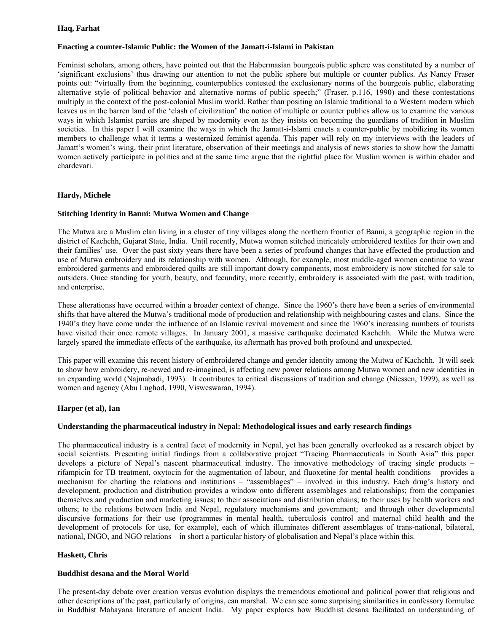## **Haq, Farhat**

## **Enacting a counter-Islamic Public: the Women of the Jamatt-i-Islami in Pakistan**

Feminist scholars, among others, have pointed out that the Habermasian bourgeois public sphere was constituted by a number of 'significant exclusions' thus drawing our attention to not the public sphere but multiple or counter publics. As Nancy Fraser points out: "virtually from the beginning, counterpublics contested the exclusionary norms of the bourgeois public, elaborating alternative style of political behavior and alternative norms of public speech;" (Fraser, p.116, 1990) and these contestations multiply in the context of the post-colonial Muslim world. Rather than positing an Islamic traditional to a Western modern which leaves us in the barren land of the 'clash of civilization' the notion of multiple or counter publics allow us to examine the various ways in which Islamist parties are shaped by modernity even as they insists on becoming the guardians of tradition in Muslim societies. In this paper I will examine the ways in which the Jamatt-i-Islami enacts a counter-public by mobilizing its women members to challenge what it terms a westernized feminist agenda. This paper will rely on my interviews with the leaders of Jamatt's women's wing, their print literature, observation of their meetings and analysis of news stories to show how the Jamatti women actively participate in politics and at the same time argue that the rightful place for Muslim women is within chador and chardevari.

## **Hardy, Michele**

## **Stitching Identity in Banni: Mutwa Women and Change**

The Mutwa are a Muslim clan living in a cluster of tiny villages along the northern frontier of Banni, a geographic region in the district of Kachchh, Gujarat State, India. Until recently, Mutwa women stitched intricately embroidered textiles for their own and their families' use. Over the past sixty years there have been a series of profound changes that have effected the production and use of Mutwa embroidery and its relationship with women. Although, for example, most middle-aged women continue to wear embroidered garments and embroidered quilts are still important dowry components, most embroidery is now stitched for sale to outsiders. Once standing for youth, beauty, and fecundity, more recently, embroidery is associated with the past, with tradition, and enterprise.

These alterationss have occurred within a broader context of change. Since the 1960's there have been a series of environmental shifts that have altered the Mutwa's traditional mode of production and relationship with neighbouring castes and clans. Since the 1940's they have come under the influence of an Islamic revival movement and since the 1960's increasing numbers of tourists have visited their once remote villages. In January 2001, a massive earthquake decimated Kachchh. While the Mutwa were largely spared the immediate effects of the earthquake, its aftermath has proved both profound and unexpected.

This paper will examine this recent history of embroidered change and gender identity among the Mutwa of Kachchh. It will seek to show how embroidery, re-newed and re-imagined, is affecting new power relations among Mutwa women and new identities in an expanding world (Najmabadi, 1993). It contributes to critical discussions of tradition and change (Niessen, 1999), as well as women and agency (Abu Lughod, 1990, Visweswaran, 1994).

## **Harper (et al), Ian**

## **Understanding the pharmaceutical industry in Nepal: Methodological issues and early research findings**

The pharmaceutical industry is a central facet of modernity in Nepal, yet has been generally overlooked as a research object by social scientists. Presenting initial findings from a collaborative project "Tracing Pharmaceuticals in South Asia" this paper develops a picture of Nepal's nascent pharmaceutical industry. The innovative methodology of tracing single products – rifampicin for TB treatment, oxytocin for the augmentation of labour, and fluoxetine for mental health conditions – provides a mechanism for charting the relations and institutions – "assemblages" – involved in this industry. Each drug's history and development, production and distribution provides a window onto different assemblages and relationships; from the companies themselves and production and marketing issues; to their associations and distribution chains; to their uses by health workers and others; to the relations between India and Nepal, regulatory mechanisms and government; and through other developmental discursive formations for their use (programmes in mental health, tuberculosis control and maternal child health and the development of protocols for use, for example), each of which illuminates different assemblages of trans-national, bilateral, national, INGO, and NGO relations – in short a particular history of globalisation and Nepal's place within this.

## **Haskett, Chris**

## **Buddhist desana and the Moral World**

The present-day debate over creation versus evolution displays the tremendous emotional and political power that religious and other descriptions of the past, particularly of origins, can marshal. We can see some surprising similarities in confessory formulae in Buddhist Mahayana literature of ancient India. My paper explores how Buddhist desana facilitated an understanding of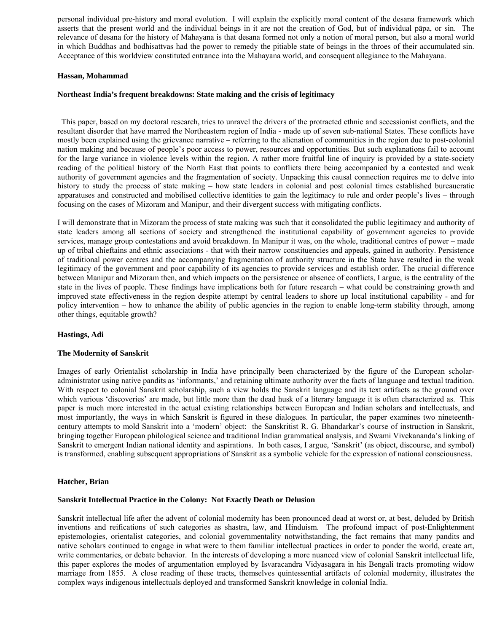personal individual pre-history and moral evolution. I will explain the explicitly moral content of the desana framework which asserts that the present world and the individual beings in it are not the creation of God, but of individual pāpa, or sin. The relevance of desana for the history of Mahayana is that desana formed not only a notion of moral person, but also a moral world in which Buddhas and bodhisattvas had the power to remedy the pitiable state of beings in the throes of their accumulated sin. Acceptance of this worldview constituted entrance into the Mahayana world, and consequent allegiance to the Mahayana.

#### **Hassan, Mohammad**

#### **Northeast India's frequent breakdowns: State making and the crisis of legitimacy**

 This paper, based on my doctoral research, tries to unravel the drivers of the protracted ethnic and secessionist conflicts, and the resultant disorder that have marred the Northeastern region of India - made up of seven sub-national States. These conflicts have mostly been explained using the grievance narrative – referring to the alienation of communities in the region due to post-colonial nation making and because of people's poor access to power, resources and opportunities. But such explanations fail to account for the large variance in violence levels within the region. A rather more fruitful line of inquiry is provided by a state-society reading of the political history of the North East that points to conflicts there being accompanied by a contested and weak authority of government agencies and the fragmentation of society. Unpacking this causal connection requires me to delve into history to study the process of state making – how state leaders in colonial and post colonial times established bureaucratic apparatuses and constructed and mobilised collective identities to gain the legitimacy to rule and order people's lives – through focusing on the cases of Mizoram and Manipur, and their divergent success with mitigating conflicts.

I will demonstrate that in Mizoram the process of state making was such that it consolidated the public legitimacy and authority of state leaders among all sections of society and strengthened the institutional capability of government agencies to provide services, manage group contestations and avoid breakdown. In Manipur it was, on the whole, traditional centres of power – made up of tribal chieftains and ethnic associations - that with their narrow constituencies and appeals, gained in authority. Persistence of traditional power centres and the accompanying fragmentation of authority structure in the State have resulted in the weak legitimacy of the government and poor capability of its agencies to provide services and establish order. The crucial difference between Manipur and Mizoram then, and which impacts on the persistence or absence of conflicts, I argue, is the centrality of the state in the lives of people. These findings have implications both for future research – what could be constraining growth and improved state effectiveness in the region despite attempt by central leaders to shore up local institutional capability - and for policy intervention – how to enhance the ability of public agencies in the region to enable long-term stability through, among other things, equitable growth?

#### **Hastings, Adi**

#### **The Modernity of Sanskrit**

Images of early Orientalist scholarship in India have principally been characterized by the figure of the European scholaradministrator using native pandits as 'informants,' and retaining ultimate authority over the facts of language and textual tradition. With respect to colonial Sanskrit scholarship, such a view holds the Sanskrit language and its text artifacts as the ground over which various 'discoveries' are made, but little more than the dead husk of a literary language it is often characterized as. This paper is much more interested in the actual existing relationships between European and Indian scholars and intellectuals, and most importantly, the ways in which Sanskrit is figured in these dialogues. In particular, the paper examines two nineteenthcentury attempts to mold Sanskrit into a 'modern' object: the Sanskritist R. G. Bhandarkar's course of instruction in Sanskrit, bringing together European philological science and traditional Indian grammatical analysis, and Swami Vivekananda's linking of Sanskrit to emergent Indian national identity and aspirations. In both cases, I argue, 'Sanskrit' (as object, discourse, and symbol) is transformed, enabling subsequent appropriations of Sanskrit as a symbolic vehicle for the expression of national consciousness.

#### **Hatcher, Brian**

## **Sanskrit Intellectual Practice in the Colony: Not Exactly Death or Delusion**

Sanskrit intellectual life after the advent of colonial modernity has been pronounced dead at worst or, at best, deluded by British inventions and reifications of such categories as shastra, law, and Hinduism. The profound impact of post-Enlightenment epistemologies, orientalist categories, and colonial governmentality notwithstanding, the fact remains that many pandits and native scholars continued to engage in what were to them familiar intellectual practices in order to ponder the world, create art, write commentaries, or debate behavior. In the interests of developing a more nuanced view of colonial Sanskrit intellectual life, this paper explores the modes of argumentation employed by Isvaracandra Vidyasagara in his Bengali tracts promoting widow marriage from 1855. A close reading of these tracts, themselves quintessential artifacts of colonial modernity, illustrates the complex ways indigenous intellectuals deployed and transformed Sanskrit knowledge in colonial India.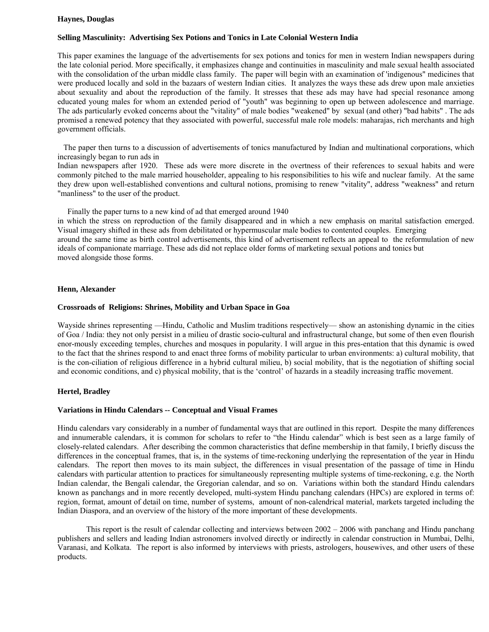#### **Haynes, Douglas**

# **Selling Masculinity: Advertising Sex Potions and Tonics in Late Colonial Western India**

This paper examines the language of the advertisements for sex potions and tonics for men in western Indian newspapers during the late colonial period. More specifically, it emphasizes change and continuities in masculinity and male sexual health associated with the consolidation of the urban middle class family. The paper will begin with an examination of 'indigenous" medicines that were produced locally and sold in the bazaars of western Indian cities. It analyzes the ways these ads drew upon male anxieties about sexuality and about the reproduction of the family. It stresses that these ads may have had special resonance among educated young males for whom an extended period of "youth" was beginning to open up between adolescence and marriage. The ads particularly evoked concerns about the "vitality" of male bodies "weakened" by sexual (and other) "bad habits" . The ads promised a renewed potency that they associated with powerful, successful male role models: maharajas, rich merchants and high government officials.

 The paper then turns to a discussion of advertisements of tonics manufactured by Indian and multinational corporations, which increasingly began to run ads in

Indian newspapers after 1920. These ads were more discrete in the overtness of their references to sexual habits and were commonly pitched to the male married householder, appealing to his responsibilities to his wife and nuclear family. At the same they drew upon well-established conventions and cultural notions, promising to renew "vitality", address "weakness" and return "manliness" to the user of the product.

Finally the paper turns to a new kind of ad that emerged around 1940

in which the stress on reproduction of the family disappeared and in which a new emphasis on marital satisfaction emerged. Visual imagery shifted in these ads from debilitated or hypermuscular male bodies to contented couples. Emerging around the same time as birth control advertisements, this kind of advertisement reflects an appeal to the reformulation of new ideals of companionate marriage. These ads did not replace older forms of marketing sexual potions and tonics but moved alongside those forms.

## **Henn, Alexander**

#### **Crossroads of Religions: Shrines, Mobility and Urban Space in Goa**

Wayside shrines representing —Hindu, Catholic and Muslim traditions respectively— show an astonishing dynamic in the cities of Goa / India: they not only persist in a milieu of drastic socio-cultural and infrastructural change, but some of then even flourish enor-mously exceeding temples, churches and mosques in popularity. I will argue in this pres-entation that this dynamic is owed to the fact that the shrines respond to and enact three forms of mobility particular to urban environments: a) cultural mobility, that is the con-ciliation of religious difference in a hybrid cultural milieu, b) social mobility, that is the negotiation of shifting social and economic conditions, and c) physical mobility, that is the 'control' of hazards in a steadily increasing traffic movement.

#### **Hertel, Bradley**

#### **Variations in Hindu Calendars -- Conceptual and Visual Frames**

Hindu calendars vary considerably in a number of fundamental ways that are outlined in this report. Despite the many differences and innumerable calendars, it is common for scholars to refer to "the Hindu calendar" which is best seen as a large family of closely-related calendars. After describing the common characteristics that define membership in that family, I briefly discuss the differences in the conceptual frames, that is, in the systems of time-reckoning underlying the representation of the year in Hindu calendars. The report then moves to its main subject, the differences in visual presentation of the passage of time in Hindu calendars with particular attention to practices for simultaneously representing multiple systems of time-reckoning, e.g. the North Indian calendar, the Bengali calendar, the Gregorian calendar, and so on. Variations within both the standard Hindu calendars known as panchangs and in more recently developed, multi-system Hindu panchang calendars (HPCs) are explored in terms of: region, format, amount of detail on time, number of systems, amount of non-calendrical material, markets targeted including the Indian Diaspora, and an overview of the history of the more important of these developments.

 This report is the result of calendar collecting and interviews between 2002 – 2006 with panchang and Hindu panchang publishers and sellers and leading Indian astronomers involved directly or indirectly in calendar construction in Mumbai, Delhi, Varanasi, and Kolkata. The report is also informed by interviews with priests, astrologers, housewives, and other users of these products.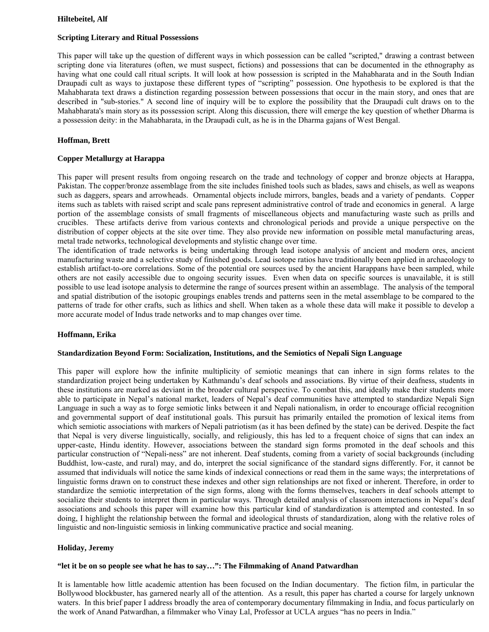## **Hiltebeitel, Alf**

# **Scripting Literary and Ritual Possessions**

This paper will take up the question of different ways in which possession can be called "scripted," drawing a contrast between scripting done via literatures (often, we must suspect, fictions) and possessions that can be documented in the ethnography as having what one could call ritual scripts. It will look at how possession is scripted in the Mahabharata and in the South Indian Draupadi cult as ways to juxtapose these different types of "scripting" possession. One hypothesis to be explored is that the Mahabharata text draws a distinction regarding possession between possessions that occur in the main story, and ones that are described in "sub-stories." A second line of inquiry will be to explore the possibility that the Draupadi cult draws on to the Mahabharata's main story as its possession script. Along this discussion, there will emerge the key question of whether Dharma is a possession deity: in the Mahabharata, in the Draupadi cult, as he is in the Dharma gajans of West Bengal.

# **Hoffman, Brett**

# **Copper Metallurgy at Harappa**

This paper will present results from ongoing research on the trade and technology of copper and bronze objects at Harappa, Pakistan. The copper/bronze assemblage from the site includes finished tools such as blades, saws and chisels, as well as weapons such as daggers, spears and arrowheads. Ornamental objects include mirrors, bangles, beads and a variety of pendants. Copper items such as tablets with raised script and scale pans represent administrative control of trade and economics in general. A large portion of the assemblage consists of small fragments of miscellaneous objects and manufacturing waste such as prills and crucibles. These artifacts derive from various contexts and chronological periods and provide a unique perspective on the distribution of copper objects at the site over time. They also provide new information on possible metal manufacturing areas, metal trade networks, technological developments and stylistic change over time.

The identification of trade networks is being undertaking through lead isotope analysis of ancient and modern ores, ancient manufacturing waste and a selective study of finished goods. Lead isotope ratios have traditionally been applied in archaeology to establish artifact-to-ore correlations. Some of the potential ore sources used by the ancient Harappans have been sampled, while others are not easily accessible due to ongoing security issues. Even when data on specific sources is unavailable, it is still possible to use lead isotope analysis to determine the range of sources present within an assemblage. The analysis of the temporal and spatial distribution of the isotopic groupings enables trends and patterns seen in the metal assemblage to be compared to the patterns of trade for other crafts, such as lithics and shell. When taken as a whole these data will make it possible to develop a more accurate model of Indus trade networks and to map changes over time.

#### **Hoffmann, Erika**

#### **Standardization Beyond Form: Socialization, Institutions, and the Semiotics of Nepali Sign Language**

This paper will explore how the infinite multiplicity of semiotic meanings that can inhere in sign forms relates to the standardization project being undertaken by Kathmandu's deaf schools and associations. By virtue of their deafness, students in these institutions are marked as deviant in the broader cultural perspective. To combat this, and ideally make their students more able to participate in Nepal's national market, leaders of Nepal's deaf communities have attempted to standardize Nepali Sign Language in such a way as to forge semiotic links between it and Nepali nationalism, in order to encourage official recognition and governmental support of deaf institutional goals. This pursuit has primarily entailed the promotion of lexical items from which semiotic associations with markers of Nepali patriotism (as it has been defined by the state) can be derived. Despite the fact that Nepal is very diverse linguistically, socially, and religiously, this has led to a frequent choice of signs that can index an upper-caste, Hindu identity. However, associations between the standard sign forms promoted in the deaf schools and this particular construction of "Nepali-ness" are not inherent. Deaf students, coming from a variety of social backgrounds (including Buddhist, low-caste, and rural) may, and do, interpret the social significance of the standard signs differently. For, it cannot be assumed that individuals will notice the same kinds of indexical connections or read them in the same ways; the interpretations of linguistic forms drawn on to construct these indexes and other sign relationships are not fixed or inherent. Therefore, in order to standardize the semiotic interpretation of the sign forms, along with the forms themselves, teachers in deaf schools attempt to socialize their students to interpret them in particular ways. Through detailed analysis of classroom interactions in Nepal's deaf associations and schools this paper will examine how this particular kind of standardization is attempted and contested. In so doing, I highlight the relationship between the formal and ideological thrusts of standardization, along with the relative roles of linguistic and non-linguistic semiosis in linking communicative practice and social meaning.

# **Holiday, Jeremy**

# **"let it be on so people see what he has to say…": The Filmmaking of Anand Patwardhan**

It is lamentable how little academic attention has been focused on the Indian documentary. The fiction film, in particular the Bollywood blockbuster, has garnered nearly all of the attention. As a result, this paper has charted a course for largely unknown waters. In this brief paper I address broadly the area of contemporary documentary filmmaking in India, and focus particularly on the work of Anand Patwardhan, a filmmaker who Vinay Lal, Professor at UCLA argues "has no peers in India."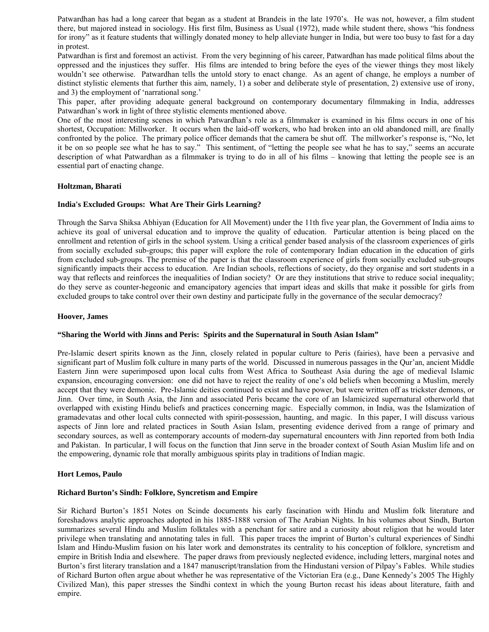Patwardhan has had a long career that began as a student at Brandeis in the late 1970's. He was not, however, a film student there, but majored instead in sociology. His first film, Business as Usual (1972), made while student there, shows "his fondness for irony" as it feature students that willingly donated money to help alleviate hunger in India, but were too busy to fast for a day in protest.

Patwardhan is first and foremost an activist. From the very beginning of his career, Patwardhan has made political films about the oppressed and the injustices they suffer. His films are intended to bring before the eyes of the viewer things they most likely wouldn't see otherwise. Patwardhan tells the untold story to enact change. As an agent of change, he employs a number of distinct stylistic elements that further this aim, namely, 1) a sober and deliberate style of presentation, 2) extensive use of irony, and 3) the employment of 'narrational song.'

This paper, after providing adequate general background on contemporary documentary filmmaking in India, addresses Patwardhan's work in light of three stylistic elements mentioned above.

One of the most interesting scenes in which Patwardhan's role as a filmmaker is examined in his films occurs in one of his shortest, Occupation: Millworker. It occurs when the laid-off workers, who had broken into an old abandoned mill, are finally confronted by the police. The primary police officer demands that the camera be shut off. The millworker's response is, "No, let it be on so people see what he has to say." This sentiment, of "letting the people see what he has to say," seems an accurate description of what Patwardhan as a filmmaker is trying to do in all of his films – knowing that letting the people see is an essential part of enacting change.

#### **Holtzman, Bharati**

# **India's Excluded Groups: What Are Their Girls Learning?**

Through the Sarva Shiksa Abhiyan (Education for All Movement) under the 11th five year plan, the Government of India aims to achieve its goal of universal education and to improve the quality of education. Particular attention is being placed on the enrollment and retention of girls in the school system. Using a critical gender based analysis of the classroom experiences of girls from socially excluded sub-groups; this paper will explore the role of contemporary Indian education in the education of girls from excluded sub-groups. The premise of the paper is that the classroom experience of girls from socially excluded sub-groups significantly impacts their access to education. Are Indian schools, reflections of society, do they organise and sort students in a way that reflects and reinforces the inequalities of Indian society? Or are they institutions that strive to reduce social inequality; do they serve as counter-hegeonic and emancipatory agencies that impart ideas and skills that make it possible for girls from excluded groups to take control over their own destiny and participate fully in the governance of the secular democracy?

#### **Hoover, James**

#### **"Sharing the World with Jinns and Peris: Spirits and the Supernatural in South Asian Islam"**

Pre-Islamic desert spirits known as the Jinn, closely related in popular culture to Peris (fairies), have been a pervasive and significant part of Muslim folk culture in many parts of the world. Discussed in numerous passages in the Qur'an, ancient Middle Eastern Jinn were superimposed upon local cults from West Africa to Southeast Asia during the age of medieval Islamic expansion, encouraging conversion: one did not have to reject the reality of one's old beliefs when becoming a Muslim, merely accept that they were demonic. Pre-Islamic deities continued to exist and have power, but were written off as trickster demons, or Jinn. Over time, in South Asia, the Jinn and associated Peris became the core of an Islamicized supernatural otherworld that overlapped with existing Hindu beliefs and practices concerning magic. Especially common, in India, was the Islamization of gramadevatas and other local cults connected with spirit-possession, haunting, and magic. In this paper, I will discuss various aspects of Jinn lore and related practices in South Asian Islam, presenting evidence derived from a range of primary and secondary sources, as well as contemporary accounts of modern-day supernatural encounters with Jinn reported from both India and Pakistan. In particular, I will focus on the function that Jinn serve in the broader context of South Asian Muslim life and on the empowering, dynamic role that morally ambiguous spirits play in traditions of Indian magic.

#### **Hort Lemos, Paulo**

#### **Richard Burton's Sindh: Folklore, Syncretism and Empire**

Sir Richard Burton's 1851 Notes on Scinde documents his early fascination with Hindu and Muslim folk literature and foreshadows analytic approaches adopted in his 1885-1888 version of The Arabian Nights. In his volumes about Sindh, Burton summarizes several Hindu and Muslim folktales with a penchant for satire and a curiosity about religion that he would later privilege when translating and annotating tales in full. This paper traces the imprint of Burton's cultural experiences of Sindhi Islam and Hindu-Muslim fusion on his later work and demonstrates its centrality to his conception of folklore, syncretism and empire in British India and elsewhere. The paper draws from previously neglected evidence, including letters, marginal notes and Burton's first literary translation and a 1847 manuscript/translation from the Hindustani version of Pilpay's Fables. While studies of Richard Burton often argue about whether he was representative of the Victorian Era (e.g., Dane Kennedy's 2005 The Highly Civilized Man), this paper stresses the Sindhi context in which the young Burton recast his ideas about literature, faith and empire.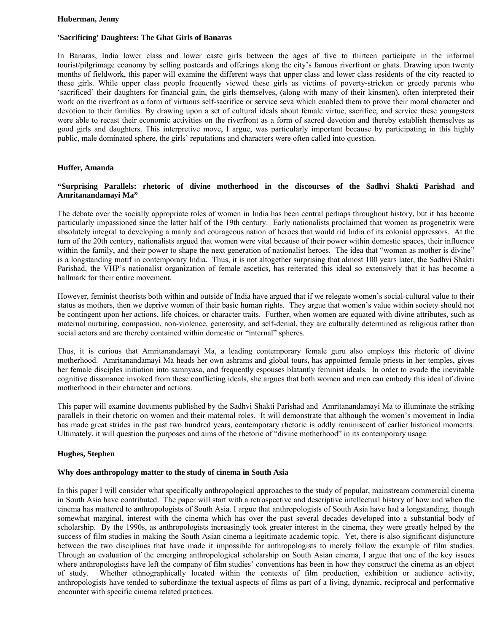#### **Huberman, Jenny**

## **'Sacrificing' Daughters: The Ghat Girls of Banaras**

In Banaras, India lower class and lower caste girls between the ages of five to thirteen participate in the informal tourist/pilgrimage economy by selling postcards and offerings along the city's famous riverfront or ghats. Drawing upon twenty months of fieldwork, this paper will examine the different ways that upper class and lower class residents of the city reacted to these girls. While upper class people frequently viewed these girls as victims of poverty-stricken or greedy parents who 'sacrificed' their daughters for financial gain, the girls themselves, (along with many of their kinsmen), often interpreted their work on the riverfront as a form of virtuous self-sacrifice or service seva which enabled them to prove their moral character and devotion to their families. By drawing upon a set of cultural ideals about female virtue, sacrifice, and service these youngsters were able to recast their economic activities on the riverfront as a form of sacred devotion and thereby establish themselves as good girls and daughters. This interpretive move, I argue, was particularly important because by participating in this highly public, male dominated sphere, the girls' reputations and characters were often called into question.

#### **Huffer, Amanda**

# **"Surprising Parallels: rhetoric of divine motherhood in the discourses of the Sadhvi Shakti Parishad and Amritanandamayi Ma"**

The debate over the socially appropriate roles of women in India has been central perhaps throughout history, but it has become particularly impassioned since the latter half of the 19th century. Early nationalists proclaimed that women as progenetrix were absolutely integral to developing a manly and courageous nation of heroes that would rid India of its colonial oppressors. At the turn of the 20th century, nationalists argued that women were vital because of their power within domestic spaces, their influence within the family, and their power to shape the next generation of nationalist heroes. The idea that "woman as mother is divine" is a longstanding motif in contemporary India. Thus, it is not altogether surprising that almost 100 years later, the Sadhvi Shakti Parishad, the VHP's nationalist organization of female ascetics, has reiterated this ideal so extensively that it has become a hallmark for their entire movement.

However, feminist theorists both within and outside of India have argued that if we relegate women's social-cultural value to their status as mothers, then we deprive women of their basic human rights. They argue that women's value within society should not be contingent upon her actions, life choices, or character traits. Further, when women are equated with divine attributes, such as maternal nurturing, compassion, non-violence, generosity, and self-denial, they are culturally determined as religious rather than social actors and are thereby contained within domestic or "internal" spheres.

Thus, it is curious that Amritanandamayi Ma, a leading contemporary female guru also employs this rhetoric of divine motherhood. Amritanandamayi Ma heads her own ashrams and global tours, has appointed female priests in her temples, gives her female disciples initiation into samnyasa, and frequently espouses blatantly feminist ideals. In order to evade the inevitable cognitive dissonance invoked from these conflicting ideals, she argues that both women and men can embody this ideal of divine motherhood in their character and actions.

This paper will examine documents published by the Sadhvi Shakti Parishad and Amritanandamayi Ma to illuminate the striking parallels in their rhetoric on women and their maternal roles. It will demonstrate that although the women's movement in India has made great strides in the past two hundred years, contemporary rhetoric is oddly reminiscent of earlier historical moments. Ultimately, it will question the purposes and aims of the rhetoric of "divine motherhood" in its contemporary usage.

#### **Hughes, Stephen**

#### **Why does anthropology matter to the study of cinema in South Asia**

In this paper I will consider what specifically anthropological approaches to the study of popular, mainstream commercial cinema in South Asia have contributed. The paper will start with a retrospective and descriptive intellectual history of how and when the cinema has mattered to anthropologists of South Asia. I argue that anthropologists of South Asia have had a longstanding, though somewhat marginal, interest with the cinema which has over the past several decades developed into a substantial body of scholarship. By the 1990s, as anthropologists increasingly took greater interest in the cinema, they were greatly helped by the success of film studies in making the South Asian cinema a legitimate academic topic. Yet, there is also significant disjuncture between the two disciplines that have made it impossible for anthropologists to merely follow the example of film studies. Through an evaluation of the emerging anthropological scholarship on South Asian cinema, I argue that one of the key issues where anthropologists have left the company of film studies' conventions has been in how they construct the cinema as an object of study. Whether ethnographically located within the contexts of film production, exhibition or audience activity, anthropologists have tended to subordinate the textual aspects of films as part of a living, dynamic, reciprocal and performative encounter with specific cinema related practices.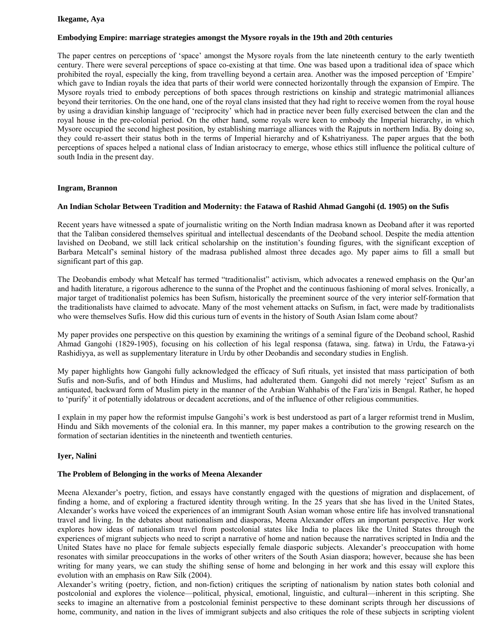## **Ikegame, Aya**

# **Embodying Empire: marriage strategies amongst the Mysore royals in the 19th and 20th centuries**

The paper centres on perceptions of 'space' amongst the Mysore royals from the late nineteenth century to the early twentieth century. There were several perceptions of space co-existing at that time. One was based upon a traditional idea of space which prohibited the royal, especially the king, from travelling beyond a certain area. Another was the imposed perception of 'Empire' which gave to Indian royals the idea that parts of their world were connected horizontally through the expansion of Empire. The Mysore royals tried to embody perceptions of both spaces through restrictions on kinship and strategic matrimonial alliances beyond their territories. On the one hand, one of the royal clans insisted that they had right to receive women from the royal house by using a dravidian kinship language of 'reciprocity' which had in practice never been fully exercised between the clan and the royal house in the pre-colonial period. On the other hand, some royals were keen to embody the Imperial hierarchy, in which Mysore occupied the second highest position, by establishing marriage alliances with the Rajputs in northern India. By doing so, they could re-assert their status both in the terms of Imperial hierarchy and of Kshatriyaness. The paper argues that the both perceptions of spaces helped a national class of Indian aristocracy to emerge, whose ethics still influence the political culture of south India in the present day.

#### **Ingram, Brannon**

#### **An Indian Scholar Between Tradition and Modernity: the Fatawa of Rashid Ahmad Gangohi (d. 1905) on the Sufis**

Recent years have witnessed a spate of journalistic writing on the North Indian madrasa known as Deoband after it was reported that the Taliban considered themselves spiritual and intellectual descendants of the Deoband school. Despite the media attention lavished on Deoband, we still lack critical scholarship on the institution's founding figures, with the significant exception of Barbara Metcalf's seminal history of the madrasa published almost three decades ago. My paper aims to fill a small but significant part of this gap.

The Deobandis embody what Metcalf has termed "traditionalist" activism, which advocates a renewed emphasis on the Qur'an and hadith literature, a rigorous adherence to the sunna of the Prophet and the continuous fashioning of moral selves. Ironically, a major target of traditionalist polemics has been Sufism, historically the preeminent source of the very interior self-formation that the traditionalists have claimed to advocate. Many of the most vehement attacks on Sufism, in fact, were made by traditionalists who were themselves Sufis. How did this curious turn of events in the history of South Asian Islam come about?

My paper provides one perspective on this question by examining the writings of a seminal figure of the Deoband school, Rashid Ahmad Gangohi (1829-1905), focusing on his collection of his legal responsa (fatawa, sing. fatwa) in Urdu, the Fatawa-yi Rashidiyya, as well as supplementary literature in Urdu by other Deobandis and secondary studies in English.

My paper highlights how Gangohi fully acknowledged the efficacy of Sufi rituals, yet insisted that mass participation of both Sufis and non-Sufis, and of both Hindus and Muslims, had adulterated them. Gangohi did not merely 'reject' Sufism as an antiquated, backward form of Muslim piety in the manner of the Arabian Wahhabis of the Fara'izis in Bengal. Rather, he hoped to 'purify' it of potentially idolatrous or decadent accretions, and of the influence of other religious communities.

I explain in my paper how the reformist impulse Gangohi's work is best understood as part of a larger reformist trend in Muslim, Hindu and Sikh movements of the colonial era. In this manner, my paper makes a contribution to the growing research on the formation of sectarian identities in the nineteenth and twentieth centuries.

#### **Iyer, Nalini**

# **The Problem of Belonging in the works of Meena Alexander**

Meena Alexander's poetry, fiction, and essays have constantly engaged with the questions of migration and displacement, of finding a home, and of exploring a fractured identity through writing. In the 25 years that she has lived in the United States, Alexander's works have voiced the experiences of an immigrant South Asian woman whose entire life has involved transnational travel and living. In the debates about nationalism and diasporas, Meena Alexander offers an important perspective. Her work explores how ideas of nationalism travel from postcolonial states like India to places like the United States through the experiences of migrant subjects who need to script a narrative of home and nation because the narratives scripted in India and the United States have no place for female subjects especially female diasporic subjects. Alexander's preoccupation with home resonates with similar preoccupations in the works of other writers of the South Asian diaspora; however, because she has been writing for many years, we can study the shifting sense of home and belonging in her work and this essay will explore this evolution with an emphasis on Raw Silk (2004).

Alexander's writing (poetry, fiction, and non-fiction) critiques the scripting of nationalism by nation states both colonial and postcolonial and explores the violence—political, physical, emotional, linguistic, and cultural—inherent in this scripting. She seeks to imagine an alternative from a postcolonial feminist perspective to these dominant scripts through her discussions of home, community, and nation in the lives of immigrant subjects and also critiques the role of these subjects in scripting violent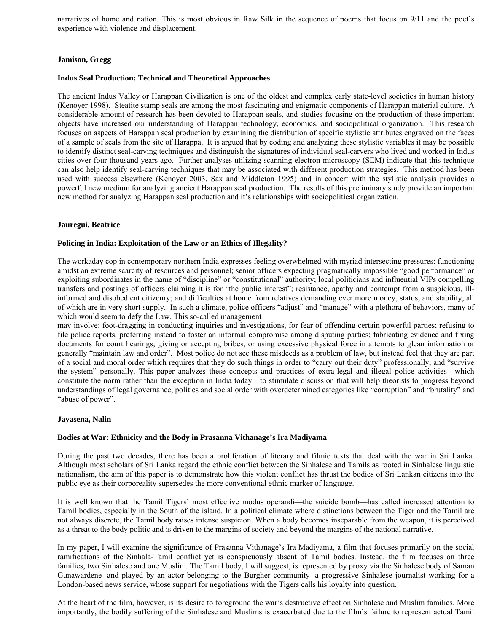narratives of home and nation. This is most obvious in Raw Silk in the sequence of poems that focus on 9/11 and the poet's experience with violence and displacement.

# **Jamison, Gregg**

## **Indus Seal Production: Technical and Theoretical Approaches**

The ancient Indus Valley or Harappan Civilization is one of the oldest and complex early state-level societies in human history (Kenoyer 1998). Steatite stamp seals are among the most fascinating and enigmatic components of Harappan material culture. A considerable amount of research has been devoted to Harappan seals, and studies focusing on the production of these important objects have increased our understanding of Harappan technology, economics, and sociopolitical organization. This research focuses on aspects of Harappan seal production by examining the distribution of specific stylistic attributes engraved on the faces of a sample of seals from the site of Harappa. It is argued that by coding and analyzing these stylistic variables it may be possible to identify distinct seal-carving techniques and distinguish the signatures of individual seal-carvers who lived and worked in Indus cities over four thousand years ago. Further analyses utilizing scanning electron microscopy (SEM) indicate that this technique can also help identify seal-carving techniques that may be associated with different production strategies. This method has been used with success elsewhere (Kenoyer 2003, Sax and Middleton 1995) and in concert with the stylistic analysis provides a powerful new medium for analyzing ancient Harappan seal production. The results of this preliminary study provide an important new method for analyzing Harappan seal production and it's relationships with sociopolitical organization.

#### **Jauregui, Beatrice**

#### **Policing in India: Exploitation of the Law or an Ethics of Illegality?**

The workaday cop in contemporary northern India expresses feeling overwhelmed with myriad intersecting pressures: functioning amidst an extreme scarcity of resources and personnel; senior officers expecting pragmatically impossible "good performance" or exploiting subordinates in the name of "discipline" or "constitutional" authority; local politicians and influential VIPs compelling transfers and postings of officers claiming it is for "the public interest"; resistance, apathy and contempt from a suspicious, illinformed and disobedient citizenry; and difficulties at home from relatives demanding ever more money, status, and stability, all of which are in very short supply. In such a climate, police officers "adjust" and "manage" with a plethora of behaviors, many of which would seem to defy the Law. This so-called management

may involve: foot-dragging in conducting inquiries and investigations, for fear of offending certain powerful parties; refusing to file police reports, preferring instead to foster an informal compromise among disputing parties; fabricating evidence and fixing documents for court hearings; giving or accepting bribes, or using excessive physical force in attempts to glean information or generally "maintain law and order". Most police do not see these misdeeds as a problem of law, but instead feel that they are part of a social and moral order which requires that they do such things in order to "carry out their duty" professionally, and "survive the system" personally. This paper analyzes these concepts and practices of extra-legal and illegal police activities—which constitute the norm rather than the exception in India today—to stimulate discussion that will help theorists to progress beyond understandings of legal governance, politics and social order with overdetermined categories like "corruption" and "brutality" and "abuse of power".

#### **Jayasena, Nalin**

#### **Bodies at War: Ethnicity and the Body in Prasanna Vithanage's Ira Madiyama**

During the past two decades, there has been a proliferation of literary and filmic texts that deal with the war in Sri Lanka. Although most scholars of Sri Lanka regard the ethnic conflict between the Sinhalese and Tamils as rooted in Sinhalese linguistic nationalism, the aim of this paper is to demonstrate how this violent conflict has thrust the bodies of Sri Lankan citizens into the public eye as their corporeality supersedes the more conventional ethnic marker of language.

It is well known that the Tamil Tigers' most effective modus operandi—the suicide bomb—has called increased attention to Tamil bodies, especially in the South of the island. In a political climate where distinctions between the Tiger and the Tamil are not always discrete, the Tamil body raises intense suspicion. When a body becomes inseparable from the weapon, it is perceived as a threat to the body politic and is driven to the margins of society and beyond the margins of the national narrative.

In my paper, I will examine the significance of Prasanna Vithanage's Ira Madiyama, a film that focuses primarily on the social ramifications of the Sinhala-Tamil conflict yet is conspicuously absent of Tamil bodies. Instead, the film focuses on three families, two Sinhalese and one Muslim. The Tamil body, I will suggest, is represented by proxy via the Sinhalese body of Saman Gunawardene--and played by an actor belonging to the Burgher community--a progressive Sinhalese journalist working for a London-based news service, whose support for negotiations with the Tigers calls his loyalty into question.

At the heart of the film, however, is its desire to foreground the war's destructive effect on Sinhalese and Muslim families. More importantly, the bodily suffering of the Sinhalese and Muslims is exacerbated due to the film's failure to represent actual Tamil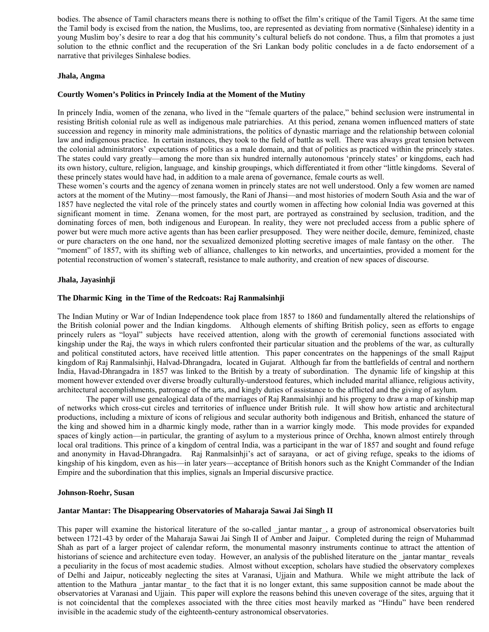bodies. The absence of Tamil characters means there is nothing to offset the film's critique of the Tamil Tigers. At the same time the Tamil body is excised from the nation, the Muslims, too, are represented as deviating from normative (Sinhalese) identity in a young Muslim boy's desire to rear a dog that his community's cultural beliefs do not condone. Thus, a film that promotes a just solution to the ethnic conflict and the recuperation of the Sri Lankan body politic concludes in a de facto endorsement of a narrative that privileges Sinhalese bodies.

### **Jhala, Angma**

# **Courtly Women's Politics in Princely India at the Moment of the Mutiny**

In princely India, women of the zenana, who lived in the "female quarters of the palace," behind seclusion were instrumental in resisting British colonial rule as well as indigenous male patriarchies. At this period, zenana women influenced matters of state succession and regency in minority male administrations, the politics of dynastic marriage and the relationship between colonial law and indigenous practice. In certain instances, they took to the field of battle as well. There was always great tension between the colonial administrators' expectations of politics as a male domain, and that of politics as practiced within the princely states. The states could vary greatly—among the more than six hundred internally autonomous 'princely states' or kingdoms, each had its own history, culture, religion, language, and kinship groupings, which differentiated it from other "little kingdoms. Several of these princely states would have had, in addition to a male arena of governance, female courts as well.

These women's courts and the agency of zenana women in princely states are not well understood. Only a few women are named actors at the moment of the Mutiny—most famously, the Rani of Jhansi—and most histories of modern South Asia and the war of 1857 have neglected the vital role of the princely states and courtly women in affecting how colonial India was governed at this significant moment in time. Zenana women, for the most part, are portrayed as constrained by seclusion, tradition, and the dominating forces of men, both indigenous and European. In reality, they were not precluded access from a public sphere of power but were much more active agents than has been earlier presupposed. They were neither docile, demure, feminized, chaste or pure characters on the one hand, nor the sexualized demonized plotting secretive images of male fantasy on the other. The "moment" of 1857, with its shifting web of alliance, challenges to kin networks, and uncertainties, provided a moment for the potential reconstruction of women's statecraft, resistance to male authority, and creation of new spaces of discourse.

#### **Jhala, Jayasinhji**

## **The Dharmic King in the Time of the Redcoats: Raj Ranmalsinhji**

The Indian Mutiny or War of Indian Independence took place from 1857 to 1860 and fundamentally altered the relationships of the British colonial power and the Indian kingdoms. Although elements of shifting British policy, seen as efforts to engage princely rulers as "loyal" subjects have received attention, along with the growth of ceremonial functions associated with kingship under the Raj, the ways in which rulers confronted their particular situation and the problems of the war, as culturally and political constituted actors, have received little attention. This paper concentrates on the happenings of the small Rajput kingdom of Raj Ranmalsinhji, Halvad-Dhrangadra, located in Gujarat. Although far from the battlefields of central and northern India, Havad-Dhrangadra in 1857 was linked to the British by a treaty of subordination. The dynamic life of kingship at this moment however extended over diverse broadly culturally-understood features, which included marital alliance, religious activity, architectural accomplishments, patronage of the arts, and kingly duties of assistance to the afflicted and the giving of asylum.

 The paper will use genealogical data of the marriages of Raj Ranmalsinhji and his progeny to draw a map of kinship map of networks which cross-cut circles and territories of influence under British rule. It will show how artistic and architectural productions, including a mixture of icons of religious and secular authority both indigenous and British, enhanced the stature of the king and showed him in a dharmic kingly mode, rather than in a warrior kingly mode. This mode provides for expanded spaces of kingly action—in particular, the granting of asylum to a mysterious prince of Orchha, known almost entirely through local oral traditions. This prince of a kingdom of central India, was a participant in the war of 1857 and sought and found refuge and anonymity in Havad-Dhrangadra. Raj Ranmalsinhji's act of sarayana, or act of giving refuge, speaks to the idioms of kingship of his kingdom, even as his—in later years—acceptance of British honors such as the Knight Commander of the Indian Empire and the subordination that this implies, signals an Imperial discursive practice.

#### **Johnson-Roehr, Susan**

#### **Jantar Mantar: The Disappearing Observatories of Maharaja Sawai Jai Singh II**

This paper will examine the historical literature of the so-called \_jantar mantar\_, a group of astronomical observatories built between 1721-43 by order of the Maharaja Sawai Jai Singh II of Amber and Jaipur. Completed during the reign of Muhammad Shah as part of a larger project of calendar reform, the monumental masonry instruments continue to attract the attention of historians of science and architecture even today. However, an analysis of the published literature on the \_jantar mantar\_ reveals a peculiarity in the focus of most academic studies. Almost without exception, scholars have studied the observatory complexes of Delhi and Jaipur, noticeably neglecting the sites at Varanasi, Ujjain and Mathura. While we might attribute the lack of attention to the Mathura \_jantar mantar\_ to the fact that it is no longer extant, this same supposition cannot be made about the observatories at Varanasi and Ujjain. This paper will explore the reasons behind this uneven coverage of the sites, arguing that it is not coincidental that the complexes associated with the three cities most heavily marked as "Hindu" have been rendered invisible in the academic study of the eighteenth-century astronomical observatories.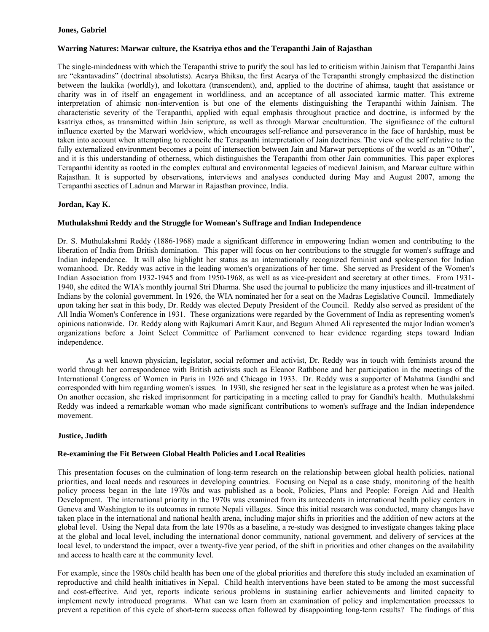# **Jones, Gabriel**

# **Warring Natures: Marwar culture, the Ksatriya ethos and the Terapanthi Jain of Rajasthan**

The single-mindedness with which the Terapanthi strive to purify the soul has led to criticism within Jainism that Terapanthi Jains are "ekantavadins" (doctrinal absolutists). Acarya Bhiksu, the first Acarya of the Terapanthi strongly emphasized the distinction between the laukika (worldly), and lokottara (transcendent), and, applied to the doctrine of ahimsa, taught that assistance or charity was in of itself an engagement in worldliness, and an acceptance of all associated karmic matter. This extreme interpretation of ahimsic non-intervention is but one of the elements distinguishing the Terapanthi within Jainism. The characteristic severity of the Terapanthi, applied with equal emphasis throughout practice and doctrine, is informed by the ksatriya ethos, as transmitted within Jain scripture, as well as through Marwar enculturation. The significance of the cultural influence exerted by the Marwari worldview, which encourages self-reliance and perseverance in the face of hardship, must be taken into account when attempting to reconcile the Terapanthi interpretation of Jain doctrines. The view of the self relative to the fully externalized environment becomes a point of intersection between Jain and Marwar perceptions of the world as an "Other", and it is this understanding of otherness, which distinguishes the Terapanthi from other Jain communities. This paper explores Terapanthi identity as rooted in the complex cultural and environmental legacies of medieval Jainism, and Marwar culture within Rajasthan. It is supported by observations, interviews and analyses conducted during May and August 2007, among the Terapanthi ascetics of Ladnun and Marwar in Rajasthan province, India.

# **Jordan, Kay K.**

#### **Muthulakshmi Reddy and the Struggle for Womean's Suffrage and Indian Independence**

Dr. S. Muthulakshmi Reddy (1886-1968) made a significant difference in empowering Indian women and contributing to the liberation of India from British domination. This paper will focus on her contributions to the struggle for women's suffrage and Indian independence. It will also highlight her status as an internationally recognized feminist and spokesperson for Indian womanhood. Dr. Reddy was active in the leading women's organizations of her time. She served as President of the Women's Indian Association from 1932-1945 and from 1950-1968, as well as as vice-president and secretary at other times. From 1931- 1940, she edited the WIA's monthly journal Stri Dharma. She used the journal to publicize the many injustices and ill-treatment of Indians by the colonial government. In 1926, the WIA nominated her for a seat on the Madras Legislative Council. Immediately upon taking her seat in this body, Dr. Reddy was elected Deputy President of the Council. Reddy also served as president of the All India Women's Conference in 1931. These organizations were regarded by the Government of India as representing women's opinions nationwide. Dr. Reddy along with Rajkumari Amrit Kaur, and Begum Ahmed Ali represented the major Indian women's organizations before a Joint Select Committee of Parliament convened to hear evidence regarding steps toward Indian independence.

 As a well known physician, legislator, social reformer and activist, Dr. Reddy was in touch with feminists around the world through her correspondence with British activists such as Eleanor Rathbone and her participation in the meetings of the International Congress of Women in Paris in 1926 and Chicago in 1933. Dr. Reddy was a supporter of Mahatma Gandhi and corresponded with him regarding women's issues. In 1930, she resigned her seat in the legislature as a protest when he was jailed. On another occasion, she risked imprisonment for participating in a meeting called to pray for Gandhi's health. Muthulakshmi Reddy was indeed a remarkable woman who made significant contributions to women's suffrage and the Indian independence movement.

#### **Justice, Judith**

#### **Re-examining the Fit Between Global Health Policies and Local Realities**

This presentation focuses on the culmination of long-term research on the relationship between global health policies, national priorities, and local needs and resources in developing countries. Focusing on Nepal as a case study, monitoring of the health policy process began in the late 1970s and was published as a book, Policies, Plans and People: Foreign Aid and Health Development. The international priority in the 1970s was examined from its antecedents in international health policy centers in Geneva and Washington to its outcomes in remote Nepali villages. Since this initial research was conducted, many changes have taken place in the international and national health arena, including major shifts in priorities and the addition of new actors at the global level. Using the Nepal data from the late 1970s as a baseline, a re-study was designed to investigate changes taking place at the global and local level, including the international donor community, national government, and delivery of services at the local level, to understand the impact, over a twenty-five year period, of the shift in priorities and other changes on the availability and access to health care at the community level.

For example, since the 1980s child health has been one of the global priorities and therefore this study included an examination of reproductive and child health initiatives in Nepal. Child health interventions have been stated to be among the most successful and cost-effective. And yet, reports indicate serious problems in sustaining earlier achievements and limited capacity to implement newly introduced programs. What can we learn from an examination of policy and implementation processes to prevent a repetition of this cycle of short-term success often followed by disappointing long-term results? The findings of this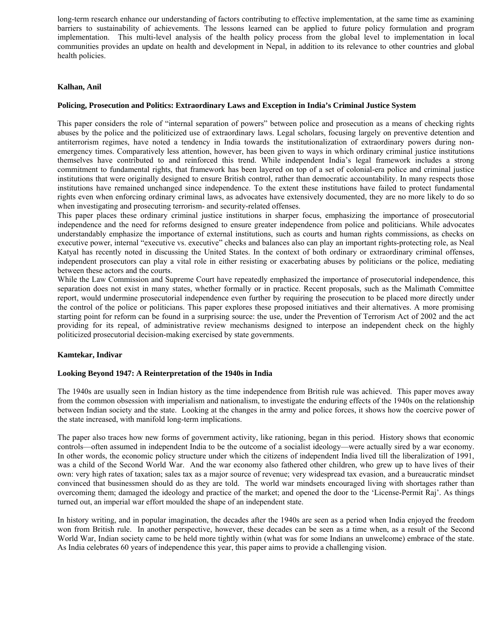long-term research enhance our understanding of factors contributing to effective implementation, at the same time as examining barriers to sustainability of achievements. The lessons learned can be applied to future policy formulation and program implementation. This multi-level analysis of the health policy process from the global level to implementation in local communities provides an update on health and development in Nepal, in addition to its relevance to other countries and global health policies.

# **Kalhan, Anil**

# **Policing, Prosecution and Politics: Extraordinary Laws and Exception in India's Criminal Justice System**

This paper considers the role of "internal separation of powers" between police and prosecution as a means of checking rights abuses by the police and the politicized use of extraordinary laws. Legal scholars, focusing largely on preventive detention and antiterrorism regimes, have noted a tendency in India towards the institutionalization of extraordinary powers during nonemergency times. Comparatively less attention, however, has been given to ways in which ordinary criminal justice institutions themselves have contributed to and reinforced this trend. While independent India's legal framework includes a strong commitment to fundamental rights, that framework has been layered on top of a set of colonial-era police and criminal justice institutions that were originally designed to ensure British control, rather than democratic accountability. In many respects those institutions have remained unchanged since independence. To the extent these institutions have failed to protect fundamental rights even when enforcing ordinary criminal laws, as advocates have extensively documented, they are no more likely to do so when investigating and prosecuting terrorism- and security-related offenses.

This paper places these ordinary criminal justice institutions in sharper focus, emphasizing the importance of prosecutorial independence and the need for reforms designed to ensure greater independence from police and politicians. While advocates understandably emphasize the importance of external institutions, such as courts and human rights commissions, as checks on executive power, internal "executive vs. executive" checks and balances also can play an important rights-protecting role, as Neal Katyal has recently noted in discussing the United States. In the context of both ordinary or extraordinary criminal offenses, independent prosecutors can play a vital role in either resisting or exacerbating abuses by politicians or the police, mediating between these actors and the courts.

While the Law Commission and Supreme Court have repeatedly emphasized the importance of prosecutorial independence, this separation does not exist in many states, whether formally or in practice. Recent proposals, such as the Malimath Committee report, would undermine prosecutorial independence even further by requiring the prosecution to be placed more directly under the control of the police or politicians. This paper explores these proposed initiatives and their alternatives. A more promising starting point for reform can be found in a surprising source: the use, under the Prevention of Terrorism Act of 2002 and the act providing for its repeal, of administrative review mechanisms designed to interpose an independent check on the highly politicized prosecutorial decision-making exercised by state governments.

# **Kamtekar, Indivar**

# **Looking Beyond 1947: A Reinterpretation of the 1940s in India**

The 1940s are usually seen in Indian history as the time independence from British rule was achieved. This paper moves away from the common obsession with imperialism and nationalism, to investigate the enduring effects of the 1940s on the relationship between Indian society and the state. Looking at the changes in the army and police forces, it shows how the coercive power of the state increased, with manifold long-term implications.

The paper also traces how new forms of government activity, like rationing, began in this period. History shows that economic controls—often assumed in independent India to be the outcome of a socialist ideology—were actually sired by a war economy. In other words, the economic policy structure under which the citizens of independent India lived till the liberalization of 1991, was a child of the Second World War. And the war economy also fathered other children, who grew up to have lives of their own: very high rates of taxation; sales tax as a major source of revenue; very widespread tax evasion, and a bureaucratic mindset convinced that businessmen should do as they are told. The world war mindsets encouraged living with shortages rather than overcoming them; damaged the ideology and practice of the market; and opened the door to the 'License-Permit Raj'. As things turned out, an imperial war effort moulded the shape of an independent state.

In history writing, and in popular imagination, the decades after the 1940s are seen as a period when India enjoyed the freedom won from British rule. In another perspective, however, these decades can be seen as a time when, as a result of the Second World War, Indian society came to be held more tightly within (what was for some Indians an unwelcome) embrace of the state. As India celebrates 60 years of independence this year, this paper aims to provide a challenging vision.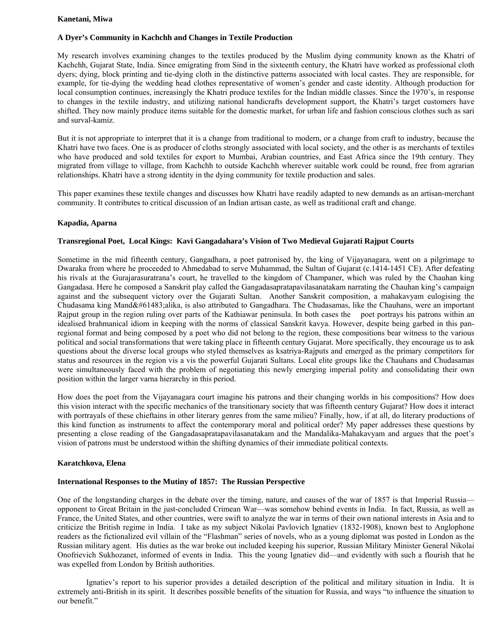#### **Kanetani, Miwa**

# **A Dyer's Community in Kachchh and Changes in Textile Production**

My research involves examining changes to the textiles produced by the Muslim dying community known as the Khatri of Kachchh, Gujarat State, India. Since emigrating from Sind in the sixteenth century, the Khatri have worked as professional cloth dyers; dying, block printing and tie-dying cloth in the distinctive patterns associated with local castes. They are responsible, for example, for tie-dying the wedding head clothes representative of women's gender and caste identity. Although production for local consumption continues, increasingly the Khatri produce textiles for the Indian middle classes. Since the 1970's, in response to changes in the textile industry, and utilizing national handicrafts development support, the Khatri's target customers have shifted. They now mainly produce items suitable for the domestic market, for urban life and fashion conscious clothes such as sari and surval-kamiz.

But it is not appropriate to interpret that it is a change from traditional to modern, or a change from craft to industry, because the Khatri have two faces. One is as producer of cloths strongly associated with local society, and the other is as merchants of textiles who have produced and sold textiles for export to Mumbai, Arabian countries, and East Africa since the 19th century. They migrated from village to village, from Kachchh to outside Kachchh wherever suitable work could be round, free from agrarian relationships. Khatri have a strong identity in the dying community for textile production and sales.

This paper examines these textile changes and discusses how Khatri have readily adapted to new demands as an artisan-merchant community. It contributes to critical discussion of an Indian artisan caste, as well as traditional craft and change.

#### **Kapadia, Aparna**

## **Transregional Poet, Local Kings: Kavi Gangadahara's Vision of Two Medieval Gujarati Rajput Courts**

Sometime in the mid fifteenth century, Gangadhara, a poet patronised by, the king of Vijayanagara, went on a pilgrimage to Dwaraka from where he proceeded to Ahmedabad to serve Muhammad, the Sultan of Gujarat (c.1414-1451 CE). After defeating his rivals at the Gurajarasuratrana's court, he travelled to the kingdom of Champaner, which was ruled by the Chauhan king Gangadasa. Here he composed a Sanskrit play called the Gangadasapratapavilasanatakam narrating the Chauhan king's campaign against and the subsequent victory over the Gujarati Sultan. Another Sanskrit composition, a mahakavyam eulogising the Chudasama king Mandalika, is also attributed to Gangadhara. The Chudasamas, like the Chauhans, were an important Rajput group in the region ruling over parts of the Kathiawar peninsula. In both cases the poet portrays his patrons within an idealised brahmanical idiom in keeping with the norms of classical Sanskrit kavya. However, despite being garbed in this panregional format and being composed by a poet who did not belong to the region, these compositions bear witness to the various political and social transformations that were taking place in fifteenth century Gujarat. More specifically, they encourage us to ask questions about the diverse local groups who styled themselves as ksatriya-Rajputs and emerged as the primary competitors for status and resources in the region vis a vis the powerful Gujarati Sultans. Local elite groups like the Chauhans and Chudasamas were simultaneously faced with the problem of negotiating this newly emerging imperial polity and consolidating their own position within the larger varna hierarchy in this period.

How does the poet from the Vijayanagara court imagine his patrons and their changing worlds in his compositions? How does this vision interact with the specific mechanics of the transitionary society that was fifteenth century Gujarat? How does it interact with portrayals of these chieftains in other literary genres from the same milieu? Finally, how, if at all, do literary productions of this kind function as instruments to affect the contemporary moral and political order? My paper addresses these questions by presenting a close reading of the Gangadasapratapavilasanatakam and the Mandalika-Mahakavyam and argues that the poet's vision of patrons must be understood within the shifting dynamics of their immediate political contexts.

#### **Karatchkova, Elena**

#### **International Responses to the Mutiny of 1857: The Russian Perspective**

One of the longstanding charges in the debate over the timing, nature, and causes of the war of 1857 is that Imperial Russia opponent to Great Britain in the just-concluded Crimean War—was somehow behind events in India. In fact, Russia, as well as France, the United States, and other countries, were swift to analyze the war in terms of their own national interests in Asia and to criticize the British regime in India. I take as my subject Nikolai Pavlovich Ignatiev (1832-1908), known best to Anglophone readers as the fictionalized evil villain of the "Flashman" series of novels, who as a young diplomat was posted in London as the Russian military agent. His duties as the war broke out included keeping his superior, Russian Military Minister General Nikolai Onofrievich Sukhozanet, informed of events in India. This the young Ignatiev did—and evidently with such a flourish that he was expelled from London by British authorities.

 Ignatiev's report to his superior provides a detailed description of the political and military situation in India. It is extremely anti-British in its spirit. It describes possible benefits of the situation for Russia, and ways "to influence the situation to our benefit."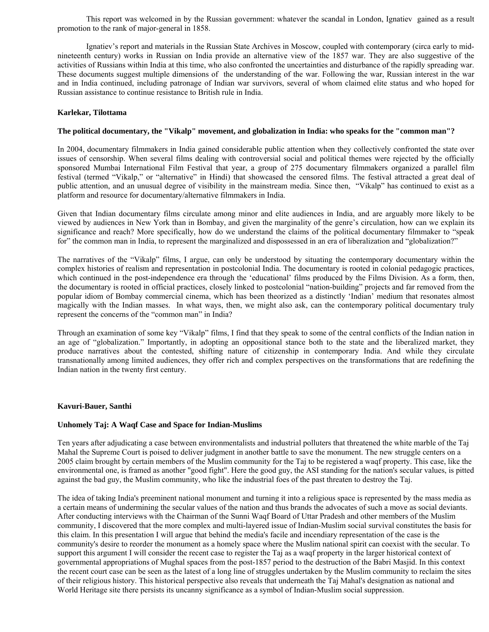This report was welcomed in by the Russian government: whatever the scandal in London, Ignatiev gained as a result promotion to the rank of major-general in 1858.

 Ignatiev's report and materials in the Russian State Archives in Moscow, coupled with contemporary (circa early to midnineteenth century) works in Russian on India provide an alternative view of the 1857 war. They are also suggestive of the activities of Russians within India at this time, who also confronted the uncertainties and disturbance of the rapidly spreading war. These documents suggest multiple dimensions of the understanding of the war. Following the war, Russian interest in the war and in India continued, including patronage of Indian war survivors, several of whom claimed elite status and who hoped for Russian assistance to continue resistance to British rule in India.

# **Karlekar, Tilottama**

#### **The political documentary, the "Vikalp" movement, and globalization in India: who speaks for the "common man"?**

In 2004, documentary filmmakers in India gained considerable public attention when they collectively confronted the state over issues of censorship. When several films dealing with controversial social and political themes were rejected by the officially sponsored Mumbai International Film Festival that year, a group of 275 documentary filmmakers organized a parallel film festival (termed "Vikalp," or "alternative" in Hindi) that showcased the censored films. The festival attracted a great deal of public attention, and an unusual degree of visibility in the mainstream media. Since then, "Vikalp" has continued to exist as a platform and resource for documentary/alternative filmmakers in India.

Given that Indian documentary films circulate among minor and elite audiences in India, and are arguably more likely to be viewed by audiences in New York than in Bombay, and given the marginality of the genre's circulation, how can we explain its significance and reach? More specifically, how do we understand the claims of the political documentary filmmaker to "speak for" the common man in India, to represent the marginalized and dispossessed in an era of liberalization and "globalization?"

The narratives of the "Vikalp" films, I argue, can only be understood by situating the contemporary documentary within the complex histories of realism and representation in postcolonial India. The documentary is rooted in colonial pedagogic practices, which continued in the post-independence era through the 'educational' films produced by the Films Division. As a form, then, the documentary is rooted in official practices, closely linked to postcolonial "nation-building" projects and far removed from the popular idiom of Bombay commercial cinema, which has been theorized as a distinctly 'Indian' medium that resonates almost magically with the Indian masses. In what ways, then, we might also ask, can the contemporary political documentary truly represent the concerns of the "common man" in India?

Through an examination of some key "Vikalp" films, I find that they speak to some of the central conflicts of the Indian nation in an age of "globalization." Importantly, in adopting an oppositional stance both to the state and the liberalized market, they produce narratives about the contested, shifting nature of citizenship in contemporary India. And while they circulate transnationally among limited audiences, they offer rich and complex perspectives on the transformations that are redefining the Indian nation in the twenty first century.

#### **Kavuri-Bauer, Santhi**

#### **Unhomely Taj: A Waqf Case and Space for Indian-Muslims**

Ten years after adjudicating a case between environmentalists and industrial polluters that threatened the white marble of the Taj Mahal the Supreme Court is poised to deliver judgment in another battle to save the monument. The new struggle centers on a 2005 claim brought by certain members of the Muslim community for the Taj to be registered a waqf property. This case, like the environmental one, is framed as another "good fight". Here the good guy, the ASI standing for the nation's secular values, is pitted against the bad guy, the Muslim community, who like the industrial foes of the past threaten to destroy the Taj.

The idea of taking India's preeminent national monument and turning it into a religious space is represented by the mass media as a certain means of undermining the secular values of the nation and thus brands the advocates of such a move as social deviants. After conducting interviews with the Chairman of the Sunni Waqf Board of Uttar Pradesh and other members of the Muslim community, I discovered that the more complex and multi-layered issue of Indian-Muslim social survival constitutes the basis for this claim. In this presentation I will argue that behind the media's facile and incendiary representation of the case is the community's desire to reorder the monument as a homely space where the Muslim national spirit can coexist with the secular. To support this argument I will consider the recent case to register the Taj as a waqf property in the larger historical context of governmental appropriations of Mughal spaces from the post-1857 period to the destruction of the Babri Masjid. In this context the recent court case can be seen as the latest of a long line of struggles undertaken by the Muslim community to reclaim the sites of their religious history. This historical perspective also reveals that underneath the Taj Mahal's designation as national and World Heritage site there persists its uncanny significance as a symbol of Indian-Muslim social suppression.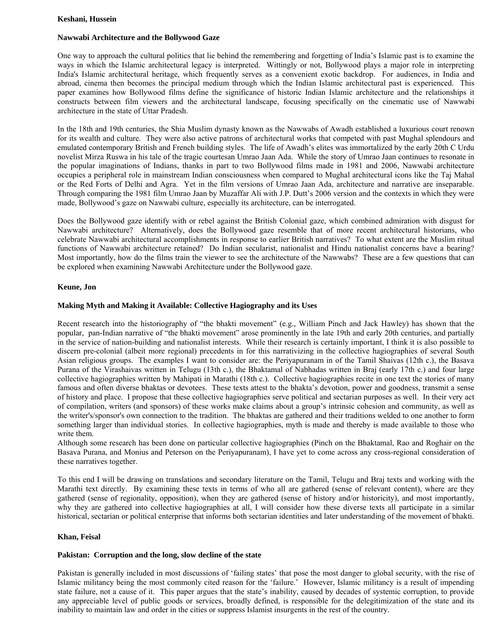## **Keshani, Hussein**

# **Nawwabi Architecture and the Bollywood Gaze**

One way to approach the cultural politics that lie behind the remembering and forgetting of India's Islamic past is to examine the ways in which the Islamic architectural legacy is interpreted. Wittingly or not, Bollywood plays a major role in interpreting India's Islamic architectural heritage, which frequently serves as a convenient exotic backdrop. For audiences, in India and abroad, cinema then becomes the principal medium through which the Indian Islamic architectural past is experienced. This paper examines how Bollywood films define the significance of historic Indian Islamic architecture and the relationships it constructs between film viewers and the architectural landscape, focusing specifically on the cinematic use of Nawwabi architecture in the state of Uttar Pradesh.

In the 18th and 19th centuries, the Shia Muslim dynasty known as the Nawwabs of Awadh established a luxurious court renown for its wealth and culture. They were also active patrons of architectural works that competed with past Mughal splendours and emulated contemporary British and French building styles. The life of Awadh's elites was immortalized by the early 20th C Urdu novelist Mirza Ruswa in his tale of the tragic courtesan Umrao Jaan Ada. While the story of Umrao Jaan continues to resonate in the popular imaginations of Indians, thanks in part to two Bollywood films made in 1981 and 2006, Nawwabi architecture occupies a peripheral role in mainstream Indian consciousness when compared to Mughal architectural icons like the Taj Mahal or the Red Forts of Delhi and Agra. Yet in the film versions of Umrao Jaan Ada, architecture and narrative are inseparable. Through comparing the 1981 film Umrao Jaan by Muzaffar Ali with J.P. Dutt's 2006 version and the contexts in which they were made, Bollywood's gaze on Nawwabi culture, especially its architecture, can be interrogated.

Does the Bollywood gaze identify with or rebel against the British Colonial gaze, which combined admiration with disgust for Nawwabi architecture? Alternatively, does the Bollywood gaze resemble that of more recent architectural historians, who celebrate Nawwabi architectural accomplishments in response to earlier British narratives? To what extent are the Muslim ritual functions of Nawwabi architecture retained? Do Indian secularist, nationalist and Hindu nationalist concerns have a bearing? Most importantly, how do the films train the viewer to see the architecture of the Nawwabs? These are a few questions that can be explored when examining Nawwabi Architecture under the Bollywood gaze.

# **Keune, Jon**

# **Making Myth and Making it Available: Collective Hagiography and its Uses**

Recent research into the historiography of "the bhakti movement" (e.g., William Pinch and Jack Hawley) has shown that the popular, pan-Indian narrative of "the bhakti movement" arose prominently in the late 19th and early 20th centuries, and partially in the service of nation-building and nationalist interests. While their research is certainly important, I think it is also possible to discern pre-colonial (albeit more regional) precedents in for this narrativizing in the collective hagiographies of several South Asian religious groups. The examples I want to consider are: the Periyapuranam in of the Tamil Shaivas (12th c.), the Basava Purana of the Virashaivas written in Telugu (13th c.), the Bhaktamal of Nabhadas written in Braj (early 17th c.) and four large collective hagiographies written by Mahipati in Marathi (18th c.). Collective hagiographies recite in one text the stories of many famous and often diverse bhaktas or devotees. These texts attest to the bhakta's devotion, power and goodness, transmit a sense of history and place. I propose that these collective hagiographies serve political and sectarian purposes as well. In their very act of compilation, writers (and sponsors) of these works make claims about a group's intrinsic cohesion and community, as well as the writer's/sponsor's own connection to the tradition. The bhaktas are gathered and their traditions welded to one another to form something larger than individual stories. In collective hagiographies, myth is made and thereby is made available to those who write them.

Although some research has been done on particular collective hagiographies (Pinch on the Bhaktamal, Rao and Roghair on the Basava Purana, and Monius and Peterson on the Periyapuranam), I have yet to come across any cross-regional consideration of these narratives together.

To this end I will be drawing on translations and secondary literature on the Tamil, Telugu and Braj texts and working with the Marathi text directly. By examining these texts in terms of who all are gathered (sense of relevant content), where are they gathered (sense of regionality, opposition), when they are gathered (sense of history and/or historicity), and most importantly, why they are gathered into collective hagiographies at all, I will consider how these diverse texts all participate in a similar historical, sectarian or political enterprise that informs both sectarian identities and later understanding of the movement of bhakti.

# **Khan, Feisal**

#### **Pakistan: Corruption and the long, slow decline of the state**

Pakistan is generally included in most discussions of 'failing states' that pose the most danger to global security, with the rise of Islamic militancy being the most commonly cited reason for the 'failure.' However, Islamic militancy is a result of impending state failure, not a cause of it. This paper argues that the state's inability, caused by decades of systemic corruption, to provide any appreciable level of public goods or services, broadly defined, is responsible for the delegitimization of the state and its inability to maintain law and order in the cities or suppress Islamist insurgents in the rest of the country.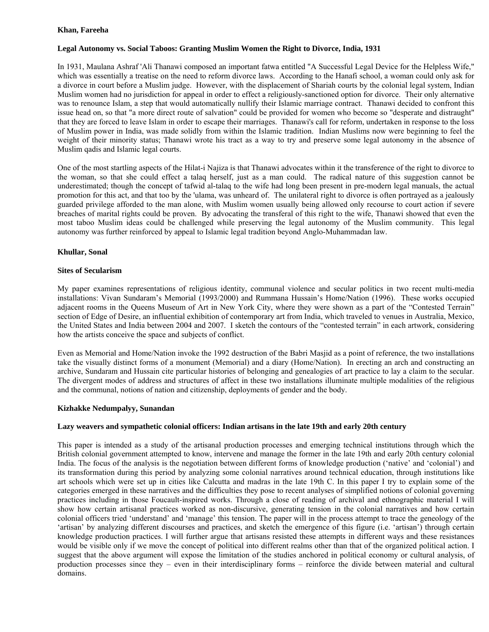# **Khan, Fareeha**

# **Legal Autonomy vs. Social Taboos: Granting Muslim Women the Right to Divorce, India, 1931**

In 1931, Maulana Ashraf 'Ali Thanawi composed an important fatwa entitled "A Successful Legal Device for the Helpless Wife," which was essentially a treatise on the need to reform divorce laws. According to the Hanafi school, a woman could only ask for a divorce in court before a Muslim judge. However, with the displacement of Shariah courts by the colonial legal system, Indian Muslim women had no jurisdiction for appeal in order to effect a religiously-sanctioned option for divorce. Their only alternative was to renounce Islam, a step that would automatically nullify their Islamic marriage contract. Thanawi decided to confront this issue head on, so that "a more direct route of salvation" could be provided for women who become so "desperate and distraught" that they are forced to leave Islam in order to escape their marriages. Thanawi's call for reform, undertaken in response to the loss of Muslim power in India, was made solidly from within the Islamic tradition. Indian Muslims now were beginning to feel the weight of their minority status; Thanawi wrote his tract as a way to try and preserve some legal autonomy in the absence of Muslim qadis and Islamic legal courts.

One of the most startling aspects of the Hilat-i Najiza is that Thanawi advocates within it the transference of the right to divorce to the woman, so that she could effect a talaq herself, just as a man could. The radical nature of this suggestion cannot be underestimated; though the concept of tafwid al-talaq to the wife had long been present in pre-modern legal manuals, the actual promotion for this act, and that too by the 'ulama, was unheard of. The unilateral right to divorce is often portrayed as a jealously guarded privilege afforded to the man alone, with Muslim women usually being allowed only recourse to court action if severe breaches of marital rights could be proven. By advocating the transferal of this right to the wife, Thanawi showed that even the most taboo Muslim ideas could be challenged while preserving the legal autonomy of the Muslim community. This legal autonomy was further reinforced by appeal to Islamic legal tradition beyond Anglo-Muhammadan law.

# **Khullar, Sonal**

#### **Sites of Secularism**

My paper examines representations of religious identity, communal violence and secular politics in two recent multi-media installations: Vivan Sundaram's Memorial (1993/2000) and Rummana Hussain's Home/Nation (1996). These works occupied adjacent rooms in the Queens Museum of Art in New York City, where they were shown as a part of the "Contested Terrain" section of Edge of Desire, an influential exhibition of contemporary art from India, which traveled to venues in Australia, Mexico, the United States and India between 2004 and 2007. I sketch the contours of the "contested terrain" in each artwork, considering how the artists conceive the space and subjects of conflict.

Even as Memorial and Home/Nation invoke the 1992 destruction of the Babri Masjid as a point of reference, the two installations take the visually distinct forms of a monument (Memorial) and a diary (Home/Nation). In erecting an arch and constructing an archive, Sundaram and Hussain cite particular histories of belonging and genealogies of art practice to lay a claim to the secular. The divergent modes of address and structures of affect in these two installations illuminate multiple modalities of the religious and the communal, notions of nation and citizenship, deployments of gender and the body.

# **Kizhakke Nedumpalyy, Sunandan**

#### **Lazy weavers and sympathetic colonial officers: Indian artisans in the late 19th and early 20th century**

This paper is intended as a study of the artisanal production processes and emerging technical institutions through which the British colonial government attempted to know, intervene and manage the former in the late 19th and early 20th century colonial India. The focus of the analysis is the negotiation between different forms of knowledge production ('native' and 'colonial') and its transformation during this period by analyzing some colonial narratives around technical education, through institutions like art schools which were set up in cities like Calcutta and madras in the late 19th C. In this paper I try to explain some of the categories emerged in these narratives and the difficulties they pose to recent analyses of simplified notions of colonial governing practices including in those Foucault-inspired works. Through a close of reading of archival and ethnographic material I will show how certain artisanal practices worked as non-discursive, generating tension in the colonial narratives and how certain colonial officers tried 'understand' and 'manage' this tension. The paper will in the process attempt to trace the geneology of the 'artisan' by analyzing different discourses and practices, and sketch the emergence of this figure (i.e. 'artisan') through certain knowledge production practices. I will further argue that artisans resisted these attempts in different ways and these resistances would be visible only if we move the concept of political into different realms other than that of the organized political action. I suggest that the above argument will expose the limitation of the studies anchored in political economy or cultural analysis, of production processes since they – even in their interdisciplinary forms – reinforce the divide between material and cultural domains.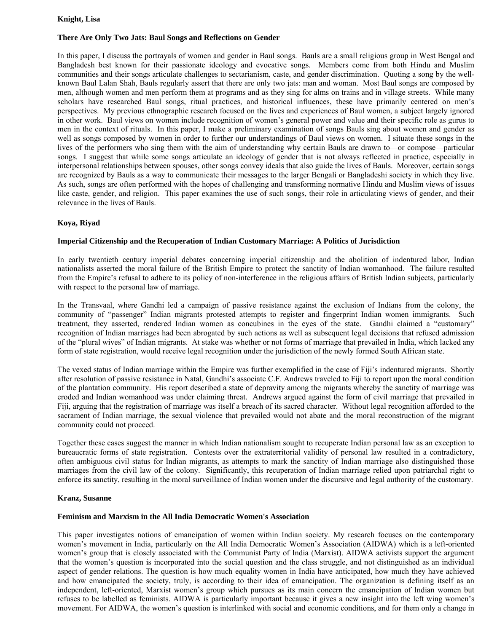# **Knight, Lisa**

# **There Are Only Two Jats: Baul Songs and Reflections on Gender**

In this paper, I discuss the portrayals of women and gender in Baul songs. Bauls are a small religious group in West Bengal and Bangladesh best known for their passionate ideology and evocative songs. Members come from both Hindu and Muslim communities and their songs articulate challenges to sectarianism, caste, and gender discrimination. Quoting a song by the wellknown Baul Lalan Shah, Bauls regularly assert that there are only two jats: man and woman. Most Baul songs are composed by men, although women and men perform them at programs and as they sing for alms on trains and in village streets. While many scholars have researched Baul songs, ritual practices, and historical influences, these have primarily centered on men's perspectives. My previous ethnographic research focused on the lives and experiences of Baul women, a subject largely ignored in other work. Baul views on women include recognition of women's general power and value and their specific role as gurus to men in the context of rituals. In this paper, I make a preliminary examination of songs Bauls sing about women and gender as well as songs composed by women in order to further our understandings of Baul views on women. I situate these songs in the lives of the performers who sing them with the aim of understanding why certain Bauls are drawn to—or compose—particular songs. I suggest that while some songs articulate an ideology of gender that is not always reflected in practice, especially in interpersonal relationships between spouses, other songs convey ideals that also guide the lives of Bauls. Moreover, certain songs are recognized by Bauls as a way to communicate their messages to the larger Bengali or Bangladeshi society in which they live. As such, songs are often performed with the hopes of challenging and transforming normative Hindu and Muslim views of issues like caste, gender, and religion. This paper examines the use of such songs, their role in articulating views of gender, and their relevance in the lives of Bauls.

# **Koya, Riyad**

# **Imperial Citizenship and the Recuperation of Indian Customary Marriage: A Politics of Jurisdiction**

In early twentieth century imperial debates concerning imperial citizenship and the abolition of indentured labor, Indian nationalists asserted the moral failure of the British Empire to protect the sanctity of Indian womanhood. The failure resulted from the Empire's refusal to adhere to its policy of non-interference in the religious affairs of British Indian subjects, particularly with respect to the personal law of marriage.

In the Transvaal, where Gandhi led a campaign of passive resistance against the exclusion of Indians from the colony, the community of "passenger" Indian migrants protested attempts to register and fingerprint Indian women immigrants. Such treatment, they asserted, rendered Indian women as concubines in the eyes of the state. Gandhi claimed a "customary" recognition of Indian marriages had been abrogated by such actions as well as subsequent legal decisions that refused admission of the "plural wives" of Indian migrants. At stake was whether or not forms of marriage that prevailed in India, which lacked any form of state registration, would receive legal recognition under the jurisdiction of the newly formed South African state.

The vexed status of Indian marriage within the Empire was further exemplified in the case of Fiji's indentured migrants. Shortly after resolution of passive resistance in Natal, Gandhi's associate C.F. Andrews traveled to Fiji to report upon the moral condition of the plantation community. His report described a state of depravity among the migrants whereby the sanctity of marriage was eroded and Indian womanhood was under claiming threat. Andrews argued against the form of civil marriage that prevailed in Fiji, arguing that the registration of marriage was itself a breach of its sacred character. Without legal recognition afforded to the sacrament of Indian marriage, the sexual violence that prevailed would not abate and the moral reconstruction of the migrant community could not proceed.

Together these cases suggest the manner in which Indian nationalism sought to recuperate Indian personal law as an exception to bureaucratic forms of state registration. Contests over the extraterritorial validity of personal law resulted in a contradictory, often ambiguous civil status for Indian migrants, as attempts to mark the sanctity of Indian marriage also distinguished those marriages from the civil law of the colony. Significantly, this recuperation of Indian marriage relied upon patriarchal right to enforce its sanctity, resulting in the moral surveillance of Indian women under the discursive and legal authority of the customary.

#### **Kranz, Susanne**

#### **Feminism and Marxism in the All India Democratic Women's Association**

This paper investigates notions of emancipation of women within Indian society. My research focuses on the contemporary women's movement in India, particularly on the All India Democratic Women's Association (AIDWA) which is a left-oriented women's group that is closely associated with the Communist Party of India (Marxist). AIDWA activists support the argument that the women's question is incorporated into the social question and the class struggle, and not distinguished as an individual aspect of gender relations. The question is how much equality women in India have anticipated, how much they have achieved and how emancipated the society, truly, is according to their idea of emancipation. The organization is defining itself as an independent, left-oriented, Marxist women's group which pursues as its main concern the emancipation of Indian women but refuses to be labelled as feminists. AIDWA is particularly important because it gives a new insight into the left wing women's movement. For AIDWA, the women's question is interlinked with social and economic conditions, and for them only a change in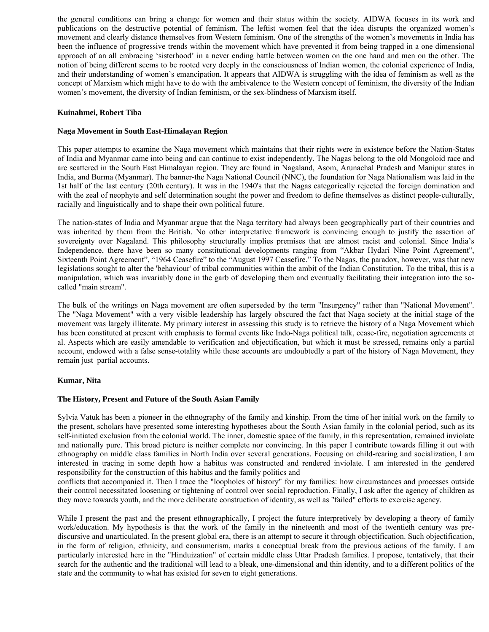the general conditions can bring a change for women and their status within the society. AIDWA focuses in its work and publications on the destructive potential of feminism. The leftist women feel that the idea disrupts the organized women's movement and clearly distance themselves from Western feminism. One of the strengths of the women's movements in India has been the influence of progressive trends within the movement which have prevented it from being trapped in a one dimensional approach of an all embracing 'sisterhood' in a never ending battle between women on the one hand and men on the other. The notion of being different seems to be rooted very deeply in the consciousness of Indian women, the colonial experience of India, and their understanding of women's emancipation. It appears that AIDWA is struggling with the idea of feminism as well as the concept of Marxism which might have to do with the ambivalence to the Western concept of feminism, the diversity of the Indian women's movement, the diversity of Indian feminism, or the sex-blindness of Marxism itself.

# **Kuinahmei, Robert Tiba**

# **Naga Movement in South East-Himalayan Region**

This paper attempts to examine the Naga movement which maintains that their rights were in existence before the Nation-States of India and Myanmar came into being and can continue to exist independently. The Nagas belong to the old Mongoloid race and are scattered in the South East Himalayan region. They are found in Nagaland, Asom, Arunachal Pradesh and Manipur states in India, and Burma (Myanmar). The banner-the Naga National Council (NNC), the foundation for Naga Nationalism was laid in the 1st half of the last century (20th century). It was in the 1940's that the Nagas categorically rejected the foreign domination and with the zeal of neophyte and self determination sought the power and freedom to define themselves as distinct people-culturally, racially and linguistically and to shape their own political future.

The nation-states of India and Myanmar argue that the Naga territory had always been geographically part of their countries and was inherited by them from the British. No other interpretative framework is convincing enough to justify the assertion of sovereignty over Nagaland. This philosophy structurally implies premises that are almost racist and colonial. Since India's Independence, there have been so many constitutional developments ranging from "Akbar Hydari Nine Point Agreement", Sixteenth Point Agreement", "1964 Ceasefire" to the "August 1997 Ceasefire." To the Nagas, the paradox, however, was that new legislations sought to alter the 'behaviour' of tribal communities within the ambit of the Indian Constitution. To the tribal, this is a manipulation, which was invariably done in the garb of developing them and eventually facilitating their integration into the socalled "main stream".

The bulk of the writings on Naga movement are often superseded by the term "Insurgency" rather than "National Movement". The "Naga Movement" with a very visible leadership has largely obscured the fact that Naga society at the initial stage of the movement was largely illiterate. My primary interest in assessing this study is to retrieve the history of a Naga Movement which has been constituted at present with emphasis to formal events like Indo-Naga political talk, cease-fire, negotiation agreements et al. Aspects which are easily amendable to verification and objectification, but which it must be stressed, remains only a partial account, endowed with a false sense-totality while these accounts are undoubtedly a part of the history of Naga Movement, they remain just partial accounts.

#### **Kumar, Nita**

#### **The History, Present and Future of the South Asian Family**

Sylvia Vatuk has been a pioneer in the ethnography of the family and kinship. From the time of her initial work on the family to the present, scholars have presented some interesting hypotheses about the South Asian family in the colonial period, such as its self-initiated exclusion from the colonial world. The inner, domestic space of the family, in this representation, remained inviolate and nationally pure. This broad picture is neither complete nor convincing. In this paper I contribute towards filling it out with ethnography on middle class families in North India over several generations. Focusing on child-rearing and socialization, I am interested in tracing in some depth how a habitus was constructed and rendered inviolate. I am interested in the gendered responsibility for the construction of this habitus and the family politics and

conflicts that accompanied it. Then I trace the "loopholes of history" for my families: how circumstances and processes outside their control necessitated loosening or tightening of control over social reproduction. Finally, I ask after the agency of children as they move towards youth, and the more deliberate construction of identity, as well as "failed" efforts to exercise agency.

While I present the past and the present ethnographically, I project the future interpretively by developing a theory of family work/education. My hypothesis is that the work of the family in the nineteenth and most of the twentieth century was prediscursive and unarticulated. In the present global era, there is an attempt to secure it through objectification. Such objectification, in the form of religion, ethnicity, and consumerism, marks a conceptual break from the previous actions of the family. I am particularly interested here in the "Hinduization" of certain middle class Uttar Pradesh families. I propose, tentatively, that their search for the authentic and the traditional will lead to a bleak, one-dimensional and thin identity, and to a different politics of the state and the community to what has existed for seven to eight generations.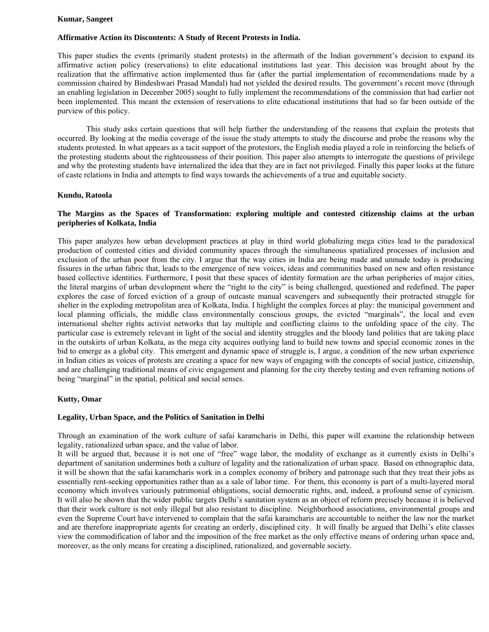#### **Kumar, Sangeet**

#### **Affirmative Action its Discontents: A Study of Recent Protests in India.**

This paper studies the events (primarily student protests) in the aftermath of the Indian government's decision to expand its affirmative action policy (reservations) to elite educational institutions last year. This decision was brought about by the realization that the affirmative action implemented thus far (after the partial implementation of recommendations made by a commission chaired by Bindeshwari Prasad Mandal) had not yielded the desired results. The government's recent move (through an enabling legislation in December 2005) sought to fully implement the recommendations of the commission that had earlier not been implemented. This meant the extension of reservations to elite educational institutions that had so far been outside of the purview of this policy.

 This study asks certain questions that will help further the understanding of the reasons that explain the protests that occurred. By looking at the media coverage of the issue the study attempts to study the discourse and probe the reasons why the students protested. In what appears as a tacit support of the protestors, the English media played a role in reinforcing the beliefs of the protesting students about the righteousness of their position. This paper also attempts to interrogate the questions of privilege and why the protesting students have internalized the idea that they are in fact not privileged. Finally this paper looks at the future of caste relations in India and attempts to find ways towards the achievements of a true and equitable society.

#### **Kundu, Ratoola**

# **The Margins as the Spaces of Transformation: exploring multiple and contested citizenship claims at the urban peripheries of Kolkata, India**

This paper analyzes how urban development practices at play in third world globalizing mega cities lead to the paradoxical production of contested cities and divided community spaces through the simultaneous spatialized processes of inclusion and exclusion of the urban poor from the city. I argue that the way cities in India are being made and unmade today is producing fissures in the urban fabric that, leads to the emergence of new voices, ideas and communities based on new and often resistance based collective identities. Furthermore, I posit that these spaces of identity formation are the urban peripheries of major cities, the literal margins of urban development where the "right to the city" is being challenged, questioned and redefined. The paper explores the case of forced eviction of a group of outcaste manual scavengers and subsequently their protracted struggle for shelter in the exploding metropolitan area of Kolkata, India. I highlight the complex forces at play: the municipal government and local planning officials, the middle class environmentally conscious groups, the evicted "marginals", the local and even international shelter rights activist networks that lay multiple and conflicting claims to the unfolding space of the city. The particular case is extremely relevant in light of the social and identity struggles and the bloody land politics that are taking place in the outskirts of urban Kolkata, as the mega city acquires outlying land to build new towns and special economic zones in the bid to emerge as a global city. This emergent and dynamic space of struggle is, I argue, a condition of the new urban experience in Indian cities as voices of protests are creating a space for new ways of engaging with the concepts of social justice, citizenship, and are challenging traditional means of civic engagement and planning for the city thereby testing and even reframing notions of being "marginal" in the spatial, political and social senses.

#### **Kutty, Omar**

#### **Legality, Urban Space, and the Politics of Sanitation in Delhi**

Through an examination of the work culture of safai karamcharis in Delhi, this paper will examine the relationship between legality, rationalized urban space, and the value of labor.

It will be argued that, because it is not one of "free" wage labor, the modality of exchange as it currently exists in Delhi's department of sanitation undermines both a culture of legality and the rationalization of urban space. Based on ethnographic data, it will be shown that the safai karamcharis work in a complex economy of bribery and patronage such that they treat their jobs as essentially rent-seeking opportunities rather than as a sale of labor time. For them, this economy is part of a multi-layered moral economy which involves variously patrimonial obligations, social democratic rights, and, indeed, a profound sense of cynicism. It will also be shown that the wider public targets Delhi's sanitation system as an object of reform precisely because it is believed that their work culture is not only illegal but also resistant to discipline. Neighborhood associations, environmental groups and even the Supreme Court have intervened to complain that the safai karamcharis are accountable to neither the law nor the market and are therefore inappropriate agents for creating an orderly, disciplined city. It will finally be argued that Delhi's elite classes view the commodification of labor and the imposition of the free market as the only effective means of ordering urban space and, moreover, as the only means for creating a disciplined, rationalized, and governable society.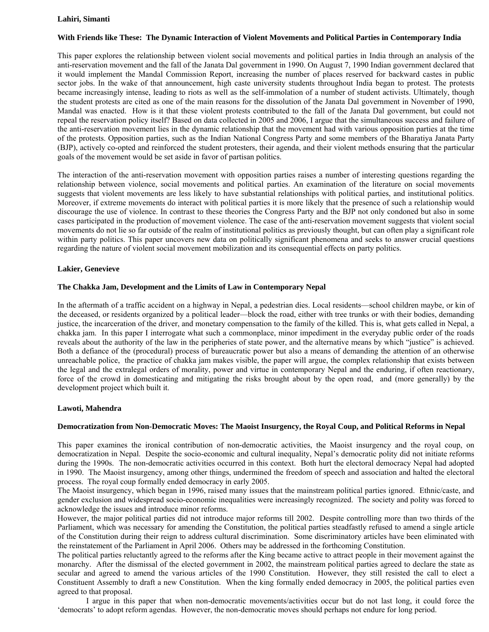## **Lahiri, Simanti**

# **With Friends like These: The Dynamic Interaction of Violent Movements and Political Parties in Contemporary India**

This paper explores the relationship between violent social movements and political parties in India through an analysis of the anti-reservation movement and the fall of the Janata Dal government in 1990. On August 7, 1990 Indian government declared that it would implement the Mandal Commission Report, increasing the number of places reserved for backward castes in public sector jobs. In the wake of that announcement, high caste university students throughout India began to protest. The protests became increasingly intense, leading to riots as well as the self-immolation of a number of student activists. Ultimately, though the student protests are cited as one of the main reasons for the dissolution of the Janata Dal government in November of 1990, Mandal was enacted. How is it that these violent protests contributed to the fall of the Janata Dal government, but could not repeal the reservation policy itself? Based on data collected in 2005 and 2006, I argue that the simultaneous success and failure of the anti-reservation movement lies in the dynamic relationship that the movement had with various opposition parties at the time of the protests. Opposition parties, such as the Indian National Congress Party and some members of the Bharatiya Janata Party (BJP), actively co-opted and reinforced the student protesters, their agenda, and their violent methods ensuring that the particular goals of the movement would be set aside in favor of partisan politics.

The interaction of the anti-reservation movement with opposition parties raises a number of interesting questions regarding the relationship between violence, social movements and political parties. An examination of the literature on social movements suggests that violent movements are less likely to have substantial relationships with political parties, and institutional politics. Moreover, if extreme movements do interact with political parties it is more likely that the presence of such a relationship would discourage the use of violence. In contrast to these theories the Congress Party and the BJP not only condoned but also in some cases participated in the production of movement violence. The case of the anti-reservation movement suggests that violent social movements do not lie so far outside of the realm of institutional politics as previously thought, but can often play a significant role within party politics. This paper uncovers new data on politically significant phenomena and seeks to answer crucial questions regarding the nature of violent social movement mobilization and its consequential effects on party politics.

#### **Lakier, Genevieve**

#### **The Chakka Jam, Development and the Limits of Law in Contemporary Nepal**

In the aftermath of a traffic accident on a highway in Nepal, a pedestrian dies. Local residents—school children maybe, or kin of the deceased, or residents organized by a political leader—block the road, either with tree trunks or with their bodies, demanding justice, the incarceration of the driver, and monetary compensation to the family of the killed. This is, what gets called in Nepal, a chakka jam. In this paper I interrogate what such a commonplace, minor impediment in the everyday public order of the roads reveals about the authority of the law in the peripheries of state power, and the alternative means by which "justice" is achieved. Both a defiance of the (procedural) process of bureaucratic power but also a means of demanding the attention of an otherwise unreachable police, the practice of chakka jam makes visible, the paper will argue, the complex relationship that exists between the legal and the extralegal orders of morality, power and virtue in contemporary Nepal and the enduring, if often reactionary, force of the crowd in domesticating and mitigating the risks brought about by the open road, and (more generally) by the development project which built it.

#### **Lawoti, Mahendra**

#### **Democratization from Non-Democratic Moves: The Maoist Insurgency, the Royal Coup, and Political Reforms in Nepal**

This paper examines the ironical contribution of non-democratic activities, the Maoist insurgency and the royal coup, on democratization in Nepal. Despite the socio-economic and cultural inequality, Nepal's democratic polity did not initiate reforms during the 1990s. The non-democratic activities occurred in this context. Both hurt the electoral democracy Nepal had adopted in 1990. The Maoist insurgency, among other things, undermined the freedom of speech and association and halted the electoral process. The royal coup formally ended democracy in early 2005.

The Maoist insurgency, which began in 1996, raised many issues that the mainstream political parties ignored. Ethnic/caste, and gender exclusion and widespread socio-economic inequalities were increasingly recognized. The society and polity was forced to acknowledge the issues and introduce minor reforms.

However, the major political parties did not introduce major reforms till 2002. Despite controlling more than two thirds of the Parliament, which was necessary for amending the Constitution, the political parties steadfastly refused to amend a single article of the Constitution during their reign to address cultural discrimination. Some discriminatory articles have been eliminated with the reinstatement of the Parliament in April 2006. Others may be addressed in the forthcoming Constitution.

The political parties reluctantly agreed to the reforms after the King became active to attract people in their movement against the monarchy. After the dismissal of the elected government in 2002, the mainstream political parties agreed to declare the state as secular and agreed to amend the various articles of the 1990 Constitution. However, they still resisted the call to elect a Constituent Assembly to draft a new Constitution. When the king formally ended democracy in 2005, the political parties even agreed to that proposal.

 I argue in this paper that when non-democratic movements/activities occur but do not last long, it could force the 'democrats' to adopt reform agendas. However, the non-democratic moves should perhaps not endure for long period.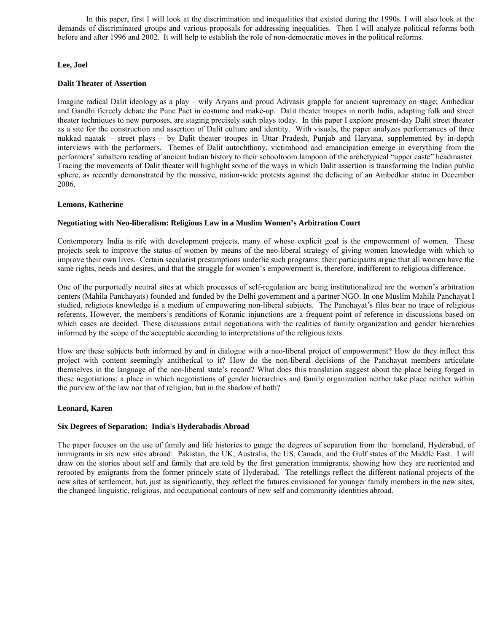In this paper, first I will look at the discrimination and inequalities that existed during the 1990s. I will also look at the demands of discriminated groups and various proposals for addressing inequalities. Then I will analyze political reforms both before and after 1996 and 2002. It will help to establish the role of non-democratic moves in the political reforms.

# **Lee, Joel**

# **Dalit Theater of Assertion**

Imagine radical Dalit ideology as a play – wily Aryans and proud Adivasis grapple for ancient supremacy on stage; Ambedkar and Gandhi fiercely debate the Pune Pact in costume and make-up. Dalit theater troupes in north India, adapting folk and street theater techniques to new purposes, are staging precisely such plays today. In this paper I explore present-day Dalit street theater as a site for the construction and assertion of Dalit culture and identity. With visuals, the paper analyzes performances of three nukkad naatak – street plays – by Dalit theater troupes in Uttar Pradesh, Punjab and Haryana, supplemented by in-depth interviews with the performers. Themes of Dalit autochthony, victimhood and emancipation emerge in everything from the performers' subaltern reading of ancient Indian history to their schoolroom lampoon of the archetypical "upper caste" headmaster. Tracing the movements of Dalit theater will highlight some of the ways in which Dalit assertion is transforming the Indian public sphere, as recently demonstrated by the massive, nation-wide protests against the defacing of an Ambedkar statue in December 2006.

# **Lemons, Katherine**

# **Negotiating with Neo-liberalism: Religious Law in a Muslim Women's Arbitration Court**

Contemporary India is rife with development projects, many of whose explicit goal is the empowerment of women. These projects seek to improve the status of women by means of the neo-liberal strategy of giving women knowledge with which to improve their own lives. Certain secularist presumptions underlie such programs: their participants argue that all women have the same rights, needs and desires, and that the struggle for women's empowerment is, therefore, indifferent to religious difference.

One of the purportedly neutral sites at which processes of self-regulation are being institutionalized are the women's arbitration centers (Mahila Panchayats) founded and funded by the Delhi government and a partner NGO. In one Muslim Mahila Panchayat I studied, religious knowledge is a medium of empowering non-liberal subjects. The Panchayat's files bear no trace of religious referents. However, the members's renditions of Koranic injunctions are a frequent point of reference in discussions based on which cases are decided. These discussions entail negotiations with the realities of family organization and gender hierarchies informed by the scope of the acceptable according to interpretations of the religious texts.

How are these subjects both informed by and in dialogue with a neo-liberal project of empowerment? How do they inflect this project with content seemingly antithetical to it? How do the non-liberal decisions of the Panchayat members articulate themselves in the language of the neo-liberal state's record? What does this translation suggest about the place being forged in these negotiations: a place in which negotiations of gender hierarchies and family organization neither take place neither within the purview of the law nor that of religion, but in the shadow of both?

#### **Leonard, Karen**

#### **Six Degrees of Separation: India's Hyderabadis Abroad**

The paper focuses on the use of family and life histories to guage the degrees of separation from the homeland, Hyderabad, of immigrants in six new sites abroad: Pakistan, the UK, Australia, the US, Canada, and the Gulf states of the Middle East. I will draw on the stories about self and family that are told by the first generation immigrants, showing how they are reoriented and rerooted by emigrants from the former princely state of Hyderabad. The retellings reflect the different national projects of the new sites of settlement, but, just as significantly, they reflect the futures envisioned for younger family members in the new sites, the changed linguistic, religious, and occupational contours of new self and community identities abroad.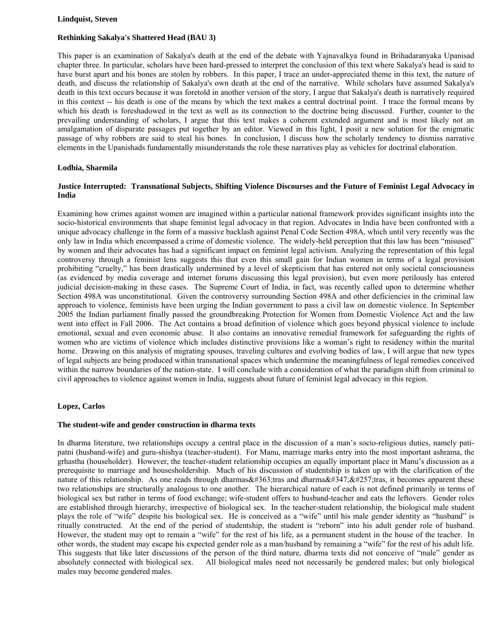#### **Lindquist, Steven**

# **Rethinking Sakalya's Shattered Head (BAU 3)**

This paper is an examination of Sakalya's death at the end of the debate with Yajnavalkya found in Brihadaranyaka Upanisad chapter three. In particular, scholars have been hard-pressed to interpret the conclusion of this text where Sakalya's head is said to have burst apart and his bones are stolen by robbers. In this paper, I trace an under-appreciated theme in this text, the nature of death, and discuss the relationship of Sakalya's own death at the end of the narrative. While scholars have assumed Sakalya's death in this text occurs because it was foretold in another version of the story, I argue that Sakalya's death is narratively required in this context -- his death is one of the means by which the text makes a central doctrinal point. I trace the formal means by which his death is foreshadowed in the text as well as its connection to the doctrine being discussed. Further, counter to the prevailing understanding of scholars, I argue that this text makes a coherent extended argument and is most likely not an amalgamation of disparate passages put together by an editor. Viewed in this light, I posit a new solution for the enigmatic passage of why robbers are said to steal his bones. In conclusion, I discuss how the scholarly tendency to dismiss narrative elements in the Upanishads fundamentally misunderstands the role these narratives play as vehicles for doctrinal elaboration.

# **Lodhia, Sharmila**

# **Justice Interrupted: Transnational Subjects, Shifting Violence Discourses and the Future of Feminist Legal Advocacy in India**

Examining how crimes against women are imagined within a particular national framework provides significant insights into the socio-historical environments that shape feminist legal advocacy in that region. Advocates in India have been confronted with a unique advocacy challenge in the form of a massive backlash against Penal Code Section 498A, which until very recently was the only law in India which encompassed a crime of domestic violence. The widely-held perception that this law has been "misused" by women and their advocates has had a significant impact on feminist legal activism. Analyzing the representation of this legal controversy through a feminist lens suggests this that even this small gain for Indian women in terms of a legal provision prohibiting "cruelty," has been drastically undermined by a level of skepticism that has entered not only societal consciousness (as evidenced by media coverage and internet forums discussing this legal provision), but even more perilously has entered judicial decision-making in these cases. The Supreme Court of India, in fact, was recently called upon to determine whether Section 498A was unconstitutional. Given the controversy surrounding Section 498A and other deficiencies in the criminal law approach to violence, feminists have been urging the Indian government to pass a civil law on domestic violence. In September 2005 the Indian parliament finally passed the groundbreaking Protection for Women from Domestic Violence Act and the law went into effect in Fall 2006. The Act contains a broad definition of violence which goes beyond physical violence to include emotional, sexual and even economic abuse. It also contains an innovative remedial framework for safeguarding the rights of women who are victims of violence which includes distinctive provisions like a woman's right to residency within the marital home. Drawing on this analysis of migrating spouses, traveling cultures and evolving bodies of law, I will argue that new types of legal subjects are being produced within transnational spaces which undermine the meaningfulness of legal remedies conceived within the narrow boundaries of the nation-state. I will conclude with a consideration of what the paradigm shift from criminal to civil approaches to violence against women in India, suggests about future of feminist legal advocacy in this region.

# **Lopez, Carlos**

#### **The student-wife and gender construction in dharma texts**

In dharma literature, two relationships occupy a central place in the discussion of a man's socio-religious duties, namely patipatni (husband-wife) and guru-shishya (teacher-student). For Manu, marriage marks entry into the most important ashrama, the grhastha (householder). However, the teacher-student relationship occupies an equally important place in Manu's discussion as a prerequisite to marriage and housesholdership. Much of his discussion of studentship is taken up with the clarification of the nature of this relationship. As one reads through dharmas $\&\#363$ ; tras and dharma $&\#347$ ;  $&\#257$ ; tras, it becomes apparent these two relationships are structurally analogous to one another. The hierarchical nature of each is not defined primarily in terms of biological sex but rather in terms of food exchange; wife-student offers to husband-teacher and eats the leftovers. Gender roles are established through hierarchy, irrespective of biological sex. In the teacher-student relationship, the biological male student plays the role of "wife" despite his biological sex. He is conceived as a "wife" until his male gender identity as "husband" is ritually constructed. At the end of the period of studentship, the student is "reborn" into his adult gender role of husband. However, the student may opt to remain a "wife" for the rest of his life, as a permanent student in the house of the teacher. In other words, the student may escape his expected gender role as a man/husband by remaining a "wife" for the rest of his adult life. This suggests that like later discussions of the person of the third nature, dharma texts did not conceive of "male" gender as absolutely connected with biological sex. All biological males need not necessarily be gendered males; but only biological males may become gendered males.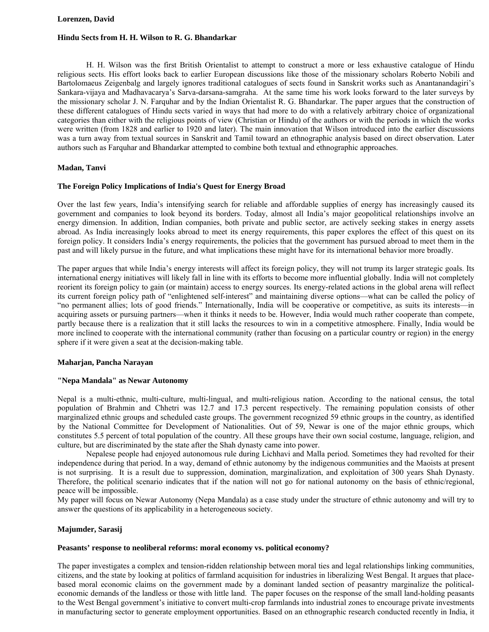#### **Lorenzen, David**

#### **Hindu Sects from H. H. Wilson to R. G. Bhandarkar**

 H. H. Wilson was the first British Orientalist to attempt to construct a more or less exhaustive catalogue of Hindu religious sects. His effort looks back to earlier European discussions like those of the missionary scholars Roberto Nobili and Bartolomaeus Zeigenbalg and largely ignores traditional catalogues of sects found in Sanskrit works such as Anantanandagiri's Sankara-vijaya and Madhavacarya's Sarva-darsana-samgraha. At the same time his work looks forward to the later surveys by the missionary scholar J. N. Farquhar and by the Indian Orientalist R. G. Bhandarkar. The paper argues that the construction of these different catalogues of Hindu sects varied in ways that had more to do with a relatively arbitrary choice of organizational categories than either with the religious points of view (Christian or Hindu) of the authors or with the periods in which the works were written (from 1828 and earlier to 1920 and later). The main innovation that Wilson introduced into the earlier discussions was a turn away from textual sources in Sanskrit and Tamil toward an ethnographic analysis based on direct observation. Later authors such as Farquhar and Bhandarkar attempted to combine both textual and ethnographic approaches.

#### **Madan, Tanvi**

#### **The Foreign Policy Implications of India's Quest for Energy Broad**

Over the last few years, India's intensifying search for reliable and affordable supplies of energy has increasingly caused its government and companies to look beyond its borders. Today, almost all India's major geopolitical relationships involve an energy dimension. In addition, Indian companies, both private and public sector, are actively seeking stakes in energy assets abroad. As India increasingly looks abroad to meet its energy requirements, this paper explores the effect of this quest on its foreign policy. It considers India's energy requirements, the policies that the government has pursued abroad to meet them in the past and will likely pursue in the future, and what implications these might have for its international behavior more broadly.

The paper argues that while India's energy interests will affect its foreign policy, they will not trump its larger strategic goals. Its international energy initiatives will likely fall in line with its efforts to become more influential globally. India will not completely reorient its foreign policy to gain (or maintain) access to energy sources. Its energy-related actions in the global arena will reflect its current foreign policy path of "enlightened self-interest" and maintaining diverse options—what can be called the policy of "no permanent allies; lots of good friends." Internationally, India will be cooperative or competitive, as suits its interests—in acquiring assets or pursuing partners—when it thinks it needs to be. However, India would much rather cooperate than compete, partly because there is a realization that it still lacks the resources to win in a competitive atmosphere. Finally, India would be more inclined to cooperate with the international community (rather than focusing on a particular country or region) in the energy sphere if it were given a seat at the decision-making table.

#### **Maharjan, Pancha Narayan**

#### **"Nepa Mandala" as Newar Autonomy**

Nepal is a multi-ethnic, multi-culture, multi-lingual, and multi-religious nation. According to the national census, the total population of Brahmin and Chhetri was 12.7 and 17.3 percent respectively. The remaining population consists of other marginalized ethnic groups and scheduled caste groups. The government recognized 59 ethnic groups in the country, as identified by the National Committee for Development of Nationalities. Out of 59, Newar is one of the major ethnic groups, which constitutes 5.5 percent of total population of the country. All these groups have their own social costume, language, religion, and culture, but are discriminated by the state after the Shah dynasty came into power.

 Nepalese people had enjoyed autonomous rule during Lichhavi and Malla period. Sometimes they had revolted for their independence during that period. In a way, demand of ethnic autonomy by the indigenous communities and the Maoists at present is not surprising. It is a result due to suppression, domination, marginalization, and exploitation of 300 years Shah Dynasty. Therefore, the political scenario indicates that if the nation will not go for national autonomy on the basis of ethnic/regional, peace will be impossible.

My paper will focus on Newar Autonomy (Nepa Mandala) as a case study under the structure of ethnic autonomy and will try to answer the questions of its applicability in a heterogeneous society.

#### **Majumder, Sarasij**

#### **Peasants' response to neoliberal reforms: moral economy vs. political economy?**

The paper investigates a complex and tension-ridden relationship between moral ties and legal relationships linking communities, citizens, and the state by looking at politics of farmland acquisition for industries in liberalizing West Bengal. It argues that placebased moral economic claims on the government made by a dominant landed section of peasantry marginalize the politicaleconomic demands of the landless or those with little land. The paper focuses on the response of the small land-holding peasants to the West Bengal government's initiative to convert multi-crop farmlands into industrial zones to encourage private investments in manufacturing sector to generate employment opportunities. Based on an ethnographic research conducted recently in India, it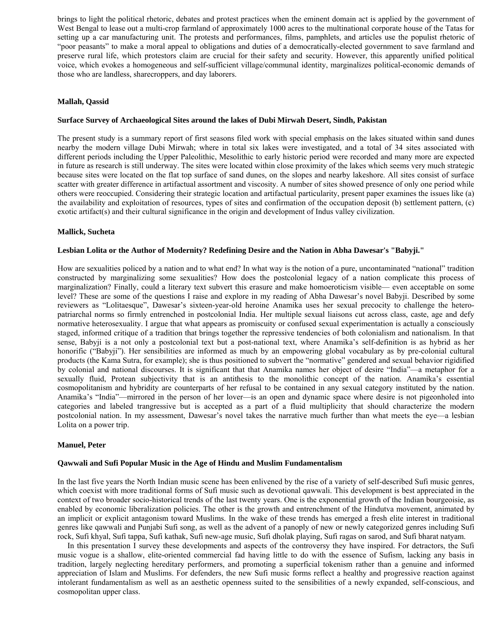brings to light the political rhetoric, debates and protest practices when the eminent domain act is applied by the government of West Bengal to lease out a multi-crop farmland of approximately 1000 acres to the multinational corporate house of the Tatas for setting up a car manufacturing unit. The protests and performances, films, pamphlets, and articles use the populist rhetoric of "poor peasants" to make a moral appeal to obligations and duties of a democratically-elected government to save farmland and preserve rural life, which protestors claim are crucial for their safety and security. However, this apparently unified political voice, which evokes a homogeneous and self-sufficient village/communal identity, marginalizes political-economic demands of those who are landless, sharecroppers, and day laborers.

#### **Mallah, Qassid**

#### **Surface Survey of Archaeological Sites around the lakes of Dubi Mirwah Desert, Sindh, Pakistan**

The present study is a summary report of first seasons filed work with special emphasis on the lakes situated within sand dunes nearby the modern village Dubi Mirwah; where in total six lakes were investigated, and a total of 34 sites associated with different periods including the Upper Paleolithic, Mesolithic to early historic period were recorded and many more are expected in future as research is still underway. The sites were located within close proximity of the lakes which seems very much strategic because sites were located on the flat top surface of sand dunes, on the slopes and nearby lakeshore. All sites consist of surface scatter with greater difference in artifactual assortment and viscosity. A number of sites showed presence of only one period while others were reoccupied. Considering their strategic location and artifactual particularity, present paper examines the issues like (a) the availability and exploitation of resources, types of sites and confirmation of the occupation deposit (b) settlement pattern, (c) exotic artifact(s) and their cultural significance in the origin and development of Indus valley civilization.

#### **Mallick, Sucheta**

#### **Lesbian Lolita or the Author of Modernity? Redefining Desire and the Nation in Abha Dawesar's "Babyji."**

How are sexualities policed by a nation and to what end? In what way is the notion of a pure, uncontaminated "national" tradition constructed by marginalizing some sexualities? How does the postcolonial legacy of a nation complicate this process of marginalization? Finally, could a literary text subvert this erasure and make homoeroticism visible— even acceptable on some level? These are some of the questions I raise and explore in my reading of Abha Dawesar's novel Babyji. Described by some reviewers as "Lolitaesque", Dawesar's sixteen-year-old heroine Anamika uses her sexual precocity to challenge the heteropatriarchal norms so firmly entrenched in postcolonial India. Her multiple sexual liaisons cut across class, caste, age and defy normative heterosexuality. I argue that what appears as promiscuity or confused sexual experimentation is actually a consciously staged, informed critique of a tradition that brings together the repressive tendencies of both colonialism and nationalism. In that sense, Babyji is a not only a postcolonial text but a post-national text, where Anamika's self-definition is as hybrid as her honorific ("Babyji"). Her sensibilities are informed as much by an empowering global vocabulary as by pre-colonial cultural products (the Kama Sutra, for example); she is thus positioned to subvert the "normative" gendered and sexual behavior rigidified by colonial and national discourses. It is significant that that Anamika names her object of desire "India"—a metaphor for a sexually fluid, Protean subjectivity that is an antithesis to the monolithic concept of the nation. Anamika's essential cosmopolitanism and hybridity are counterparts of her refusal to be contained in any sexual category instituted by the nation. Anamika's "India"—mirrored in the person of her lover—is an open and dynamic space where desire is not pigeonholed into categories and labeled trangressive but is accepted as a part of a fluid multiplicity that should characterize the modern postcolonial nation. In my assessment, Dawesar's novel takes the narrative much further than what meets the eye—a lesbian Lolita on a power trip.

#### **Manuel, Peter**

#### **Qawwali and Sufi Popular Music in the Age of Hindu and Muslim Fundamentalism**

In the last five years the North Indian music scene has been enlivened by the rise of a variety of self-described Sufi music genres, which coexist with more traditional forms of Sufi music such as devotional qawwali. This development is best appreciated in the context of two broader socio-historical trends of the last twenty years. One is the exponential growth of the Indian bourgeoisie, as enabled by economic liberalization policies. The other is the growth and entrenchment of the Hindutva movement, animated by an implicit or explicit antagonism toward Muslims. In the wake of these trends has emerged a fresh elite interest in traditional genres like qawwali and Punjabi Sufi song, as well as the advent of a panoply of new or newly categorized genres including Sufi rock, Sufi khyal, Sufi tappa, Sufi kathak, Sufi new-age music, Sufi dholak playing, Sufi ragas on sarod, and Sufi bharat natyam.

 In this presentation I survey these developments and aspects of the controversy they have inspired. For detractors, the Sufi music vogue is a shallow, elite-oriented commercial fad having little to do with the essence of Sufism, lacking any basis in tradition, largely neglecting hereditary performers, and promoting a superficial tokenism rather than a genuine and informed appreciation of Islam and Muslims. For defenders, the new Sufi music forms reflect a healthy and progressive reaction against intolerant fundamentalism as well as an aesthetic openness suited to the sensibilities of a newly expanded, self-conscious, and cosmopolitan upper class.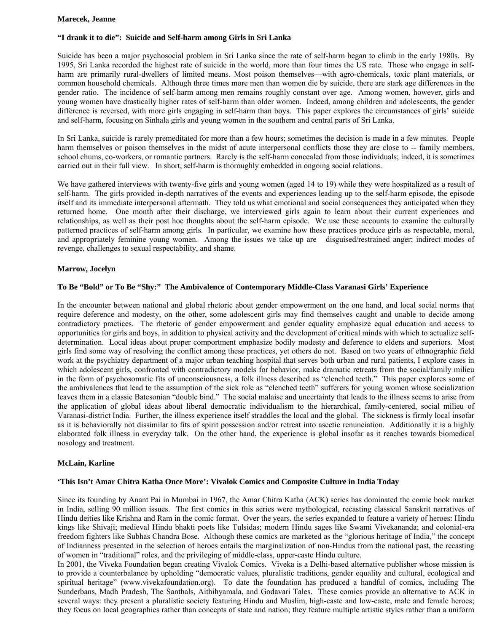#### **Marecek, Jeanne**

## **"I drank it to die": Suicide and Self-harm among Girls in Sri Lanka**

Suicide has been a major psychosocial problem in Sri Lanka since the rate of self-harm began to climb in the early 1980s. By 1995, Sri Lanka recorded the highest rate of suicide in the world, more than four times the US rate. Those who engage in selfharm are primarily rural-dwellers of limited means. Most poison themselves—with agro-chemicals, toxic plant materials, or common household chemicals. Although three times more men than women die by suicide, there are stark age differences in the gender ratio. The incidence of self-harm among men remains roughly constant over age. Among women, however, girls and young women have drastically higher rates of self-harm than older women. Indeed, among children and adolescents, the gender difference is reversed, with more girls engaging in self-harm than boys. This paper explores the circumstances of girls' suicide and self-harm, focusing on Sinhala girls and young women in the southern and central parts of Sri Lanka.

In Sri Lanka, suicide is rarely premeditated for more than a few hours; sometimes the decision is made in a few minutes. People harm themselves or poison themselves in the midst of acute interpersonal conflicts those they are close to -- family members, school chums, co-workers, or romantic partners. Rarely is the self-harm concealed from those individuals; indeed, it is sometimes carried out in their full view. In short, self-harm is thoroughly embedded in ongoing social relations.

We have gathered interviews with twenty-five girls and young women (aged 14 to 19) while they were hospitalized as a result of self-harm. The girls provided in-depth narratives of the events and experiences leading up to the self-harm episode, the episode itself and its immediate interpersonal aftermath. They told us what emotional and social consequences they anticipated when they returned home. One month after their discharge, we interviewed girls again to learn about their current experiences and relationships, as well as their post hoc thoughts about the self-harm episode. We use these accounts to examine the culturally patterned practices of self-harm among girls. In particular, we examine how these practices produce girls as respectable, moral, and appropriately feminine young women. Among the issues we take up are disguised/restrained anger; indirect modes of revenge, challenges to sexual respectability, and shame.

# **Marrow, Jocelyn**

# **To Be "Bold" or To Be "Shy:" The Ambivalence of Contemporary Middle-Class Varanasi Girls' Experience**

In the encounter between national and global rhetoric about gender empowerment on the one hand, and local social norms that require deference and modesty, on the other, some adolescent girls may find themselves caught and unable to decide among contradictory practices. The rhetoric of gender empowerment and gender equality emphasize equal education and access to opportunities for girls and boys, in addition to physical activity and the development of critical minds with which to actualize selfdetermination. Local ideas about proper comportment emphasize bodily modesty and deference to elders and superiors. Most girls find some way of resolving the conflict among these practices, yet others do not. Based on two years of ethnographic field work at the psychiatry department of a major urban teaching hospital that serves both urban and rural patients, I explore cases in which adolescent girls, confronted with contradictory models for behavior, make dramatic retreats from the social/family milieu in the form of psychosomatic fits of unconsciousness, a folk illness described as "clenched teeth." This paper explores some of the ambivalences that lead to the assumption of the sick role as "clenched teeth" sufferers for young women whose socialization leaves them in a classic Batesonian "double bind." The social malaise and uncertainty that leads to the illness seems to arise from the application of global ideas about liberal democratic individualism to the hierarchical, family-centered, social milieu of Varanasi-district India. Further, the illness experience itself straddles the local and the global. The sickness is firmly local insofar as it is behaviorally not dissimilar to fits of spirit possession and/or retreat into ascetic renunciation. Additionally it is a highly elaborated folk illness in everyday talk. On the other hand, the experience is global insofar as it reaches towards biomedical nosology and treatment.

#### **McLain, Karline**

#### **'This Isn't Amar Chitra Katha Once More': Vivalok Comics and Composite Culture in India Today**

Since its founding by Anant Pai in Mumbai in 1967, the Amar Chitra Katha (ACK) series has dominated the comic book market in India, selling 90 million issues. The first comics in this series were mythological, recasting classical Sanskrit narratives of Hindu deities like Krishna and Ram in the comic format. Over the years, the series expanded to feature a variety of heroes: Hindu kings like Shivaji; medieval Hindu bhakti poets like Tulsidas; modern Hindu sages like Swami Vivekananda; and colonial-era freedom fighters like Subhas Chandra Bose. Although these comics are marketed as the "glorious heritage of India," the concept of Indianness presented in the selection of heroes entails the marginalization of non-Hindus from the national past, the recasting of women in "traditional" roles, and the privileging of middle-class, upper-caste Hindu culture.

In 2001, the Viveka Foundation began creating Vivalok Comics. Viveka is a Delhi-based alternative publisher whose mission is to provide a counterbalance by upholding "democratic values, pluralistic traditions, gender equality and cultural, ecological and spiritual heritage" (www.vivekafoundation.org). To date the foundation has produced a handful of comics, including The Sunderbans, Madh Pradesh, The Santhals, Aithihyamala, and Godavari Tales. These comics provide an alternative to ACK in several ways: they present a pluralistic society featuring Hindu and Muslim, high-caste and low-caste, male and female heroes; they focus on local geographies rather than concepts of state and nation; they feature multiple artistic styles rather than a uniform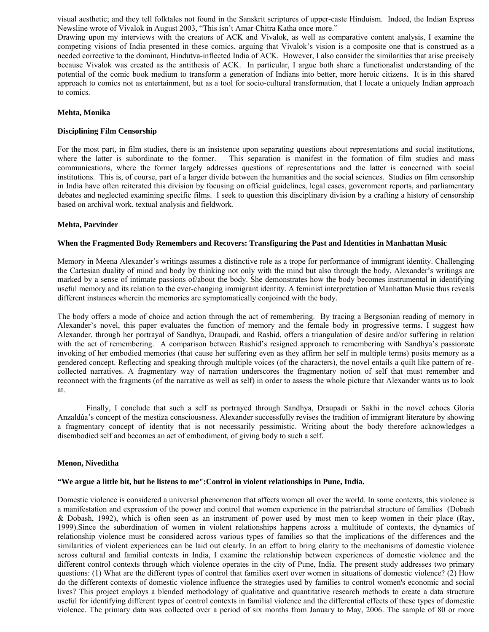visual aesthetic; and they tell folktales not found in the Sanskrit scriptures of upper-caste Hinduism. Indeed, the Indian Express Newsline wrote of Vivalok in August 2003, "This isn't Amar Chitra Katha once more."

Drawing upon my interviews with the creators of ACK and Vivalok, as well as comparative content analysis, I examine the competing visions of India presented in these comics, arguing that Vivalok's vision is a composite one that is construed as a needed corrective to the dominant, Hindutva-inflected India of ACK. However, I also consider the similarities that arise precisely because Vivalok was created as the antithesis of ACK. In particular, I argue both share a functionalist understanding of the potential of the comic book medium to transform a generation of Indians into better, more heroic citizens. It is in this shared approach to comics not as entertainment, but as a tool for socio-cultural transformation, that I locate a uniquely Indian approach to comics.

#### **Mehta, Monika**

#### **Disciplining Film Censorship**

For the most part, in film studies, there is an insistence upon separating questions about representations and social institutions, where the latter is subordinate to the former. This separation is manifest in the formation of film studies and mass communications, where the former largely addresses questions of representations and the latter is concerned with social institutions. This is, of course, part of a larger divide between the humanities and the social sciences. Studies on film censorship in India have often reiterated this division by focusing on official guidelines, legal cases, government reports, and parliamentary debates and neglected examining specific films. I seek to question this disciplinary division by a crafting a history of censorship based on archival work, textual analysis and fieldwork.

#### **Mehta, Parvinder**

#### **When the Fragmented Body Remembers and Recovers: Transfiguring the Past and Identities in Manhattan Music**

Memory in Meena Alexander's writings assumes a distinctive role as a trope for performance of immigrant identity. Challenging the Cartesian duality of mind and body by thinking not only with the mind but also through the body, Alexander's writings are marked by a sense of intimate passions of/about the body. She demonstrates how the body becomes instrumental in identifying useful memory and its relation to the ever-changing immigrant identity. A feminist interpretation of Manhattan Music thus reveals different instances wherein the memories are symptomatically conjoined with the body.

The body offers a mode of choice and action through the act of remembering. By tracing a Bergsonian reading of memory in Alexander's novel, this paper evaluates the function of memory and the female body in progressive terms. I suggest how Alexander, through her portrayal of Sandhya, Draupadi, and Rashid, offers a triangulation of desire and/or suffering in relation with the act of remembering. A comparison between Rashid's resigned approach to remembering with Sandhya's passionate invoking of her embodied memories (that cause her suffering even as they affirm her self in multiple terms) posits memory as a gendered concept. Reflecting and speaking through multiple voices (of the characters), the novel entails a quilt like pattern of recollected narratives. A fragmentary way of narration underscores the fragmentary notion of self that must remember and reconnect with the fragments (of the narrative as well as self) in order to assess the whole picture that Alexander wants us to look at.

 Finally, I conclude that such a self as portrayed through Sandhya, Draupadi or Sakhi in the novel echoes Gloria Anzaldúa's concept of the mestiza consciousness. Alexander successfully revises the tradition of immigrant literature by showing a fragmentary concept of identity that is not necessarily pessimistic. Writing about the body therefore acknowledges a disembodied self and becomes an act of embodiment, of giving body to such a self.

#### **Menon, Niveditha**

#### **"We argue a little bit, but he listens to me":Control in violent relationships in Pune, India.**

Domestic violence is considered a universal phenomenon that affects women all over the world. In some contexts, this violence is a manifestation and expression of the power and control that women experience in the patriarchal structure of families (Dobash & Dobash, 1992), which is often seen as an instrument of power used by most men to keep women in their place (Ray, 1999).Since the subordination of women in violent relationships happens across a multitude of contexts, the dynamics of relationship violence must be considered across various types of families so that the implications of the differences and the similarities of violent experiences can be laid out clearly. In an effort to bring clarity to the mechanisms of domestic violence across cultural and familial contexts in India, I examine the relationship between experiences of domestic violence and the different control contexts through which violence operates in the city of Pune, India. The present study addresses two primary questions: (1) What are the different types of control that families exert over women in situations of domestic violence? (2) How do the different contexts of domestic violence influence the strategies used by families to control women's economic and social lives? This project employs a blended methodology of qualitative and quantitative research methods to create a data structure useful for identifying different types of control contexts in familial violence and the differential effects of these types of domestic violence. The primary data was collected over a period of six months from January to May, 2006. The sample of 80 or more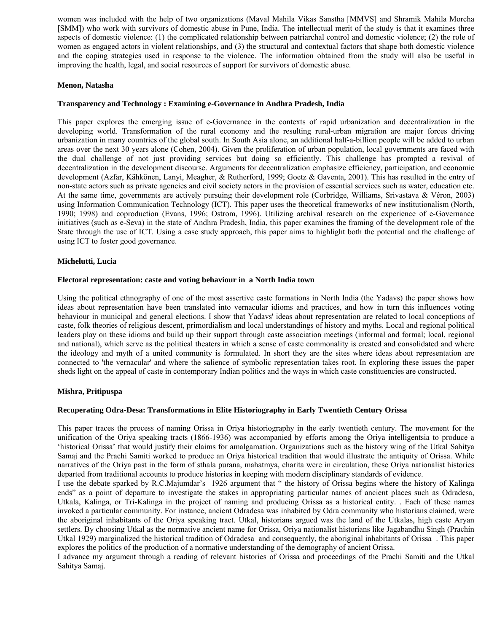women was included with the help of two organizations (Maval Mahila Vikas Sanstha [MMVS] and Shramik Mahila Morcha [SMM]) who work with survivors of domestic abuse in Pune, India. The intellectual merit of the study is that it examines three aspects of domestic violence: (1) the complicated relationship between patriarchal control and domestic violence; (2) the role of women as engaged actors in violent relationships, and (3) the structural and contextual factors that shape both domestic violence and the coping strategies used in response to the violence. The information obtained from the study will also be useful in improving the health, legal, and social resources of support for survivors of domestic abuse.

# **Menon, Natasha**

# **Transparency and Technology : Examining e-Governance in Andhra Pradesh, India**

This paper explores the emerging issue of e-Governance in the contexts of rapid urbanization and decentralization in the developing world. Transformation of the rural economy and the resulting rural-urban migration are major forces driving urbanization in many countries of the global south. In South Asia alone, an additional half-a-billion people will be added to urban areas over the next 30 years alone (Cohen, 2004). Given the proliferation of urban population, local governments are faced with the dual challenge of not just providing services but doing so efficiently. This challenge has prompted a revival of decentralization in the development discourse. Arguments for decentralization emphasize efficiency, participation, and economic development (Azfar, Kähkönen, Lanyi, Meagher, & Rutherford, 1999; Goetz & Gaventa, 2001). This has resulted in the entry of non-state actors such as private agencies and civil society actors in the provision of essential services such as water, education etc. At the same time, governments are actively pursuing their development role (Corbridge, Williams, Srivastava & Véron, 2003) using Information Communication Technology (ICT). This paper uses the theoretical frameworks of new institutionalism (North, 1990; 1998) and coproduction (Evans, 1996; Ostrom, 1996). Utilizing archival research on the experience of e-Governance initiatives (such as e-Seva) in the state of Andhra Pradesh, India, this paper examines the framing of the development role of the State through the use of ICT. Using a case study approach, this paper aims to highlight both the potential and the challenge of using ICT to foster good governance.

#### **Michelutti, Lucia**

#### **Electoral representation: caste and voting behaviour in a North India town**

Using the political ethnography of one of the most assertive caste formations in North India (the Yadavs) the paper shows how ideas about representation have been translated into vernacular idioms and practices, and how in turn this influences voting behaviour in municipal and general elections. I show that Yadavs' ideas about representation are related to local conceptions of caste, folk theories of religious descent, primordialism and local understandings of history and myths. Local and regional political leaders play on these idioms and build up their support through caste association meetings (informal and formal; local, regional and national), which serve as the political theaters in which a sense of caste commonality is created and consolidated and where the ideology and myth of a united community is formulated. In short they are the sites where ideas about representation are connected to 'the vernacular' and where the salience of symbolic representation takes root. In exploring these issues the paper sheds light on the appeal of caste in contemporary Indian politics and the ways in which caste constituencies are constructed.

#### **Mishra, Pritipuspa**

#### **Recuperating Odra-Desa: Transformations in Elite Historiography in Early Twentieth Century Orissa**

This paper traces the process of naming Orissa in Oriya historiography in the early twentieth century. The movement for the unification of the Oriya speaking tracts (1866-1936) was accompanied by efforts among the Oriya intelligentsia to produce a 'historical Orissa' that would justify their claims for amalgamation. Organizations such as the history wing of the Utkal Sahitya Samaj and the Prachi Samiti worked to produce an Oriya historical tradition that would illustrate the antiquity of Orissa. While narratives of the Oriya past in the form of sthala purana, mahatmya, charita were in circulation, these Oriya nationalist histories departed from traditional accounts to produce histories in keeping with modern disciplinary standards of evidence.

I use the debate sparked by R.C.Majumdar's 1926 argument that " the history of Orissa begins where the history of Kalinga ends" as a point of departure to investigate the stakes in appropriating particular names of ancient places such as Odradesa, Utkala, Kalinga, or Tri-Kalinga in the project of naming and producing Orissa as a historical entity. . Each of these names invoked a particular community. For instance, ancient Odradesa was inhabited by Odra community who historians claimed, were the aboriginal inhabitants of the Oriya speaking tract. Utkal, historians argued was the land of the Utkalas, high caste Aryan settlers. By choosing Utkal as the normative ancient name for Orissa, Oriya nationalist historians like Jagabandhu Singh (Prachin Utkal 1929) marginalized the historical tradition of Odradesa and consequently, the aboriginal inhabitants of Orissa . This paper explores the politics of the production of a normative understanding of the demography of ancient Orissa.

I advance my argument through a reading of relevant histories of Orissa and proceedings of the Prachi Samiti and the Utkal Sahitya Samaj.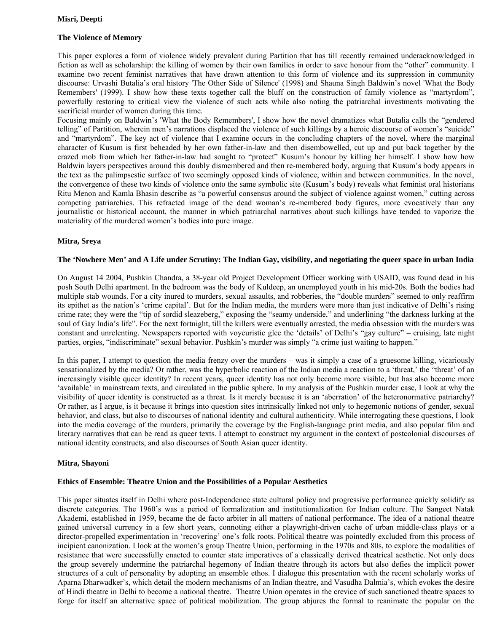# **The Violence of Memory**

This paper explores a form of violence widely prevalent during Partition that has till recently remained underacknowledged in fiction as well as scholarship: the killing of women by their own families in order to save honour from the "other" community. I examine two recent feminist narratives that have drawn attention to this form of violence and its suppression in community discourse: Urvashi Butalia's oral history 'The Other Side of Silence' (1998) and Shauna Singh Baldwin's novel 'What the Body Remembers' (1999). I show how these texts together call the bluff on the construction of family violence as "martyrdom", powerfully restoring to critical view the violence of such acts while also noting the patriarchal investments motivating the sacrificial murder of women during this time.

Focusing mainly on Baldwin's 'What the Body Remembers', I show how the novel dramatizes what Butalia calls the "gendered telling" of Partition, wherein men's narrations displaced the violence of such killings by a heroic discourse of women's "suicide" and "martyrdom". The key act of violence that I examine occurs in the concluding chapters of the novel, where the marginal character of Kusum is first beheaded by her own father-in-law and then disembowelled, cut up and put back together by the crazed mob from which her father-in-law had sought to "protect" Kusum's honour by killing her himself. I show how how Baldwin layers perspectives around this doubly dismembered and then re-membered body, arguing that Kusum's body appears in the text as the palimpsestic surface of two seemingly opposed kinds of violence, within and between communities. In the novel, the convergence of these two kinds of violence onto the same symbolic site (Kusum's body) reveals what feminist oral historians Ritu Menon and Kamla Bhasin describe as "a powerful consensus around the subject of violence against women," cutting across competing patriarchies. This refracted image of the dead woman's re-membered body figures, more evocatively than any journalistic or historical account, the manner in which patriarchal narratives about such killings have tended to vaporize the materiality of the murdered women's bodies into pure image.

# **Mitra, Sreya**

## **The 'Nowhere Men' and A Life under Scrutiny: The Indian Gay, visibility, and negotiating the queer space in urban India**

On August 14 2004, Pushkin Chandra, a 38-year old Project Development Officer working with USAID, was found dead in his posh South Delhi apartment. In the bedroom was the body of Kuldeep, an unemployed youth in his mid-20s. Both the bodies had multiple stab wounds. For a city inured to murders, sexual assaults, and robberies, the "double murders" seemed to only reaffirm its epithet as the nation's 'crime capital'. But for the Indian media, the murders were more than just indicative of Delhi's rising crime rate; they were the "tip of sordid sleazeberg," exposing the "seamy underside," and underlining "the darkness lurking at the soul of Gay India's life". For the next fortnight, till the killers were eventually arrested, the media obsession with the murders was constant and unrelenting. Newspapers reported with voyeuristic glee the 'details' of Delhi's "gay culture" – cruising, late night parties, orgies, "indiscriminate" sexual behavior. Pushkin's murder was simply "a crime just waiting to happen."

In this paper, I attempt to question the media frenzy over the murders – was it simply a case of a gruesome killing, vicariously sensationalized by the media? Or rather, was the hyperbolic reaction of the Indian media a reaction to a 'threat,' the "threat' of an increasingly visible queer identity? In recent years, queer identity has not only become more visible, but has also become more 'available' in mainstream texts, and circulated in the public sphere. In my analysis of the Pushkin murder case, I look at why the visibility of queer identity is constructed as a threat. Is it merely because it is an 'aberration' of the heteronormative patriarchy? Or rather, as I argue, is it because it brings into question sites intrinsically linked not only to hegemonic notions of gender, sexual behavior, and class, but also to discourses of national identity and cultural authenticity. While interrogating these questions, I look into the media coverage of the murders, primarily the coverage by the English-language print media, and also popular film and literary narratives that can be read as queer texts. I attempt to construct my argument in the context of postcolonial discourses of national identity constructs, and also discourses of South Asian queer identity.

#### **Mitra, Shayoni**

#### **Ethics of Ensemble: Theatre Union and the Possibilities of a Popular Aesthetics**

This paper situates itself in Delhi where post-Independence state cultural policy and progressive performance quickly solidify as discrete categories. The 1960's was a period of formalization and institutionalization for Indian culture. The Sangeet Natak Akademi, established in 1959, became the de facto arbiter in all matters of national performance. The idea of a national theatre gained universal currency in a few short years, connoting either a playwright-driven cache of urban middle-class plays or a director-propelled experimentation in 'recovering' one's folk roots. Political theatre was pointedly excluded from this process of incipient canonization. I look at the women's group Theatre Union, performing in the 1970s and 80s, to explore the modalities of resistance that were successfully enacted to counter state imperatives of a classically derived theatrical aesthetic. Not only does the group severely undermine the patriarchal hegemony of Indian theatre through its actors but also defies the implicit power structures of a cult of personality by adopting an ensemble ethos. I dialogue this presentation with the recent scholarly works of Aparna Dharwadker's, which detail the modern mechanisms of an Indian theatre, and Vasudha Dalmia's, which evokes the desire of Hindi theatre in Delhi to become a national theatre. Theatre Union operates in the crevice of such sanctioned theatre spaces to forge for itself an alternative space of political mobilization. The group abjures the formal to reanimate the popular on the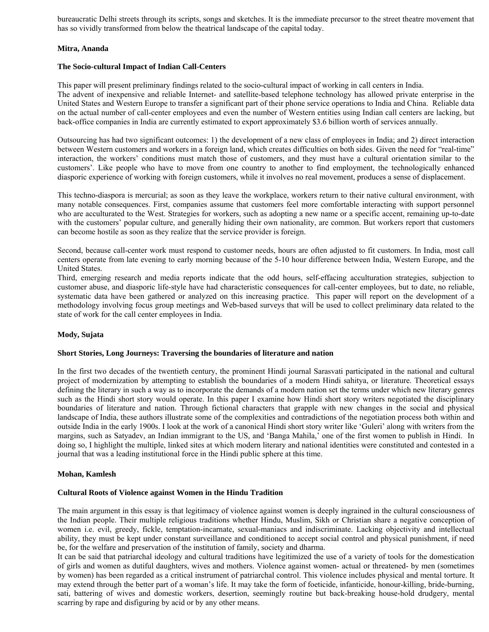bureaucratic Delhi streets through its scripts, songs and sketches. It is the immediate precursor to the street theatre movement that has so vividly transformed from below the theatrical landscape of the capital today.

# **Mitra, Ananda**

# **The Socio-cultural Impact of Indian Call-Centers**

This paper will present preliminary findings related to the socio-cultural impact of working in call centers in India. The advent of inexpensive and reliable Internet- and satellite-based telephone technology has allowed private enterprise in the United States and Western Europe to transfer a significant part of their phone service operations to India and China. Reliable data on the actual number of call-center employees and even the number of Western entities using Indian call centers are lacking, but back-office companies in India are currently estimated to export approximately \$3.6 billion worth of services annually.

Outsourcing has had two significant outcomes: 1) the development of a new class of employees in India; and 2) direct interaction between Western customers and workers in a foreign land, which creates difficulties on both sides. Given the need for "real-time" interaction, the workers' conditions must match those of customers, and they must have a cultural orientation similar to the customers'. Like people who have to move from one country to another to find employment, the technologically enhanced diasporic experience of working with foreign customers, while it involves no real movement, produces a sense of displacement.

This techno-diaspora is mercurial; as soon as they leave the workplace, workers return to their native cultural environment, with many notable consequences. First, companies assume that customers feel more comfortable interacting with support personnel who are acculturated to the West. Strategies for workers, such as adopting a new name or a specific accent, remaining up-to-date with the customers' popular culture, and generally hiding their own nationality, are common. But workers report that customers can become hostile as soon as they realize that the service provider is foreign.

Second, because call-center work must respond to customer needs, hours are often adjusted to fit customers. In India, most call centers operate from late evening to early morning because of the 5-10 hour difference between India, Western Europe, and the United States.

Third, emerging research and media reports indicate that the odd hours, self-effacing acculturation strategies, subjection to customer abuse, and diasporic life-style have had characteristic consequences for call-center employees, but to date, no reliable, systematic data have been gathered or analyzed on this increasing practice. This paper will report on the development of a methodology involving focus group meetings and Web-based surveys that will be used to collect preliminary data related to the state of work for the call center employees in India.

# **Mody, Sujata**

#### **Short Stories, Long Journeys: Traversing the boundaries of literature and nation**

In the first two decades of the twentieth century, the prominent Hindi journal Sarasvati participated in the national and cultural project of modernization by attempting to establish the boundaries of a modern Hindi sahitya, or literature. Theoretical essays defining the literary in such a way as to incorporate the demands of a modern nation set the terms under which new literary genres such as the Hindi short story would operate. In this paper I examine how Hindi short story writers negotiated the disciplinary boundaries of literature and nation. Through fictional characters that grapple with new changes in the social and physical landscape of India, these authors illustrate some of the complexities and contradictions of the negotiation process both within and outside India in the early 1900s. I look at the work of a canonical Hindi short story writer like 'Guleri' along with writers from the margins, such as Satyadev, an Indian immigrant to the US, and 'Banga Mahila,' one of the first women to publish in Hindi. In doing so, I highlight the multiple, linked sites at which modern literary and national identities were constituted and contested in a journal that was a leading institutional force in the Hindi public sphere at this time.

#### **Mohan, Kamlesh**

#### **Cultural Roots of Violence against Women in the Hindu Tradition**

The main argument in this essay is that legitimacy of violence against women is deeply ingrained in the cultural consciousness of the Indian people. Their multiple religious traditions whether Hindu, Muslim, Sikh or Christian share a negative conception of women i.e. evil, greedy, fickle, temptation-incarnate, sexual-maniacs and indiscriminate. Lacking objectivity and intellectual ability, they must be kept under constant surveillance and conditioned to accept social control and physical punishment, if need be, for the welfare and preservation of the institution of family, society and dharma.

It can be said that patriarchal ideology and cultural traditions have legitimized the use of a variety of tools for the domestication of girls and women as dutiful daughters, wives and mothers. Violence against women- actual or threatened- by men (sometimes by women) has been regarded as a critical instrument of patriarchal control. This violence includes physical and mental torture. It may extend through the better part of a woman's life. It may take the form of foeticide, infanticide, honour-killing, bride-burning, sati, battering of wives and domestic workers, desertion, seemingly routine but back-breaking house-hold drudgery, mental scarring by rape and disfiguring by acid or by any other means.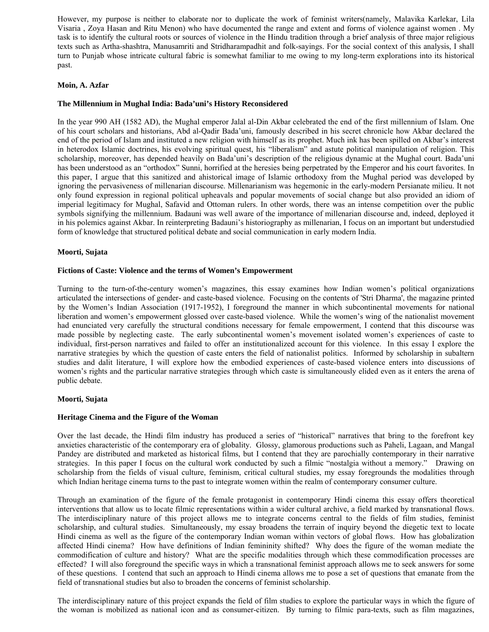However, my purpose is neither to elaborate nor to duplicate the work of feminist writers(namely, Malavika Karlekar, Lila Visaria , Zoya Hasan and Ritu Menon) who have documented the range and extent and forms of violence against women . My task is to identify the cultural roots or sources of violence in the Hindu tradition through a brief analysis of three major religious texts such as Artha-shashtra, Manusamriti and Stridharampadhit and folk-sayings. For the social context of this analysis, I shall turn to Punjab whose intricate cultural fabric is somewhat familiar to me owing to my long-term explorations into its historical past.

# **Moin, A. Azfar**

# **The Millennium in Mughal India: Bada'uni's History Reconsidered**

In the year 990 AH (1582 AD), the Mughal emperor Jalal al-Din Akbar celebrated the end of the first millennium of Islam. One of his court scholars and historians, Abd al-Qadir Bada'uni, famously described in his secret chronicle how Akbar declared the end of the period of Islam and instituted a new religion with himself as its prophet. Much ink has been spilled on Akbar's interest in heterodox Islamic doctrines, his evolving spiritual quest, his "liberalism" and astute political manipulation of religion. This scholarship, moreover, has depended heavily on Bada'uni's description of the religious dynamic at the Mughal court. Bada'uni has been understood as an "orthodox" Sunni, horrified at the heresies being perpetrated by the Emperor and his court favorites. In this paper, I argue that this sanitized and ahistorical image of Islamic orthodoxy from the Mughal period was developed by ignoring the pervasiveness of millenarian discourse. Millenarianism was hegemonic in the early-modern Persianate milieu. It not only found expression in regional political upheavals and popular movements of social change but also provided an idiom of imperial legitimacy for Mughal, Safavid and Ottoman rulers. In other words, there was an intense competition over the public symbols signifying the millennium. Badauni was well aware of the importance of millenarian discourse and, indeed, deployed it in his polemics against Akbar. In reinterpreting Badauni's historiography as millenarian, I focus on an important but understudied form of knowledge that structured political debate and social communication in early modern India.

# **Moorti, Sujata**

# **Fictions of Caste: Violence and the terms of Women's Empowerment**

Turning to the turn-of-the-century women's magazines, this essay examines how Indian women's political organizations articulated the intersections of gender- and caste-based violence. Focusing on the contents of 'Stri Dharma', the magazine printed by the Women's Indian Association (1917-1952), I foreground the manner in which subcontinental movements for national liberation and women's empowerment glossed over caste-based violence. While the women's wing of the nationalist movement had enunciated very carefully the structural conditions necessary for female empowerment, I contend that this discourse was made possible by neglecting caste. The early subcontinental women's movement isolated women's experiences of caste to individual, first-person narratives and failed to offer an institutionalized account for this violence. In this essay I explore the narrative strategies by which the question of caste enters the field of nationalist politics. Informed by scholarship in subaltern studies and dalit literature, I will explore how the embodied experiences of caste-based violence enters into discussions of women's rights and the particular narrative strategies through which caste is simultaneously elided even as it enters the arena of public debate.

#### **Moorti, Sujata**

#### **Heritage Cinema and the Figure of the Woman**

Over the last decade, the Hindi film industry has produced a series of "historical" narratives that bring to the forefront key anxieties characteristic of the contemporary era of globality. Glossy, glamorous productions such as Paheli, Lagaan, and Mangal Pandey are distributed and marketed as historical films, but I contend that they are parochially contemporary in their narrative strategies. In this paper I focus on the cultural work conducted by such a filmic "nostalgia without a memory." Drawing on scholarship from the fields of visual culture, feminism, critical cultural studies, my essay foregrounds the modalities through which Indian heritage cinema turns to the past to integrate women within the realm of contemporary consumer culture.

Through an examination of the figure of the female protagonist in contemporary Hindi cinema this essay offers theoretical interventions that allow us to locate filmic representations within a wider cultural archive, a field marked by transnational flows. The interdisciplinary nature of this project allows me to integrate concerns central to the fields of film studies, feminist scholarship, and cultural studies. Simultaneously, my essay broadens the terrain of inquiry beyond the diegetic text to locate Hindi cinema as well as the figure of the contemporary Indian woman within vectors of global flows. How has globalization affected Hindi cinema? How have definitions of Indian femininity shifted? Why does the figure of the woman mediate the commodification of culture and history? What are the specific modalities through which these commodification processes are effected? I will also foreground the specific ways in which a transnational feminist approach allows me to seek answers for some of these questions. I contend that such an approach to Hindi cinema allows me to pose a set of questions that emanate from the field of transnational studies but also to broaden the concerns of feminist scholarship.

The interdisciplinary nature of this project expands the field of film studies to explore the particular ways in which the figure of the woman is mobilized as national icon and as consumer-citizen. By turning to filmic para-texts, such as film magazines,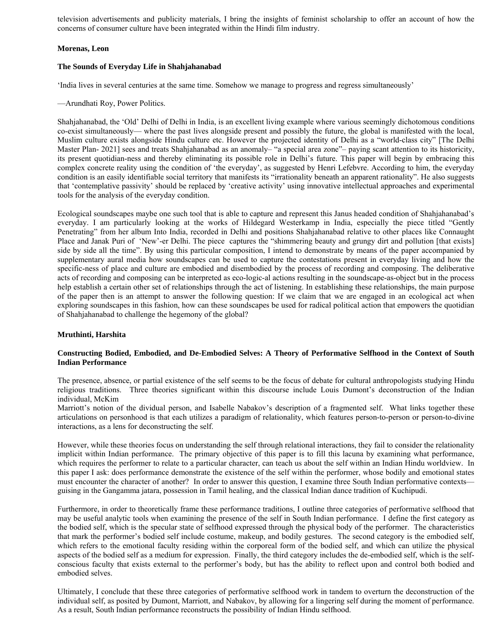television advertisements and publicity materials, I bring the insights of feminist scholarship to offer an account of how the concerns of consumer culture have been integrated within the Hindi film industry.

# **Morenas, Leon**

# **The Sounds of Everyday Life in Shahjahanabad**

'India lives in several centuries at the same time. Somehow we manage to progress and regress simultaneously'

—Arundhati Roy, Power Politics.

Shahjahanabad, the 'Old' Delhi of Delhi in India, is an excellent living example where various seemingly dichotomous conditions co-exist simultaneously— where the past lives alongside present and possibly the future, the global is manifested with the local, Muslim culture exists alongside Hindu culture etc. However the projected identity of Delhi as a "world-class city" [The Delhi Master Plan- 2021] sees and treats Shahjahanabad as an anomaly– "a special area zone"– paying scant attention to its historicity, its present quotidian-ness and thereby eliminating its possible role in Delhi's future. This paper will begin by embracing this complex concrete reality using the condition of 'the everyday', as suggested by Henri Lefebvre. According to him, the everyday condition is an easily identifiable social territory that manifests its "irrationality beneath an apparent rationality". He also suggests that 'contemplative passivity' should be replaced by 'creative activity' using innovative intellectual approaches and experimental tools for the analysis of the everyday condition.

Ecological soundscapes maybe one such tool that is able to capture and represent this Janus headed condition of Shahjahanabad's everyday. I am particularly looking at the works of Hildegard Westerkamp in India, especially the piece titled "Gently Penetrating" from her album Into India, recorded in Delhi and positions Shahjahanabad relative to other places like Connaught Place and Janak Puri of 'New'-er Delhi. The piece captures the "shimmering beauty and grungy dirt and pollution [that exists] side by side all the time". By using this particular composition, I intend to demonstrate by means of the paper accompanied by supplementary aural media how soundscapes can be used to capture the contestations present in everyday living and how the specific-ness of place and culture are embodied and disembodied by the process of recording and composing. The deliberative acts of recording and composing can be interpreted as eco-logic-al actions resulting in the soundscape-as-object but in the process help establish a certain other set of relationships through the act of listening. In establishing these relationships, the main purpose of the paper then is an attempt to answer the following question: If we claim that we are engaged in an ecological act when exploring soundscapes in this fashion, how can these soundscapes be used for radical political action that empowers the quotidian of Shahjahanabad to challenge the hegemony of the global?

# **Mruthinti, Harshita**

# **Constructing Bodied, Embodied, and De-Embodied Selves: A Theory of Performative Selfhood in the Context of South Indian Performance**

The presence, absence, or partial existence of the self seems to be the focus of debate for cultural anthropologists studying Hindu religious traditions. Three theories significant within this discourse include Louis Dumont's deconstruction of the Indian individual, McKim

Marriott's notion of the dividual person, and Isabelle Nabakov's description of a fragmented self. What links together these articulations on personhood is that each utilizes a paradigm of relationality, which features person-to-person or person-to-divine interactions, as a lens for deconstructing the self.

However, while these theories focus on understanding the self through relational interactions, they fail to consider the relationality implicit within Indian performance. The primary objective of this paper is to fill this lacuna by examining what performance, which requires the performer to relate to a particular character, can teach us about the self within an Indian Hindu worldview. In this paper I ask: does performance demonstrate the existence of the self within the performer, whose bodily and emotional states must encounter the character of another? In order to answer this question, I examine three South Indian performative contexts guising in the Gangamma jatara, possession in Tamil healing, and the classical Indian dance tradition of Kuchipudi.

Furthermore, in order to theoretically frame these performance traditions, I outline three categories of performative selfhood that may be useful analytic tools when examining the presence of the self in South Indian performance. I define the first category as the bodied self, which is the specular state of selfhood expressed through the physical body of the performer. The characteristics that mark the performer's bodied self include costume, makeup, and bodily gestures. The second category is the embodied self, which refers to the emotional faculty residing within the corporeal form of the bodied self, and which can utilize the physical aspects of the bodied self as a medium for expression. Finally, the third category includes the de-embodied self, which is the selfconscious faculty that exists external to the performer's body, but has the ability to reflect upon and control both bodied and embodied selves.

Ultimately, I conclude that these three categories of performative selfhood work in tandem to overturn the deconstruction of the individual self, as posited by Dumont, Marriott, and Nabakov, by allowing for a lingering self during the moment of performance. As a result, South Indian performance reconstructs the possibility of Indian Hindu selfhood.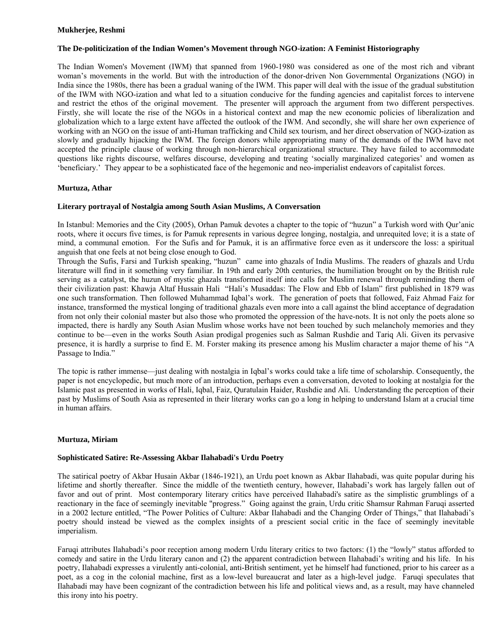# **Mukherjee, Reshmi**

# **The De-politicization of the Indian Women's Movement through NGO-ization: A Feminist Historiography**

The Indian Women's Movement (IWM) that spanned from 1960-1980 was considered as one of the most rich and vibrant woman's movements in the world. But with the introduction of the donor-driven Non Governmental Organizations (NGO) in India since the 1980s, there has been a gradual waning of the IWM. This paper will deal with the issue of the gradual substitution of the IWM with NGO-ization and what led to a situation conducive for the funding agencies and capitalist forces to intervene and restrict the ethos of the original movement. The presenter will approach the argument from two different perspectives. Firstly, she will locate the rise of the NGOs in a historical context and map the new economic policies of liberalization and globalization which to a large extent have affected the outlook of the IWM. And secondly, she will share her own experience of working with an NGO on the issue of anti-Human trafficking and Child sex tourism, and her direct observation of NGO-ization as slowly and gradually hijacking the IWM. The foreign donors while appropriating many of the demands of the IWM have not accepted the principle clause of working through non-hierarchical organizational structure. They have failed to accommodate questions like rights discourse, welfares discourse, developing and treating 'socially marginalized categories' and women as 'beneficiary.' They appear to be a sophisticated face of the hegemonic and neo-imperialist endeavors of capitalist forces.

# **Murtuza, Athar**

# **Literary portrayal of Nostalgia among South Asian Muslims, A Conversation**

In Istanbul: Memories and the City (2005), Orhan Pamuk devotes a chapter to the topic of "huzun" a Turkish word with Qur'anic roots, where it occurs five times, is for Pamuk represents in various degree longing, nostalgia, and unrequited love; it is a state of mind, a communal emotion. For the Sufis and for Pamuk, it is an affirmative force even as it underscore the loss: a spiritual anguish that one feels at not being close enough to God.

Through the Sufis, Farsi and Turkish speaking, "huzun" came into ghazals of India Muslims. The readers of ghazals and Urdu literature will find in it something very familiar. In 19th and early 20th centuries, the humiliation brought on by the British rule serving as a catalyst, the huzun of mystic ghazals transformed itself into calls for Muslim renewal through reminding them of their civilization past: Khawja Altaf Hussain Hali "Hali's Musaddas: The Flow and Ebb of Islam" first published in 1879 was one such transformation. Then followed Muhammad Iqbal's work. The generation of poets that followed, Faiz Ahmad Faiz for instance, transformed the mystical longing of traditional ghazals even more into a call against the blind acceptance of degradation from not only their colonial master but also those who promoted the oppression of the have-nots. It is not only the poets alone so impacted, there is hardly any South Asian Muslim whose works have not been touched by such melancholy memories and they continue to be—even in the works South Asian prodigal progenies such as Salman Rushdie and Tariq Ali. Given its pervasive presence, it is hardly a surprise to find E. M. Forster making its presence among his Muslim character a major theme of his "A Passage to India."

The topic is rather immense—just dealing with nostalgia in Iqbal's works could take a life time of scholarship. Consequently, the paper is not encyclopedic, but much more of an introduction, perhaps even a conversation, devoted to looking at nostalgia for the Islamic past as presented in works of Hali, Iqbal, Faiz, Quratulain Haider, Rushdie and Ali. Understanding the perception of their past by Muslims of South Asia as represented in their literary works can go a long in helping to understand Islam at a crucial time in human affairs.

#### **Murtuza, Miriam**

#### **Sophisticated Satire: Re-Assessing Akbar Ilahabadi's Urdu Poetry**

The satirical poetry of Akbar Husain Akbar (1846-1921), an Urdu poet known as Akbar Ilahabadi, was quite popular during his lifetime and shortly thereafter. Since the middle of the twentieth century, however, Ilahabadi's work has largely fallen out of favor and out of print. Most contemporary literary critics have perceived Ilahabadi's satire as the simplistic grumblings of a reactionary in the face of seemingly inevitable "progress." Going against the grain, Urdu critic Shamsur Rahman Faruqi asserted in a 2002 lecture entitled, "The Power Politics of Culture: Akbar Ilahabadi and the Changing Order of Things," that Ilahabadi's poetry should instead be viewed as the complex insights of a prescient social critic in the face of seemingly inevitable imperialism.

Faruqi attributes Ilahabadi's poor reception among modern Urdu literary critics to two factors: (1) the "lowly" status afforded to comedy and satire in the Urdu literary canon and (2) the apparent contradiction between Ilahabadi's writing and his life. In his poetry, Ilahabadi expresses a virulently anti-colonial, anti-British sentiment, yet he himself had functioned, prior to his career as a poet, as a cog in the colonial machine, first as a low-level bureaucrat and later as a high-level judge. Faruqi speculates that Ilahabadi may have been cognizant of the contradiction between his life and political views and, as a result, may have channeled this irony into his poetry.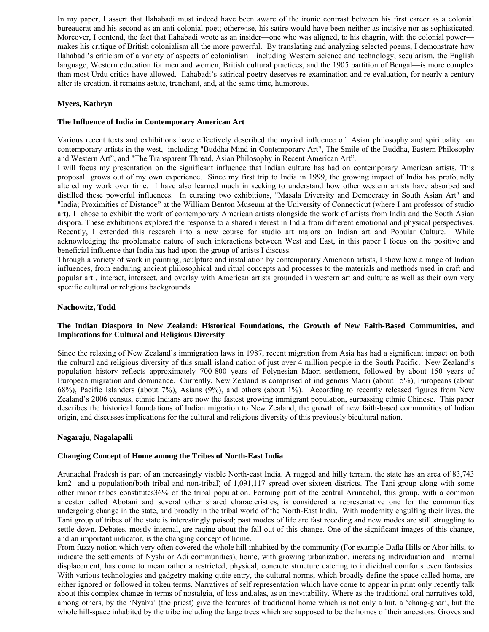In my paper, I assert that Ilahabadi must indeed have been aware of the ironic contrast between his first career as a colonial bureaucrat and his second as an anti-colonial poet; otherwise, his satire would have been neither as incisive nor as sophisticated. Moreover, I contend, the fact that Ilahabadi wrote as an insider—one who was aligned, to his chagrin, with the colonial power makes his critique of British colonialism all the more powerful. By translating and analyzing selected poems, I demonstrate how Ilahabadi's criticism of a variety of aspects of colonialism—including Western science and technology, secularism, the English language, Western education for men and women, British cultural practices, and the 1905 partition of Bengal—is more complex than most Urdu critics have allowed. Ilahabadi's satirical poetry deserves re-examination and re-evaluation, for nearly a century after its creation, it remains astute, trenchant, and, at the same time, humorous.

# **Myers, Kathryn**

#### **The Influence of India in Contemporary American Art**

Various recent texts and exhibitions have effectively described the myriad influence of Asian philosophy and spirituality on contemporary artists in the west, including "Buddha Mind in Contemporary Art", The Smile of the Buddha, Eastern Philosophy and Western Art", and "The Transparent Thread, Asian Philosophy in Recent American Art".

I will focus my presentation on the significant influence that Indian culture has had on contemporary American artists. This proposal grows out of my own experience. Since my first trip to India in 1999, the growing impact of India has profoundly altered my work over time. I have also learned much in seeking to understand how other western artists have absorbed and distilled these powerful influences. In curating two exhibitions, "Masala Diversity and Democracy in South Asian Art" and "India; Proximities of Distance" at the William Benton Museum at the University of Connecticut (where I am professor of studio art), I chose to exhibit the work of contemporary American artists alongside the work of artists from India and the South Asian dispora. These exhibitions explored the response to a shared interest in India from different emotional and physical perspectives. Recently, I extended this research into a new course for studio art majors on Indian art and Popular Culture. While acknowledging the problematic nature of such interactions between West and East, in this paper I focus on the positive and beneficial influence that India has had upon the group of artists I discuss.

Through a variety of work in painting, sculpture and installation by contemporary American artists, I show how a range of Indian influences, from enduring ancient philosophical and ritual concepts and processes to the materials and methods used in craft and popular art , interact, intersect, and overlay with American artists grounded in western art and culture as well as their own very specific cultural or religious backgrounds.

#### **Nachowitz, Todd**

# **The Indian Diaspora in New Zealand: Historical Foundations, the Growth of New Faith-Based Communities, and Implications for Cultural and Religious Diversity**

Since the relaxing of New Zealand's immigration laws in 1987, recent migration from Asia has had a significant impact on both the cultural and religious diversity of this small island nation of just over 4 million people in the South Pacific. New Zealand's population history reflects approximately 700-800 years of Polynesian Maori settlement, followed by about 150 years of European migration and dominance. Currently, New Zealand is comprised of indigenous Maori (about 15%), Europeans (about 68%), Pacific Islanders (about 7%), Asians (9%), and others (about 1%). According to recently released figures from New Zealand's 2006 census, ethnic Indians are now the fastest growing immigrant population, surpassing ethnic Chinese. This paper describes the historical foundations of Indian migration to New Zealand, the growth of new faith-based communities of Indian origin, and discusses implications for the cultural and religious diversity of this previously bicultural nation.

#### **Nagaraju, Nagalapalli**

#### **Changing Concept of Home among the Tribes of North-East India**

Arunachal Pradesh is part of an increasingly visible North-east India. A rugged and hilly terrain, the state has an area of 83,743 km2 and a population(both tribal and non-tribal) of 1,091,117 spread over sixteen districts. The Tani group along with some other minor tribes constitutes36% of the tribal population. Forming part of the central Arunachal, this group, with a common ancestor called Abotani and several other shared characteristics, is considered a representative one for the communities undergoing change in the state, and broadly in the tribal world of the North-East India. With modernity engulfing their lives, the Tani group of tribes of the state is interestingly poised; past modes of life are fast receding and new modes are still struggling to settle down. Debates, mostly internal, are raging about the fall out of this change. One of the significant images of this change, and an important indicator, is the changing concept of home.

From fuzzy notion which very often covered the whole hill inhabited by the community (For example Dafla Hills or Abor hills, to indicate the settlements of Nyshi or Adi communities), home, with growing urbanization, increasing individuation and internal displacement, has come to mean rather a restricted, physical, concrete structure catering to individual comforts even fantasies. With various technologies and gadgetry making quite entry, the cultural norms, which broadly define the space called home, are either ignored or followed in token terms. Narratives of self representation which have come to appear in print only recently talk about this complex change in terms of nostalgia, of loss and,alas, as an inevitability. Where as the traditional oral narratives told, among others, by the 'Nyabu' (the priest) give the features of traditional home which is not only a hut, a 'chang-ghar', but the whole hill-space inhabited by the tribe including the large trees which are supposed to be the homes of their ancestors. Groves and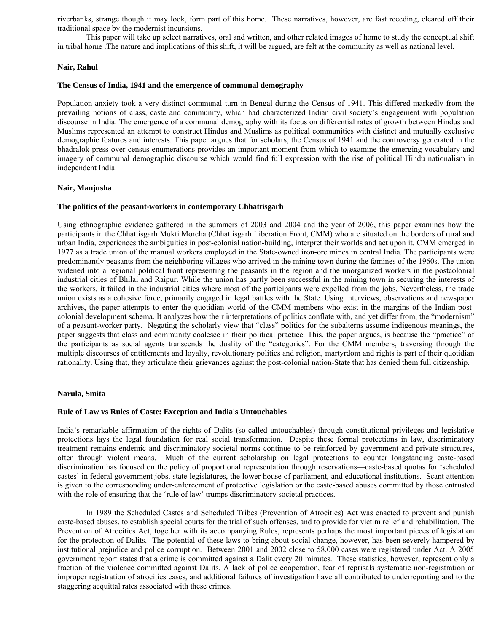riverbanks, strange though it may look, form part of this home. These narratives, however, are fast receding, cleared off their traditional space by the modernist incursions.

 This paper will take up select narratives, oral and written, and other related images of home to study the conceptual shift in tribal home .The nature and implications of this shift, it will be argued, are felt at the community as well as national level.

#### **Nair, Rahul**

#### **The Census of India, 1941 and the emergence of communal demography**

Population anxiety took a very distinct communal turn in Bengal during the Census of 1941. This differed markedly from the prevailing notions of class, caste and community, which had characterized Indian civil society's engagement with population discourse in India. The emergence of a communal demography with its focus on differential rates of growth between Hindus and Muslims represented an attempt to construct Hindus and Muslims as political communities with distinct and mutually exclusive demographic features and interests. This paper argues that for scholars, the Census of 1941 and the controversy generated in the bhadralok press over census enumerations provides an important moment from which to examine the emerging vocabulary and imagery of communal demographic discourse which would find full expression with the rise of political Hindu nationalism in independent India.

#### **Nair, Manjusha**

#### **The politics of the peasant-workers in contemporary Chhattisgarh**

Using ethnographic evidence gathered in the summers of 2003 and 2004 and the year of 2006, this paper examines how the participants in the Chhattisgarh Mukti Morcha (Chhattisgarh Liberation Front, CMM) who are situated on the borders of rural and urban India, experiences the ambiguities in post-colonial nation-building, interpret their worlds and act upon it. CMM emerged in 1977 as a trade union of the manual workers employed in the State-owned iron-ore mines in central India. The participants were predominantly peasants from the neighboring villages who arrived in the mining town during the famines of the 1960s. The union widened into a regional political front representing the peasants in the region and the unorganized workers in the postcolonial industrial cities of Bhilai and Raipur. While the union has partly been successful in the mining town in securing the interests of the workers, it failed in the industrial cities where most of the participants were expelled from the jobs. Nevertheless, the trade union exists as a cohesive force, primarily engaged in legal battles with the State. Using interviews, observations and newspaper archives, the paper attempts to enter the quotidian world of the CMM members who exist in the margins of the Indian postcolonial development schema. It analyzes how their interpretations of politics conflate with, and yet differ from, the "modernism" of a peasant-worker party. Negating the scholarly view that "class" politics for the subalterns assume indigenous meanings, the paper suggests that class and community coalesce in their political practice. This, the paper argues, is because the "practice" of the participants as social agents transcends the duality of the "categories". For the CMM members, traversing through the multiple discourses of entitlements and loyalty, revolutionary politics and religion, martyrdom and rights is part of their quotidian rationality. Using that, they articulate their grievances against the post-colonial nation-State that has denied them full citizenship.

#### **Narula, Smita**

#### **Rule of Law vs Rules of Caste: Exception and India's Untouchables**

India's remarkable affirmation of the rights of Dalits (so-called untouchables) through constitutional privileges and legislative protections lays the legal foundation for real social transformation. Despite these formal protections in law, discriminatory treatment remains endemic and discriminatory societal norms continue to be reinforced by government and private structures, often through violent means. Much of the current scholarship on legal protections to counter longstanding caste-based discrimination has focused on the policy of proportional representation through reservations—caste-based quotas for 'scheduled castes' in federal government jobs, state legislatures, the lower house of parliament, and educational institutions. Scant attention is given to the corresponding under-enforcement of protective legislation or the caste-based abuses committed by those entrusted with the role of ensuring that the 'rule of law' trumps discriminatory societal practices.

 In 1989 the Scheduled Castes and Scheduled Tribes (Prevention of Atrocities) Act was enacted to prevent and punish caste-based abuses, to establish special courts for the trial of such offenses, and to provide for victim relief and rehabilitation. The Prevention of Atrocities Act, together with its accompanying Rules, represents perhaps the most important pieces of legislation for the protection of Dalits. The potential of these laws to bring about social change, however, has been severely hampered by institutional prejudice and police corruption. Between 2001 and 2002 close to 58,000 cases were registered under Act. A 2005 government report states that a crime is committed against a Dalit every 20 minutes. These statistics, however, represent only a fraction of the violence committed against Dalits. A lack of police cooperation, fear of reprisals systematic non-registration or improper registration of atrocities cases, and additional failures of investigation have all contributed to underreporting and to the staggering acquittal rates associated with these crimes.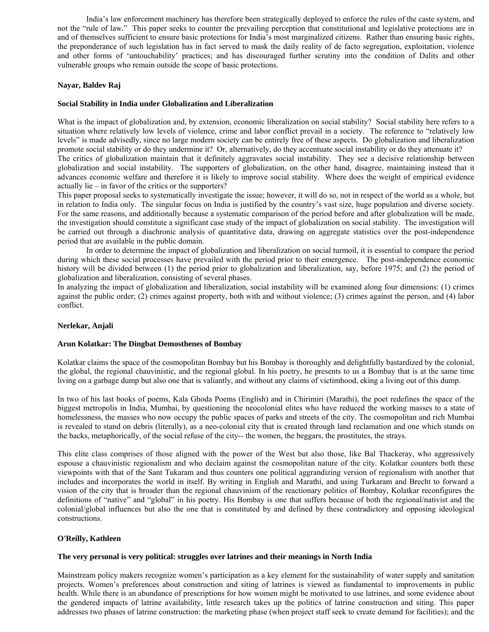India's law enforcement machinery has therefore been strategically deployed to enforce the rules of the caste system, and not the "rule of law." This paper seeks to counter the prevailing perception that constitutional and legislative protections are in and of themselves sufficient to ensure basic protections for India's most marginalized citizens. Rather than ensuring basic rights, the preponderance of such legislation has in fact served to mask the daily reality of de facto segregation, exploitation, violence and other forms of 'untouchability' practices; and has discouraged further scrutiny into the condition of Dalits and other vulnerable groups who remain outside the scope of basic protections.

# **Nayar, Baldev Raj**

# **Social Stability in India under Globalization and Liberalization**

What is the impact of globalization and, by extension, economic liberalization on social stability? Social stability here refers to a situation where relatively low levels of violence, crime and labor conflict prevail in a society. The reference to "relatively low levels" is made advisedly, since no large modern society can be entirely free of these aspects. Do globalization and liberalization promote social stability or do they undermine it? Or, alternatively, do they accentuate social instability or do they attenuate it?

The critics of globalization maintain that it definitely aggravates social instability. They see a decisive relationship between globalization and social instability. The supporters of globalization, on the other hand, disagree, maintaining instead that it advances economic welfare and therefore it is likely to improve social stability. Where does the weight of empirical evidence actually lie – in favor of the critics or the supporters?

This paper proposal seeks to systematically investigate the issue; however, it will do so, not in respect of the world as a whole, but in relation to India only. The singular focus on India is justified by the country's vast size, huge population and diverse society. For the same reasons, and additionally because a systematic comparison of the period before and after globalization will be made, the investigation should constitute a significant case study of the impact of globalization on social stability. The investigation will be carried out through a diachronic analysis of quantitative data, drawing on aggregate statistics over the post-independence period that are available in the public domain.

 In order to determine the impact of globalization and liberalization on social turmoil, it is essential to compare the period during which these social processes have prevailed with the period prior to their emergence. The post-independence economic history will be divided between (1) the period prior to globalization and liberalization, say, before 1975; and (2) the period of globalization and liberalization, consisting of several phases.

In analyzing the impact of globalization and liberalization, social instability will be examined along four dimensions: (1) crimes against the public order; (2) crimes against property, both with and without violence; (3) crimes against the person, and (4) labor conflict.

#### **Nerlekar, Anjali**

#### **Arun Kolatkar: The Dingbat Demosthenes of Bombay**

Kolatkar claims the space of the cosmopolitan Bombay but his Bombay is thoroughly and delightfully bastardized by the colonial, the global, the regional chauvinistic, and the regional global. In his poetry, he presents to us a Bombay that is at the same time living on a garbage dump but also one that is valiantly, and without any claims of victimhood, eking a living out of this dump.

In two of his last books of poems, Kala Ghoda Poems (English) and in Chirimiri (Marathi), the poet redefines the space of the biggest metropolis in India, Mumbai, by questioning the neocolonial elites who have reduced the working masses to a state of homelessness, the masses who now occupy the public spaces of parks and streets of the city. The cosmopolitan and rich Mumbai is revealed to stand on debris (literally), as a neo-colonial city that is created through land reclamation and one which stands on the backs, metaphorically, of the social refuse of the city-- the women, the beggars, the prostitutes, the strays.

This elite class comprises of those aligned with the power of the West but also those, like Bal Thackeray, who aggressively espouse a chauvinistic regionalism and who declaim against the cosmopolitan nature of the city. Kolatkar counters both these viewpoints with that of the Sant Tukaram and thus counters one political aggrandizing version of regionalism with another that includes and incorporates the world in itself. By writing in English and Marathi, and using Turkaram and Brecht to forward a vision of the city that is broader than the regional chauvinism of the reactionary politics of Bombay, Kolatkar reconfigures the definitions of "native" and "global" in his poetry. His Bombay is one that suffers because of both the regional/nativist and the colonial/global influences but also the one that is constituted by and defined by these contradictory and opposing ideological constructions.

#### **O'Reilly, Kathleen**

#### **The very personal is very political: struggles over latrines and their meanings in North India**

Mainstream policy makers recognize women's participation as a key element for the sustainability of water supply and sanitation projects. Women's preferences about construction and siting of latrines is viewed as fundamental to improvements in public health. While there is an abundance of prescriptions for how women might be motivated to use latrines, and some evidence about the gendered impacts of latrine availability, little research takes up the politics of latrine construction and siting. This paper addresses two phases of latrine construction: the marketing phase (when project staff seek to create demand for facilities); and the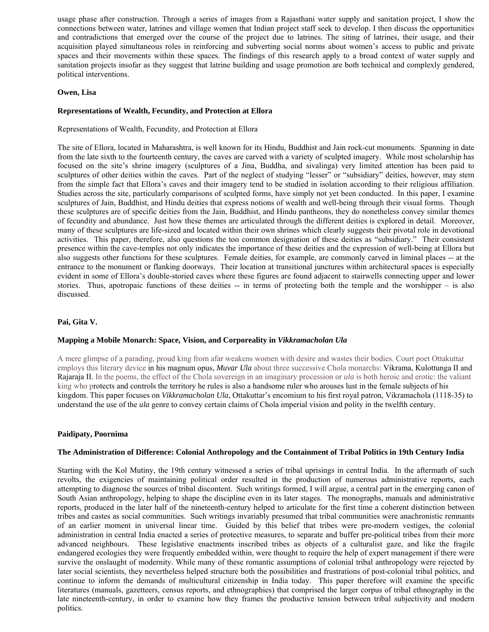usage phase after construction. Through a series of images from a Rajasthani water supply and sanitation project, I show the connections between water, latrines and village women that Indian project staff seek to develop. I then discuss the opportunities and contradictions that emerged over the course of the project due to latrines. The siting of latrines, their usage, and their acquisition played simultaneous roles in reinforcing and subverting social norms about women's access to public and private spaces and their movements within these spaces. The findings of this research apply to a broad context of water supply and sanitation projects insofar as they suggest that latrine building and usage promotion are both technical and complexly gendered, political interventions.

# **Owen, Lisa**

## **Representations of Wealth, Fecundity, and Protection at Ellora**

Representations of Wealth, Fecundity, and Protection at Ellora

The site of Ellora, located in Maharashtra, is well known for its Hindu, Buddhist and Jain rock-cut monuments. Spanning in date from the late sixth to the fourteenth century, the caves are carved with a variety of sculpted imagery. While most scholarship has focused on the site's shrine imagery (sculptures of a Jina, Buddha, and sivalinga) very limited attention has been paid to sculptures of other deities within the caves. Part of the neglect of studying "lesser" or "subsidiary" deities, however, may stem from the simple fact that Ellora's caves and their imagery tend to be studied in isolation according to their religious affiliation. Studies across the site, particularly comparisons of sculpted forms, have simply not yet been conducted. In this paper, I examine sculptures of Jain, Buddhist, and Hindu deities that express notions of wealth and well-being through their visual forms. Though these sculptures are of specific deities from the Jain, Buddhist, and Hindu pantheons, they do nonetheless convey similar themes of fecundity and abundance. Just how these themes are articulated through the different deities is explored in detail. Moreover, many of these sculptures are life-sized and located within their own shrines which clearly suggests their pivotal role in devotional activities. This paper, therefore, also questions the too common designation of these deities as "subsidiary." Their consistent presence within the cave-temples not only indicates the importance of these deities and the expression of well-being at Ellora but also suggests other functions for these sculptures. Female deities, for example, are commonly carved in liminal places -- at the entrance to the monument or flanking doorways. Their location at transitional junctures within architectural spaces is especially evident in some of Ellora's double-storied caves where these figures are found adjacent to stairwells connecting upper and lower stories. Thus, apotropaic functions of these deities -- in terms of protecting both the temple and the worshipper – is also discussed.

# **Pai, Gita V.**

#### **Mapping a Mobile Monarch: Space, Vision, and Corporeality in** *Vikkramacholan Ula*

A mere glimpse of a parading, proud king from afar weakens women with desire and wastes their bodies. Court poet Ottakuttar employs this literary device in his magnum opus, *Muvar Ula* about three successive Chola monarchs: Vikrama, Kulottunga II and Rajaraja II. In the poems, the effect of the Chola sovereign in an imaginary procession or *ula* is both heroic and erotic: the valiant king who protects and controls the territory he rules is also a handsome ruler who arouses lust in the female subjects of his kingdom. This paper focuses on *Vikkramacholan Ula*, Ottakuttar's encomium to his first royal patron, Vikramachola (1118-35) to understand the use of the *ula* genre to convey certain claims of Chola imperial vision and polity in the twelfth century.

#### **Paidipaty, Poornima**

# **The Administration of Difference: Colonial Anthropology and the Containment of Tribal Politics in 19th Century India**

Starting with the Kol Mutiny, the 19th century witnessed a series of tribal uprisings in central India. In the aftermath of such revolts, the exigencies of maintaining political order resulted in the production of numerous administrative reports, each attempting to diagnose the sources of tribal discontent. Such writings formed, I will argue, a central part in the emerging canon of South Asian anthropology, helping to shape the discipline even in its later stages. The monographs, manuals and administrative reports, produced in the later half of the nineteenth-century helped to articulate for the first time a coherent distinction between tribes and castes as social communities. Such writings invariably presumed that tribal communities were anachronistic remnants of an earlier moment in universal linear time. Guided by this belief that tribes were pre-modern vestiges, the colonial administration in central India enacted a series of protective measures, to separate and buffer pre-political tribes from their more advanced neighbours. These legislative enactments inscribed tribes as objects of a culturalist gaze, and like the fragile endangered ecologies they were frequently embedded within, were thought to require the help of expert management if there were survive the onslaught of modernity. While many of these romantic assumptions of colonial tribal anthropology were rejected by later social scientists, they nevertheless helped structure both the possibilities and frustrations of post-colonial tribal politics, and continue to inform the demands of multicultural citizenship in India today. This paper therefore will examine the specific literatures (manuals, gazetteers, census reports, and ethnographies) that comprised the larger corpus of tribal ethnography in the late nineteenth-century, in order to examine how they frames the productive tension between tribal subjectivity and modern politics.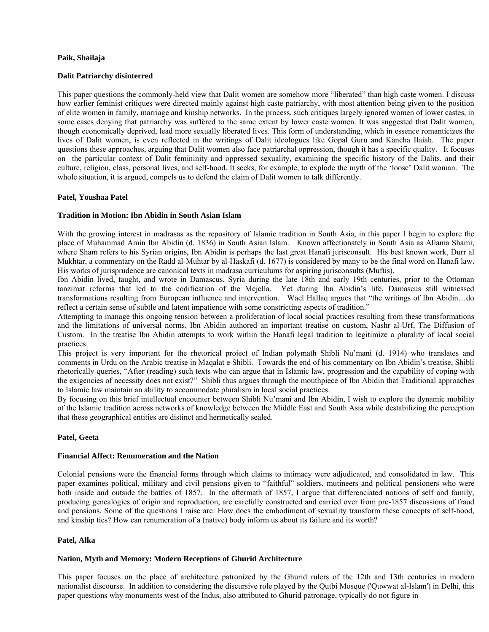# **Paik, Shailaja**

## **Dalit Patriarchy disinterred**

This paper questions the commonly-held view that Dalit women are somehow more "liberated" than high caste women. I discuss how earlier feminist critiques were directed mainly against high caste patriarchy, with most attention being given to the position of elite women in family, marriage and kinship networks. In the process, such critiques largely ignored women of lower castes, in some cases denying that patriarchy was suffered to the same extent by lower caste women. It was suggested that Dalit women, though economically deprived, lead more sexually liberated lives. This form of understanding, which in essence romanticizes the lives of Dalit women, is even reflected in the writings of Dalit ideologues like Gopal Guru and Kancha Ilaiah. The paper questions these approaches, arguing that Dalit women also face patriarchal oppression, though it has a specific quality. It focuses on the particular context of Dalit femininity and oppressed sexuality, examining the specific history of the Dalits, and their culture, religion, class, personal lives, and self-hood. It seeks, for example, to explode the myth of the 'loose' Dalit woman. The whole situation, it is argued, compels us to defend the claim of Dalit women to talk differently.

# **Patel, Youshaa Patel**

# **Tradition in Motion: Ibn Abidin in South Asian Islam**

With the growing interest in madrasas as the repository of Islamic tradition in South Asia, in this paper I begin to explore the place of Muhammad Amin Ibn Abidin (d. 1836) in South Asian Islam. Known affectionately in South Asia as Allama Shami, where Sham refers to his Syrian origins, Ibn Abidin is perhaps the last great Hanafi jurisconsult. His best known work, Durr al Mukhtar, a commentary on the Radd al-Muhtar by al-Haskafi (d. 1677) is considered by many to be the final word on Hanafi law. His works of jurisprudence are canonical texts in madrasa curriculums for aspiring jurisconsults (Muftis).

Ibn Abidin lived, taught, and wrote in Damascus, Syria during the late 18th and early 19th centuries, prior to the Ottoman tanzimat reforms that led to the codification of the Mejella. Yet during Ibn Abidin's life, Damascus still witnessed transformations resulting from European influence and intervention. Wael Hallaq argues that "the writings of Ibn Abidin…do reflect a certain sense of subtle and latent impatience with some constricting aspects of tradition."

Attempting to manage this ongoing tension between a proliferation of local social practices resulting from these transformations and the limitations of universal norms, Ibn Abidin authored an important treatise on custom, Nashr al-Urf, The Diffusion of Custom. In the treatise Ibn Abidin attempts to work within the Hanafi legal tradition to legitimize a plurality of local social practices.

This project is very important for the rhetorical project of Indian polymath Shibli Nu'mani (d. 1914) who translates and comments in Urdu on the Arabic treatise in Maqalat e Shibli. Towards the end of his commentary on Ibn Abidin's treatise, Shibli rhetorically queries, "After (reading) such texts who can argue that in Islamic law, progression and the capability of coping with the exigencies of necessity does not exist?" Shibli thus argues through the mouthpiece of Ibn Abidin that Traditional approaches to Islamic law maintain an ability to accommodate pluralism in local social practices.

By focusing on this brief intellectual encounter between Shibli Nu'mani and Ibn Abidin, I wish to explore the dynamic mobility of the Islamic tradition across networks of knowledge between the Middle East and South Asia while destabilizing the perception that these geographical entities are distinct and hermetically sealed.

#### **Patel, Geeta**

#### **Financial Affect: Renumeration and the Nation**

Colonial pensions were the financial forms through which claims to intimacy were adjudicated, and consolidated in law. This paper examines political, military and civil pensions given to "faithful" soldiers, mutineers and political pensioners who were both inside and outside the battles of 1857. In the aftermath of 1857, I argue that differenciated notions of self and family, producing genealogies of origin and reproduction, are carefully constructed and carried over from pre-1857 discussions of fraud and pensions. Some of the questions I raise are: How does the embodiment of sexuality transform these concepts of self-hood, and kinship ties? How can renumeration of a (native) body inform us about its failure and its worth?

## **Patel, Alka**

### **Nation, Myth and Memory: Modern Receptions of Ghurid Architecture**

This paper focuses on the place of architecture patronized by the Ghurid rulers of the 12th and 13th centuries in modern nationalist discourse. In addition to considering the discursive role played by the Qutbi Mosque ('Quwwat al-Islam') in Delhi, this paper questions why monuments west of the Indus, also attributed to Ghurid patronage, typically do not figure in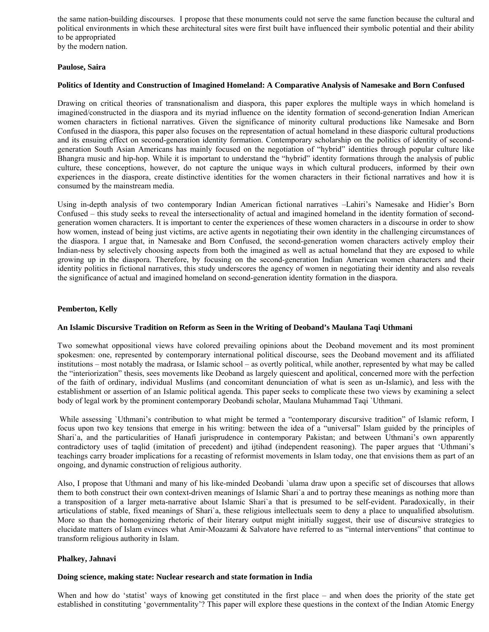the same nation-building discourses. I propose that these monuments could not serve the same function because the cultural and political environments in which these architectural sites were first built have influenced their symbolic potential and their ability to be appropriated by the modern nation.

**Paulose, Saira** 

#### **Politics of Identity and Construction of Imagined Homeland: A Comparative Analysis of Namesake and Born Confused**

Drawing on critical theories of transnationalism and diaspora, this paper explores the multiple ways in which homeland is imagined/constructed in the diaspora and its myriad influence on the identity formation of second-generation Indian American women characters in fictional narratives. Given the significance of minority cultural productions like Namesake and Born Confused in the diaspora, this paper also focuses on the representation of actual homeland in these diasporic cultural productions and its ensuing effect on second-generation identity formation. Contemporary scholarship on the politics of identity of secondgeneration South Asian Americans has mainly focused on the negotiation of "hybrid" identities through popular culture like Bhangra music and hip-hop. While it is important to understand the "hybrid" identity formations through the analysis of public culture, these conceptions, however, do not capture the unique ways in which cultural producers, informed by their own experiences in the diaspora, create distinctive identities for the women characters in their fictional narratives and how it is consumed by the mainstream media.

Using in-depth analysis of two contemporary Indian American fictional narratives –Lahiri's Namesake and Hidier's Born Confused – this study seeks to reveal the intersectionality of actual and imagined homeland in the identity formation of secondgeneration women characters. It is important to center the experiences of these women characters in a discourse in order to show how women, instead of being just victims, are active agents in negotiating their own identity in the challenging circumstances of the diaspora. I argue that, in Namesake and Born Confused, the second-generation women characters actively employ their Indian-ness by selectively choosing aspects from both the imagined as well as actual homeland that they are exposed to while growing up in the diaspora. Therefore, by focusing on the second-generation Indian American women characters and their identity politics in fictional narratives, this study underscores the agency of women in negotiating their identity and also reveals the significance of actual and imagined homeland on second-generation identity formation in the diaspora.

#### **Pemberton, Kelly**

#### **An Islamic Discursive Tradition on Reform as Seen in the Writing of Deoband's Maulana Taqi Uthmani**

Two somewhat oppositional views have colored prevailing opinions about the Deoband movement and its most prominent spokesmen: one, represented by contemporary international political discourse, sees the Deoband movement and its affiliated institutions – most notably the madrasa, or Islamic school – as overtly political, while another, represented by what may be called the "interiorization" thesis, sees movements like Deoband as largely quiescent and apolitical, concerned more with the perfection of the faith of ordinary, individual Muslims (and concomitant denunciation of what is seen as un-Islamic), and less with the establishment or assertion of an Islamic political agenda. This paper seeks to complicate these two views by examining a select body of legal work by the prominent contemporary Deobandi scholar, Maulana Muhammad Taqi `Uthmani.

 While assessing `Uthmani's contribution to what might be termed a "contemporary discursive tradition" of Islamic reform, I focus upon two key tensions that emerge in his writing: between the idea of a "universal" Islam guided by the principles of Shari`a, and the particularities of Hanafi jurisprudence in contemporary Pakistan; and between Uthmani's own apparently contradictory uses of taqlid (imitation of precedent) and ijtihad (independent reasoning). The paper argues that 'Uthmani's teachings carry broader implications for a recasting of reformist movements in Islam today, one that envisions them as part of an ongoing, and dynamic construction of religious authority.

Also, I propose that Uthmani and many of his like-minded Deobandi `ulama draw upon a specific set of discourses that allows them to both construct their own context-driven meanings of Islamic Shari`a and to portray these meanings as nothing more than a transposition of a larger meta-narrative about Islamic Shari`a that is presumed to be self-evident. Paradoxically, in their articulations of stable, fixed meanings of Shari`a, these religious intellectuals seem to deny a place to unqualified absolutism. More so than the homogenizing rhetoric of their literary output might initially suggest, their use of discursive strategies to elucidate matters of Islam evinces what Amir-Moazami & Salvatore have referred to as "internal interventions" that continue to transform religious authority in Islam.

#### **Phalkey, Jahnavi**

#### **Doing science, making state: Nuclear research and state formation in India**

When and how do 'statist' ways of knowing get constituted in the first place – and when does the priority of the state get established in constituting 'governmentality'? This paper will explore these questions in the context of the Indian Atomic Energy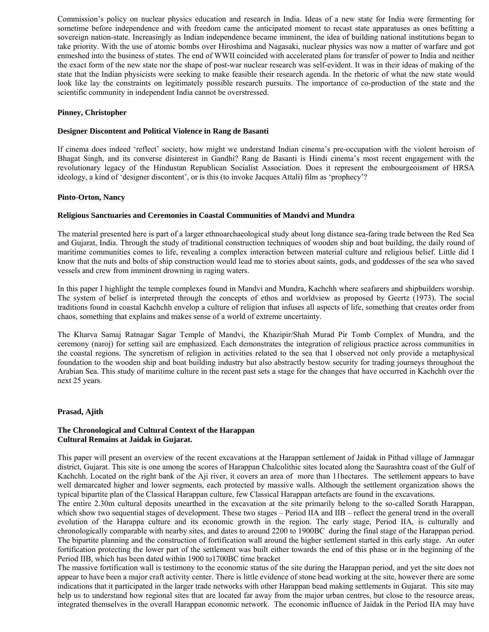Commission's policy on nuclear physics education and research in India. Ideas of a new state for India were fermenting for sometime before independence and with freedom came the anticipated moment to recast state apparatuses as ones befitting a sovereign nation-state. Increasingly as Indian independence became imminent, the idea of building national institutions began to take priority. With the use of atomic bombs over Hiroshima and Nagasaki, nuclear physics was now a matter of warfare and got enmeshed into the business of states. The end of WWII coincided with accelerated plans for transfer of power to India and neither the exact form of the new state nor the shape of post-war nuclear research was self-evident. It was in their ideas of making of the state that the Indian physicists were seeking to make feasible their research agenda. In the rhetoric of what the new state would look like lay the constraints on legitimately possible research pursuits. The importance of co-production of the state and the scientific community in independent India cannot be overstressed.

# **Pinney, Christopher**

### **Designer Discontent and Political Violence in Rang de Basanti**

If cinema does indeed 'reflect' society, how might we understand Indian cinema's pre-occupation with the violent heroism of Bhagat Singh, and its converse disinterest in Gandhi? Rang de Basanti is Hindi cinema's most recent engagement with the revolutionary legacy of the Hindustan Republican Socialist Association. Does it represent the embourgeoisment of HRSA ideology, a kind of 'designer discontent', or is this (to invoke Jacques Attali) film as 'prophecy'?

# **Pinto-Orton, Nancy**

# **Religious Sanctuaries and Ceremonies in Coastal Communities of Mandvi and Mundra**

The material presented here is part of a larger ethnoarchaeological study about long distance sea-faring trade between the Red Sea and Gujarat, India. Through the study of traditional construction techniques of wooden ship and boat building, the daily round of maritime communities comes to life, revealing a complex interaction between material culture and religious belief. Little did I know that the nuts and bolts of ship construction would lead me to stories about saints, gods, and goddesses of the sea who saved vessels and crew from imminent drowning in raging waters.

In this paper I highlight the temple complexes found in Mandvi and Mundra, Kachchh where seafarers and shipbuilders worship. The system of belief is interpreted through the concepts of ethos and worldview as proposed by Geertz (1973). The social traditions found in coastal Kachchh envelop a culture of religion that infuses all aspects of life, something that creates order from chaos, something that explains and makes sense of a world of extreme uncertainty.

The Kharva Samaj Ratnagar Sagar Temple of Mandvi, the Khazipir/Shah Murad Pir Tomb Complex of Mundra, and the ceremony (naroj) for setting sail are emphasized. Each demonstrates the integration of religious practice across communities in the coastal regions. The syncretism of religion in activities related to the sea that I observed not only provide a metaphysical foundation to the wooden ship and boat building industry but also abstractly bestow security for trading journeys throughout the Arabian Sea. This study of maritime culture in the recent past sets a stage for the changes that have occurred in Kachchh over the next 25 years.

### **Prasad, Ajith**

# **The Chronological and Cultural Context of the Harappan Cultural Remains at Jaidak in Gujarat.**

This paper will present an overview of the recent excavations at the Harappan settlement of Jaidak in Pithad village of Jamnagar district, Gujarat. This site is one among the scores of Harappan Chalcolithic sites located along the Saurashtra coast of the Gulf of Kachchh. Located on the right bank of the Aji river, it covers an area of more than 11hectares. The settlement appears to have well demarcated higher and lower segments, each protected by massive walls. Although the settlement organization shows the typical bipartite plan of the Classical Harappan culture, few Classical Harappan artefacts are found in the excavations.

The entire 2.30m cultural deposits unearthed in the excavation at the site primarily belong to the so-called Sorath Harappan, which show two sequential stages of development. These two stages – Period IIA and IIB – reflect the general trend in the overall evolution of the Harappa culture and its economic growth in the region. The early stage, Period IIA, is culturally and chronologically comparable with nearby sites, and dates to around 2200 to 1900BC during the final stage of the Harappan period. The bipartite planning and the construction of fortification wall around the higher settlement started in this early stage. An outer fortification protecting the lower part of the settlement was built either towards the end of this phase or in the beginning of the Period IIB, which has been dated within 1900 to1700BC time bracket

The massive fortification wall is testimony to the economic status of the site during the Harappan period, and yet the site does not appear to have been a major craft activity center. There is little evidence of stone bead working at the site, however there are some indications that it participated in the larger trade networks with other Harappan bead making settlements in Gujarat. This site may help us to understand how regional sites that are located far away from the major urban centres, but close to the resource areas, integrated themselves in the overall Harappan economic network. The economic influence of Jaidak in the Period IIA may have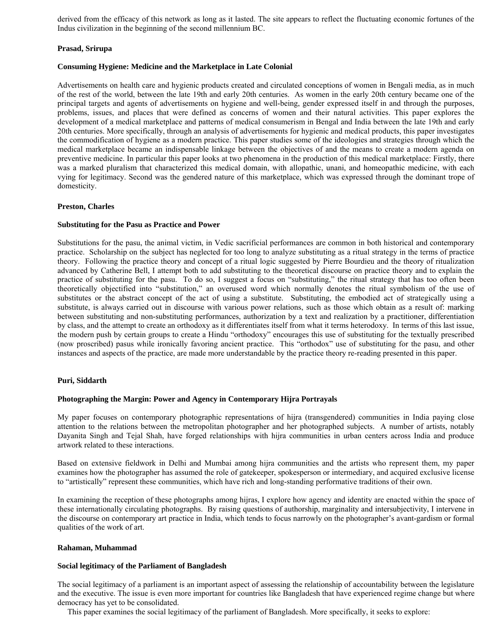derived from the efficacy of this network as long as it lasted. The site appears to reflect the fluctuating economic fortunes of the Indus civilization in the beginning of the second millennium BC.

# **Prasad, Srirupa**

### **Consuming Hygiene: Medicine and the Marketplace in Late Colonial**

Advertisements on health care and hygienic products created and circulated conceptions of women in Bengali media, as in much of the rest of the world, between the late 19th and early 20th centuries. As women in the early 20th century became one of the principal targets and agents of advertisements on hygiene and well-being, gender expressed itself in and through the purposes, problems, issues, and places that were defined as concerns of women and their natural activities. This paper explores the development of a medical marketplace and patterns of medical consumerism in Bengal and India between the late 19th and early 20th centuries. More specifically, through an analysis of advertisements for hygienic and medical products, this paper investigates the commodification of hygiene as a modern practice. This paper studies some of the ideologies and strategies through which the medical marketplace became an indispensable linkage between the objectives of and the means to create a modern agenda on preventive medicine. In particular this paper looks at two phenomena in the production of this medical marketplace: Firstly, there was a marked pluralism that characterized this medical domain, with allopathic, unani, and homeopathic medicine, with each vying for legitimacy. Second was the gendered nature of this marketplace, which was expressed through the dominant trope of domesticity.

# **Preston, Charles**

# **Substituting for the Pasu as Practice and Power**

Substitutions for the pasu, the animal victim, in Vedic sacrificial performances are common in both historical and contemporary practice. Scholarship on the subject has neglected for too long to analyze substituting as a ritual strategy in the terms of practice theory. Following the practice theory and concept of a ritual logic suggested by Pierre Bourdieu and the theory of ritualization advanced by Catherine Bell, I attempt both to add substituting to the theoretical discourse on practice theory and to explain the practice of substituting for the pasu. To do so, I suggest a focus on "substituting," the ritual strategy that has too often been theoretically objectified into "substitution," an overused word which normally denotes the ritual symbolism of the use of substitutes or the abstract concept of the act of using a substitute. Substituting, the embodied act of strategically using a substitute, is always carried out in discourse with various power relations, such as those which obtain as a result of: marking between substituting and non-substituting performances, authorization by a text and realization by a practitioner, differentiation by class, and the attempt to create an orthodoxy as it differentiates itself from what it terms heterodoxy. In terms of this last issue, the modern push by certain groups to create a Hindu "orthodoxy" encourages this use of substituting for the textually prescribed (now proscribed) pasus while ironically favoring ancient practice. This "orthodox" use of substituting for the pasu, and other instances and aspects of the practice, are made more understandable by the practice theory re-reading presented in this paper.

### **Puri, Siddarth**

# **Photographing the Margin: Power and Agency in Contemporary Hijra Portrayals**

My paper focuses on contemporary photographic representations of hijra (transgendered) communities in India paying close attention to the relations between the metropolitan photographer and her photographed subjects. A number of artists, notably Dayanita Singh and Tejal Shah, have forged relationships with hijra communities in urban centers across India and produce artwork related to these interactions.

Based on extensive fieldwork in Delhi and Mumbai among hijra communities and the artists who represent them, my paper examines how the photographer has assumed the role of gatekeeper, spokesperson or intermediary, and acquired exclusive license to "artistically" represent these communities, which have rich and long-standing performative traditions of their own.

In examining the reception of these photographs among hijras, I explore how agency and identity are enacted within the space of these internationally circulating photographs. By raising questions of authorship, marginality and intersubjectivity, I intervene in the discourse on contemporary art practice in India, which tends to focus narrowly on the photographer's avant-gardism or formal qualities of the work of art.

### **Rahaman, Muhammad**

### **Social legitimacy of the Parliament of Bangladesh**

The social legitimacy of a parliament is an important aspect of assessing the relationship of accountability between the legislature and the executive. The issue is even more important for countries like Bangladesh that have experienced regime change but where democracy has yet to be consolidated.

This paper examines the social legitimacy of the parliament of Bangladesh. More specifically, it seeks to explore: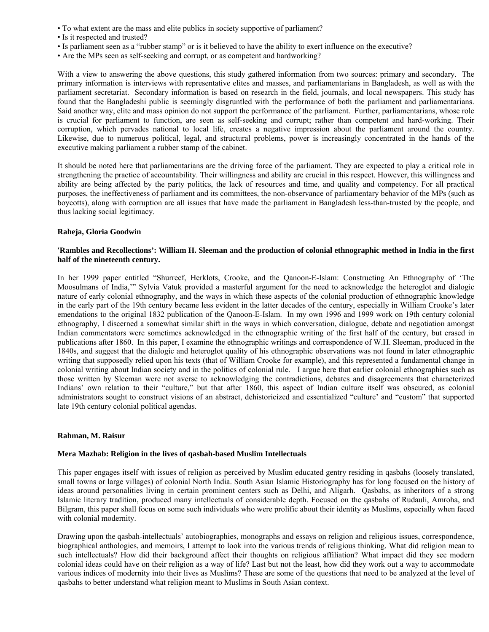- To what extent are the mass and elite publics in society supportive of parliament?
- Is it respected and trusted?
- Is parliament seen as a "rubber stamp" or is it believed to have the ability to exert influence on the executive?
- Are the MPs seen as self-seeking and corrupt, or as competent and hardworking?

With a view to answering the above questions, this study gathered information from two sources: primary and secondary. The primary information is interviews with representative elites and masses, and parliamentarians in Bangladesh, as well as with the parliament secretariat. Secondary information is based on research in the field, journals, and local newspapers. This study has found that the Bangladeshi public is seemingly disgruntled with the performance of both the parliament and parliamentarians. Said another way, elite and mass opinion do not support the performance of the parliament. Further, parliamentarians, whose role is crucial for parliament to function, are seen as self-seeking and corrupt; rather than competent and hard-working. Their corruption, which pervades national to local life, creates a negative impression about the parliament around the country. Likewise, due to numerous political, legal, and structural problems, power is increasingly concentrated in the hands of the executive making parliament a rubber stamp of the cabinet.

It should be noted here that parliamentarians are the driving force of the parliament. They are expected to play a critical role in strengthening the practice of accountability. Their willingness and ability are crucial in this respect. However, this willingness and ability are being affected by the party politics, the lack of resources and time, and quality and competency. For all practical purposes, the ineffectiveness of parliament and its committees, the non-observance of parliamentary behavior of the MPs (such as boycotts), along with corruption are all issues that have made the parliament in Bangladesh less-than-trusted by the people, and thus lacking social legitimacy.

# **Raheja, Gloria Goodwin**

# **'Rambles and Recollections': William H. Sleeman and the production of colonial ethnographic method in India in the first half of the nineteenth century.**

In her 1999 paper entitled "Shurreef, Herklots, Crooke, and the Qanoon-E-Islam: Constructing An Ethnography of 'The Moosulmans of India,'" Sylvia Vatuk provided a masterful argument for the need to acknowledge the heteroglot and dialogic nature of early colonial ethnography, and the ways in which these aspects of the colonial production of ethnographic knowledge in the early part of the 19th century became less evident in the latter decades of the century, especially in William Crooke's later emendations to the original 1832 publication of the Qanoon-E-Islam. In my own 1996 and 1999 work on 19th century colonial ethnography, I discerned a somewhat similar shift in the ways in which conversation, dialogue, debate and negotiation amongst Indian commentators were sometimes acknowledged in the ethnographic writing of the first half of the century, but erased in publications after 1860. In this paper, I examine the ethnographic writings and correspondence of W.H. Sleeman, produced in the 1840s, and suggest that the dialogic and heteroglot quality of his ethnographic observations was not found in later ethnographic writing that supposedly relied upon his texts (that of William Crooke for example), and this represented a fundamental change in colonial writing about Indian society and in the politics of colonial rule. I argue here that earlier colonial ethnographies such as those written by Sleeman were not averse to acknowledging the contradictions, debates and disagreements that characterized Indians' own relation to their "culture," but that after 1860, this aspect of Indian culture itself was obscured, as colonial administrators sought to construct visions of an abstract, dehistoricized and essentialized "culture' and "custom" that supported late 19th century colonial political agendas.

### **Rahman, M. Raisur**

### **Mera Mazhab: Religion in the lives of qasbah-based Muslim Intellectuals**

This paper engages itself with issues of religion as perceived by Muslim educated gentry residing in qasbahs (loosely translated, small towns or large villages) of colonial North India. South Asian Islamic Historiography has for long focused on the history of ideas around personalities living in certain prominent centers such as Delhi, and Aligarh. Qasbahs, as inheritors of a strong Islamic literary tradition, produced many intellectuals of considerable depth. Focused on the qasbahs of Rudauli, Amroha, and Bilgram, this paper shall focus on some such individuals who were prolific about their identity as Muslims, especially when faced with colonial modernity.

Drawing upon the qasbah-intellectuals' autobiographies, monographs and essays on religion and religious issues, correspondence, biographical anthologies, and memoirs, I attempt to look into the various trends of religious thinking. What did religion mean to such intellectuals? How did their background affect their thoughts on religious affiliation? What impact did they see modern colonial ideas could have on their religion as a way of life? Last but not the least, how did they work out a way to accommodate various indices of modernity into their lives as Muslims? These are some of the questions that need to be analyzed at the level of qasbahs to better understand what religion meant to Muslims in South Asian context.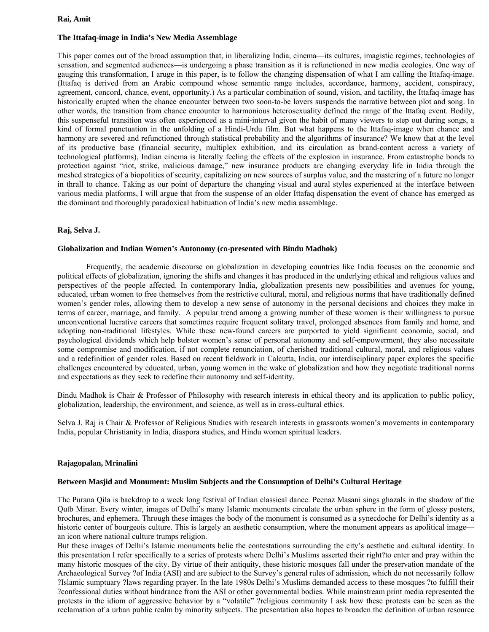### **Rai, Amit**

# **The Ittafaq-image in India's New Media Assemblage**

This paper comes out of the broad assumption that, in liberalizing India, cinema—its cultures, imagistic regimes, technologies of sensation, and segmented audiences—is undergoing a phase transition as it is refunctioned in new media ecologies. One way of gauging this transformation, I aruge in this paper, is to follow the changing dispensation of what I am calling the Ittafaq-image. (Ittafaq is derived from an Arabic compound whose semantic range includes, accordance, harmony, accident, conspiracy, agreement, concord, chance, event, opportunity.) As a particular combination of sound, vision, and tactility, the Ittafaq-image has historically erupted when the chance encounter between two soon-to-be lovers suspends the narrative between plot and song. In other words, the transition from chance encounter to harmonious heterosexuality defined the range of the Ittafaq event. Bodily, this suspenseful transition was often experienced as a mini-interval given the habit of many viewers to step out during songs, a kind of formal punctuation in the unfolding of a Hindi-Urdu film. But what happens to the Ittafaq-image when chance and harmony are severed and refunctioned through statistical probability and the algorithms of insurance? We know that at the level of its productive base (financial security, multiplex exhibition, and its circulation as brand-content across a variety of technological platforms), Indian cinema is literally feeling the effects of the explosion in insurance. From catastrophe bonds to protection against "riot, strike, malicious damage," new insurance products are changing everyday life in India through the meshed strategies of a biopolitics of security, capitalizing on new sources of surplus value, and the mastering of a future no longer in thrall to chance. Taking as our point of departure the changing visual and aural styles experienced at the interface between various media platforms, I will argue that from the suspense of an older Ittafaq dispensation the event of chance has emerged as the dominant and thoroughly paradoxical habituation of India's new media assemblage.

# **Raj, Selva J.**

### **Globalization and Indian Women's Autonomy (co-presented with Bindu Madhok)**

 Frequently, the academic discourse on globalization in developing countries like India focuses on the economic and political effects of globalization, ignoring the shifts and changes it has produced in the underlying ethical and religious values and perspectives of the people affected. In contemporary India, globalization presents new possibilities and avenues for young, educated, urban women to free themselves from the restrictive cultural, moral, and religious norms that have traditionally defined women's gender roles, allowing them to develop a new sense of autonomy in the personal decisions and choices they make in terms of career, marriage, and family. A popular trend among a growing number of these women is their willingness to pursue unconventional lucrative careers that sometimes require frequent solitary travel, prolonged absences from family and home, and adopting non-traditional lifestyles. While these new-found careers are purported to yield significant economic, social, and psychological dividends which help bolster women's sense of personal autonomy and self-empowerment, they also necessitate some compromise and modification, if not complete renunciation, of cherished traditional cultural, moral, and religious values and a redefinition of gender roles. Based on recent fieldwork in Calcutta, India, our interdisciplinary paper explores the specific challenges encountered by educated, urban, young women in the wake of globalization and how they negotiate traditional norms and expectations as they seek to redefine their autonomy and self-identity.

Bindu Madhok is Chair & Professor of Philosophy with research interests in ethical theory and its application to public policy, globalization, leadership, the environment, and science, as well as in cross-cultural ethics.

Selva J. Raj is Chair & Professor of Religious Studies with research interests in grassroots women's movements in contemporary India, popular Christianity in India, diaspora studies, and Hindu women spiritual leaders.

### **Rajagopalan, Mrinalini**

### **Between Masjid and Monument: Muslim Subjects and the Consumption of Delhi's Cultural Heritage**

The Purana Qila is backdrop to a week long festival of Indian classical dance. Peenaz Masani sings ghazals in the shadow of the Qutb Minar. Every winter, images of Delhi's many Islamic monuments circulate the urban sphere in the form of glossy posters, brochures, and ephemera. Through these images the body of the monument is consumed as a synecdoche for Delhi's identity as a historic center of bourgeois culture. This is largely an aesthetic consumption, where the monument appears as apolitical image an icon where national culture trumps religion.

But these images of Delhi's Islamic monuments belie the contestations surrounding the city's aesthetic and cultural identity. In this presentation I refer specifically to a series of protests where Delhi's Muslims asserted their right?to enter and pray within the many historic mosques of the city. By virtue of their antiquity, these historic mosques fall under the preservation mandate of the Archaeological Survey ?of India (ASI) and are subject to the Survey's general rules of admission, which do not necessarily follow ?Islamic sumptuary ?laws regarding prayer. In the late 1980s Delhi's Muslims demanded access to these mosques ?to fulfill their ?confessional duties without hindrance from the ASI or other governmental bodies. While mainstream print media represented the protests in the idiom of aggressive behavior by a "volatile" ?religious community I ask how these protests can be seen as the reclamation of a urban public realm by minority subjects. The presentation also hopes to broaden the definition of urban resource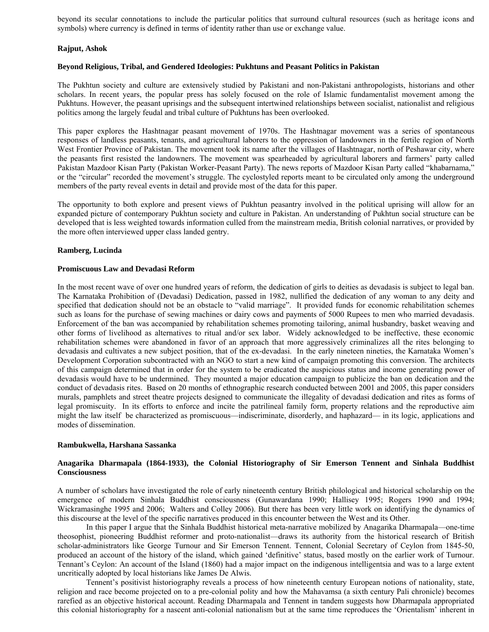beyond its secular connotations to include the particular politics that surround cultural resources (such as heritage icons and symbols) where currency is defined in terms of identity rather than use or exchange value.

# **Rajput, Ashok**

### **Beyond Religious, Tribal, and Gendered Ideologies: Pukhtuns and Peasant Politics in Pakistan**

The Pukhtun society and culture are extensively studied by Pakistani and non-Pakistani anthropologists, historians and other scholars. In recent years, the popular press has solely focused on the role of Islamic fundamentalist movement among the Pukhtuns. However, the peasant uprisings and the subsequent intertwined relationships between socialist, nationalist and religious politics among the largely feudal and tribal culture of Pukhtuns has been overlooked.

This paper explores the Hashtnagar peasant movement of 1970s. The Hashtnagar movement was a series of spontaneous responses of landless peasants, tenants, and agricultural laborers to the oppression of landowners in the fertile region of North West Frontier Province of Pakistan. The movement took its name after the villages of Hashtnagar, north of Peshawar city, where the peasants first resisted the landowners. The movement was spearheaded by agricultural laborers and farmers' party called Pakistan Mazdoor Kisan Party (Pakistan Worker-Peasant Party). The news reports of Mazdoor Kisan Party called "khabarnama," or the "circular" recorded the movement's struggle. The cyclostyled reports meant to be circulated only among the underground members of the party reveal events in detail and provide most of the data for this paper.

The opportunity to both explore and present views of Pukhtun peasantry involved in the political uprising will allow for an expanded picture of contemporary Pukhtun society and culture in Pakistan. An understanding of Pukhtun social structure can be developed that is less weighted towards information culled from the mainstream media, British colonial narratives, or provided by the more often interviewed upper class landed gentry.

# **Ramberg, Lucinda**

### **Promiscuous Law and Devadasi Reform**

In the most recent wave of over one hundred years of reform, the dedication of girls to deities as devadasis is subject to legal ban. The Karnataka Prohibition of (Devadasi) Dedication, passed in 1982, nullified the dedication of any woman to any deity and specified that dedication should not be an obstacle to "valid marriage". It provided funds for economic rehabilitation schemes such as loans for the purchase of sewing machines or dairy cows and payments of 5000 Rupees to men who married devadasis. Enforcement of the ban was accompanied by rehabilitation schemes promoting tailoring, animal husbandry, basket weaving and other forms of livelihood as alternatives to ritual and/or sex labor. Widely acknowledged to be ineffective, these economic rehabilitation schemes were abandoned in favor of an approach that more aggressively criminalizes all the rites belonging to devadasis and cultivates a new subject position, that of the ex-devadasi. In the early nineteen nineties, the Karnataka Women's Development Corporation subcontracted with an NGO to start a new kind of campaign promoting this conversion. The architects of this campaign determined that in order for the system to be eradicated the auspicious status and income generating power of devadasis would have to be undermined. They mounted a major education campaign to publicize the ban on dedication and the conduct of devadasis rites. Based on 20 months of ethnographic research conducted between 2001 and 2005, this paper considers murals, pamphlets and street theatre projects designed to communicate the illegality of devadasi dedication and rites as forms of legal promiscuity. In its efforts to enforce and incite the patrilineal family form, property relations and the reproductive aim might the law itself be characterized as promiscuous—indiscriminate, disorderly, and haphazard— in its logic, applications and modes of dissemination.

### **Rambukwella, Harshana Sassanka**

# **Anagarika Dharmapala (1864-1933), the Colonial Historiography of Sir Emerson Tennent and Sinhala Buddhist Consciousness**

A number of scholars have investigated the role of early nineteenth century British philological and historical scholarship on the emergence of modern Sinhala Buddhist consciousness (Gunawardana 1990; Hallisey 1995; Rogers 1990 and 1994; Wickramasinghe 1995 and 2006; Walters and Colley 2006). But there has been very little work on identifying the dynamics of this discourse at the level of the specific narratives produced in this encounter between the West and its Other.

 In this paper I argue that the Sinhala Buddhist historical meta-narrative mobilized by Anagarika Dharmapala—one-time theosophist, pioneering Buddhist reformer and proto-nationalist—draws its authority from the historical research of British scholar-administrators like George Turnour and Sir Emerson Tennent. Tennent, Colonial Secretary of Ceylon from 1845-50, produced an account of the history of the island, which gained 'definitive' status, based mostly on the earlier work of Turnour. Tennant's Ceylon: An account of the Island (1860) had a major impact on the indigenous intelligentsia and was to a large extent uncritically adopted by local historians like James De Alwis.

 Tennent's positivist historiography reveals a process of how nineteenth century European notions of nationality, state, religion and race become projected on to a pre-colonial polity and how the Mahavamsa (a sixth century Pali chronicle) becomes rarefied as an objective historical account. Reading Dharmapala and Tennent in tandem suggests how Dharmapala appropriated this colonial historiography for a nascent anti-colonial nationalism but at the same time reproduces the 'Orientalism' inherent in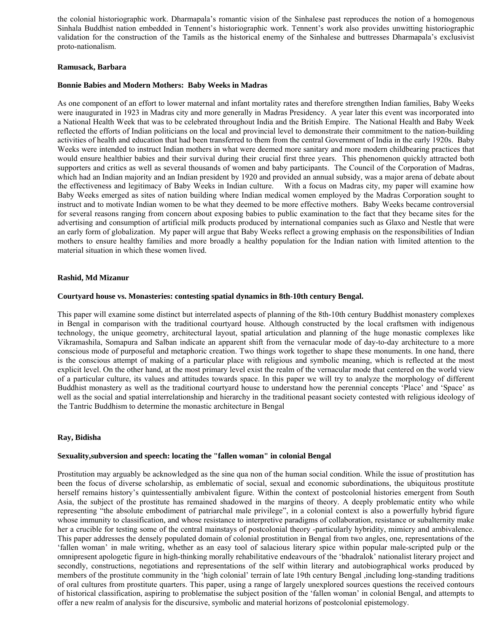the colonial historiographic work. Dharmapala's romantic vision of the Sinhalese past reproduces the notion of a homogenous Sinhala Buddhist nation embedded in Tennent's historiographic work. Tennent's work also provides unwitting historiographic validation for the construction of the Tamils as the historical enemy of the Sinhalese and buttresses Dharmapala's exclusivist proto-nationalism.

### **Ramusack, Barbara**

# **Bonnie Babies and Modern Mothers: Baby Weeks in Madras**

As one component of an effort to lower maternal and infant mortality rates and therefore strengthen Indian families, Baby Weeks were inaugurated in 1923 in Madras city and more generally in Madras Presidency. A year later this event was incorporated into a National Health Week that was to be celebrated throughout India and the British Empire. The National Health and Baby Week reflected the efforts of Indian politicians on the local and provincial level to demonstrate their commitment to the nation-building activities of health and education that had been transferred to them from the central Government of India in the early 1920s. Baby Weeks were intended to instruct Indian mothers in what were deemed more sanitary and more modern childbearing practices that would ensure healthier babies and their survival during their crucial first three years. This phenomenon quickly attracted both supporters and critics as well as several thousands of women and baby participants. The Council of the Corporation of Madras, which had an Indian majority and an Indian president by 1920 and provided an annual subsidy, was a major arena of debate about the effectiveness and legitimacy of Baby Weeks in Indian culture. With a focus on Madras city, my paper will examine how Baby Weeks emerged as sites of nation building where Indian medical women employed by the Madras Corporation sought to instruct and to motivate Indian women to be what they deemed to be more effective mothers. Baby Weeks became controversial for several reasons ranging from concern about exposing babies to public examination to the fact that they became sites for the advertising and consumption of artificial milk products produced by international companies such as Glaxo and Nestle that were an early form of globalization. My paper will argue that Baby Weeks reflect a growing emphasis on the responsibilities of Indian mothers to ensure healthy families and more broadly a healthy population for the Indian nation with limited attention to the material situation in which these women lived.

### **Rashid, Md Mizanur**

#### **Courtyard house vs. Monasteries: contesting spatial dynamics in 8th-10th century Bengal.**

This paper will examine some distinct but interrelated aspects of planning of the 8th-10th century Buddhist monastery complexes in Bengal in comparison with the traditional courtyard house. Although constructed by the local craftsmen with indigenous technology, the unique geometry, architectural layout, spatial articulation and planning of the huge monastic complexes like Vikramashila, Somapura and Salban indicate an apparent shift from the vernacular mode of day-to-day architecture to a more conscious mode of purposeful and metaphoric creation. Two things work together to shape these monuments. In one hand, there is the conscious attempt of making of a particular place with religious and symbolic meaning, which is reflected at the most explicit level. On the other hand, at the most primary level exist the realm of the vernacular mode that centered on the world view of a particular culture, its values and attitudes towards space. In this paper we will try to analyze the morphology of different Buddhist monastery as well as the traditional courtyard house to understand how the perennial concepts 'Place' and 'Space' as well as the social and spatial interrelationship and hierarchy in the traditional peasant society contested with religious ideology of the Tantric Buddhism to determine the monastic architecture in Bengal

### **Ray, Bidisha**

#### **Sexuality,subversion and speech: locating the "fallen woman" in colonial Bengal**

Prostitution may arguably be acknowledged as the sine qua non of the human social condition. While the issue of prostitution has been the focus of diverse scholarship, as emblematic of social, sexual and economic subordinations, the ubiquitous prostitute herself remains history's quintessentially ambivalent figure. Within the context of postcolonial histories emergent from South Asia, the subject of the prostitute has remained shadowed in the margins of theory. A deeply problematic entity who while representing "the absolute embodiment of patriarchal male privilege", in a colonial context is also a powerfully hybrid figure whose immunity to classification, and whose resistance to interpretive paradigms of collaboration, resistance or subalternity make her a crucible for testing some of the central mainstays of postcolonial theory -particularly hybridity, mimicry and ambivalence. This paper addresses the densely populated domain of colonial prostitution in Bengal from two angles, one, representations of the 'fallen woman' in male writing, whether as an easy tool of salacious literary spice within popular male-scripted pulp or the omnipresent apologetic figure in high-thinking morally rehabilitative endeavours of the 'bhadralok' nationalist literary project and secondly, constructions, negotiations and representations of the self within literary and autobiographical works produced by members of the prostitute community in the 'high colonial' terrain of late 19th century Bengal ,including long-standing traditions of oral cultures from prostitute quarters. This paper, using a range of largely unexplored sources questions the received contours of historical classification, aspiring to problematise the subject position of the 'fallen woman' in colonial Bengal, and attempts to offer a new realm of analysis for the discursive, symbolic and material horizons of postcolonial epistemology.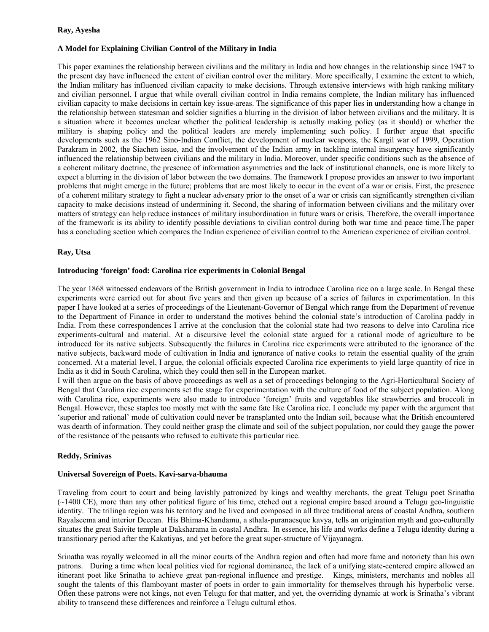### **Ray, Ayesha**

# **A Model for Explaining Civilian Control of the Military in India**

This paper examines the relationship between civilians and the military in India and how changes in the relationship since 1947 to the present day have influenced the extent of civilian control over the military. More specifically, I examine the extent to which, the Indian military has influenced civilian capacity to make decisions. Through extensive interviews with high ranking military and civilian personnel, I argue that while overall civilian control in India remains complete, the Indian military has influenced civilian capacity to make decisions in certain key issue-areas. The significance of this paper lies in understanding how a change in the relationship between statesman and soldier signifies a blurring in the division of labor between civilians and the military. It is a situation where it becomes unclear whether the political leadership is actually making policy (as it should) or whether the military is shaping policy and the political leaders are merely implementing such policy. I further argue that specific developments such as the 1962 Sino-Indian Conflict, the development of nuclear weapons, the Kargil war of 1999, Operation Parakram in 2002, the Siachen issue, and the involvement of the Indian army in tackling internal insurgency have significantly influenced the relationship between civilians and the military in India. Moreover, under specific conditions such as the absence of a coherent military doctrine, the presence of information asymmetries and the lack of institutional channels, one is more likely to expect a blurring in the division of labor between the two domains. The framework I propose provides an answer to two important problems that might emerge in the future; problems that are most likely to occur in the event of a war or crisis. First, the presence of a coherent military strategy to fight a nuclear adversary prior to the onset of a war or crisis can significantly strengthen civilian capacity to make decisions instead of undermining it. Second, the sharing of information between civilians and the military over matters of strategy can help reduce instances of military insubordination in future wars or crisis. Therefore, the overall importance of the framework is its ability to identify possible deviations to civilian control during both war time and peace time.The paper has a concluding section which compares the Indian experience of civilian control to the American experience of civilian control.

# **Ray, Utsa**

# **Introducing 'foreign' food: Carolina rice experiments in Colonial Bengal**

The year 1868 witnessed endeavors of the British government in India to introduce Carolina rice on a large scale. In Bengal these experiments were carried out for about five years and then given up because of a series of failures in experimentation. In this paper I have looked at a series of proceedings of the Lieutenant-Governor of Bengal which range from the Department of revenue to the Department of Finance in order to understand the motives behind the colonial state's introduction of Carolina paddy in India. From these correspondences I arrive at the conclusion that the colonial state had two reasons to delve into Carolina rice experiments-cultural and material. At a discursive level the colonial state argued for a rational mode of agriculture to be introduced for its native subjects. Subsequently the failures in Carolina rice experiments were attributed to the ignorance of the native subjects, backward mode of cultivation in India and ignorance of native cooks to retain the essential quality of the grain concerned. At a material level, I argue, the colonial officials expected Carolina rice experiments to yield large quantity of rice in India as it did in South Carolina, which they could then sell in the European market.

I will then argue on the basis of above proceedings as well as a set of proceedings belonging to the Agri-Horticultural Society of Bengal that Carolina rice experiments set the stage for experimentation with the culture of food of the subject population. Along with Carolina rice, experiments were also made to introduce 'foreign' fruits and vegetables like strawberries and broccoli in Bengal. However, these staples too mostly met with the same fate like Carolina rice. I conclude my paper with the argument that 'superior and rational' mode of cultivation could never be transplanted onto the Indian soil, because what the British encountered was dearth of information. They could neither grasp the climate and soil of the subject population, nor could they gauge the power of the resistance of the peasants who refused to cultivate this particular rice.

## **Reddy, Srinivas**

### **Universal Sovereign of Poets. Kavi-sarva-bhauma**

Traveling from court to court and being lavishly patronized by kings and wealthy merchants, the great Telugu poet Srinatha (~1400 CE), more than any other political figure of his time, etched out a regional empire based around a Telugu geo-linguistic identity. The trilinga region was his territory and he lived and composed in all three traditional areas of coastal Andhra, southern Rayalseema and interior Deccan. His Bhima-Khandamu, a sthala-puranaesque kavya, tells an origination myth and geo-culturally situates the great Saivite temple at Daksharama in coastal Andhra. In essence, his life and works define a Telugu identity during a transitionary period after the Kakatiyas, and yet before the great super-structure of Vijayanagra.

Srinatha was royally welcomed in all the minor courts of the Andhra region and often had more fame and notoriety than his own patrons. During a time when local polities vied for regional dominance, the lack of a unifying state-centered empire allowed an itinerant poet like Srinatha to achieve great pan-regional influence and prestige. Kings, ministers, merchants and nobles all sought the talents of this flamboyant master of poets in order to gain immortality for themselves through his hyperbolic verse. Often these patrons were not kings, not even Telugu for that matter, and yet, the overriding dynamic at work is Srinatha's vibrant ability to transcend these differences and reinforce a Telugu cultural ethos.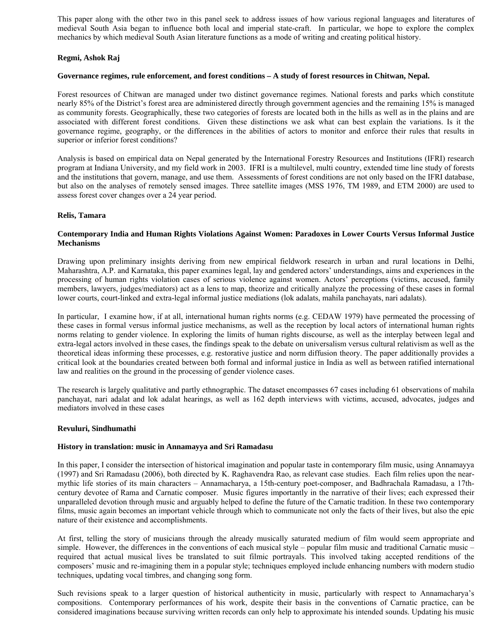This paper along with the other two in this panel seek to address issues of how various regional languages and literatures of medieval South Asia began to influence both local and imperial state-craft. In particular, we hope to explore the complex mechanics by which medieval South Asian literature functions as a mode of writing and creating political history.

# **Regmi, Ashok Raj**

### **Governance regimes, rule enforcement, and forest conditions – A study of forest resources in Chitwan, Nepal.**

Forest resources of Chitwan are managed under two distinct governance regimes. National forests and parks which constitute nearly 85% of the District's forest area are administered directly through government agencies and the remaining 15% is managed as community forests. Geographically, these two categories of forests are located both in the hills as well as in the plains and are associated with different forest conditions. Given these distinctions we ask what can best explain the variations. Is it the governance regime, geography, or the differences in the abilities of actors to monitor and enforce their rules that results in superior or inferior forest conditions?

Analysis is based on empirical data on Nepal generated by the International Forestry Resources and Institutions (IFRI) research program at Indiana University, and my field work in 2003. IFRI is a multilevel, multi country, extended time line study of forests and the institutions that govern, manage, and use them. Assessments of forest conditions are not only based on the IFRI database, but also on the analyses of remotely sensed images. Three satellite images (MSS 1976, TM 1989, and ETM 2000) are used to assess forest cover changes over a 24 year period.

# **Relis, Tamara**

# **Contemporary India and Human Rights Violations Against Women: Paradoxes in Lower Courts Versus Informal Justice Mechanisms**

Drawing upon preliminary insights deriving from new empirical fieldwork research in urban and rural locations in Delhi, Maharashtra, A.P. and Karnataka, this paper examines legal, lay and gendered actors' understandings, aims and experiences in the processing of human rights violation cases of serious violence against women. Actors' perceptions (victims, accused, family members, lawyers, judges/mediators) act as a lens to map, theorize and critically analyze the processing of these cases in formal lower courts, court-linked and extra-legal informal justice mediations (lok adalats, mahila panchayats, nari adalats).

In particular, I examine how, if at all, international human rights norms (e.g. CEDAW 1979) have permeated the processing of these cases in formal versus informal justice mechanisms, as well as the reception by local actors of international human rights norms relating to gender violence. In exploring the limits of human rights discourse, as well as the interplay between legal and extra-legal actors involved in these cases, the findings speak to the debate on universalism versus cultural relativism as well as the theoretical ideas informing these processes, e.g. restorative justice and norm diffusion theory. The paper additionally provides a critical look at the boundaries created between both formal and informal justice in India as well as between ratified international law and realities on the ground in the processing of gender violence cases.

The research is largely qualitative and partly ethnographic. The dataset encompasses 67 cases including 61 observations of mahila panchayat, nari adalat and lok adalat hearings, as well as 162 depth interviews with victims, accused, advocates, judges and mediators involved in these cases

### **Revuluri, Sindhumathi**

### **History in translation: music in Annamayya and Sri Ramadasu**

In this paper, I consider the intersection of historical imagination and popular taste in contemporary film music, using Annamayya (1997) and Sri Ramadasu (2006), both directed by K. Raghavendra Rao, as relevant case studies. Each film relies upon the nearmythic life stories of its main characters – Annamacharya, a 15th-century poet-composer, and Badhrachala Ramadasu, a 17thcentury devotee of Rama and Carnatic composer. Music figures importantly in the narrative of their lives; each expressed their unparalleled devotion through music and arguably helped to define the future of the Carnatic tradition. In these two contemporary films, music again becomes an important vehicle through which to communicate not only the facts of their lives, but also the epic nature of their existence and accomplishments.

At first, telling the story of musicians through the already musically saturated medium of film would seem appropriate and simple. However, the differences in the conventions of each musical style – popular film music and traditional Carnatic music – required that actual musical lives be translated to suit filmic portrayals. This involved taking accepted renditions of the composers' music and re-imagining them in a popular style; techniques employed include enhancing numbers with modern studio techniques, updating vocal timbres, and changing song form.

Such revisions speak to a larger question of historical authenticity in music, particularly with respect to Annamacharya's compositions. Contemporary performances of his work, despite their basis in the conventions of Carnatic practice, can be considered imaginations because surviving written records can only help to approximate his intended sounds. Updating his music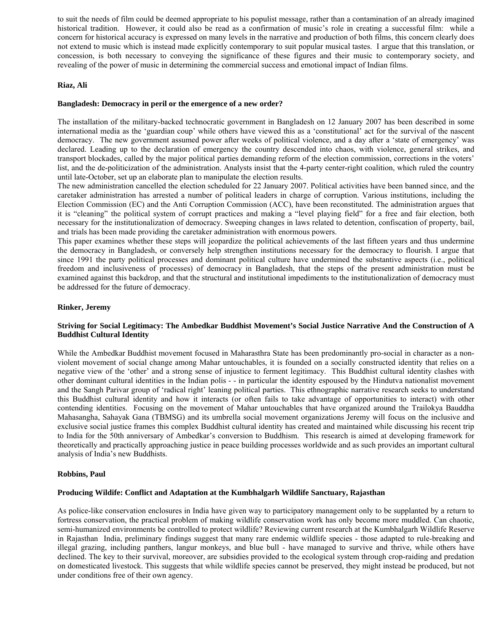to suit the needs of film could be deemed appropriate to his populist message, rather than a contamination of an already imagined historical tradition. However, it could also be read as a confirmation of music's role in creating a successful film: while a concern for historical accuracy is expressed on many levels in the narrative and production of both films, this concern clearly does not extend to music which is instead made explicitly contemporary to suit popular musical tastes. I argue that this translation, or concession, is both necessary to conveying the significance of these figures and their music to contemporary society, and revealing of the power of music in determining the commercial success and emotional impact of Indian films.

# **Riaz, Ali**

### **Bangladesh: Democracy in peril or the emergence of a new order?**

The installation of the military-backed technocratic government in Bangladesh on 12 January 2007 has been described in some international media as the 'guardian coup' while others have viewed this as a 'constitutional' act for the survival of the nascent democracy. The new government assumed power after weeks of political violence, and a day after a 'state of emergency' was declared. Leading up to the declaration of emergency the country descended into chaos, with violence, general strikes, and transport blockades, called by the major political parties demanding reform of the election commission, corrections in the voters' list, and the de-politicization of the administration. Analysts insist that the 4-party center-right coalition, which ruled the country until late-October, set up an elaborate plan to manipulate the election results.

The new administration cancelled the election scheduled for 22 January 2007. Political activities have been banned since, and the caretaker administration has arrested a number of political leaders in charge of corruption. Various institutions, including the Election Commission (EC) and the Anti Corruption Commission (ACC), have been reconstituted. The administration argues that it is "cleaning" the political system of corrupt practices and making a "level playing field" for a free and fair election, both necessary for the institutionalization of democracy. Sweeping changes in laws related to detention, confiscation of property, bail, and trials has been made providing the caretaker administration with enormous powers.

This paper examines whether these steps will jeopardize the political achievements of the last fifteen years and thus undermine the democracy in Bangladesh, or conversely help strengthen institutions necessary for the democracy to flourish. I argue that since 1991 the party political processes and dominant political culture have undermined the substantive aspects (i.e., political freedom and inclusiveness of processes) of democracy in Bangladesh, that the steps of the present administration must be examined against this backdrop, and that the structural and institutional impediments to the institutionalization of democracy must be addressed for the future of democracy.

# **Rinker, Jeremy**

# **Striving for Social Legitimacy: The Ambedkar Buddhist Movement's Social Justice Narrative And the Construction of A Buddhist Cultural Identity**

While the Ambedkar Buddhist movement focused in Maharasthra State has been predominantly pro-social in character as a nonviolent movement of social change among Mahar untouchables, it is founded on a socially constructed identity that relies on a negative view of the 'other' and a strong sense of injustice to ferment legitimacy. This Buddhist cultural identity clashes with other dominant cultural identities in the Indian polis - - in particular the identity espoused by the Hindutva nationalist movement and the Sangh Parivar group of 'radical right' leaning political parties. This ethnographic narrative research seeks to understand this Buddhist cultural identity and how it interacts (or often fails to take advantage of opportunities to interact) with other contending identities. Focusing on the movement of Mahar untouchables that have organized around the Trailokya Bauddha Mahasangha, Sahayak Gana (TBMSG) and its umbrella social movement organizations Jeremy will focus on the inclusive and exclusive social justice frames this complex Buddhist cultural identity has created and maintained while discussing his recent trip to India for the 50th anniversary of Ambedkar's conversion to Buddhism. This research is aimed at developing framework for theoretically and practically approaching justice in peace building processes worldwide and as such provides an important cultural analysis of India's new Buddhists.

### **Robbins, Paul**

### **Producing Wildife: Conflict and Adaptation at the Kumbhalgarh Wildlife Sanctuary, Rajasthan**

As police-like conservation enclosures in India have given way to participatory management only to be supplanted by a return to fortress conservation, the practical problem of making wildlife conservation work has only become more muddled. Can chaotic, semi-humanized environments be controlled to protect wildlife? Reviewing current research at the Kumbhalgarh Wildlife Reserve in Rajasthan India, preliminary findings suggest that many rare endemic wildlife species - those adapted to rule-breaking and illegal grazing, including panthers, langur monkeys, and blue bull - have managed to survive and thrive, while others have declined. The key to their survival, moreover, are subsidies provided to the ecological system through crop-raiding and predation on domesticated livestock. This suggests that while wildlife species cannot be preserved, they might instead be produced, but not under conditions free of their own agency.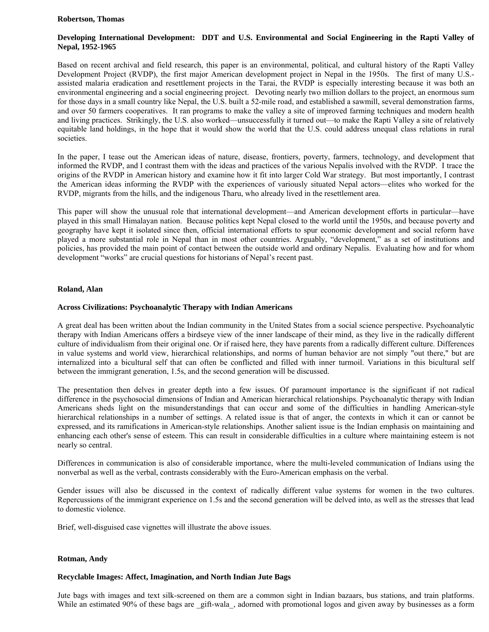#### **Robertson, Thomas**

# **Developing International Development: DDT and U.S. Environmental and Social Engineering in the Rapti Valley of Nepal, 1952-1965**

Based on recent archival and field research, this paper is an environmental, political, and cultural history of the Rapti Valley Development Project (RVDP), the first major American development project in Nepal in the 1950s. The first of many U.S. assisted malaria eradication and resettlement projects in the Tarai, the RVDP is especially interesting because it was both an environmental engineering and a social engineering project. Devoting nearly two million dollars to the project, an enormous sum for those days in a small country like Nepal, the U.S. built a 52-mile road, and established a sawmill, several demonstration farms, and over 50 farmers cooperatives. It ran programs to make the valley a site of improved farming techniques and modern health and living practices. Strikingly, the U.S. also worked—unsuccessfully it turned out—to make the Rapti Valley a site of relatively equitable land holdings, in the hope that it would show the world that the U.S. could address unequal class relations in rural societies.

In the paper, I tease out the American ideas of nature, disease, frontiers, poverty, farmers, technology, and development that informed the RVDP, and I contrast them with the ideas and practices of the various Nepalis involved with the RVDP. I trace the origins of the RVDP in American history and examine how it fit into larger Cold War strategy. But most importantly, I contrast the American ideas informing the RVDP with the experiences of variously situated Nepal actors—elites who worked for the RVDP, migrants from the hills, and the indigenous Tharu, who already lived in the resettlement area.

This paper will show the unusual role that international development—and American development efforts in particular—have played in this small Himalayan nation. Because politics kept Nepal closed to the world until the 1950s, and because poverty and geography have kept it isolated since then, official international efforts to spur economic development and social reform have played a more substantial role in Nepal than in most other countries. Arguably, "development," as a set of institutions and policies, has provided the main point of contact between the outside world and ordinary Nepalis. Evaluating how and for whom development "works" are crucial questions for historians of Nepal's recent past.

### **Roland, Alan**

### **Across Civilizations: Psychoanalytic Therapy with Indian Americans**

A great deal has been written about the Indian community in the United States from a social science perspective. Psychoanalytic therapy with Indian Americans offers a birdseye view of the inner landscape of their mind, as they live in the radically different culture of individualism from their original one. Or if raised here, they have parents from a radically different culture. Differences in value systems and world view, hierarchical relationships, and norms of human behavior are not simply "out there," but are internalized into a bicultural self that can often be conflicted and filled with inner turmoil. Variations in this bicultural self between the immigrant generation, 1.5s, and the second generation will be discussed.

The presentation then delves in greater depth into a few issues. Of paramount importance is the significant if not radical difference in the psychosocial dimensions of Indian and American hierarchical relationships. Psychoanalytic therapy with Indian Americans sheds light on the misunderstandings that can occur and some of the difficulties in handling American-style hierarchical relationships in a number of settings. A related issue is that of anger, the contexts in which it can or cannot be expressed, and its ramifications in American-style relationships. Another salient issue is the Indian emphasis on maintaining and enhancing each other's sense of esteem. This can result in considerable difficulties in a culture where maintaining esteem is not nearly so central.

Differences in communication is also of considerable importance, where the multi-leveled communication of Indians using the nonverbal as well as the verbal, contrasts considerably with the Euro-American emphasis on the verbal.

Gender issues will also be discussed in the context of radically different value systems for women in the two cultures. Repercussions of the immigrant experience on 1.5s and the second generation will be delved into, as well as the stresses that lead to domestic violence.

Brief, well-disguised case vignettes will illustrate the above issues.

### **Rotman, Andy**

### **Recyclable Images: Affect, Imagination, and North Indian Jute Bags**

Jute bags with images and text silk-screened on them are a common sight in Indian bazaars, bus stations, and train platforms. While an estimated 90% of these bags are gift-wala, adorned with promotional logos and given away by businesses as a form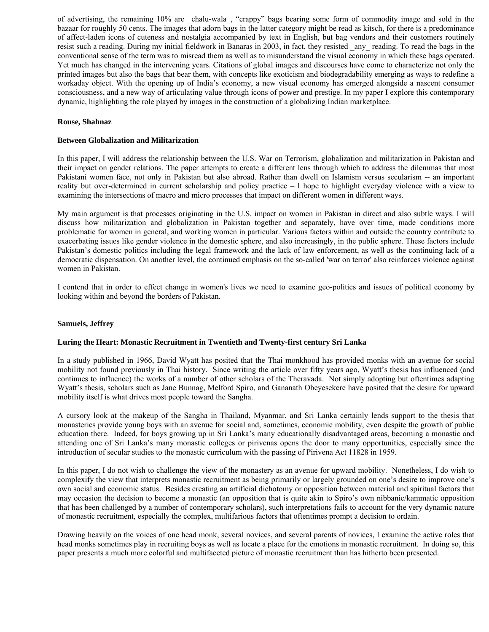of advertising, the remaining 10% are chalu-wala, "crappy" bags bearing some form of commodity image and sold in the bazaar for roughly 50 cents. The images that adorn bags in the latter category might be read as kitsch, for there is a predominance of affect-laden icons of cuteness and nostalgia accompanied by text in English, but bag vendors and their customers routinely resist such a reading. During my initial fieldwork in Banaras in 2003, in fact, they resisted \_any\_ reading. To read the bags in the conventional sense of the term was to misread them as well as to misunderstand the visual economy in which these bags operated. Yet much has changed in the intervening years. Citations of global images and discourses have come to characterize not only the printed images but also the bags that bear them, with concepts like exoticism and biodegradability emerging as ways to redefine a workaday object. With the opening up of India's economy, a new visual economy has emerged alongside a nascent consumer consciousness, and a new way of articulating value through icons of power and prestige. In my paper I explore this contemporary dynamic, highlighting the role played by images in the construction of a globalizing Indian marketplace.

### **Rouse, Shahnaz**

# **Between Globalization and Militarization**

In this paper, I will address the relationship between the U.S. War on Terrorism, globalization and militarization in Pakistan and their impact on gender relations. The paper attempts to create a different lens through which to address the dilemmas that most Pakistani women face, not only in Pakistan but also abroad. Rather than dwell on Islamism versus secularism -- an important reality but over-determined in current scholarship and policy practice – I hope to highlight everyday violence with a view to examining the intersections of macro and micro processes that impact on different women in different ways.

My main argument is that processes originating in the U.S. impact on women in Pakistan in direct and also subtle ways. I will discuss how militarization and globalization in Pakistan together and separately, have over time, made conditions more problematic for women in general, and working women in particular. Various factors within and outside the country contribute to exacerbating issues like gender violence in the domestic sphere, and also increasingly, in the public sphere. These factors include Pakistan's domestic politics including the legal framework and the lack of law enforcement, as well as the continuing lack of a democratic dispensation. On another level, the continued emphasis on the so-called 'war on terror' also reinforces violence against women in Pakistan.

I contend that in order to effect change in women's lives we need to examine geo-politics and issues of political economy by looking within and beyond the borders of Pakistan.

### **Samuels, Jeffrey**

### **Luring the Heart: Monastic Recruitment in Twentieth and Twenty-first century Sri Lanka**

In a study published in 1966, David Wyatt has posited that the Thai monkhood has provided monks with an avenue for social mobility not found previously in Thai history. Since writing the article over fifty years ago, Wyatt's thesis has influenced (and continues to influence) the works of a number of other scholars of the Theravada. Not simply adopting but oftentimes adapting Wyatt's thesis, scholars such as Jane Bunnag, Melford Spiro, and Gananath Obeyesekere have posited that the desire for upward mobility itself is what drives most people toward the Sangha.

A cursory look at the makeup of the Sangha in Thailand, Myanmar, and Sri Lanka certainly lends support to the thesis that monasteries provide young boys with an avenue for social and, sometimes, economic mobility, even despite the growth of public education there. Indeed, for boys growing up in Sri Lanka's many educationally disadvantaged areas, becoming a monastic and attending one of Sri Lanka's many monastic colleges or pirivenas opens the door to many opportunities, especially since the introduction of secular studies to the monastic curriculum with the passing of Pirivena Act 11828 in 1959.

In this paper, I do not wish to challenge the view of the monastery as an avenue for upward mobility. Nonetheless, I do wish to complexify the view that interprets monastic recruitment as being primarily or largely grounded on one's desire to improve one's own social and economic status. Besides creating an artificial dichotomy or opposition between material and spiritual factors that may occasion the decision to become a monastic (an opposition that is quite akin to Spiro's own nibbanic/kammatic opposition that has been challenged by a number of contemporary scholars), such interpretations fails to account for the very dynamic nature of monastic recruitment, especially the complex, multifarious factors that oftentimes prompt a decision to ordain.

Drawing heavily on the voices of one head monk, several novices, and several parents of novices, I examine the active roles that head monks sometimes play in recruiting boys as well as locate a place for the emotions in monastic recruitment. In doing so, this paper presents a much more colorful and multifaceted picture of monastic recruitment than has hitherto been presented.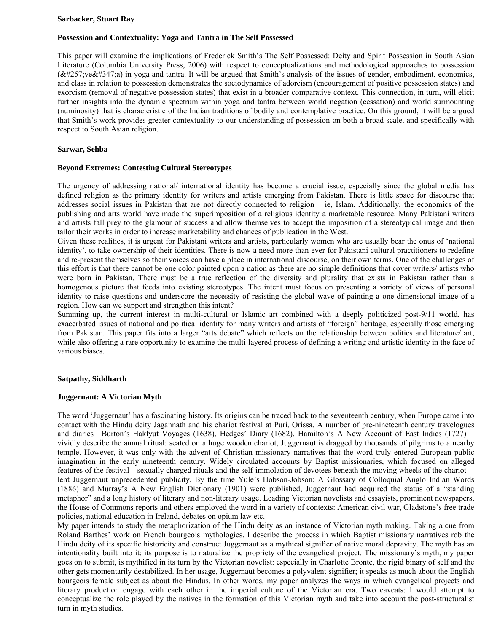#### **Sarbacker, Stuart Ray**

# **Possession and Contextuality: Yoga and Tantra in The Self Possessed**

This paper will examine the implications of Frederick Smith's The Self Possessed: Deity and Spirit Possession in South Asian Literature (Columbia University Press, 2006) with respect to conceptualizations and methodological approaches to possession  $(āveś a)$  in yoga and tantra. It will be argued that Smith's analysis of the issues of gender, embodiment, economics, and class in relation to possession demonstrates the sociodynamics of adorcism (encouragement of positive possession states) and exorcism (removal of negative possession states) that exist in a broader comparative context. This connection, in turn, will elicit further insights into the dynamic spectrum within yoga and tantra between world negation (cessation) and world surmounting (numinosity) that is characteristic of the Indian traditions of bodily and contemplative practice. On this ground, it will be argued that Smith's work provides greater contextuality to our understanding of possession on both a broad scale, and specifically with respect to South Asian religion.

# **Sarwar, Sehba**

### **Beyond Extremes: Contesting Cultural Stereotypes**

The urgency of addressing national/ international identity has become a crucial issue, especially since the global media has defined religion as the primary identity for writers and artists emerging from Pakistan. There is little space for discourse that addresses social issues in Pakistan that are not directly connected to religion – ie, Islam. Additionally, the economics of the publishing and arts world have made the superimposition of a religious identity a marketable resource. Many Pakistani writers and artists fall prey to the glamour of success and allow themselves to accept the imposition of a stereotypical image and then tailor their works in order to increase marketability and chances of publication in the West.

Given these realities, it is urgent for Pakistani writers and artists, particularly women who are usually bear the onus of 'national identity', to take ownership of their identities. There is now a need more than ever for Pakistani cultural practitioners to redefine and re-present themselves so their voices can have a place in international discourse, on their own terms. One of the challenges of this effort is that there cannot be one color painted upon a nation as there are no simple definitions that cover writers/ artists who were born in Pakistan. There must be a true reflection of the diversity and plurality that exists in Pakistan rather than a homogenous picture that feeds into existing stereotypes. The intent must focus on presenting a variety of views of personal identity to raise questions and underscore the necessity of resisting the global wave of painting a one-dimensional image of a region. How can we support and strengthen this intent?

Summing up, the current interest in multi-cultural or Islamic art combined with a deeply politicized post-9/11 world, has exacerbated issues of national and political identity for many writers and artists of "foreign" heritage, especially those emerging from Pakistan. This paper fits into a larger "arts debate" which reflects on the relationship between politics and literature/ art, while also offering a rare opportunity to examine the multi-layered process of defining a writing and artistic identity in the face of various biases.

### **Satpathy, Siddharth**

### **Juggernaut: A Victorian Myth**

The word 'Juggernaut' has a fascinating history. Its origins can be traced back to the seventeenth century, when Europe came into contact with the Hindu deity Jagannath and his chariot festival at Puri, Orissa. A number of pre-nineteenth century travelogues and diaries—Burton's Haklyut Voyages (1638), Hedges' Diary (1682), Hamilton's A New Account of East Indies (1727) vividly describe the annual ritual: seated on a huge wooden chariot, Juggernaut is dragged by thousands of pilgrims to a nearby temple. However, it was only with the advent of Christian missionary narratives that the word truly entered European public imagination in the early nineteenth century. Widely circulated accounts by Baptist missionaries, which focused on alleged features of the festival—sexually charged rituals and the self-immolation of devotees beneath the moving wheels of the chariot lent Juggernaut unprecedented publicity. By the time Yule's Hobson-Jobson: A Glossary of Colloquial Anglo Indian Words (1886) and Murray's A New English Dictionary (1901) were published, Juggernaut had acquired the status of a "standing metaphor" and a long history of literary and non-literary usage. Leading Victorian novelists and essayists, prominent newspapers, the House of Commons reports and others employed the word in a variety of contexts: American civil war, Gladstone's free trade policies, national education in Ireland, debates on opium law etc.

My paper intends to study the metaphorization of the Hindu deity as an instance of Victorian myth making. Taking a cue from Roland Barthes' work on French bourgeois mythologies, I describe the process in which Baptist missionary narratives rob the Hindu deity of its specific historicity and construct Juggernaut as a mythical signifier of native moral depravity. The myth has an intentionality built into it: its purpose is to naturalize the propriety of the evangelical project. The missionary's myth, my paper goes on to submit, is mythified in its turn by the Victorian novelist: especially in Charlotte Bronte, the rigid binary of self and the other gets momentarily destabilized. In her usage, Juggernaut becomes a polyvalent signifier; it speaks as much about the English bourgeois female subject as about the Hindus. In other words, my paper analyzes the ways in which evangelical projects and literary production engage with each other in the imperial culture of the Victorian era. Two caveats: I would attempt to conceptualize the role played by the natives in the formation of this Victorian myth and take into account the post-structuralist turn in myth studies.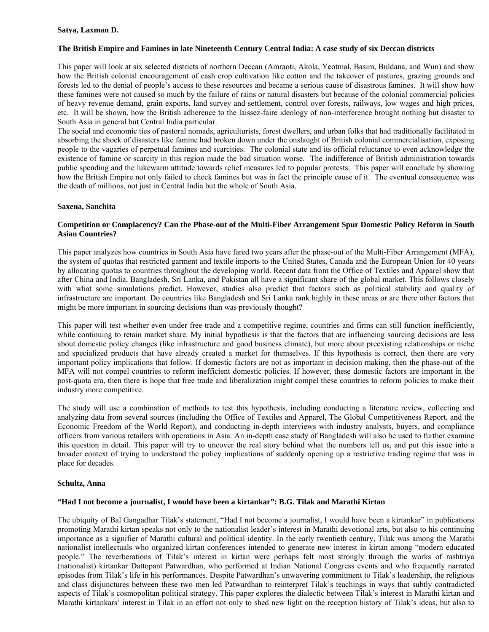# **Satya, Laxman D.**

# **The British Empire and Famines in late Nineteenth Century Central India: A case study of six Deccan districts**

This paper will look at six selected districts of northern Deccan (Amraoti, Akola, Yeotmal, Basim, Buldana, and Wun) and show how the British colonial encouragement of cash crop cultivation like cotton and the takeover of pastures, grazing grounds and forests led to the denial of people's access to these resources and became a serious cause of disastrous famines. It will show how these famines were not caused so much by the failure of rains or natural disasters but because of the colonial commercial policies of heavy revenue demand, grain exports, land survey and settlement, control over forests, railways, low wages and high prices, etc. It will be shown, how the British adherence to the laissez-faire ideology of non-interference brought nothing but disaster to South Asia in general but Central India particular.

The social and economic ties of pastoral nomads, agriculturists, forest dwellers, and urban folks that had traditionally facilitated in absorbing the shock of disasters like famine had broken down under the onslaught of British colonial commercialisation, exposing people to the vagaries of perpetual famines and scarcities. The colonial state and its official reluctance to even acknowledge the existence of famine or scarcity in this region made the bad situation worse. The indifference of British administration towards public spending and the lukewarm attitude towards relief measures led to popular protests. This paper will conclude by showing how the British Empire not only failed to check famines but was in fact the principle cause of it. The eventual consequence was the death of millions, not just in Central India but the whole of South Asia.

### **Saxena, Sanchita**

### **Competition or Complacency? Can the Phase-out of the Multi-Fiber Arrangement Spur Domestic Policy Reform in South Asian Countries?**

This paper analyzes how countries in South Asia have fared two years after the phase-out of the Multi-Fiber Arrangement (MFA), the system of quotas that restricted garment and textile imports to the United States, Canada and the European Union for 40 years by allocating quotas to countries throughout the developing world. Recent data from the Office of Textiles and Apparel show that after China and India, Bangladesh, Sri Lanka, and Pakistan all have a significant share of the global market. This follows closely with what some simulations predict. However, studies also predict that factors such as political stability and quality of infrastructure are important. Do countries like Bangladesh and Sri Lanka rank highly in these areas or are there other factors that might be more important in sourcing decisions than was previously thought?

This paper will test whether even under free trade and a competitive regime, countries and firms can still function inefficiently, while continuing to retain market share. My initial hypothesis is that the factors that are influencing sourcing decisions are less about domestic policy changes (like infrastructure and good business climate), but more about preexisting relationships or niche and specialized products that have already created a market for themselves. If this hypothesis is correct, then there are very important policy implications that follow. If domestic factors are not as important in decision making, then the phase-out of the MFA will not compel countries to reform inefficient domestic policies. If however, these domestic factors are important in the post-quota era, then there is hope that free trade and liberalization might compel these countries to reform policies to make their industry more competitive.

The study will use a combination of methods to test this hypothesis, including conducting a literature review, collecting and analyzing data from several sources (including the Office of Textiles and Apparel, The Global Competitiveness Report, and the Economic Freedom of the World Report), and conducting in-depth interviews with industry analysts, buyers, and compliance officers from various retailers with operations in Asia. An in-depth case study of Bangladesh will also be used to further examine this question in detail. This paper will try to uncover the real story behind what the numbers tell us, and put this issue into a broader context of trying to understand the policy implications of suddenly opening up a restrictive trading regime that was in place for decades.

### **Schultz, Anna**

### **"Had I not become a journalist, I would have been a kirtankar": B.G. Tilak and Marathi Kirtan**

The ubiquity of Bal Gangadhar Tilak's statement, "Had I not become a journalist, I would have been a kirtankar" in publications promoting Marathi kirtan speaks not only to the nationalist leader's interest in Marathi devotional arts, but also to his continuing importance as a signifier of Marathi cultural and political identity. In the early twentieth century, Tilak was among the Marathi nationalist intellectuals who organized kirtan conferences intended to generate new interest in kirtan among "modern educated people." The reverberations of Tilak's interest in kirtan were perhaps felt most strongly through the works of rashtriya (nationalist) kirtankar Dattopant Patwardhan, who performed at Indian National Congress events and who frequently narrated episodes from Tilak's life in his performances. Despite Patwardhan's unwavering commitment to Tilak's leadership, the religious and class disjunctures between these two men led Patwardhan to reinterpret Tilak's teachings in ways that subtly contradicted aspects of Tilak's cosmopolitan political strategy. This paper explores the dialectic between Tilak's interest in Marathi kirtan and Marathi kirtankars' interest in Tilak in an effort not only to shed new light on the reception history of Tilak's ideas, but also to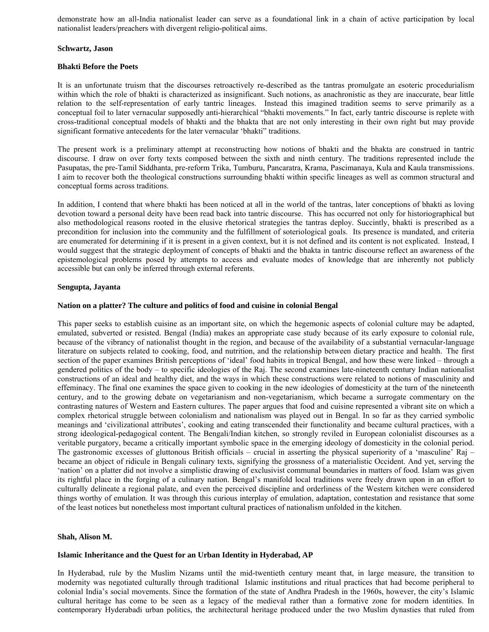demonstrate how an all-India nationalist leader can serve as a foundational link in a chain of active participation by local nationalist leaders/preachers with divergent religio-political aims.

### **Schwartz, Jason**

# **Bhakti Before the Poets**

It is an unfortunate truism that the discourses retroactively re-described as the tantras promulgate an esoteric procedurialism within which the role of bhakti is characterized as insignificant. Such notions, as anachronistic as they are inaccurate, bear little relation to the self-representation of early tantric lineages. Instead this imagined tradition seems to serve primarily as a conceptual foil to later vernacular supposedly anti-hierarchical "bhakti movements." In fact, early tantric discourse is replete with cross-traditional conceptual models of bhakti and the bhakta that are not only interesting in their own right but may provide significant formative antecedents for the later vernacular 'bhakti" traditions.

The present work is a preliminary attempt at reconstructing how notions of bhakti and the bhakta are construed in tantric discourse. I draw on over forty texts composed between the sixth and ninth century. The traditions represented include the Pasupatas, the pre-Tamil Siddhanta, pre-reform Trika, Tumburu, Pancaratra, Krama, Pascimanaya, Kula and Kaula transmissions. I aim to recover both the theological constructions surrounding bhakti within specific lineages as well as common structural and conceptual forms across traditions.

In addition, I contend that where bhakti has been noticed at all in the world of the tantras, later conceptions of bhakti as loving devotion toward a personal deity have been read back into tantric discourse. This has occurred not only for historiographical but also methodological reasons rooted in the elusive rhetorical strategies the tantras deploy. Succintly, bhakti is prescribed as a precondition for inclusion into the community and the fulfillment of soteriological goals. Its presence is mandated, and criteria are enumerated for determining if it is present in a given context, but it is not defined and its content is not explicated. Instead, I would suggest that the strategic deployment of concepts of bhakti and the bhakta in tantric discourse reflect an awareness of the epistemological problems posed by attempts to access and evaluate modes of knowledge that are inherently not publicly accessible but can only be inferred through external referents.

# **Sengupta, Jayanta**

# **Nation on a platter? The culture and politics of food and cuisine in colonial Bengal**

This paper seeks to establish cuisine as an important site, on which the hegemonic aspects of colonial culture may be adapted, emulated, subverted or resisted. Bengal (India) makes an appropriate case study because of its early exposure to colonial rule, because of the vibrancy of nationalist thought in the region, and because of the availability of a substantial vernacular-language literature on subjects related to cooking, food, and nutrition, and the relationship between dietary practice and health. The first section of the paper examines British perceptions of 'ideal' food habits in tropical Bengal, and how these were linked – through a gendered politics of the body – to specific ideologies of the Raj. The second examines late-nineteenth century Indian nationalist constructions of an ideal and healthy diet, and the ways in which these constructions were related to notions of masculinity and effeminacy. The final one examines the space given to cooking in the new ideologies of domesticity at the turn of the nineteenth century, and to the growing debate on vegetarianism and non-vegetarianism, which became a surrogate commentary on the contrasting natures of Western and Eastern cultures. The paper argues that food and cuisine represented a vibrant site on which a complex rhetorical struggle between colonialism and nationalism was played out in Bengal. In so far as they carried symbolic meanings and 'civilizational attributes', cooking and eating transcended their functionality and became cultural practices, with a strong ideological-pedagogical content. The Bengali/Indian kitchen, so strongly reviled in European colonialist discourses as a veritable purgatory, became a critically important symbolic space in the emerging ideology of domesticity in the colonial period. The gastronomic excesses of gluttonous British officials – crucial in asserting the physical superiority of a 'masculine' Raj – became an object of ridicule in Bengali culinary texts, signifying the grossness of a materialistic Occident. And yet, serving the 'nation' on a platter did not involve a simplistic drawing of exclusivist communal boundaries in matters of food. Islam was given its rightful place in the forging of a culinary nation. Bengal's manifold local traditions were freely drawn upon in an effort to culturally delineate a regional palate, and even the perceived discipline and orderliness of the Western kitchen were considered things worthy of emulation. It was through this curious interplay of emulation, adaptation, contestation and resistance that some of the least notices but nonetheless most important cultural practices of nationalism unfolded in the kitchen.

### **Shah, Alison M.**

# **Islamic Inheritance and the Quest for an Urban Identity in Hyderabad, AP**

In Hyderabad, rule by the Muslim Nizams until the mid-twentieth century meant that, in large measure, the transition to modernity was negotiated culturally through traditional Islamic institutions and ritual practices that had become peripheral to colonial India's social movements. Since the formation of the state of Andhra Pradesh in the 1960s, however, the city's Islamic cultural heritage has come to be seen as a legacy of the medieval rather than a formative zone for modern identities. In contemporary Hyderabadi urban politics, the architectural heritage produced under the two Muslim dynasties that ruled from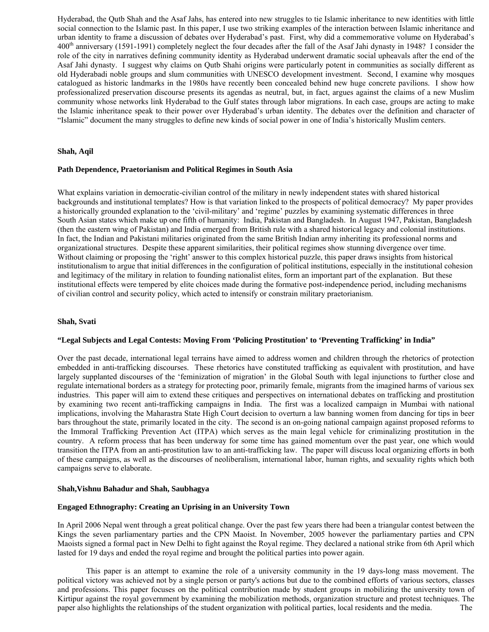Hyderabad, the Qutb Shah and the Asaf Jahs, has entered into new struggles to tie Islamic inheritance to new identities with little social connection to the Islamic past. In this paper, I use two striking examples of the interaction between Islamic inheritance and urban identity to frame a discussion of debates over Hyderabad's past. First, why did a commemorative volume on Hyderabad's 400<sup>th</sup> anniversary (1591-1991) completely neglect the four decades after the fall of the Asaf Jahi dynasty in 1948? I consider the role of the city in narratives defining community identity as Hyderabad underwent dramatic social upheavals after the end of the Asaf Jahi dynasty. I suggest why claims on Qutb Shahi origins were particularly potent in communities as socially different as old Hyderabadi noble groups and slum communities with UNESCO development investment. Second, I examine why mosques catalogued as historic landmarks in the 1980s have recently been concealed behind new huge concrete pavilions. I show how professionalized preservation discourse presents its agendas as neutral, but, in fact, argues against the claims of a new Muslim community whose networks link Hyderabad to the Gulf states through labor migrations. In each case, groups are acting to make the Islamic inheritance speak to their power over Hyderabad's urban identity. The debates over the definition and character of "Islamic" document the many struggles to define new kinds of social power in one of India's historically Muslim centers.

### **Shah, Aqil**

#### **Path Dependence, Praetorianism and Political Regimes in South Asia**

What explains variation in democratic-civilian control of the military in newly independent states with shared historical backgrounds and institutional templates? How is that variation linked to the prospects of political democracy? My paper provides a historically grounded explanation to the 'civil-military' and 'regime' puzzles by examining systematic differences in three South Asian states which make up one fifth of humanity: India, Pakistan and Bangladesh. In August 1947, Pakistan, Bangladesh (then the eastern wing of Pakistan) and India emerged from British rule with a shared historical legacy and colonial institutions. In fact, the Indian and Pakistani militaries originated from the same British Indian army inheriting its professional norms and organizational structures. Despite these apparent similarities, their political regimes show stunning divergence over time. Without claiming or proposing the 'right' answer to this complex historical puzzle, this paper draws insights from historical institutionalism to argue that initial differences in the configuration of political institutions, especially in the institutional cohesion and legitimacy of the military in relation to founding nationalist elites, form an important part of the explanation. But these institutional effects were tempered by elite choices made during the formative post-independence period, including mechanisms of civilian control and security policy, which acted to intensify or constrain military praetorianism.

### **Shah, Svati**

#### **"Legal Subjects and Legal Contests: Moving From 'Policing Prostitution' to 'Preventing Trafficking' in India"**

Over the past decade, international legal terrains have aimed to address women and children through the rhetorics of protection embedded in anti-trafficking discourses. These rhetorics have constituted trafficking as equivalent with prostitution, and have largely supplanted discourses of the 'feminization of migration' in the Global South with legal injunctions to further close and regulate international borders as a strategy for protecting poor, primarily female, migrants from the imagined harms of various sex industries. This paper will aim to extend these critiques and perspectives on international debates on trafficking and prostitution by examining two recent anti-trafficking campaigns in India. The first was a localized campaign in Mumbai with national implications, involving the Maharastra State High Court decision to overturn a law banning women from dancing for tips in beer bars throughout the state, primarily located in the city. The second is an on-going national campaign against proposed reforms to the Immoral Trafficking Prevention Act (ITPA) which serves as the main legal vehicle for criminalizing prostitution in the country. A reform process that has been underway for some time has gained momentum over the past year, one which would transition the ITPA from an anti-prostitution law to an anti-trafficking law. The paper will discuss local organizing efforts in both of these campaigns, as well as the discourses of neoliberalism, international labor, human rights, and sexuality rights which both campaigns serve to elaborate.

#### **Shah,Vishnu Bahadur and Shah, Saubhagya**

#### **Engaged Ethnography: Creating an Uprising in an University Town**

In April 2006 Nepal went through a great political change. Over the past few years there had been a triangular contest between the Kings the seven parliamentary parties and the CPN Maoist. In November, 2005 however the parliamentary parties and CPN Maoists signed a formal pact in New Delhi to fight against the Royal regime. They declared a national strike from 6th April which lasted for 19 days and ended the royal regime and brought the political parties into power again.

 This paper is an attempt to examine the role of a university community in the 19 days-long mass movement. The political victory was achieved not by a single person or party's actions but due to the combined efforts of various sectors, classes and professions. This paper focuses on the political contribution made by student groups in mobilizing the university town of Kirtipur against the royal government by examining the mobilization methods, organization structure and protest techniques. The paper also highlights the relationships of the student organization with political parties, local residents and the media. The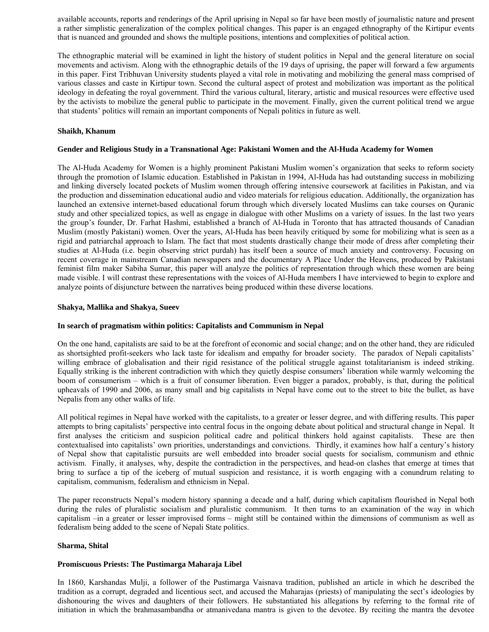available accounts, reports and renderings of the April uprising in Nepal so far have been mostly of journalistic nature and present a rather simplistic generalization of the complex political changes. This paper is an engaged ethnography of the Kirtipur events that is nuanced and grounded and shows the multiple positions, intentions and complexities of political action.

The ethnographic material will be examined in light the history of student politics in Nepal and the general literature on social movements and activism. Along with the ethnographic details of the 19 days of uprising, the paper will forward a few arguments in this paper. First Tribhuvan University students played a vital role in motivating and mobilizing the general mass comprised of various classes and caste in Kirtipur town. Second the cultural aspect of protest and mobilization was important as the political ideology in defeating the royal government. Third the various cultural, literary, artistic and musical resources were effective used by the activists to mobilize the general public to participate in the movement. Finally, given the current political trend we argue that students' politics will remain an important components of Nepali politics in future as well.

### **Shaikh, Khanum**

# **Gender and Religious Study in a Transnational Age: Pakistani Women and the Al-Huda Academy for Women**

The Al-Huda Academy for Women is a highly prominent Pakistani Muslim women's organization that seeks to reform society through the promotion of Islamic education. Established in Pakistan in 1994, Al-Huda has had outstanding success in mobilizing and linking diversely located pockets of Muslim women through offering intensive coursework at facilities in Pakistan, and via the production and dissemination educational audio and video materials for religious education. Additionally, the organization has launched an extensive internet-based educational forum through which diversely located Muslims can take courses on Quranic study and other specialized topics, as well as engage in dialogue with other Muslims on a variety of issues. In the last two years the group's founder, Dr. Farhat Hashmi, established a branch of Al-Huda in Toronto that has attracted thousands of Canadian Muslim (mostly Pakistani) women. Over the years, Al-Huda has been heavily critiqued by some for mobilizing what is seen as a rigid and patriarchal approach to Islam. The fact that most students drastically change their mode of dress after completing their studies at Al-Huda (i.e. begin observing strict purdah) has itself been a source of much anxiety and controversy. Focusing on recent coverage in mainstream Canadian newspapers and the documentary A Place Under the Heavens, produced by Pakistani feminist film maker Sabiha Sumar, this paper will analyze the politics of representation through which these women are being made visible. I will contrast these representations with the voices of Al-Huda members I have interviewed to begin to explore and analyze points of disjuncture between the narratives being produced within these diverse locations.

### **Shakya, Mallika and Shakya, Sueev**

### **In search of pragmatism within politics: Capitalists and Communism in Nepal**

On the one hand, capitalists are said to be at the forefront of economic and social change; and on the other hand, they are ridiculed as shortsighted profit-seekers who lack taste for idealism and empathy for broader society. The paradox of Nepali capitalists' willing embrace of globalisation and their rigid resistance of the political struggle against totalitarianism is indeed striking. Equally striking is the inherent contradiction with which they quietly despise consumers' liberation while warmly welcoming the boom of consumerism – which is a fruit of consumer liberation. Even bigger a paradox, probably, is that, during the political upheavals of 1990 and 2006, as many small and big capitalists in Nepal have come out to the street to bite the bullet, as have Nepalis from any other walks of life.

All political regimes in Nepal have worked with the capitalists, to a greater or lesser degree, and with differing results. This paper attempts to bring capitalists' perspective into central focus in the ongoing debate about political and structural change in Nepal. It first analyses the criticism and suspicion political cadre and political thinkers hold against capitalists. These are then contextualised into capitalists' own priorities, understandings and convictions. Thirdly, it examines how half a century's history of Nepal show that capitalistic pursuits are well embedded into broader social quests for socialism, communism and ethnic activism. Finally, it analyses, why, despite the contradiction in the perspectives, and head-on clashes that emerge at times that bring to surface a tip of the iceberg of mutual suspicion and resistance, it is worth engaging with a conundrum relating to capitalism, communism, federalism and ethnicism in Nepal.

The paper reconstructs Nepal's modern history spanning a decade and a half, during which capitalism flourished in Nepal both during the rules of pluralistic socialism and pluralistic communism. It then turns to an examination of the way in which capitalism –in a greater or lesser improvised forms – might still be contained within the dimensions of communism as well as federalism being added to the scene of Nepali State politics.

### **Sharma, Shital**

### **Promiscuous Priests: The Pustimarga Maharaja Libel**

In 1860, Karshandas Mulji, a follower of the Pustimarga Vaisnava tradition, published an article in which he described the tradition as a corrupt, degraded and licentious sect, and accused the Maharajas (priests) of manipulating the sect's ideologies by dishonouring the wives and daughters of their followers. He substantiated his allegations by referring to the formal rite of initiation in which the brahmasambandha or atmanivedana mantra is given to the devotee. By reciting the mantra the devotee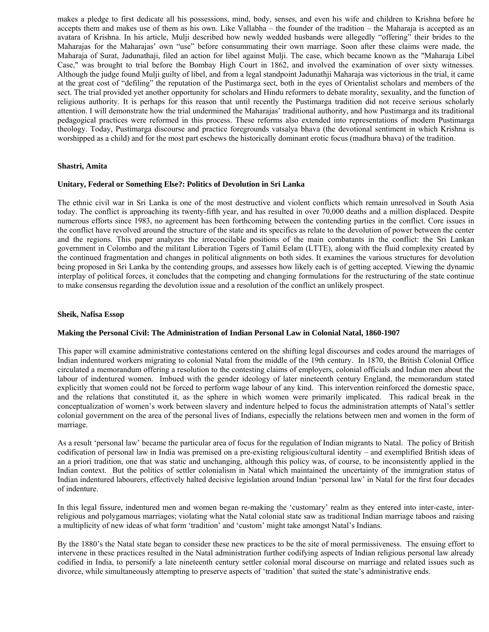makes a pledge to first dedicate all his possessions, mind, body, senses, and even his wife and children to Krishna before he accepts them and makes use of them as his own. Like Vallabha – the founder of the tradition – the Maharaja is accepted as an avatara of Krishna. In his article, Mulji described how newly wedded husbands were allegedly "offering" their brides to the Maharajas for the Maharajas' own "use" before consummating their own marriage. Soon after these claims were made, the Maharaja of Surat, Jadunathaji, filed an action for libel against Mulji. The case, which became known as the "Maharaja Libel Case," was brought to trial before the Bombay High Court in 1862, and involved the examination of over sixty witnesses. Although the judge found Mulji guilty of libel, and from a legal standpoint Jadunathji Maharaja was victorious in the trial, it came at the great cost of "defiling" the reputation of the Pustimarga sect, both in the eyes of Orientalist scholars and members of the sect. The trial provided yet another opportunity for scholars and Hindu reformers to debate morality, sexuality, and the function of religious authority. It is perhaps for this reason that until recently the Pustimarga tradition did not receive serious scholarly attention. I will demonstrate how the trial undermined the Maharajas' traditional authority, and how Pustimarga and its traditional pedagogical practices were reformed in this process. These reforms also extended into representations of modern Pustimarga theology. Today, Pustimarga discourse and practice foregrounds vatsalya bhava (the devotional sentiment in which Krishna is worshipped as a child) and for the most part eschews the historically dominant erotic focus (madhura bhava) of the tradition.

### **Shastri, Amita**

### **Unitary, Federal or Something Else?: Politics of Devolution in Sri Lanka**

The ethnic civil war in Sri Lanka is one of the most destructive and violent conflicts which remain unresolved in South Asia today. The conflict is approaching its twenty-fifth year, and has resulted in over 70,000 deaths and a million displaced. Despite numerous efforts since 1983, no agreement has been forthcoming between the contending parties in the conflict. Core issues in the conflict have revolved around the structure of the state and its specifics as relate to the devolution of power between the center and the regions. This paper analyzes the irreconcilable positions of the main combatants in the conflict: the Sri Lankan government in Colombo and the militant Liberation Tigers of Tamil Eelam (LTTE), along with the fluid complexity created by the continued fragmentation and changes in political alignments on both sides. It examines the various structures for devolution being proposed in Sri Lanka by the contending groups, and assesses how likely each is of getting accepted. Viewing the dynamic interplay of political forces, it concludes that the competing and changing formulations for the restructuring of the state continue to make consensus regarding the devolution issue and a resolution of the conflict an unlikely prospect.

#### **Sheik, Nafisa Essop**

#### **Making the Personal Civil: The Administration of Indian Personal Law in Colonial Natal, 1860-1907**

This paper will examine administrative contestations centered on the shifting legal discourses and codes around the marriages of Indian indentured workers migrating to colonial Natal from the middle of the 19th century. In 1870, the British Colonial Office circulated a memorandum offering a resolution to the contesting claims of employers, colonial officials and Indian men about the labour of indentured women. Imbued with the gender ideology of later nineteenth century England, the memorandum stated explicitly that women could not be forced to perform wage labour of any kind. This intervention reinforced the domestic space, and the relations that constituted it, as the sphere in which women were primarily implicated. This radical break in the conceptualization of women's work between slavery and indenture helped to focus the administration attempts of Natal's settler colonial government on the area of the personal lives of Indians, especially the relations between men and women in the form of marriage.

As a result 'personal law' became the particular area of focus for the regulation of Indian migrants to Natal. The policy of British codification of personal law in India was premised on a pre-existing religious/cultural identity – and exemplified British ideas of an a priori tradition, one that was static and unchanging, although this policy was, of course, to be inconsistently applied in the Indian context. But the politics of settler colonialism in Natal which maintained the uncertainty of the immigration status of Indian indentured labourers, effectively halted decisive legislation around Indian 'personal law' in Natal for the first four decades of indenture.

In this legal fissure, indentured men and women began re-making the 'customary' realm as they entered into inter-caste, interreligious and polygamous marriages; violating what the Natal colonial state saw as traditional Indian marriage taboos and raising a multiplicity of new ideas of what form 'tradition' and 'custom' might take amongst Natal's Indians.

By the 1880's the Natal state began to consider these new practices to be the site of moral permissiveness. The ensuing effort to intervene in these practices resulted in the Natal administration further codifying aspects of Indian religious personal law already codified in India, to personify a late nineteenth century settler colonial moral discourse on marriage and related issues such as divorce, while simultaneously attempting to preserve aspects of 'tradition' that suited the state's administrative ends.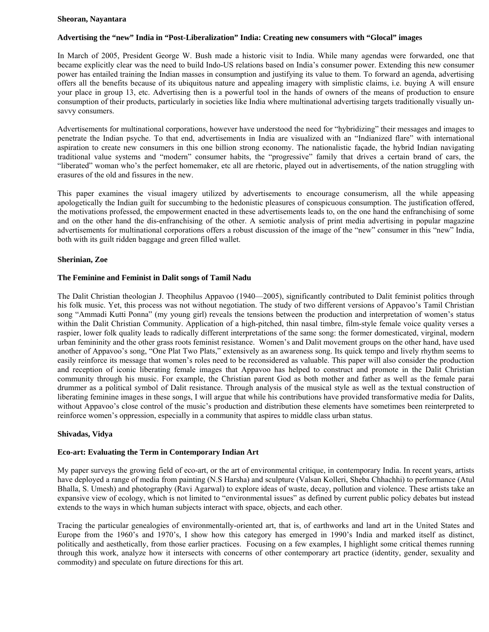#### **Sheoran, Nayantara**

#### **Advertising the "new" India in "Post-Liberalization" India: Creating new consumers with "Glocal" images**

In March of 2005, President George W. Bush made a historic visit to India. While many agendas were forwarded, one that became explicitly clear was the need to build Indo-US relations based on India's consumer power. Extending this new consumer power has entailed training the Indian masses in consumption and justifying its value to them. To forward an agenda, advertising offers all the benefits because of its ubiquitous nature and appealing imagery with simplistic claims, i.e. buying A will ensure your place in group 13, etc. Advertising then is a powerful tool in the hands of owners of the means of production to ensure consumption of their products, particularly in societies like India where multinational advertising targets traditionally visually unsavvy consumers.

Advertisements for multinational corporations, however have understood the need for "hybridizing" their messages and images to penetrate the Indian psyche. To that end, advertisements in India are visualized with an "Indianized flare" with international aspiration to create new consumers in this one billion strong economy. The nationalistic façade, the hybrid Indian navigating traditional value systems and "modern" consumer habits, the "progressive" family that drives a certain brand of cars, the "liberated" woman who's the perfect homemaker, etc all are rhetoric, played out in advertisements, of the nation struggling with erasures of the old and fissures in the new.

This paper examines the visual imagery utilized by advertisements to encourage consumerism, all the while appeasing apologetically the Indian guilt for succumbing to the hedonistic pleasures of conspicuous consumption. The justification offered, the motivations professed, the empowerment enacted in these advertisements leads to, on the one hand the enfranchising of some and on the other hand the dis-enfranchising of the other. A semiotic analysis of print media advertising in popular magazine advertisements for multinational corporations offers a robust discussion of the image of the "new" consumer in this "new" India, both with its guilt ridden baggage and green filled wallet.

#### **Sherinian, Zoe**

#### **The Feminine and Feminist in Dalit songs of Tamil Nadu**

The Dalit Christian theologian J. Theophilus Appavoo (1940—2005), significantly contributed to Dalit feminist politics through his folk music. Yet, this process was not without negotiation. The study of two different versions of Appavoo's Tamil Christian song "Ammadi Kutti Ponna" (my young girl) reveals the tensions between the production and interpretation of women's status within the Dalit Christian Community. Application of a high-pitched, thin nasal timbre, film-style female voice quality verses a raspier, lower folk quality leads to radically different interpretations of the same song: the former domesticated, virginal, modern urban femininity and the other grass roots feminist resistance. Women's and Dalit movement groups on the other hand, have used another of Appavoo's song, "One Plat Two Plats," extensively as an awareness song. Its quick tempo and lively rhythm seems to easily reinforce its message that women's roles need to be reconsidered as valuable. This paper will also consider the production and reception of iconic liberating female images that Appavoo has helped to construct and promote in the Dalit Christian community through his music. For example, the Christian parent God as both mother and father as well as the female parai drummer as a political symbol of Dalit resistance. Through analysis of the musical style as well as the textual construction of liberating feminine images in these songs, I will argue that while his contributions have provided transformative media for Dalits, without Appavoo's close control of the music's production and distribution these elements have sometimes been reinterpreted to reinforce women's oppression, especially in a community that aspires to middle class urban status.

### **Shivadas, Vidya**

# **Eco-art: Evaluating the Term in Contemporary Indian Art**

My paper surveys the growing field of eco-art, or the art of environmental critique, in contemporary India. In recent years, artists have deployed a range of media from painting (N.S Harsha) and sculpture (Valsan Kolleri, Sheba Chhachhi) to performance (Atul Bhalla, S. Umesh) and photography (Ravi Agarwal) to explore ideas of waste, decay, pollution and violence. These artists take an expansive view of ecology, which is not limited to "environmental issues" as defined by current public policy debates but instead extends to the ways in which human subjects interact with space, objects, and each other.

Tracing the particular genealogies of environmentally-oriented art, that is, of earthworks and land art in the United States and Europe from the 1960's and 1970's, I show how this category has emerged in 1990's India and marked itself as distinct, politically and aesthetically, from those earlier practices. Focusing on a few examples, I highlight some critical themes running through this work, analyze how it intersects with concerns of other contemporary art practice (identity, gender, sexuality and commodity) and speculate on future directions for this art.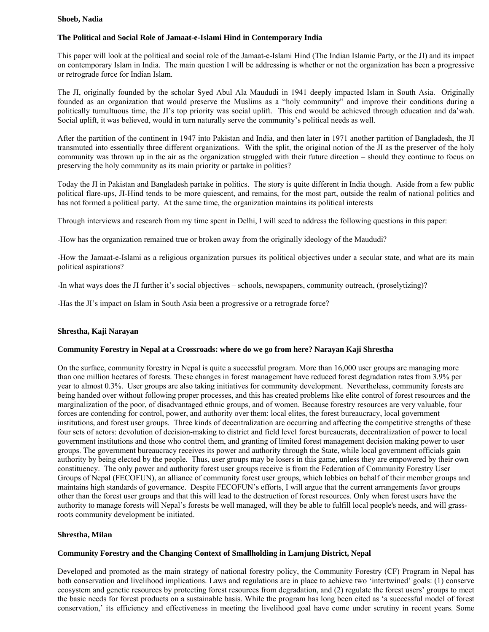### **Shoeb, Nadia**

# **The Political and Social Role of Jamaat-e-Islami Hind in Contemporary India**

This paper will look at the political and social role of the Jamaat-e-Islami Hind (The Indian Islamic Party, or the JI) and its impact on contemporary Islam in India. The main question I will be addressing is whether or not the organization has been a progressive or retrograde force for Indian Islam.

The JI, originally founded by the scholar Syed Abul Ala Maududi in 1941 deeply impacted Islam in South Asia. Originally founded as an organization that would preserve the Muslims as a "holy community" and improve their conditions during a politically tumultuous time, the JI's top priority was social uplift. This end would be achieved through education and da'wah. Social uplift, it was believed, would in turn naturally serve the community's political needs as well.

After the partition of the continent in 1947 into Pakistan and India, and then later in 1971 another partition of Bangladesh, the JI transmuted into essentially three different organizations. With the split, the original notion of the JI as the preserver of the holy community was thrown up in the air as the organization struggled with their future direction – should they continue to focus on preserving the holy community as its main priority or partake in politics?

Today the JI in Pakistan and Bangladesh partake in politics. The story is quite different in India though. Aside from a few public political flare-ups, JI-Hind tends to be more quiescent, and remains, for the most part, outside the realm of national politics and has not formed a political party. At the same time, the organization maintains its political interests

Through interviews and research from my time spent in Delhi, I will seed to address the following questions in this paper:

-How has the organization remained true or broken away from the originally ideology of the Maududi?

-How the Jamaat-e-Islami as a religious organization pursues its political objectives under a secular state, and what are its main political aspirations?

-In what ways does the JI further it's social objectives – schools, newspapers, community outreach, (proselytizing)?

-Has the JI's impact on Islam in South Asia been a progressive or a retrograde force?

# **Shrestha, Kaji Narayan**

# **Community Forestry in Nepal at a Crossroads: where do we go from here? Narayan Kaji Shrestha**

On the surface, community forestry in Nepal is quite a successful program. More than 16,000 user groups are managing more than one million hectares of forests. These changes in forest management have reduced forest degradation rates from 3.9% per year to almost 0.3%. User groups are also taking initiatives for community development. Nevertheless, community forests are being handed over without following proper processes, and this has created problems like elite control of forest resources and the marginalization of the poor, of disadvantaged ethnic groups, and of women. Because forestry resources are very valuable, four forces are contending for control, power, and authority over them: local elites, the forest bureaucracy, local government institutions, and forest user groups. Three kinds of decentralization are occurring and affecting the competitive strengths of these four sets of actors: devolution of decision-making to district and field level forest bureaucrats, decentralization of power to local government institutions and those who control them, and granting of limited forest management decision making power to user groups. The government bureaucracy receives its power and authority through the State, while local government officials gain authority by being elected by the people. Thus, user groups may be losers in this game, unless they are empowered by their own constituency. The only power and authority forest user groups receive is from the Federation of Community Forestry User Groups of Nepal (FECOFUN), an alliance of community forest user groups, which lobbies on behalf of their member groups and maintains high standards of governance. Despite FECOFUN's efforts, I will argue that the current arrangements favor groups other than the forest user groups and that this will lead to the destruction of forest resources. Only when forest users have the authority to manage forests will Nepal's forests be well managed, will they be able to fulfill local people's needs, and will grassroots community development be initiated.

# **Shrestha, Milan**

# **Community Forestry and the Changing Context of Smallholding in Lamjung District, Nepal**

Developed and promoted as the main strategy of national forestry policy, the Community Forestry (CF) Program in Nepal has both conservation and livelihood implications. Laws and regulations are in place to achieve two 'intertwined' goals: (1) conserve ecosystem and genetic resources by protecting forest resources from degradation, and (2) regulate the forest users' groups to meet the basic needs for forest products on a sustainable basis. While the program has long been cited as 'a successful model of forest conservation,' its efficiency and effectiveness in meeting the livelihood goal have come under scrutiny in recent years. Some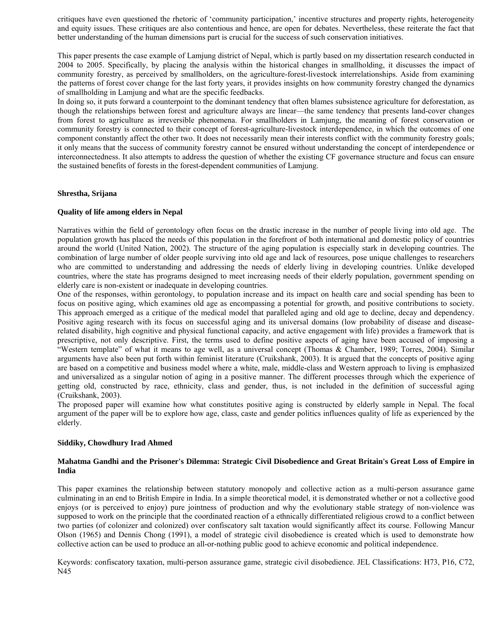critiques have even questioned the rhetoric of 'community participation,' incentive structures and property rights, heterogeneity and equity issues. These critiques are also contentious and hence, are open for debates. Nevertheless, these reiterate the fact that better understanding of the human dimensions part is crucial for the success of such conservation initiatives.

This paper presents the case example of Lamjung district of Nepal, which is partly based on my dissertation research conducted in 2004 to 2005. Specifically, by placing the analysis within the historical changes in smallholding, it discusses the impact of community forestry, as perceived by smallholders, on the agriculture-forest-livestock interrelationships. Aside from examining the patterns of forest cover change for the last forty years, it provides insights on how community forestry changed the dynamics of smallholding in Lamjung and what are the specific feedbacks.

In doing so, it puts forward a counterpoint to the dominant tendency that often blames subsistence agriculture for deforestation, as though the relationships between forest and agriculture always are linear—the same tendency that presents land-cover changes from forest to agriculture as irreversible phenomena. For smallholders in Lamjung, the meaning of forest conservation or community forestry is connected to their concept of forest-agriculture-livestock interdependence, in which the outcomes of one component constantly affect the other two. It does not necessarily mean their interests conflict with the community forestry goals; it only means that the success of community forestry cannot be ensured without understanding the concept of interdependence or interconnectedness. It also attempts to address the question of whether the existing CF governance structure and focus can ensure the sustained benefits of forests in the forest-dependent communities of Lamjung.

# **Shrestha, Srijana**

# **Quality of life among elders in Nepal**

Narratives within the field of gerontology often focus on the drastic increase in the number of people living into old age. The population growth has placed the needs of this population in the forefront of both international and domestic policy of countries around the world (United Nation, 2002). The structure of the aging population is especially stark in developing countries. The combination of large number of older people surviving into old age and lack of resources, pose unique challenges to researchers who are committed to understanding and addressing the needs of elderly living in developing countries. Unlike developed countries, where the state has programs designed to meet increasing needs of their elderly population, government spending on elderly care is non-existent or inadequate in developing countries.

One of the responses, within gerontology, to population increase and its impact on health care and social spending has been to focus on positive aging, which examines old age as encompassing a potential for growth, and positive contributions to society. This approach emerged as a critique of the medical model that paralleled aging and old age to decline, decay and dependency. Positive aging research with its focus on successful aging and its universal domains (low probability of disease and diseaserelated disability, high cognitive and physical functional capacity, and active engagement with life) provides a framework that is prescriptive, not only descriptive. First, the terms used to define positive aspects of aging have been accused of imposing a "Western template" of what it means to age well, as a universal concept (Thomas & Chamber, 1989; Torres, 2004). Similar arguments have also been put forth within feminist literature (Cruikshank, 2003). It is argued that the concepts of positive aging are based on a competitive and business model where a white, male, middle-class and Western approach to living is emphasized and universalized as a singular notion of aging in a positive manner. The different processes through which the experience of getting old, constructed by race, ethnicity, class and gender, thus, is not included in the definition of successful aging (Cruikshank, 2003).

The proposed paper will examine how what constitutes positive aging is constructed by elderly sample in Nepal. The focal argument of the paper will be to explore how age, class, caste and gender politics influences quality of life as experienced by the elderly.

# **Siddiky, Chowdhury Irad Ahmed**

# **Mahatma Gandhi and the Prisoner's Dilemma: Strategic Civil Disobedience and Great Britain's Great Loss of Empire in India**

This paper examines the relationship between statutory monopoly and collective action as a multi-person assurance game culminating in an end to British Empire in India. In a simple theoretical model, it is demonstrated whether or not a collective good enjoys (or is perceived to enjoy) pure jointness of production and why the evolutionary stable strategy of non-violence was supposed to work on the principle that the coordinated reaction of a ethnically differentiated religious crowd to a conflict between two parties (of colonizer and colonized) over confiscatory salt taxation would significantly affect its course. Following Mancur Olson (1965) and Dennis Chong (1991), a model of strategic civil disobedience is created which is used to demonstrate how collective action can be used to produce an all-or-nothing public good to achieve economic and political independence.

Keywords: confiscatory taxation, multi-person assurance game, strategic civil disobedience. JEL Classifications: H73, P16, C72, N45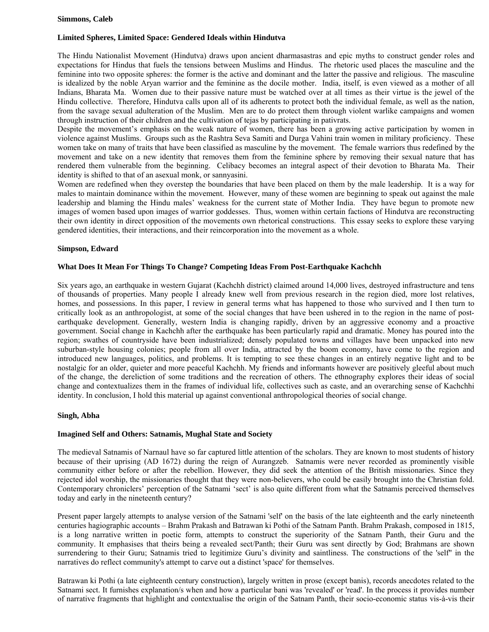### **Simmons, Caleb**

# **Limited Spheres, Limited Space: Gendered Ideals within Hindutva**

The Hindu Nationalist Movement (Hindutva) draws upon ancient dharmasastras and epic myths to construct gender roles and expectations for Hindus that fuels the tensions between Muslims and Hindus. The rhetoric used places the masculine and the feminine into two opposite spheres: the former is the active and dominant and the latter the passive and religious. The masculine is idealized by the noble Aryan warrior and the feminine as the docile mother. India, itself, is even viewed as a mother of all Indians, Bharata Ma. Women due to their passive nature must be watched over at all times as their virtue is the jewel of the Hindu collective. Therefore, Hindutva calls upon all of its adherents to protect both the individual female, as well as the nation, from the savage sexual adulteration of the Muslim. Men are to do protect them through violent warlike campaigns and women through instruction of their children and the cultivation of tejas by participating in pativrats.

Despite the movement's emphasis on the weak nature of women, there has been a growing active participation by women in violence against Muslims. Groups such as the Rashtra Seva Samiti and Durga Vahini train women in military proficiency. These women take on many of traits that have been classified as masculine by the movement. The female warriors thus redefined by the movement and take on a new identity that removes them from the feminine sphere by removing their sexual nature that has rendered them vulnerable from the beginning. Celibacy becomes an integral aspect of their devotion to Bharata Ma. Their identity is shifted to that of an asexual monk, or sannyasini.

Women are redefined when they overstep the boundaries that have been placed on them by the male leadership. It is a way for males to maintain dominance within the movement. However, many of these women are beginning to speak out against the male leadership and blaming the Hindu males' weakness for the current state of Mother India. They have begun to promote new images of women based upon images of warrior goddesses. Thus, women within certain factions of Hindutva are reconstructing their own identity in direct opposition of the movements own rhetorical constructions. This essay seeks to explore these varying gendered identities, their interactions, and their reincorporation into the movement as a whole.

# **Simpson, Edward**

### **What Does It Mean For Things To Change? Competing Ideas From Post-Earthquake Kachchh**

Six years ago, an earthquake in western Gujarat (Kachchh district) claimed around 14,000 lives, destroyed infrastructure and tens of thousands of properties. Many people I already knew well from previous research in the region died, more lost relatives, homes, and possessions. In this paper, I review in general terms what has happened to those who survived and I then turn to critically look as an anthropologist, at some of the social changes that have been ushered in to the region in the name of postearthquake development. Generally, western India is changing rapidly, driven by an aggressive economy and a proactive government. Social change in Kachchh after the earthquake has been particularly rapid and dramatic. Money has poured into the region; swathes of countryside have been industrialized; densely populated towns and villages have been unpacked into new suburban-style housing colonies; people from all over India, attracted by the boom economy, have come to the region and introduced new languages, politics, and problems. It is tempting to see these changes in an entirely negative light and to be nostalgic for an older, quieter and more peaceful Kachchh. My friends and informants however are positively gleeful about much of the change, the dereliction of some traditions and the recreation of others. The ethnography explores their ideas of social change and contextualizes them in the frames of individual life, collectives such as caste, and an overarching sense of Kachchhi identity. In conclusion, I hold this material up against conventional anthropological theories of social change.

### **Singh, Abha**

### **Imagined Self and Others: Satnamis, Mughal State and Society**

The medieval Satnamis of Narnaul have so far captured little attention of the scholars. They are known to most students of history because of their uprising (AD 1672) during the reign of Aurangzeb. Satnamis were never recorded as prominently visible community either before or after the rebellion. However, they did seek the attention of the British missionaries. Since they rejected idol worship, the missionaries thought that they were non-believers, who could be easily brought into the Christian fold. Contemporary chroniclers' perception of the Satnami 'sect' is also quite different from what the Satnamis perceived themselves today and early in the nineteenth century?

Present paper largely attempts to analyse version of the Satnami 'self' on the basis of the late eighteenth and the early nineteenth centuries hagiographic accounts – Brahm Prakash and Batrawan ki Pothi of the Satnam Panth. Brahm Prakash, composed in 1815, is a long narrative written in poetic form, attempts to construct the superiority of the Satnam Panth, their Guru and the community. It emphasises that theirs being a revealed sect/Panth; their Guru was sent directly by God; Brahmans are shown surrendering to their Guru; Satnamis tried to legitimize Guru's divinity and saintliness. The constructions of the 'self'' in the narratives do reflect community's attempt to carve out a distinct 'space' for themselves.

Batrawan ki Pothi (a late eighteenth century construction), largely written in prose (except banis), records anecdotes related to the Satnami sect. It furnishes explanation/s when and how a particular bani was 'revealed' or 'read'. In the process it provides number of narrative fragments that highlight and contextualise the origin of the Satnam Panth, their socio-economic status vis-à-vis their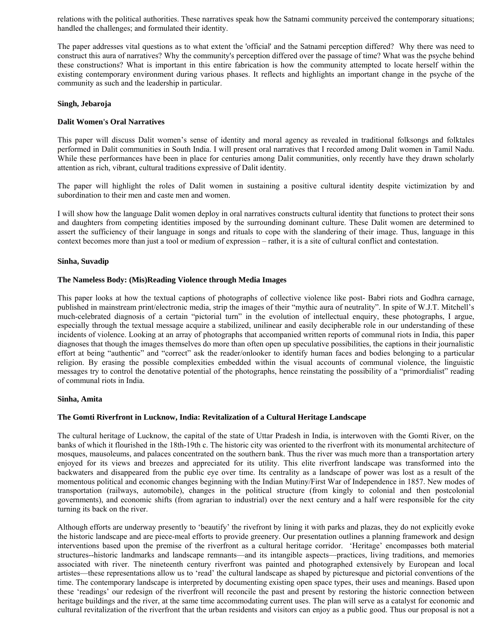relations with the political authorities. These narratives speak how the Satnami community perceived the contemporary situations; handled the challenges; and formulated their identity.

The paper addresses vital questions as to what extent the 'official' and the Satnami perception differed? Why there was need to construct this aura of narratives? Why the community's perception differed over the passage of time? What was the psyche behind these constructions? What is important in this entire fabrication is how the community attempted to locate herself within the existing contemporary environment during various phases. It reflects and highlights an important change in the psyche of the community as such and the leadership in particular.

### **Singh, Jebaroja**

# **Dalit Women's Oral Narratives**

This paper will discuss Dalit women's sense of identity and moral agency as revealed in traditional folksongs and folktales performed in Dalit communities in South India. I will present oral narratives that I recorded among Dalit women in Tamil Nadu. While these performances have been in place for centuries among Dalit communities, only recently have they drawn scholarly attention as rich, vibrant, cultural traditions expressive of Dalit identity.

The paper will highlight the roles of Dalit women in sustaining a positive cultural identity despite victimization by and subordination to their men and caste men and women.

I will show how the language Dalit women deploy in oral narratives constructs cultural identity that functions to protect their sons and daughters from competing identities imposed by the surrounding dominant culture. These Dalit women are determined to assert the sufficiency of their language in songs and rituals to cope with the slandering of their image. Thus, language in this context becomes more than just a tool or medium of expression – rather, it is a site of cultural conflict and contestation.

### **Sinha, Suvadip**

### **The Nameless Body: (Mis)Reading Violence through Media Images**

This paper looks at how the textual captions of photographs of collective violence like post- Babri riots and Godhra carnage, published in mainstream print/electronic media, strip the images of their "mythic aura of neutrality". In spite of W.J.T. Mitchell's much-celebrated diagnosis of a certain "pictorial turn" in the evolution of intellectual enquiry, these photographs, I argue, especially through the textual message acquire a stabilized, unilinear and easily decipherable role in our understanding of these incidents of violence. Looking at an array of photographs that accompanied written reports of communal riots in India, this paper diagnoses that though the images themselves do more than often open up speculative possibilities, the captions in their journalistic effort at being "authentic" and "correct" ask the reader/onlooker to identify human faces and bodies belonging to a particular religion. By erasing the possible complexities embedded within the visual accounts of communal violence, the linguistic messages try to control the denotative potential of the photographs, hence reinstating the possibility of a "primordialist" reading of communal riots in India.

# **Sinha, Amita**

# **The Gomti Riverfront in Lucknow, India: Revitalization of a Cultural Heritage Landscape**

The cultural heritage of Lucknow, the capital of the state of Uttar Pradesh in India, is interwoven with the Gomti River, on the banks of which it flourished in the 18th-19th c. The historic city was oriented to the riverfront with its monumental architecture of mosques, mausoleums, and palaces concentrated on the southern bank. Thus the river was much more than a transportation artery enjoyed for its views and breezes and appreciated for its utility. This elite riverfront landscape was transformed into the backwaters and disappeared from the public eye over time. Its centrality as a landscape of power was lost as a result of the momentous political and economic changes beginning with the Indian Mutiny/First War of Independence in 1857. New modes of transportation (railways, automobile), changes in the political structure (from kingly to colonial and then postcolonial governments), and economic shifts (from agrarian to industrial) over the next century and a half were responsible for the city turning its back on the river.

Although efforts are underway presently to 'beautify' the rivefront by lining it with parks and plazas, they do not explicitly evoke the historic landscape and are piece-meal efforts to provide greenery. Our presentation outlines a planning framework and design interventions based upon the premise of the riverfront as a cultural heritage corridor. 'Heritage' encompasses both material structures--historic landmarks and landscape remnants—and its intangible aspects—practices, living traditions, and memories associated with river. The nineteenth century riverfront was painted and photographed extensively by European and local artistes—these representations allow us to 'read' the cultural landscape as shaped by picturesque and pictorial conventions of the time. The contemporary landscape is interpreted by documenting existing open space types, their uses and meanings. Based upon these 'readings' our redesign of the riverfront will reconcile the past and present by restoring the historic connection between heritage buildings and the river, at the same time accommodating current uses. The plan will serve as a catalyst for economic and cultural revitalization of the riverfront that the urban residents and visitors can enjoy as a public good. Thus our proposal is not a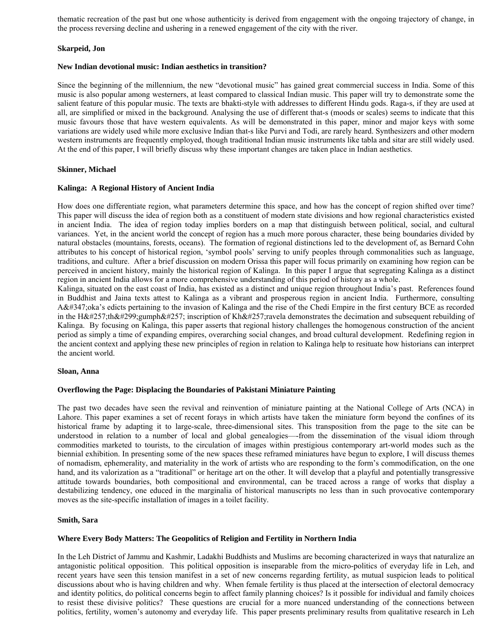thematic recreation of the past but one whose authenticity is derived from engagement with the ongoing trajectory of change, in the process reversing decline and ushering in a renewed engagement of the city with the river.

# **Skarpeid, Jon**

### **New Indian devotional music: Indian aesthetics in transition?**

Since the beginning of the millennium, the new "devotional music" has gained great commercial success in India. Some of this music is also popular among westerners, at least compared to classical Indian music. This paper will try to demonstrate some the salient feature of this popular music. The texts are bhakti-style with addresses to different Hindu gods. Raga-s, if they are used at all, are simplified or mixed in the background. Analysing the use of different that-s (moods or scales) seems to indicate that this music favours those that have western equivalents. As will be demonstrated in this paper, minor and major keys with some variations are widely used while more exclusive Indian that-s like Purvi and Todi, are rarely heard. Synthesizers and other modern western instruments are frequently employed, though traditional Indian music instruments like tabla and sitar are still widely used. At the end of this paper, I will briefly discuss why these important changes are taken place in Indian aesthetics.

# **Skinner, Michael**

# **Kalinga: A Regional History of Ancient India**

How does one differentiate region, what parameters determine this space, and how has the concept of region shifted over time? This paper will discuss the idea of region both as a constituent of modern state divisions and how regional characteristics existed in ancient India. The idea of region today implies borders on a map that distinguish between political, social, and cultural variances. Yet, in the ancient world the concept of region has a much more porous character, these being boundaries divided by natural obstacles (mountains, forests, oceans). The formation of regional distinctions led to the development of, as Bernard Cohn attributes to his concept of historical region, 'symbol pools' serving to unify peoples through commonalities such as language, traditions, and culture. After a brief discussion on modern Orissa this paper will focus primarily on examining how region can be perceived in ancient history, mainly the historical region of Kalinga. In this paper I argue that segregating Kalinga as a distinct region in ancient India allows for a more comprehensive understanding of this period of history as a whole.

Kalinga, situated on the east coast of India, has existed as a distinct and unique region throughout India's past. References found in Buddhist and Jaina texts attest to Kalinga as a vibrant and prosperous region in ancient India. Furthermore, consulting Aś oka's edicts pertaining to the invasion of Kalinga and the rise of the Chedi Empire in the first century BCE as recorded in the Hāthīgumphā inscription of Khāravela demonstrates the decimation and subsequent rebuilding of Kalinga. By focusing on Kalinga, this paper asserts that regional history challenges the homogenous construction of the ancient period as simply a time of expanding empires, overarching social changes, and broad cultural development. Redefining region in the ancient context and applying these new principles of region in relation to Kalinga help to resituate how historians can interpret the ancient world.

### **Sloan, Anna**

### **Overflowing the Page: Displacing the Boundaries of Pakistani Miniature Painting**

The past two decades have seen the revival and reinvention of miniature painting at the National College of Arts (NCA) in Lahore. This paper examines a set of recent forays in which artists have taken the miniature form beyond the confines of its historical frame by adapting it to large-scale, three-dimensional sites. This transposition from the page to the site can be understood in relation to a number of local and global genealogies—-from the dissemination of the visual idiom through commodities marketed to tourists, to the circulation of images within prestigious contemporary art-world modes such as the biennial exhibition. In presenting some of the new spaces these reframed miniatures have begun to explore, I will discuss themes of nomadism, ephemerality, and materiality in the work of artists who are responding to the form's commodification, on the one hand, and its valorization as a "traditional" or heritage art on the other. It will develop that a playful and potentially transgressive attitude towards boundaries, both compositional and environmental, can be traced across a range of works that display a destabilizing tendency, one educed in the marginalia of historical manuscripts no less than in such provocative contemporary moves as the site-specific installation of images in a toilet facility.

# **Smith, Sara**

### **Where Every Body Matters: The Geopolitics of Religion and Fertility in Northern India**

In the Leh District of Jammu and Kashmir, Ladakhi Buddhists and Muslims are becoming characterized in ways that naturalize an antagonistic political opposition. This political opposition is inseparable from the micro-politics of everyday life in Leh, and recent years have seen this tension manifest in a set of new concerns regarding fertility, as mutual suspicion leads to political discussions about who is having children and why. When female fertility is thus placed at the intersection of electoral democracy and identity politics, do political concerns begin to affect family planning choices? Is it possible for individual and family choices to resist these divisive politics? These questions are crucial for a more nuanced understanding of the connections between politics, fertility, women's autonomy and everyday life. This paper presents preliminary results from qualitative research in Leh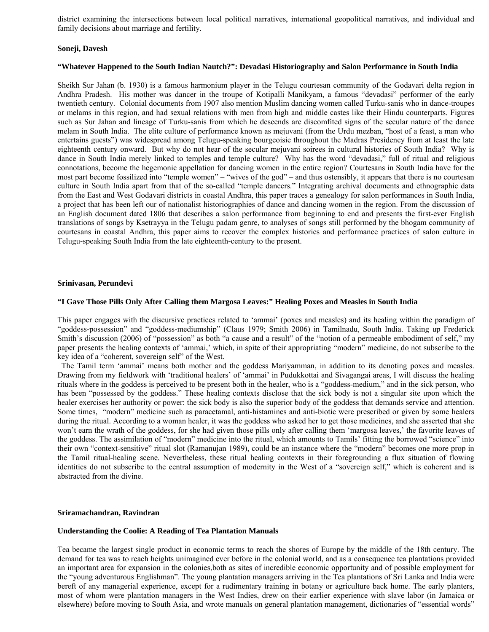district examining the intersections between local political narratives, international geopolitical narratives, and individual and family decisions about marriage and fertility.

### **Soneji, Davesh**

### **"Whatever Happened to the South Indian Nautch?": Devadasi Historiography and Salon Performance in South India**

Sheikh Sur Jahan (b. 1930) is a famous harmonium player in the Telugu courtesan community of the Godavari delta region in Andhra Pradesh. His mother was dancer in the troupe of Kotipalli Manikyam, a famous "devadasi" performer of the early twentieth century. Colonial documents from 1907 also mention Muslim dancing women called Turku-sanis who in dance-troupes or melams in this region, and had sexual relations with men from high and middle castes like their Hindu counterparts. Figures such as Sur Jahan and lineage of Turku-sanis from which he descends are discomfited signs of the secular nature of the dance melam in South India. The elite culture of performance known as mejuvani (from the Urdu mezban, "host of a feast, a man who entertains guests") was widespread among Telugu-speaking bourgeoisie throughout the Madras Presidency from at least the late eighteenth century onward. But why do not hear of the secular mejuvani soirees in cultural histories of South India? Why is dance in South India merely linked to temples and temple culture? Why has the word "devadasi," full of ritual and religious connotations, become the hegemonic appellation for dancing women in the entire region? Courtesans in South India have for the most part become fossilized into "temple women" – "wives of the god" – and thus ostensibly, it appears that there is no courtesan culture in South India apart from that of the so-called "temple dancers." Integrating archival documents and ethnographic data from the East and West Godavari districts in coastal Andhra, this paper traces a genealogy for salon performances in South India, a project that has been left our of nationalist historiographies of dance and dancing women in the region. From the discussion of an English document dated 1806 that describes a salon performance from beginning to end and presents the first-ever English translations of songs by Ksetrayya in the Telugu padam genre, to analyses of songs still performed by the bhogam community of courtesans in coastal Andhra, this paper aims to recover the complex histories and performance practices of salon culture in Telugu-speaking South India from the late eighteenth-century to the present.

### **Srinivasan, Perundevi**

### **"I Gave Those Pills Only After Calling them Margosa Leaves:" Healing Poxes and Measles in South India**

This paper engages with the discursive practices related to 'ammai' (poxes and measles) and its healing within the paradigm of "goddess-possession" and "goddess-mediumship" (Claus 1979; Smith 2006) in Tamilnadu, South India. Taking up Frederick Smith's discussion (2006) of "possession" as both "a cause and a result" of the "notion of a permeable embodiment of self," my paper presents the healing contexts of 'ammai,' which, in spite of their appropriating "modern" medicine, do not subscribe to the key idea of a "coherent, sovereign self" of the West.

 The Tamil term 'ammai' means both mother and the goddess Mariyamman, in addition to its denoting poxes and measles. Drawing from my fieldwork with 'traditional healers' of 'ammai' in Pudukkottai and Sivagangai areas, I will discuss the healing rituals where in the goddess is perceived to be present both in the healer, who is a "goddess-medium," and in the sick person, who has been "possessed by the goddess." These healing contexts disclose that the sick body is not a singular site upon which the healer exercises her authority or power: the sick body is also the superior body of the goddess that demands service and attention. Some times, "modern" medicine such as paracetamal, anti-histamines and anti-biotic were prescribed or given by some healers during the ritual. According to a woman healer, it was the goddess who asked her to get those medicines, and she asserted that she won't earn the wrath of the goddess, for she had given those pills only after calling them 'margosa leaves,' the favorite leaves of the goddess. The assimilation of "modern" medicine into the ritual, which amounts to Tamils' fitting the borrowed "science" into their own "context-sensitive" ritual slot (Ramanujan 1989), could be an instance where the "modern" becomes one more prop in the Tamil ritual-healing scene. Nevertheless, these ritual healing contexts in their foregrounding a flux situation of flowing identities do not subscribe to the central assumption of modernity in the West of a "sovereign self," which is coherent and is abstracted from the divine.

### **Sriramachandran, Ravindran**

### **Understanding the Coolie: A Reading of Tea Plantation Manuals**

Tea became the largest single product in economic terms to reach the shores of Europe by the middle of the 18th century. The demand for tea was to reach heights unimagined ever before in the colonial world, and as a consequence tea plantations provided an important area for expansion in the colonies,both as sites of incredible economic opportunity and of possible employment for the "young adventurous Englishman". The young plantation managers arriving in the Tea plantations of Sri Lanka and India were bereft of any managerial experience, except for a rudimentary training in botany or agriculture back home. The early planters, most of whom were plantation managers in the West Indies, drew on their earlier experience with slave labor (in Jamaica or elsewhere) before moving to South Asia, and wrote manuals on general plantation management, dictionaries of "essential words"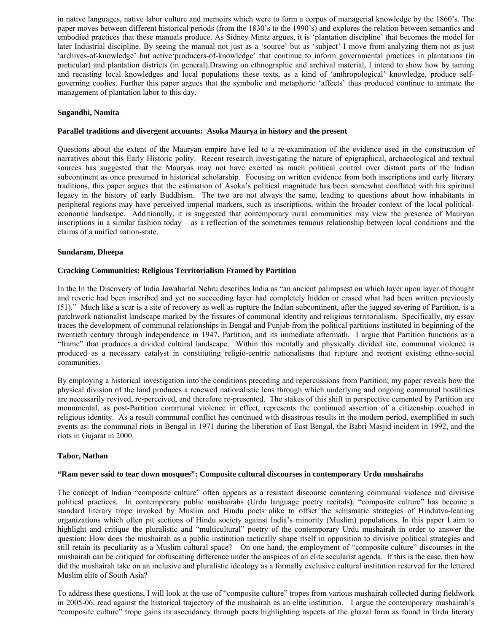in native languages, native labor culture and memoirs which were to form a corpus of managerial knowledge by the 1860's. The paper moves between different historical periods (from the 1830's to the 1990's) and explores the relation between semantics and embodied practices that these manuals produce. As Sidney Mintz argues, it is 'plantation discipline' that becomes the model for later Industrial discipline. By seeing the manual not just as a 'source' but as 'subject' I move from analyzing them not as just 'archives-of-knowledge' but active'producers-of-knowledge' that continue to inform governmental practices in plantations (in particular) and plantation districts (in general).Drawing on ethnographic and archival material, I intend to show how by taming and recasting local knowledges and local populations these texts, as a kind of 'anthropological' knowledge, produce selfgoverning coolies. Further this paper argues that the symbolic and metaphoric 'affects' thus produced continue to animate the management of plantation labor to this day.

### **Sugandhi, Namita**

#### **Parallel traditions and divergent accounts: Asoka Maurya in history and the present**

Questions about the extent of the Mauryan empire have led to a re-examination of the evidence used in the construction of narratives about this Early Historic polity. Recent research investigating the nature of epigraphical, archaeological and textual sources has suggested that the Mauryas may not have exerted as much political control over distant parts of the Indian subcontinent as once presumed in historical scholarship. Focusing on written evidence from both inscriptions and early literary traditions, this paper argues that the estimation of Asoka's political magnitude has been somewhat conflated with his spiritual legacy in the history of early Buddhism. The two are not always the same, leading to questions about how inhabitants in peripheral regions may have perceived imperial markers, such as inscriptions, within the broader context of the local politicaleconomic landscape. Additionally, it is suggested that contemporary rural communities may view the presence of Mauryan inscriptions in a similar fashion today – as a reflection of the sometimes tenuous relationship between local conditions and the claims of a unified nation-state.

#### **Sundaram, Dheepa**

#### **Cracking Communities: Religious Territorialism Framed by Partition**

In the In the Discovery of India Jawaharlal Nehru describes India as "an ancient palimpsest on which layer upon layer of thought and reverie had been inscribed and yet no succeeding layer had completely hidden or erased what had been written previously (51)." Much like a scar is a site of recovery as well as rupture the Indian subcontinent, after the jagged severing of Partition, is a patchwork nationalist landscape marked by the fissures of communal identity and religious territorialism. Specifically, my essay traces the development of communal relationships in Bengal and Punjab from the political partitions instituted in beginning of the twentieth century through independence in 1947, Partition, and its immediate aftermath. I argue that Partition functions as a "frame" that produces a divided cultural landscape. Within this mentally and physically divided site, communal violence is produced as a necessary catalyst in constituting religio-centric nationalisms that rupture and reorient existing ethno-social communities.

By employing a historical investigation into the conditions preceding and repercussions from Partition; my paper reveals how the physical division of the land produces a renewed nationalistic lens through which underlying and ongoing communal hostilities are necessarily revived, re-perceived, and therefore re-presented. The stakes of this shift in perspective cemented by Partition are monumental, as post-Partition communal violence in effect, represents the continued assertion of a citizenship couched in religious identity. As a result communal conflict has continued with disastrous results in the modern period, exemplified in such events as: the communal riots in Bengal in 1971 during the liberation of East Bengal, the Babri Masjid incident in 1992, and the riots in Gujarat in 2000.

#### **Tabor, Nathan**

#### **"Ram never said to tear down mosques": Composite cultural discourses in contemporary Urdu mushairahs**

The concept of Indian "composite culture" often appears as a resistant discourse countering communal violence and divisive political practices. In contemporary public mushairahs (Urdu language poetry recitals), "composite culture" has become a standard literary trope invoked by Muslim and Hindu poets alike to offset the schismatic strategies of Hindutva-leaning organizations which often pit sections of Hindu society against India's minority (Muslim) populations. In this paper I aim to highlight and critique the pluralistic and "multicultural" poetry of the contemporary Urdu mushairah in order to answer the question: How does the mushairah as a public institution tactically shape itself in opposition to divisive political strategies and still retain its peculiarity as a Muslim cultural space? On one hand, the employment of "composite culture" discourses in the mushairah can be critiqued for obfuscating difference under the auspices of an elite secularist agenda. If this is the case, then how did the mushairah take on an inclusive and pluralistic ideology as a formally exclusive cultural institution reserved for the lettered Muslim elite of South Asia?

To address these questions, I will look at the use of "composite culture" tropes from various mushairah collected during fieldwork in 2005-06, read against the historical trajectory of the mushairah as an elite institution. I argue the contemporary mushairah's "composite culture" trope gains its ascendancy through poets highlighting aspects of the ghazal form as found in Urdu literary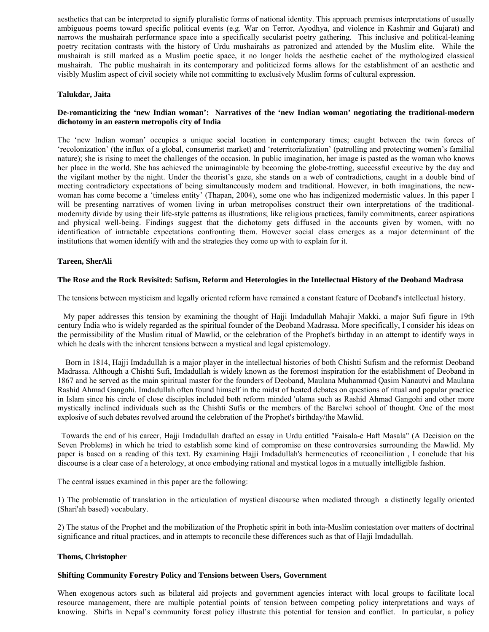aesthetics that can be interpreted to signify pluralistic forms of national identity. This approach premises interpretations of usually ambiguous poems toward specific political events (e.g. War on Terror, Ayodhya, and violence in Kashmir and Gujarat) and narrows the mushairah performance space into a specifically secularist poetry gathering. This inclusive and political-leaning poetry recitation contrasts with the history of Urdu mushairahs as patronized and attended by the Muslim elite. While the mushairah is still marked as a Muslim poetic space, it no longer holds the aesthetic cachet of the mythologized classical mushairah. The public mushairah in its contemporary and politicized forms allows for the establishment of an aesthetic and visibly Muslim aspect of civil society while not committing to exclusively Muslim forms of cultural expression.

### **Talukdar, Jaita**

# **De-romanticizing the 'new Indian woman': Narratives of the 'new Indian woman' negotiating the traditional-modern dichotomy in an eastern metropolis city of India**

The 'new Indian woman' occupies a unique social location in contemporary times; caught between the twin forces of 'recolonization' (the influx of a global, consumerist market) and 'reterritorialization' (patrolling and protecting women's familial nature); she is rising to meet the challenges of the occasion. In public imagination, her image is pasted as the woman who knows her place in the world. She has achieved the unimaginable by becoming the globe-trotting, successful executive by the day and the vigilant mother by the night. Under the theorist's gaze, she stands on a web of contradictions, caught in a double bind of meeting contradictory expectations of being simultaneously modern and traditional. However, in both imaginations, the newwoman has come become a 'timeless entity' (Thapan, 2004), some one who has indigenized modernistic values. In this paper I will be presenting narratives of women living in urban metropolises construct their own interpretations of the traditionalmodernity divide by using their life-style patterns as illustrations; like religious practices, family commitments, career aspirations and physical well-being. Findings suggest that the dichotomy gets diffused in the accounts given by women, with no identification of intractable expectations confronting them. However social class emerges as a major determinant of the institutions that women identify with and the strategies they come up with to explain for it.

### **Tareen, SherAli**

### **The Rose and the Rock Revisited: Sufism, Reform and Heterologies in the Intellectual History of the Deoband Madrasa**

The tensions between mysticism and legally oriented reform have remained a constant feature of Deoband's intellectual history.

 My paper addresses this tension by examining the thought of Hajji Imdadullah Mahajir Makki, a major Sufi figure in 19th century India who is widely regarded as the spiritual founder of the Deoband Madrassa. More specifically, I consider his ideas on the permissibility of the Muslim ritual of Mawlid, or the celebration of the Prophet's birthday in an attempt to identify ways in which he deals with the inherent tensions between a mystical and legal epistemology.

 Born in 1814, Hajji Imdadullah is a major player in the intellectual histories of both Chishti Sufism and the reformist Deoband Madrassa. Although a Chishti Sufi, Imdadullah is widely known as the foremost inspiration for the establishment of Deoband in 1867 and he served as the main spiritual master for the founders of Deoband, Maulana Muhammad Qasim Nanautvi and Maulana Rashid Ahmad Gangohi. Imdadullah often found himself in the midst of heated debates on questions of ritual and popular practice in Islam since his circle of close disciples included both reform minded 'ulama such as Rashid Ahmad Gangohi and other more mystically inclined individuals such as the Chishti Sufis or the members of the Barelwi school of thought. One of the most explosive of such debates revolved around the celebration of the Prophet's birthday/the Mawlid.

 Towards the end of his career, Hajji Imdadullah drafted an essay in Urdu entitled "Faisala-e Haft Masala" (A Decision on the Seven Problems) in which he tried to establish some kind of compromise on these controversies surrounding the Mawlid. My paper is based on a reading of this text. By examining Hajji Imdadullah's hermeneutics of reconciliation , I conclude that his discourse is a clear case of a heterology, at once embodying rational and mystical logos in a mutually intelligible fashion.

The central issues examined in this paper are the following:

1) The problematic of translation in the articulation of mystical discourse when mediated through a distinctly legally oriented (Shari'ah based) vocabulary.

2) The status of the Prophet and the mobilization of the Prophetic spirit in both inta-Muslim contestation over matters of doctrinal significance and ritual practices, and in attempts to reconcile these differences such as that of Hajji Imdadullah.

### **Thoms, Christopher**

#### **Shifting Community Forestry Policy and Tensions between Users, Government**

When exogenous actors such as bilateral aid projects and government agencies interact with local groups to facilitate local resource management, there are multiple potential points of tension between competing policy interpretations and ways of knowing. Shifts in Nepal's community forest policy illustrate this potential for tension and conflict. In particular, a policy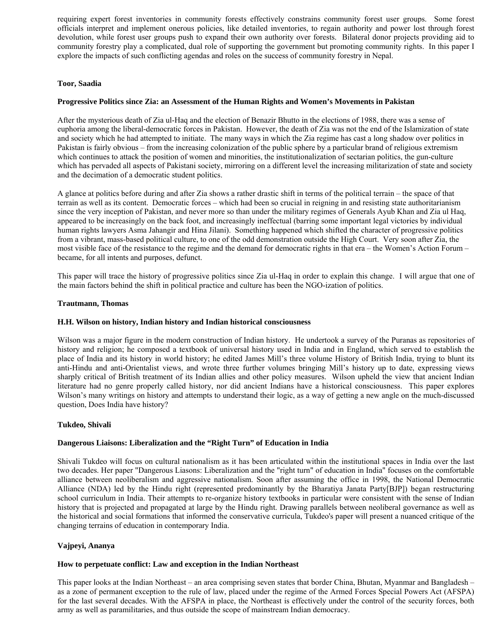requiring expert forest inventories in community forests effectively constrains community forest user groups. Some forest officials interpret and implement onerous policies, like detailed inventories, to regain authority and power lost through forest devolution, while forest user groups push to expand their own authority over forests. Bilateral donor projects providing aid to community forestry play a complicated, dual role of supporting the government but promoting community rights. In this paper I explore the impacts of such conflicting agendas and roles on the success of community forestry in Nepal.

# **Toor, Saadia**

# **Progressive Politics since Zia: an Assessment of the Human Rights and Women's Movements in Pakistan**

After the mysterious death of Zia ul-Haq and the election of Benazir Bhutto in the elections of 1988, there was a sense of euphoria among the liberal-democratic forces in Pakistan. However, the death of Zia was not the end of the Islamization of state and society which he had attempted to initiate. The many ways in which the Zia regime has cast a long shadow over politics in Pakistan is fairly obvious – from the increasing colonization of the public sphere by a particular brand of religious extremism which continues to attack the position of women and minorities, the institutionalization of sectarian politics, the gun-culture which has pervaded all aspects of Pakistani society, mirroring on a different level the increasing militarization of state and society and the decimation of a democratic student politics.

A glance at politics before during and after Zia shows a rather drastic shift in terms of the political terrain – the space of that terrain as well as its content. Democratic forces – which had been so crucial in reigning in and resisting state authoritarianism since the very inception of Pakistan, and never more so than under the military regimes of Generals Ayub Khan and Zia ul Haq, appeared to be increasingly on the back foot, and increasingly ineffectual (barring some important legal victories by individual human rights lawyers Asma Jahangir and Hina Jilani). Something happened which shifted the character of progressive politics from a vibrant, mass-based political culture, to one of the odd demonstration outside the High Court. Very soon after Zia, the most visible face of the resistance to the regime and the demand for democratic rights in that era – the Women's Action Forum – became, for all intents and purposes, defunct.

This paper will trace the history of progressive politics since Zia ul-Haq in order to explain this change. I will argue that one of the main factors behind the shift in political practice and culture has been the NGO-ization of politics.

### **Trautmann, Thomas**

### **H.H. Wilson on history, Indian history and Indian historical consciousness**

Wilson was a major figure in the modern construction of Indian history. He undertook a survey of the Puranas as repositories of history and religion; he composed a textbook of universal history used in India and in England, which served to establish the place of India and its history in world history; he edited James Mill's three volume History of British India, trying to blunt its anti-Hindu and anti-Orientalist views, and wrote three further volumes bringing Mill's history up to date, expressing views sharply critical of British treatment of its Indian allies and other policy measures. Wilson upheld the view that ancient Indian literature had no genre properly called history, nor did ancient Indians have a historical consciousness. This paper explores Wilson's many writings on history and attempts to understand their logic, as a way of getting a new angle on the much-discussed question, Does India have history?

### **Tukdeo, Shivali**

### **Dangerous Liaisons: Liberalization and the "Right Turn" of Education in India**

Shivali Tukdeo will focus on cultural nationalism as it has been articulated within the institutional spaces in India over the last two decades. Her paper "Dangerous Liasons: Liberalization and the "right turn" of education in India" focuses on the comfortable alliance between neoliberalism and aggressive nationalism. Soon after assuming the office in 1998, the National Democratic Alliance (NDA) led by the Hindu right (represented predominantly by the Bharatiya Janata Party[BJP]) began restructuring school curriculum in India. Their attempts to re-organize history textbooks in particular were consistent with the sense of Indian history that is projected and propagated at large by the Hindu right. Drawing parallels between neoliberal governance as well as the historical and social formations that informed the conservative curricula, Tukdeo's paper will present a nuanced critique of the changing terrains of education in contemporary India.

# **Vajpeyi, Ananya**

### **How to perpetuate conflict: Law and exception in the Indian Northeast**

This paper looks at the Indian Northeast – an area comprising seven states that border China, Bhutan, Myanmar and Bangladesh – as a zone of permanent exception to the rule of law, placed under the regime of the Armed Forces Special Powers Act (AFSPA) for the last several decades. With the AFSPA in place, the Northeast is effectively under the control of the security forces, both army as well as paramilitaries, and thus outside the scope of mainstream Indian democracy.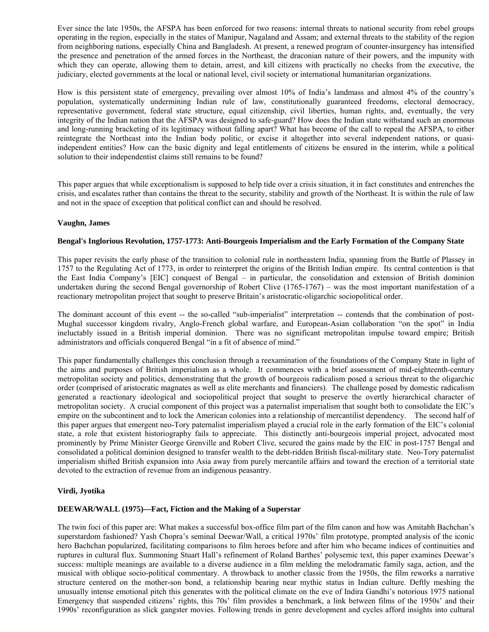Ever since the late 1950s, the AFSPA has been enforced for two reasons: internal threats to national security from rebel groups operating in the region, especially in the states of Manipur, Nagaland and Assam; and external threats to the stability of the region from neighboring nations, especially China and Bangladesh. At present, a renewed program of counter-insurgency has intensified the presence and penetration of the armed forces in the Northeast, the draconian nature of their powers, and the impunity with which they can operate, allowing them to detain, arrest, and kill citizens with practically no checks from the executive, the judiciary, elected governments at the local or national level, civil society or international humanitarian organizations.

How is this persistent state of emergency, prevailing over almost 10% of India's landmass and almost 4% of the country's population, systematically undermining Indian rule of law, constitutionally guaranteed freedoms, electoral democracy, representative government, federal state structure, equal citizenship, civil liberties, human rights, and, eventually, the very integrity of the Indian nation that the AFSPA was designed to safe-guard? How does the Indian state withstand such an enormous and long-running bracketing of its legitimacy without falling apart? What has become of the call to repeal the AFSPA, to either reintegrate the Northeast into the Indian body politic, or excise it altogether into several independent nations, or quasiindependent entities? How can the basic dignity and legal entitlements of citizens be ensured in the interim, while a political solution to their independentist claims still remains to be found?

This paper argues that while exceptionalism is supposed to help tide over a crisis situation, it in fact constitutes and entrenches the crisis, and escalates rather than contains the threat to the security, stability and growth of the Northeast. It is within the rule of law and not in the space of exception that political conflict can and should be resolved.

# **Vaughn, James**

# **Bengal's Inglorious Revolution, 1757-1773: Anti-Bourgeois Imperialism and the Early Formation of the Company State**

This paper revisits the early phase of the transition to colonial rule in northeastern India, spanning from the Battle of Plassey in 1757 to the Regulating Act of 1773, in order to reinterpret the origins of the British Indian empire. Its central contention is that the East India Company's [EIC] conquest of Bengal – in particular, the consolidation and extension of British dominion undertaken during the second Bengal governorship of Robert Clive (1765-1767) – was the most important manifestation of a reactionary metropolitan project that sought to preserve Britain's aristocratic-oligarchic sociopolitical order.

The dominant account of this event -- the so-called "sub-imperialist" interpretation -- contends that the combination of post-Mughal successor kingdom rivalry, Anglo-French global warfare, and European-Asian collaboration "on the spot" in India ineluctably issued in a British imperial dominion. There was no significant metropolitan impulse toward empire; British administrators and officials conquered Bengal "in a fit of absence of mind."

This paper fundamentally challenges this conclusion through a reexamination of the foundations of the Company State in light of the aims and purposes of British imperialism as a whole. It commences with a brief assessment of mid-eighteenth-century metropolitan society and politics, demonstrating that the growth of bourgeois radicalism posed a serious threat to the oligarchic order (comprised of aristocratic magnates as well as elite merchants and financiers). The challenge posed by domestic radicalism generated a reactionary ideological and sociopolitical project that sought to preserve the overtly hierarchical character of metropolitan society. A crucial component of this project was a paternalist imperialism that sought both to consolidate the EIC's empire on the subcontinent and to lock the American colonies into a relationship of mercantilist dependency. The second half of this paper argues that emergent neo-Tory paternalist imperialism played a crucial role in the early formation of the EIC's colonial state, a role that existent historiography fails to appreciate. This distinctly anti-bourgeois imperial project, advocated most prominently by Prime Minister George Grenville and Robert Clive, secured the gains made by the EIC in post-1757 Bengal and consolidated a political dominion designed to transfer wealth to the debt-ridden British fiscal-military state. Neo-Tory paternalist imperialism shifted British expansion into Asia away from purely mercantile affairs and toward the erection of a territorial state devoted to the extraction of revenue from an indigenous peasantry.

# **Virdi, Jyotika**

### **DEEWAR/WALL (1975)—Fact, Fiction and the Making of a Superstar**

The twin foci of this paper are: What makes a successful box-office film part of the film canon and how was Amitabh Bachchan's superstardom fashioned? Yash Chopra's seminal Deewar/Wall, a critical 1970s' film prototype, prompted analysis of the iconic hero Bachchan popularized, facilitating comparisons to film heroes before and after him who became indices of continuities and ruptures in cultural flux. Summoning Stuart Hall's refinement of Roland Barthes' polysemic text, this paper examines Deewar's success: multiple meanings are available to a diverse audience in a film melding the melodramatic family saga, action, and the musical with oblique socio-political commentary. A throwback to another classic from the 1950s, the film reworks a narrative structure centered on the mother-son bond, a relationship bearing near mythic status in Indian culture. Deftly meshing the unusually intense emotional pitch this generates with the political climate on the eve of Indira Gandhi's notorious 1975 national Emergency that suspended citizens' rights, this 70s' film provides a benchmark, a link between films of the 1950s' and their 1990s' reconfiguration as slick gangster movies. Following trends in genre development and cycles afford insights into cultural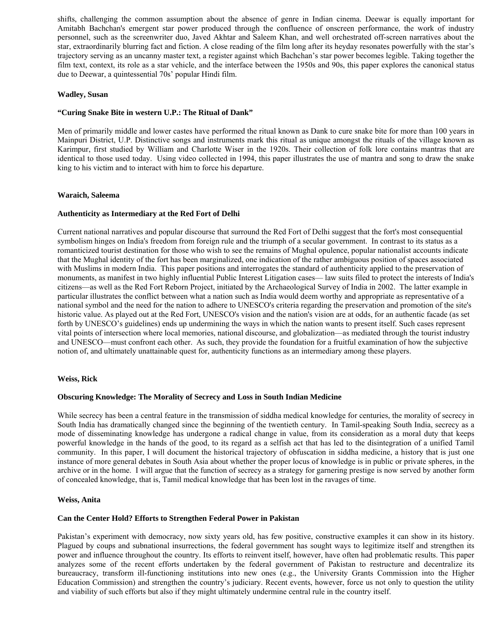shifts, challenging the common assumption about the absence of genre in Indian cinema. Deewar is equally important for Amitabh Bachchan's emergent star power produced through the confluence of onscreen performance, the work of industry personnel, such as the screenwriter duo, Javed Akhtar and Saleem Khan, and well orchestrated off-screen narratives about the star, extraordinarily blurring fact and fiction. A close reading of the film long after its heyday resonates powerfully with the star's trajectory serving as an uncanny master text, a register against which Bachchan's star power becomes legible. Taking together the film text, context, its role as a star vehicle, and the interface between the 1950s and 90s, this paper explores the canonical status due to Deewar, a quintessential 70s' popular Hindi film.

# **Wadley, Susan**

### **"Curing Snake Bite in western U.P.: The Ritual of Dank"**

Men of primarily middle and lower castes have performed the ritual known as Dank to cure snake bite for more than 100 years in Mainpuri District, U.P. Distinctive songs and instruments mark this ritual as unique amongst the rituals of the village known as Karimpur, first studied by William and Charlotte Wiser in the 1920s. Their collection of folk lore contains mantras that are identical to those used today. Using video collected in 1994, this paper illustrates the use of mantra and song to draw the snake king to his victim and to interact with him to force his departure.

# **Waraich, Saleema**

# **Authenticity as Intermediary at the Red Fort of Delhi**

Current national narratives and popular discourse that surround the Red Fort of Delhi suggest that the fort's most consequential symbolism hinges on India's freedom from foreign rule and the triumph of a secular government. In contrast to its status as a romanticized tourist destination for those who wish to see the remains of Mughal opulence, popular nationalist accounts indicate that the Mughal identity of the fort has been marginalized, one indication of the rather ambiguous position of spaces associated with Muslims in modern India. This paper positions and interrogates the standard of authenticity applied to the preservation of monuments, as manifest in two highly influential Public Interest Litigation cases— law suits filed to protect the interests of India's citizens—as well as the Red Fort Reborn Project, initiated by the Archaeological Survey of India in 2002. The latter example in particular illustrates the conflict between what a nation such as India would deem worthy and appropriate as representative of a national symbol and the need for the nation to adhere to UNESCO's criteria regarding the preservation and promotion of the site's historic value. As played out at the Red Fort, UNESCO's vision and the nation's vision are at odds, for an authentic facade (as set forth by UNESCO's guidelines) ends up undermining the ways in which the nation wants to present itself. Such cases represent vital points of intersection where local memories, national discourse, and globalization—as mediated through the tourist industry and UNESCO—must confront each other. As such, they provide the foundation for a fruitful examination of how the subjective notion of, and ultimately unattainable quest for, authenticity functions as an intermediary among these players.

### **Weiss, Rick**

### **Obscuring Knowledge: The Morality of Secrecy and Loss in South Indian Medicine**

While secrecy has been a central feature in the transmission of siddha medical knowledge for centuries, the morality of secrecy in South India has dramatically changed since the beginning of the twentieth century. In Tamil-speaking South India, secrecy as a mode of disseminating knowledge has undergone a radical change in value, from its consideration as a moral duty that keeps powerful knowledge in the hands of the good, to its regard as a selfish act that has led to the disintegration of a unified Tamil community. In this paper, I will document the historical trajectory of obfuscation in siddha medicine, a history that is just one instance of more general debates in South Asia about whether the proper locus of knowledge is in public or private spheres, in the archive or in the home. I will argue that the function of secrecy as a strategy for garnering prestige is now served by another form of concealed knowledge, that is, Tamil medical knowledge that has been lost in the ravages of time.

### **Weiss, Anita**

### **Can the Center Hold? Efforts to Strengthen Federal Power in Pakistan**

Pakistan's experiment with democracy, now sixty years old, has few positive, constructive examples it can show in its history. Plagued by coups and subnational insurrections, the federal government has sought ways to legitimize itself and strengthen its power and influence throughout the country. Its efforts to reinvent itself, however, have often had problematic results. This paper analyzes some of the recent efforts undertaken by the federal government of Pakistan to restructure and decentralize its bureaucracy, transform ill-functioning institutions into new ones (e.g., the University Grants Commission into the Higher Education Commission) and strengthen the country's judiciary. Recent events, however, force us not only to question the utility and viability of such efforts but also if they might ultimately undermine central rule in the country itself.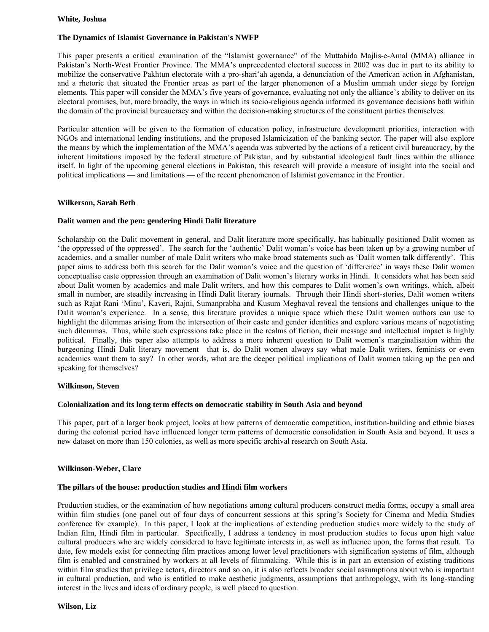### **White, Joshua**

# **The Dynamics of Islamist Governance in Pakistan's NWFP**

This paper presents a critical examination of the "Islamist governance" of the Muttahida Majlis-e-Amal (MMA) alliance in Pakistan's North-West Frontier Province. The MMA's unprecedented electoral success in 2002 was due in part to its ability to mobilize the conservative Pakhtun electorate with a pro-shari'ah agenda, a denunciation of the American action in Afghanistan, and a rhetoric that situated the Frontier areas as part of the larger phenomenon of a Muslim ummah under siege by foreign elements. This paper will consider the MMA's five years of governance, evaluating not only the alliance's ability to deliver on its electoral promises, but, more broadly, the ways in which its socio-religious agenda informed its governance decisions both within the domain of the provincial bureaucracy and within the decision-making structures of the constituent parties themselves.

Particular attention will be given to the formation of education policy, infrastructure development priorities, interaction with NGOs and international lending institutions, and the proposed Islamicization of the banking sector. The paper will also explore the means by which the implementation of the MMA's agenda was subverted by the actions of a reticent civil bureaucracy, by the inherent limitations imposed by the federal structure of Pakistan, and by substantial ideological fault lines within the alliance itself. In light of the upcoming general elections in Pakistan, this research will provide a measure of insight into the social and political implications — and limitations — of the recent phenomenon of Islamist governance in the Frontier.

# **Wilkerson, Sarah Beth**

# **Dalit women and the pen: gendering Hindi Dalit literature**

Scholarship on the Dalit movement in general, and Dalit literature more specifically, has habitually positioned Dalit women as 'the oppressed of the oppressed'. The search for the 'authentic' Dalit woman's voice has been taken up by a growing number of academics, and a smaller number of male Dalit writers who make broad statements such as 'Dalit women talk differently'. This paper aims to address both this search for the Dalit woman's voice and the question of 'difference' in ways these Dalit women conceptualise caste oppression through an examination of Dalit women's literary works in Hindi. It considers what has been said about Dalit women by academics and male Dalit writers, and how this compares to Dalit women's own writings, which, albeit small in number, are steadily increasing in Hindi Dalit literary journals. Through their Hindi short-stories, Dalit women writers such as Rajat Rani 'Minu', Kaveri, Rajni, Sumanprabha and Kusum Meghaval reveal the tensions and challenges unique to the Dalit woman's experience. In a sense, this literature provides a unique space which these Dalit women authors can use to highlight the dilemmas arising from the intersection of their caste and gender identities and explore various means of negotiating such dilemmas. Thus, while such expressions take place in the realms of fiction, their message and intellectual impact is highly political. Finally, this paper also attempts to address a more inherent question to Dalit women's marginalisation within the burgeoning Hindi Dalit literary movement—that is, do Dalit women always say what male Dalit writers, feminists or even academics want them to say? In other words, what are the deeper political implications of Dalit women taking up the pen and speaking for themselves?

## **Wilkinson, Steven**

### **Colonialization and its long term effects on democratic stability in South Asia and beyond**

This paper, part of a larger book project, looks at how patterns of democratic competition, institution-building and ethnic biases during the colonial period have influenced longer term patterns of democratic consolidation in South Asia and beyond. It uses a new dataset on more than 150 colonies, as well as more specific archival research on South Asia.

### **Wilkinson-Weber, Clare**

# **The pillars of the house: production studies and Hindi film workers**

Production studies, or the examination of how negotiations among cultural producers construct media forms, occupy a small area within film studies (one panel out of four days of concurrent sessions at this spring's Society for Cinema and Media Studies conference for example). In this paper, I look at the implications of extending production studies more widely to the study of Indian film, Hindi film in particular. Specifically, I address a tendency in most production studies to focus upon high value cultural producers who are widely considered to have legitimate interests in, as well as influence upon, the forms that result. To date, few models exist for connecting film practices among lower level practitioners with signification systems of film, although film is enabled and constrained by workers at all levels of filmmaking. While this is in part an extension of existing traditions within film studies that privilege actors, directors and so on, it is also reflects broader social assumptions about who is important in cultural production, and who is entitled to make aesthetic judgments, assumptions that anthropology, with its long-standing interest in the lives and ideas of ordinary people, is well placed to question.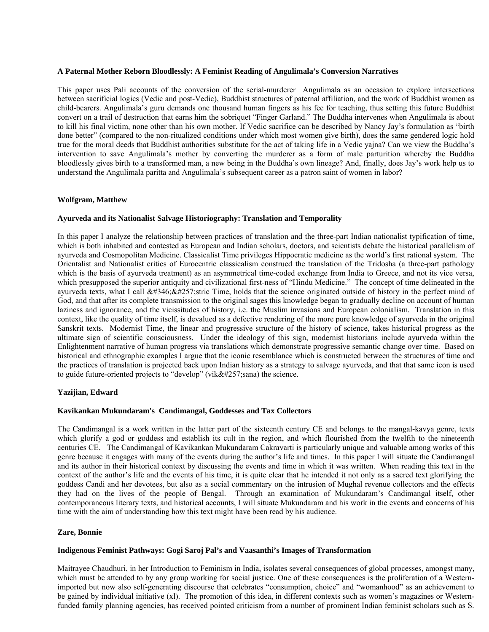#### **A Paternal Mother Reborn Bloodlessly: A Feminist Reading of Angulimala's Conversion Narratives**

This paper uses Pali accounts of the conversion of the serial-murderer Angulimala as an occasion to explore intersections between sacrificial logics (Vedic and post-Vedic), Buddhist structures of paternal affiliation, and the work of Buddhist women as child-bearers. Angulimala's guru demands one thousand human fingers as his fee for teaching, thus setting this future Buddhist convert on a trail of destruction that earns him the sobriquet "Finger Garland." The Buddha intervenes when Angulimala is about to kill his final victim, none other than his own mother. If Vedic sacrifice can be described by Nancy Jay's formulation as "birth done better" (compared to the non-ritualized conditions under which most women give birth), does the same gendered logic hold true for the moral deeds that Buddhist authorities substitute for the act of taking life in a Vedic yajna? Can we view the Buddha's intervention to save Angulimala's mother by converting the murderer as a form of male parturition whereby the Buddha bloodlessly gives birth to a transformed man, a new being in the Buddha's own lineage? And, finally, does Jay's work help us to understand the Angulimala paritta and Angulimala's subsequent career as a patron saint of women in labor?

#### **Wolfgram, Matthew**

#### **Ayurveda and its Nationalist Salvage Historiography: Translation and Temporality**

In this paper I analyze the relationship between practices of translation and the three-part Indian nationalist typification of time, which is both inhabited and contested as European and Indian scholars, doctors, and scientists debate the historical parallelism of ayurveda and Cosmopolitan Medicine. Classicalist Time privileges Hippocratic medicine as the world's first rational system. The Orientalist and Nationalist critics of Eurocentric classicalism construed the translation of the Tridosha (a three-part pathology which is the basis of ayurveda treatment) as an asymmetrical time-coded exchange from India to Greece, and not its vice versa, which presupposed the superior antiquity and civilizational first-ness of "Hindu Medicine." The concept of time delineated in the ayurveda texts, what I call  $&\#346$ ;  $&\#257$ ; stric Time, holds that the science originated outside of history in the perfect mind of God, and that after its complete transmission to the original sages this knowledge began to gradually decline on account of human laziness and ignorance, and the vicissitudes of history, i.e. the Muslim invasions and European colonialism. Translation in this context, like the quality of time itself, is devalued as a defective rendering of the more pure knowledge of ayurveda in the original Sanskrit texts. Modernist Time, the linear and progressive structure of the history of science, takes historical progress as the ultimate sign of scientific consciousness. Under the ideology of this sign, modernist historians include ayurveda within the Enlightenment narrative of human progress via translations which demonstrate progressive semantic change over time. Based on historical and ethnographic examples I argue that the iconic resemblance which is constructed between the structures of time and the practices of translation is projected back upon Indian history as a strategy to salvage ayurveda, and that that same icon is used to guide future-oriented projects to "develop" (vik $&\#257$ ; sana) the science.

### **Yazijian, Edward**

#### **Kavikankan Mukundaram's Candimangal, Goddesses and Tax Collectors**

The Candimangal is a work written in the latter part of the sixteenth century CE and belongs to the mangal-kavya genre, texts which glorify a god or goddess and establish its cult in the region, and which flourished from the twelfth to the nineteenth centuries CE. The Candimangal of Kavikankan Mukundaram Cakravarti is particularly unique and valuable among works of this genre because it engages with many of the events during the author's life and times. In this paper I will situate the Candimangal and its author in their historical context by discussing the events and time in which it was written. When reading this text in the context of the author's life and the events of his time, it is quite clear that he intended it not only as a sacred text glorifying the goddess Candi and her devotees, but also as a social commentary on the intrusion of Mughal revenue collectors and the effects they had on the lives of the people of Bengal. Through an examination of Mukundaram's Candimangal itself, other contemporaneous literary texts, and historical accounts, I will situate Mukundaram and his work in the events and concerns of his time with the aim of understanding how this text might have been read by his audience.

#### **Zare, Bonnie**

### **Indigenous Feminist Pathways: Gogi Saroj Pal's and Vaasanthi's Images of Transformation**

Maitrayee Chaudhuri, in her Introduction to Feminism in India, isolates several consequences of global processes, amongst many, which must be attended to by any group working for social justice. One of these consequences is the proliferation of a Westernimported but now also self-generating discourse that celebrates "consumption, choice" and "womanhood" as an achievement to be gained by individual initiative (xl). The promotion of this idea, in different contexts such as women's magazines or Westernfunded family planning agencies, has received pointed criticism from a number of prominent Indian feminist scholars such as S.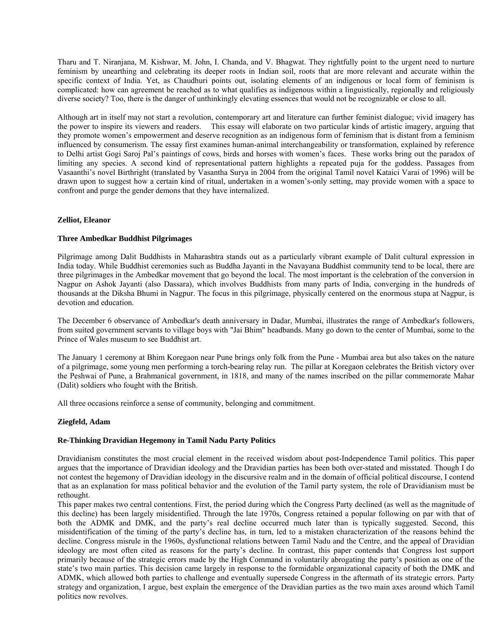Tharu and T. Niranjana, M. Kishwar, M. John, I. Chanda, and V. Bhagwat. They rightfully point to the urgent need to nurture feminism by unearthing and celebrating its deeper roots in Indian soil, roots that are more relevant and accurate within the specific context of India. Yet, as Chaudhuri points out, isolating elements of an indigenous or local form of feminism is complicated: how can agreement be reached as to what qualifies as indigenous within a linguistically, regionally and religiously diverse society? Too, there is the danger of unthinkingly elevating essences that would not be recognizable or close to all.

Although art in itself may not start a revolution, contemporary art and literature can further feminist dialogue; vivid imagery has the power to inspire its viewers and readers. This essay will elaborate on two particular kinds of artistic imagery, arguing that they promote women's empowerment and deserve recognition as an indigenous form of feminism that is distant from a feminism influenced by consumerism. The essay first examines human-animal interchangeability or transformation, explained by reference to Delhi artist Gogi Saroj Pal's paintings of cows, birds and horses with women's faces. These works bring out the paradox of limiting any species. A second kind of representational pattern highlights a repeated puja for the goddess. Passages from Vasaanthi's novel Birthright (translated by Vasantha Surya in 2004 from the original Tamil novel Kataici Varai of 1996) will be drawn upon to suggest how a certain kind of ritual, undertaken in a women's-only setting, may provide women with a space to confront and purge the gender demons that they have internalized.

# **Zelliot, Eleanor**

### **Three Ambedkar Buddhist Pilgrimages**

Pilgrimage among Dalit Buddhists in Maharashtra stands out as a particularly vibrant example of Dalit cultural expression in India today. While Buddhist ceremonies such as Buddha Jayanti in the Navayana Buddhist community tend to be local, there are three pilgrimages in the Ambedkar movement that go beyond the local. The most important is the celebration of the conversion in Nagpur on Ashok Jayanti (also Dassara), which involves Buddhists from many parts of India, converging in the hundreds of thousands at the Diksha Bhumi in Nagpur. The focus in this pilgrimage, physically centered on the enormous stupa at Nagpur, is devotion and education.

The December 6 observance of Ambedkar's death anniversary in Dadar, Mumbai, illustrates the range of Ambedkar's followers, from suited government servants to village boys with "Jai Bhim" headbands. Many go down to the center of Mumbai, some to the Prince of Wales museum to see Buddhist art.

The January 1 ceremony at Bhim Koregaon near Pune brings only folk from the Pune - Mumbai area but also takes on the nature of a pilgrimage, some young men performing a torch-bearing relay run. The pillar at Koregaon celebrates the British victory over the Peshwai of Pune, a Brahmanical government, in 1818, and many of the names inscribed on the pillar commemorate Mahar (Dalit) soldiers who fought with the British.

All three occasions reinforce a sense of community, belonging and commitment.

# **Ziegfeld, Adam**

### **Re-Thinking Dravidian Hegemony in Tamil Nadu Party Politics**

Dravidianism constitutes the most crucial element in the received wisdom about post-Independence Tamil politics. This paper argues that the importance of Dravidian ideology and the Dravidian parties has been both over-stated and misstated. Though I do not contest the hegemony of Dravidian ideology in the discursive realm and in the domain of official political discourse, I contend that as an explanation for mass political behavior and the evolution of the Tamil party system, the role of Dravidianism must be rethought.

This paper makes two central contentions. First, the period during which the Congress Party declined (as well as the magnitude of this decline) has been largely misidentified. Through the late 1970s, Congress retained a popular following on par with that of both the ADMK and DMK, and the party's real decline occurred much later than is typically suggested. Second, this misidentification of the timing of the party's decline has, in turn, led to a mistaken characterization of the reasons behind the decline. Congress misrule in the 1960s, dysfunctional relations between Tamil Nadu and the Centre, and the appeal of Dravidian ideology are most often cited as reasons for the party's decline. In contrast, this paper contends that Congress lost support primarily because of the strategic errors made by the High Command in voluntarily abrogating the party's position as one of the state's two main parties. This decision came largely in response to the formidable organizational capacity of both the DMK and ADMK, which allowed both parties to challenge and eventually supersede Congress in the aftermath of its strategic errors. Party strategy and organization, I argue, best explain the emergence of the Dravidian parties as the two main axes around which Tamil politics now revolves.